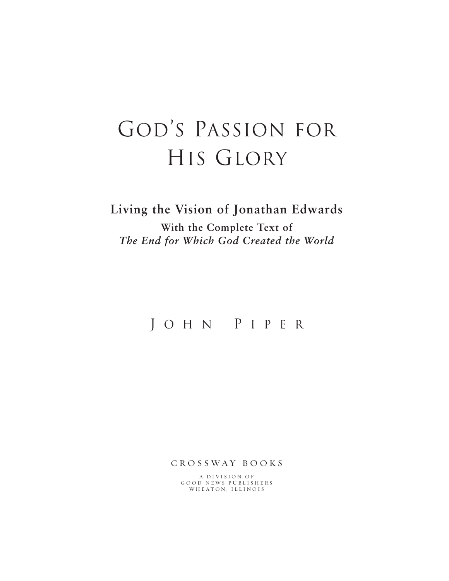# GOD'S PASSION FOR HIS GLORY

## **Living the Vision of Jonathan Edwards**

**With the Complete Text of** *The End for Which God Created the World*

## J OHN P IPER

CROSSWAY B O OKS

A DIVISION OF G O OD NEWS PUBLISHERS WHEATON, ILLINOIS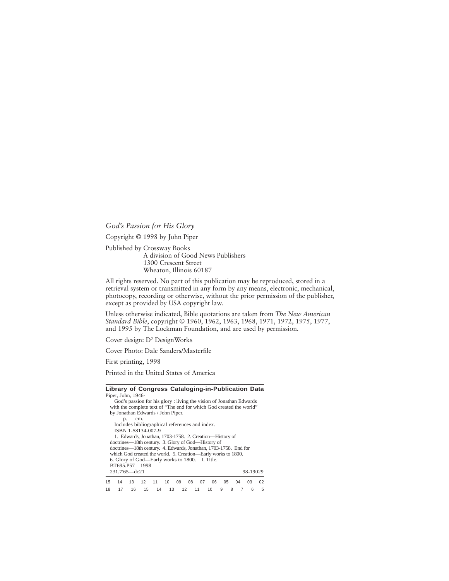*God's Passion for His Glory*

Copyright © 1998 by John Piper

Published by Crossway Books A division of Good News Publishers 1300 Crescent Street Wheaton, Illinois 60187

All rights reserved. No part of this publication may be reproduced, stored in a retrieval system or transmitted in any form by any means, electronic, mechanical, photocopy, recording or otherwise, without the prior permission of the publisher, except as provided by USA copyright law.

Unless otherwise indicated, Bible quotations are taken from *The New American Standard Bible*, copyright © 1960, 1962, 1963, 1968, 1971, 1972, 1975, 1977, and 1995 by The Lockman Foundation, and are used by permission.

Cover design: D2 DesignWorks

Cover Photo: Dale Sanders/Masterfile

First printing, 1998

Printed in the United States of America

|    |    |                    |                                   |    |    | Library of Congress Cataloging-in-Publication Data                                                                                        |    |    |    |    |   |    |                |    |
|----|----|--------------------|-----------------------------------|----|----|-------------------------------------------------------------------------------------------------------------------------------------------|----|----|----|----|---|----|----------------|----|
|    |    | Piper, John, 1946- |                                   |    |    |                                                                                                                                           |    |    |    |    |   |    |                |    |
|    |    |                    | by Jonathan Edwards / John Piper. |    |    | God's passion for his glory: living the vision of Jonathan Edwards<br>with the complete text of "The end for which God created the world" |    |    |    |    |   |    |                |    |
|    | p. |                    | cm.                               |    |    |                                                                                                                                           |    |    |    |    |   |    |                |    |
|    |    |                    |                                   |    |    | Includes bibliographical references and index.                                                                                            |    |    |    |    |   |    |                |    |
|    |    |                    | ISBN 1-58134-007-9                |    |    |                                                                                                                                           |    |    |    |    |   |    |                |    |
|    |    |                    |                                   |    |    | 1. Edwards, Jonathan, 1703-1758. 2. Creation—History of                                                                                   |    |    |    |    |   |    |                |    |
|    |    |                    |                                   |    |    | doctrines—18th century. 3. Glory of God—History of                                                                                        |    |    |    |    |   |    |                |    |
|    |    |                    |                                   |    |    | doctrines—18th century. 4. Edwards, Jonathan, 1703-1758. End for                                                                          |    |    |    |    |   |    |                |    |
|    |    |                    |                                   |    |    | which God created the world. 5. Creation—Early works to 1800.                                                                             |    |    |    |    |   |    |                |    |
|    |    |                    |                                   |    |    | 6. Glory of God—Early works to 1800. I. Title.                                                                                            |    |    |    |    |   |    |                |    |
|    |    |                    | BT695.P57 1998                    |    |    |                                                                                                                                           |    |    |    |    |   |    |                |    |
|    |    | 231.7'65-dc21      |                                   |    |    |                                                                                                                                           |    |    |    |    |   |    | 98-19029       |    |
| 15 | 14 | 13                 | 12                                | 11 | 10 | 09                                                                                                                                        | 08 | 07 | 06 | 05 |   | 04 | 0 <sub>3</sub> | 02 |
| 18 | 17 | 16                 | 15                                | 14 |    | 13 12 11                                                                                                                                  |    |    | 10 | 9  | 8 |    | 6              | 5  |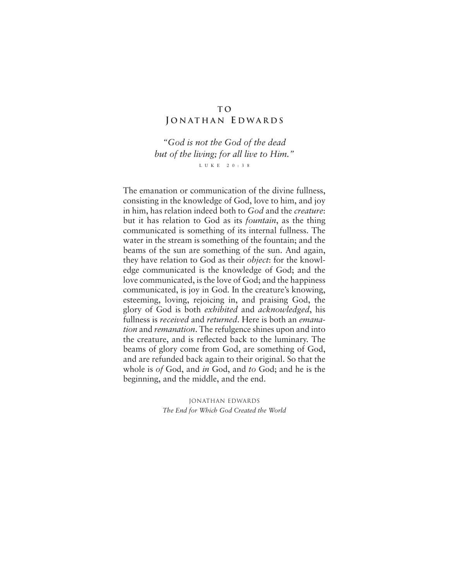#### **T O J ONATHAN E DWARDS**

*"God is not the God of the dead but of the living; for all live to Him."* LUKE 20:38

The emanation or communication of the divine fullness, consisting in the knowledge of God, love to him, and joy in him, has relation indeed both to *God* and the *creature*: but it has relation to God as its *fountain*, as the thing communicated is something of its internal fullness. The water in the stream is something of the fountain; and the beams of the sun are something of the sun. And again, they have relation to God as their *object*: for the knowledge communicated is the knowledge of God; and the love communicated, is the love of God; and the happiness communicated, is joy in God. In the creature's knowing, esteeming, loving, rejoicing in, and praising God, the glory of God is both *exhibited* and *acknowledged*, his fullness is *received* and *returned*. Here is both an *emanation* and *remanation*. The refulgence shines upon and into the creature, and is reflected back to the luminary. The beams of glory come from God, are something of God, and are refunded back again to their original. So that the whole is *of* God, and *in* God, and *to* God; and he is the beginning, and the middle, and the end.

> Jonathan Edwards *The End for Which God Created the World*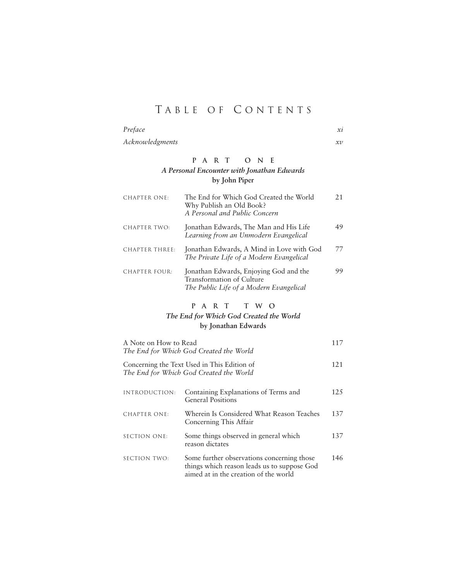## T ABLE OF C ONTENTS

| Preface         |        |
|-----------------|--------|
| Acknowledgments | $x\nu$ |

#### **PART ONE** *A Personal Encounter with Jonathan Edwards* **by John Piper**

| <b>CHAPTER ONE:</b>   | The End for Which God Created the World<br>Why Publish an Old Book?<br>A Personal and Public Concern           | 2.1 |
|-----------------------|----------------------------------------------------------------------------------------------------------------|-----|
| <b>CHAPTER TWO:</b>   | Jonathan Edwards, The Man and His Life<br>Learning from an Unmodern Evangelical                                | 49  |
| <b>CHAPTER THREE:</b> | Jonathan Edwards, A Mind in Love with God<br>The Private Life of a Modern Evangelical                          | 77  |
| <b>CHAPTER FOUR:</b>  | Jonathan Edwards, Enjoying God and the<br>Transformation of Culture<br>The Public Life of a Modern Evangelical | 99  |

#### **PART TWO** *The End for Which God Created the World*  **by Jonathan Edwards**

| A Note on How to Read<br>The End for Which God Created the World                       |                                                                                                                                    |      |  |  |
|----------------------------------------------------------------------------------------|------------------------------------------------------------------------------------------------------------------------------------|------|--|--|
| Concerning the Text Used in This Edition of<br>The End for Which God Created the World |                                                                                                                                    |      |  |  |
| INTRODUCTION:                                                                          | Containing Explanations of Terms and<br><b>General Positions</b>                                                                   | 12.5 |  |  |
| <b>CHAPTER ONE:</b>                                                                    | Wherein Is Considered What Reason Teaches<br>Concerning This Affair                                                                | 137  |  |  |
| SECTION ONE:                                                                           | Some things observed in general which<br>reason dictates                                                                           | 137  |  |  |
| SECTION TWO:                                                                           | Some further observations concerning those<br>things which reason leads us to suppose God<br>aimed at in the creation of the world | 146  |  |  |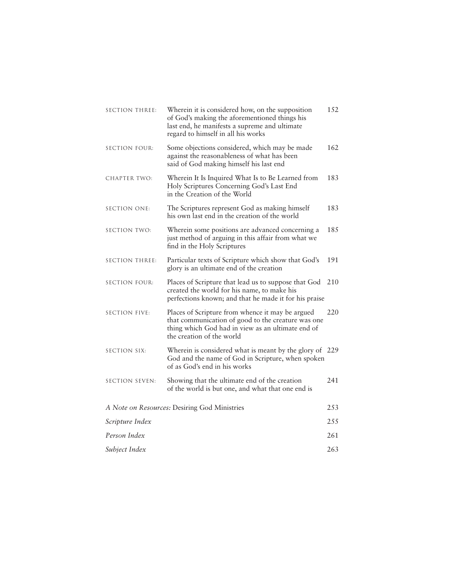| SECTION THREE:        | Wherein it is considered how, on the supposition<br>of God's making the aforementioned things his<br>last end, he manifests a supreme and ultimate<br>regard to himself in all his works | 152 |
|-----------------------|------------------------------------------------------------------------------------------------------------------------------------------------------------------------------------------|-----|
| <b>SECTION FOUR:</b>  | Some objections considered, which may be made<br>against the reasonableness of what has been<br>said of God making himself his last end                                                  | 162 |
| CHAPTER TWO:          | Wherein It Is Inquired What Is to Be Learned from<br>Holy Scriptures Concerning God's Last End<br>in the Creation of the World                                                           | 183 |
| SECTION ONE:          | The Scriptures represent God as making himself<br>his own last end in the creation of the world                                                                                          | 183 |
| SECTION TWO:          | Wherein some positions are advanced concerning a<br>just method of arguing in this affair from what we<br>find in the Holy Scriptures                                                    | 185 |
| <b>SECTION THREE:</b> | Particular texts of Scripture which show that God's<br>glory is an ultimate end of the creation                                                                                          | 191 |
| SECTION FOUR:         | Places of Scripture that lead us to suppose that God<br>created the world for his name, to make his<br>perfections known; and that he made it for his praise                             | 210 |
| SECTION FIVE:         | Places of Scripture from whence it may be argued<br>that communication of good to the creature was one<br>thing which God had in view as an ultimate end of<br>the creation of the world | 220 |
| SECTION SIX:          | Wherein is considered what is meant by the glory of 229<br>God and the name of God in Scripture, when spoken<br>of as God's end in his works                                             |     |
| SECTION SEVEN:        | Showing that the ultimate end of the creation<br>of the world is but one, and what that one end is                                                                                       | 241 |
|                       | A Note on Resources: Desiring God Ministries                                                                                                                                             | 253 |
| Scripture Index       |                                                                                                                                                                                          | 255 |
| Person Index          |                                                                                                                                                                                          | 261 |
| Subject Index         |                                                                                                                                                                                          | 263 |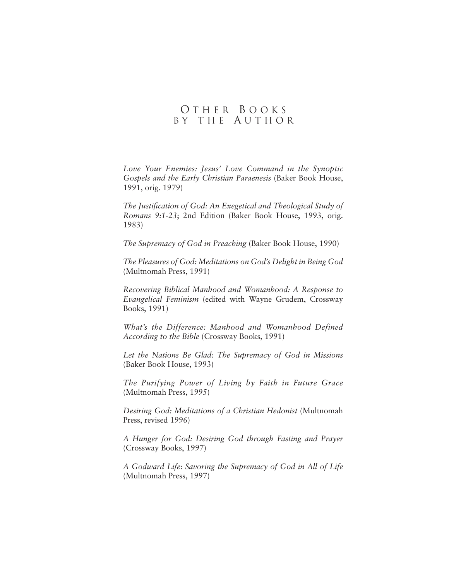### O THER B OOKS B Y THE A UTHOR

*Love Your Enemies: Jesus' Love Command in the Synoptic Gospels and the Early Christian Paraenesis* (Baker Book House, 1991, orig. 1979)

*The Justification of God: An Exegetical and Theological Study of Romans 9:1-23*; 2nd Edition (Baker Book House, 1993, orig. 1983)

*The Supremacy of God in Preaching* (Baker Book House, 1990)

*The Pleasures of God: Meditations on God's Delight in Being God* (Multnomah Press, 1991)

*Recovering Biblical Manhood and Womanhood: A Response to Evangelical Feminism* (edited with Wayne Grudem, Crossway Books, 1991)

*What's the Difference: Manhood and Womanhood Defined According to the Bible* (Crossway Books, 1991)

*Let the Nations Be Glad: The Supremacy of God in Missions* (Baker Book House, 1993)

*The Purifying Power of Living by Faith in Future Grace* (Multnomah Press, 1995)

*Desiring God: Meditations of a Christian Hedonist* (Multnomah Press, revised 1996)

*A Hunger for God: Desiring God through Fasting and Prayer* (Crossway Books, 1997)

*A Godward Life: Savoring the Supremacy of God in All of Life* (Multnomah Press, 1997)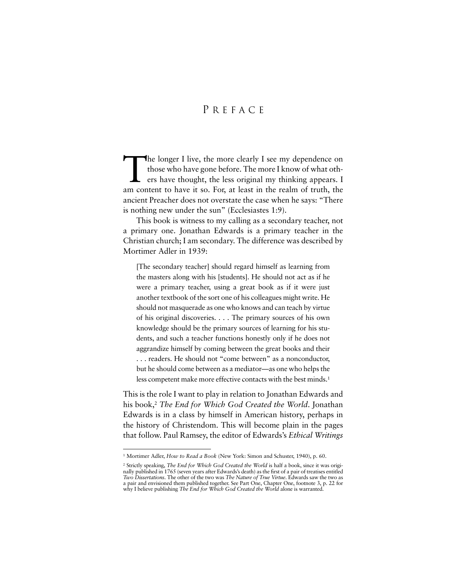## P R E F A C E

The longer I live, the more clearly I see my dependence on those who have gone before. The more I know of what others have thought, the less original my thinking appears. I those who have gone before. The more I know of what others have thought, the less original my thinking appears. I am content to have it so. For, at least in the realm of truth, the ancient Preacher does not overstate the case when he says: "There is nothing new under the sun" (Ecclesiastes 1:9).

This book is witness to my calling as a secondary teacher, not a primary one. Jonathan Edwards is a primary teacher in the Christian church; I am secondary. The difference was described by Mortimer Adler in 1939:

[The secondary teacher] should regard himself as learning from the masters along with his [students]. He should not act as if he were a primary teacher, using a great book as if it were just another textbook of the sort one of his colleagues might write. He should not masquerade as one who knows and can teach by virtue of his original discoveries. . . . The primary sources of his own knowledge should be the primary sources of learning for his students, and such a teacher functions honestly only if he does not aggrandize himself by coming between the great books and their . . . readers. He should not "come between" as a nonconductor, but he should come between as a mediator—as one who helps the less competent make more effective contacts with the best minds.1

This is the role I want to play in relation to Jonathan Edwards and his book,2 *The End for Which God Created the World*. Jonathan Edwards is in a class by himself in American history, perhaps in the history of Christendom. This will become plain in the pages that follow. Paul Ramsey, the editor of Edwards's *Ethical Writings*

<sup>1</sup> Mortimer Adler, *How to Read a Book* (New York: Simon and Schuster, 1940), p. 60.

<sup>2</sup> Strictly speaking, *The End for Which God Created the World* is half a book, since it was originally published in 1765 (seven years after Edwards's death) as the first of a pair of treatises entitled *Two Dissertations*. The other of the two was *The Nature of True Virtue*. Edwards saw the two as a pair and envisioned them published together. See Part One, Chapter One, footnote 3, p. 22 for why I believe publishing *The End for Which God Created the World* alone is warranted.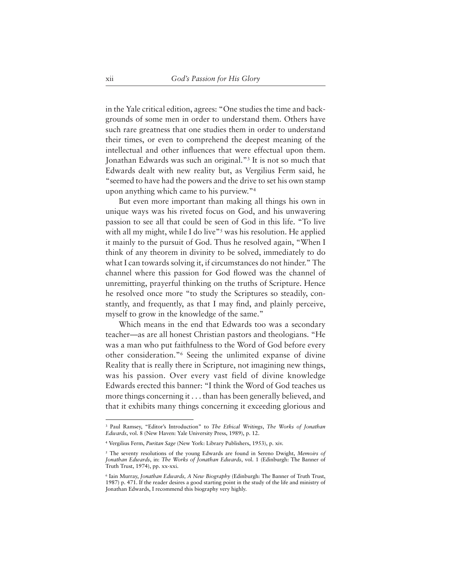in the Yale critical edition, agrees: "One studies the time and backgrounds of some men in order to understand them. Others have such rare greatness that one studies them in order to understand their times, or even to comprehend the deepest meaning of the intellectual and other influences that were effectual upon them. Jonathan Edwards was such an original."3 It is not so much that Edwards dealt with new reality but, as Vergilius Ferm said, he "seemed to have had the powers and the drive to set his own stamp upon anything which came to his purview."4

But even more important than making all things his own in unique ways was his riveted focus on God, and his unwavering passion to see all that could be seen of God in this life. "To live with all my might, while I do live"<sup>5</sup> was his resolution. He applied it mainly to the pursuit of God. Thus he resolved again, "When I think of any theorem in divinity to be solved, immediately to do what I can towards solving it, if circumstances do not hinder." The channel where this passion for God flowed was the channel of unremitting, prayerful thinking on the truths of Scripture. Hence he resolved once more "to study the Scriptures so steadily, constantly, and frequently, as that I may find, and plainly perceive, myself to grow in the knowledge of the same."

Which means in the end that Edwards too was a secondary teacher—as are all honest Christian pastors and theologians. "He was a man who put faithfulness to the Word of God before every other consideration."6 Seeing the unlimited expanse of divine Reality that is really there in Scripture, not imagining new things, was his passion. Over every vast field of divine knowledge Edwards erected this banner: "I think the Word of God teaches us more things concerning it . . . than has been generally believed, and that it exhibits many things concerning it exceeding glorious and

<sup>3</sup> Paul Ramsey, "Editor's Introduction" to *The Ethical Writings*, *The Works of Jonathan Edwards*, vol. 8 (New Haven: Yale University Press, 1989), p. 12.

<sup>4</sup> Vergilius Ferm, *Puritan Sage* (New York: Library Publishers, 1953), p. xiv.

<sup>5</sup> The seventy resolutions of the young Edwards are found in Sereno Dwight, *Memoirs of Jonathan Edwards*, in: *The Works of Jonathan Edwards*, vol. 1 (Edinburgh: The Banner of Truth Trust, 1974), pp. xx-xxi.

<sup>6</sup> Iain Murray, *Jonathan Edwards, A New Biography* (Edinburgh: The Banner of Truth Trust, 1987) p. 471. If the reader desires a good starting point in the study of the life and ministry of Jonathan Edwards, I recommend this biography very highly.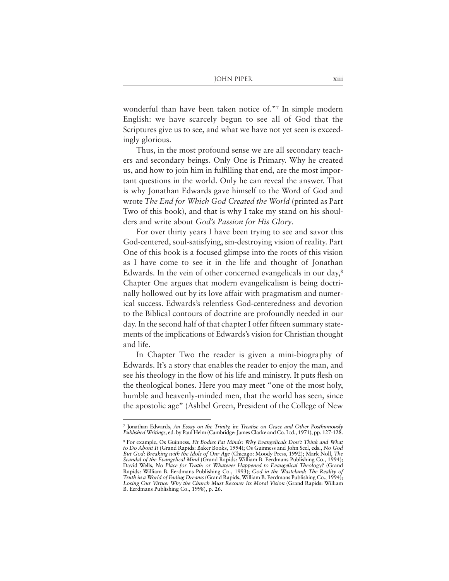wonderful than have been taken notice of."7 In simple modern English: we have scarcely begun to see all of God that the Scriptures give us to see, and what we have not yet seen is exceedingly glorious.

Thus, in the most profound sense we are all secondary teachers and secondary beings. Only One is Primary. Why he created us, and how to join him in fulfilling that end, are the most important questions in the world. Only he can reveal the answer. That is why Jonathan Edwards gave himself to the Word of God and wrote *The End for Which God Created the World* (printed as Part Two of this book), and that is why I take my stand on his shoulders and write about *God's Passion for His Glory*.

For over thirty years I have been trying to see and savor this God-centered, soul-satisfying, sin-destroying vision of reality. Part One of this book is a focused glimpse into the roots of this vision as I have come to see it in the life and thought of Jonathan Edwards. In the vein of other concerned evangelicals in our day,<sup>8</sup> Chapter One argues that modern evangelicalism is being doctrinally hollowed out by its love affair with pragmatism and numerical success. Edwards's relentless God-centeredness and devotion to the Biblical contours of doctrine are profoundly needed in our day. In the second half of that chapter I offer fifteen summary statements of the implications of Edwards's vision for Christian thought and life.

In Chapter Two the reader is given a mini-biography of Edwards. It's a story that enables the reader to enjoy the man, and see his theology in the flow of his life and ministry. It puts flesh on the theological bones. Here you may meet "one of the most holy, humble and heavenly-minded men, that the world has seen, since the apostolic age" (Ashbel Green, President of the College of New

<sup>7</sup> Jonathan Edwards, *An Essay on the Trinity,* in: *Treatise on Grace and Other Posthumously Published Writings,* ed. by Paul Helm (Cambridge: James Clarke and Co. Ltd., 1971), pp. 127-128.

<sup>8</sup> For example, Os Guinness, *Fit Bodies Fat Minds: Why Evangelicals Don't Think and What to Do About It* (Grand Rapids: Baker Books, 1994); Os Guinness and John Seel, eds., *No God But God: Breaking with the Idols of Our Age* (Chicago: Moody Press, 1992); Mark Noll, *The Scandal of the Evangelical Mind* (Grand Rapids: William B. Eerdmans Publishing Co., 1994); David Wells, *No Place for Truth: or Whatever Happened to Evangelical Theology?* (Grand Rapids: William B. Eerdmans Publishing Co., 1993); *God in the Wasteland: The Reality of Truth in a World of Fading Dreams* (Grand Rapids, William B. Eerdmans Publishing Co., 1994); *Losing Our Virtue: Why the Church Must Recover Its Moral Vision* (Grand Rapids: William B. Eerdmans Publishing Co., 1998), p. 26.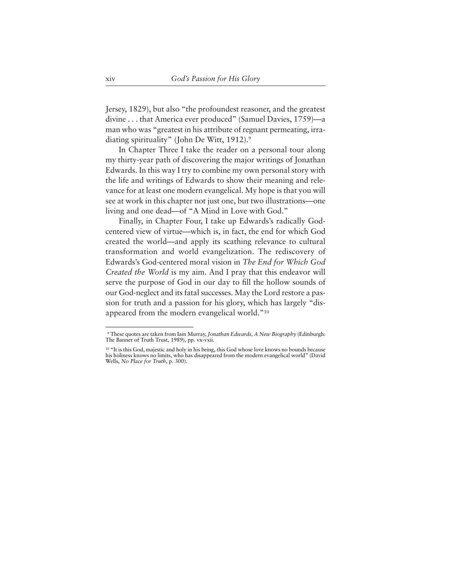Jersey, 1829), but also "the profoundest reasoner, and the greatest divine . . . that America ever produced" (Samuel Davies, 1759)—a man who was "greatest in his attribute of regnant permeating, irradiating spirituality" (John De Witt, 1912).<sup>9</sup>

In Chapter Three I take the reader on a personal tour along my thirty-year path of discovering the major writings of Jonathan Edwards. In this way I try to combine my own personal story with the life and writings of Edwards to show their meaning and relevance for at least one modern evangelical. My hope is that you will see at work in this chapter not just one, but two illustrations—one living and one dead—of "A Mind in Love with God."

Finally, in Chapter Four, I take up Edwards's radically Godcentered view of virtue—which is, in fact, the end for which God created the world—and apply its scathing relevance to cultural transformation and world evangelization. The rediscovery of Edwards's God-centered moral vision in *The End for Which God Created the World* is my aim. And I pray that this endeavor will serve the purpose of God in our day to fill the hollow sounds of our God-neglect and its fatal successes. May the Lord restore a passion for truth and a passion for his glory, which has largely "disappeared from the modern evangelical world."10

<sup>9</sup> These quotes are taken from Iain Murray, *Jonathan Edwards, A New Biography* (Edinburgh: The Banner of Truth Trust, 1989), pp. vx-vxii.

<sup>10</sup> "It is this God, majestic and holy in his being, this God whose love knows no bounds because his holiness knows no limits, who has disappeared from the modern evangelical world" (David Wells, *No Place for Truth*, p. 300).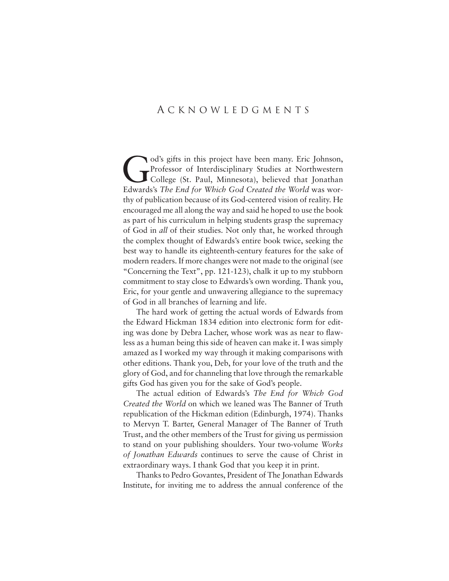### A CKNOWLEDGMENTS

Od's gifts in this project have been many. Eric Johnson,<br>Professor of Interdisciplinary Studies at Northwestern<br>College (St. Paul, Minnesota), believed that Jonathan<br>Edwards's *The End for Which God Created the World* was Professor of Interdisciplinary Studies at Northwestern College (St. Paul, Minnesota), believed that Jonathan Edwards's *The End for Which God Created the World* was worthy of publication because of its God-centered vision of reality. He encouraged me all along the way and said he hoped to use the book as part of his curriculum in helping students grasp the supremacy of God in *all* of their studies. Not only that, he worked through the complex thought of Edwards's entire book twice, seeking the best way to handle its eighteenth-century features for the sake of modern readers. If more changes were not made to the original (see "Concerning the Text", pp. 121-123), chalk it up to my stubborn commitment to stay close to Edwards's own wording. Thank you, Eric, for your gentle and unwavering allegiance to the supremacy of God in all branches of learning and life.

The hard work of getting the actual words of Edwards from the Edward Hickman 1834 edition into electronic form for editing was done by Debra Lacher, whose work was as near to flawless as a human being this side of heaven can make it. I was simply amazed as I worked my way through it making comparisons with other editions. Thank you, Deb, for your love of the truth and the glory of God, and for channeling that love through the remarkable gifts God has given you for the sake of God's people.

The actual edition of Edwards's *The End for Which God Created the World* on which we leaned was The Banner of Truth republication of the Hickman edition (Edinburgh, 1974). Thanks to Mervyn T. Barter, General Manager of The Banner of Truth Trust, and the other members of the Trust for giving us permission to stand on your publishing shoulders. Your two-volume *Works of Jonathan Edwards* continues to serve the cause of Christ in extraordinary ways. I thank God that you keep it in print.

Thanks to Pedro Govantes, President of The Jonathan Edwards Institute, for inviting me to address the annual conference of the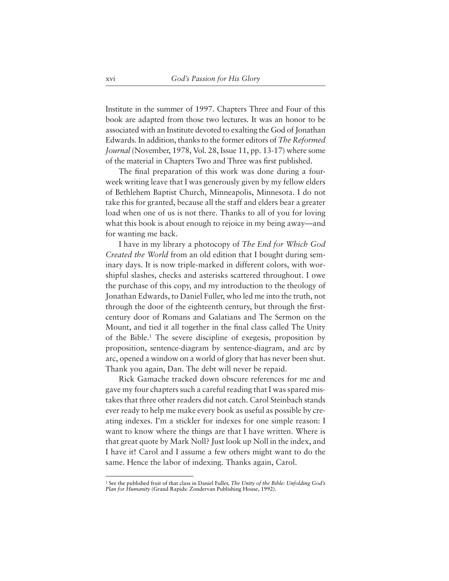Institute in the summer of 1997. Chapters Three and Four of this book are adapted from those two lectures. It was an honor to be associated with an Institute devoted to exalting the God of Jonathan Edwards. In addition, thanks to the former editors of *The Reformed Journal* (November, 1978, Vol. 28, Issue 11, pp. 13-17) where some of the material in Chapters Two and Three was first published.

The final preparation of this work was done during a fourweek writing leave that I was generously given by my fellow elders of Bethlehem Baptist Church, Minneapolis, Minnesota. I do not take this for granted, because all the staff and elders bear a greater load when one of us is not there. Thanks to all of you for loving what this book is about enough to rejoice in my being away—and for wanting me back.

I have in my library a photocopy of *The End for Which God Created the World* from an old edition that I bought during seminary days. It is now triple-marked in different colors, with worshipful slashes, checks and asterisks scattered throughout. I owe the purchase of this copy, and my introduction to the theology of Jonathan Edwards, to Daniel Fuller, who led me into the truth, not through the door of the eighteenth century, but through the firstcentury door of Romans and Galatians and The Sermon on the Mount, and tied it all together in the final class called The Unity of the Bible.1 The severe discipline of exegesis, proposition by proposition, sentence-diagram by sentence-diagram, and arc by arc, opened a window on a world of glory that has never been shut. Thank you again, Dan. The debt will never be repaid.

Rick Gamache tracked down obscure references for me and gave my four chapters such a careful reading that I was spared mistakes that three other readers did not catch. Carol Steinbach stands ever ready to help me make every book as useful as possible by creating indexes. I'm a stickler for indexes for one simple reason: I want to know where the things are that I have written. Where is that great quote by Mark Noll? Just look up Noll in the index, and I have it! Carol and I assume a few others might want to do the same. Hence the labor of indexing. Thanks again, Carol.

<sup>1</sup> See the published fruit of that class in Daniel Fuller, *The Unity of the Bible: Unfolding God's Plan for Humanity* (Grand Rapids: Zondervan Publishing House, 1992).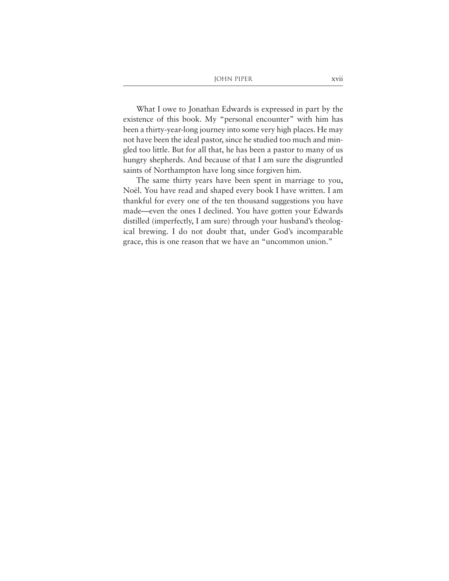What I owe to Jonathan Edwards is expressed in part by the existence of this book. My "personal encounter" with him has been a thirty-year-long journey into some very high places. He may not have been the ideal pastor, since he studied too much and mingled too little. But for all that, he has been a pastor to many of us hungry shepherds. And because of that I am sure the disgruntled saints of Northampton have long since forgiven him.

The same thirty years have been spent in marriage to you, Noël. You have read and shaped every book I have written. I am thankful for every one of the ten thousand suggestions you have made—even the ones I declined. You have gotten your Edwards distilled (imperfectly, I am sure) through your husband's theological brewing. I do not doubt that, under God's incomparable grace, this is one reason that we have an "uncommon union."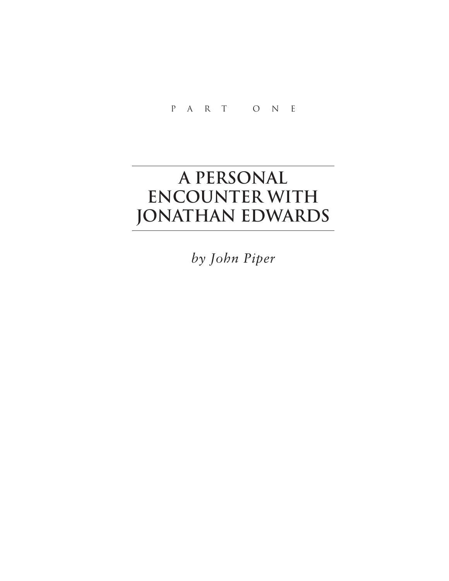## **A PERSONAL ENCOUNTER WITH JONATHAN EDWARDS**

*by John Piper*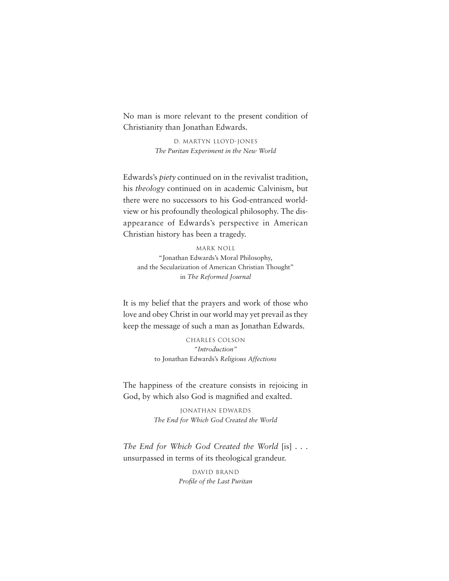No man is more relevant to the present condition of Christianity than Jonathan Edwards.

> D. Martyn Lloyd-Jones *The Puritan Experiment in the New World*

Edwards's *piety* continued on in the revivalist tradition, his *theology* continued on in academic Calvinism, but there were no successors to his God-entranced worldview or his profoundly theological philosophy. The disappearance of Edwards's perspective in American Christian history has been a tragedy.

Mark Noll "Jonathan Edwards's Moral Philosophy, and the Secularization of American Christian Thought" in *The Reformed Journal*

It is my belief that the prayers and work of those who love and obey Christ in our world may yet prevail as they keep the message of such a man as Jonathan Edwards.

> Charles Colson *"Introduction"* to Jonathan Edwards's *Religious Affections*

The happiness of the creature consists in rejoicing in God, by which also God is magnified and exalted.

> Jonathan Edwards *The End for Which God Created the World*

*The End for Which God Created the World* [is] . . . unsurpassed in terms of its theological grandeur.

> David Brand *Profile of the Last Puritan*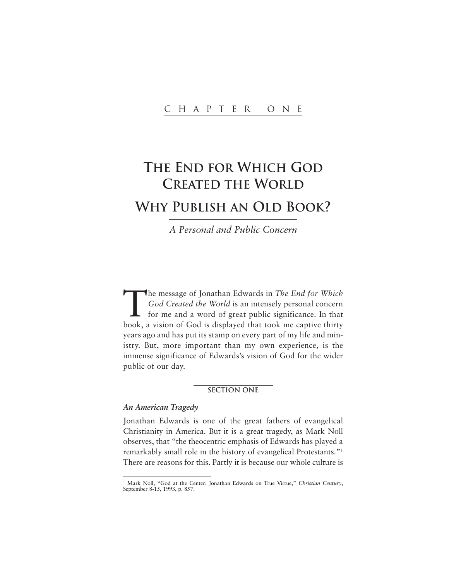## **THE END FOR WHICH GOD CREATED THE WORLD WHY PUBLISH AN OLD BOOK?**

*A Personal and Public Concern*

The message of Jonathan Edwards in *The End for Which*<br>God Created the World is an intensely personal concern<br>for me and a word of great public significance. In that<br>hook a vision of God is displayed that took me cantive t *God Created the World* is an intensely personal concern for me and a word of great public significance. In that book, a vision of God is displayed that took me captive thirty years ago and has put its stamp on every part of my life and ministry. But, more important than my own experience, is the immense significance of Edwards's vision of God for the wider public of our day.

#### **SECTION ONE**

#### *An American Tragedy*

Jonathan Edwards is one of the great fathers of evangelical Christianity in America. But it is a great tragedy, as Mark Noll observes, that "the theocentric emphasis of Edwards has played a remarkably small role in the history of evangelical Protestants."1 There are reasons for this. Partly it is because our whole culture is

<sup>1</sup> Mark Noll, "God at the Center: Jonathan Edwards on True Virtue," *Christian Century*, September 8-15, 1993, p. 857.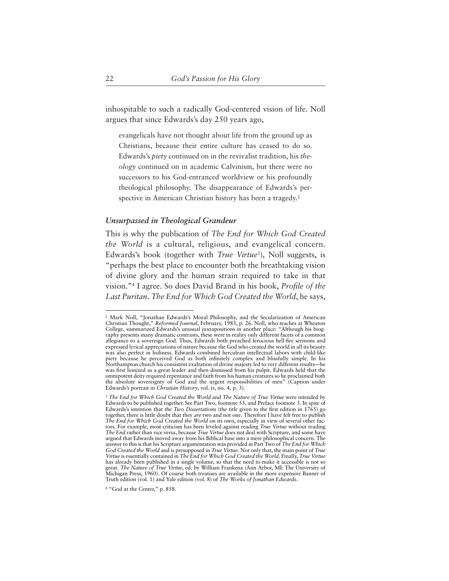inhospitable to such a radically God-centered vision of life. Noll argues that since Edwards's day 250 years ago,

evangelicals have not thought about life from the ground up as Christians, because their entire culture has ceased to do so. Edwards's *piety* continued on in the revivalist tradition, his *theology* continued on in academic Calvinism, but there were no successors to his God-entranced worldview or his profoundly theological philosophy. The disappearance of Edwards's perspective in American Christian history has been a tragedy.<sup>2</sup>

#### *Unsurpassed in Theological Grandeur*

This is why the publication of *The End for Which God Created the World* is a cultural, religious, and evangelical concern. Edwards's book (together with *True Virtue*3), Noll suggests, is "perhaps the best place to encounter both the breathtaking vision of divine glory and the human strain required to take in that vision."4 I agree. So does David Brand in his book, *Profile of the Last Puritan*. *The End for Which God Created the World*, he says,

<sup>2</sup> Mark Noll, "Jonathan Edwards's Moral Philosophy, and the Secularization of American Christian Thought," *Reformed Journal*, February, 1983, p. 26. Noll, who teaches at Wheaton College, summarized Edwards's unusual juxtapositions in another place: "Although his biography presents many dramatic contrasts, these were in reality only different facets of a common allegiance to a sovereign God. Thus, Edwards both preached ferocious hell-fire sermons and expressed lyrical appreciations of nature because the God who created the world in all its beauty was also perfect in holiness. Edwards combined herculean intellectual labors with child-like piety because he perceived God as both infinitely complex and blissfully simple. In his Northampton church his consistent exaltation of divine majesty led to very different results—he was first lionized as a great leader and then dismissed from his pulpit. Edwards held that the omnipotent deity required repentance and faith from his human creatures so he proclaimed both the absolute sovereignty of God and the urgent responsibilities of men" (Caption under Edwards's portrait in *Christian History*, vol. iv, no. 4, p. 3).

<sup>3</sup> *The End for Which God Created the World* and *The Nature of True Virtue* were intended by Edwards to be published together. See Part Two, footnote 53, and Preface footnote 3. In spite of Edwards's intention that the *Two Dissertations* (the title given to the first edition in 1765) go together, there is little doubt that they *are* two and not one. Therefore I have felt free to publish *The End for Which God Created the World* on its own, especially in view of several other factors. For example, most criticism has been leveled against reading *True Virtue* without reading *The End* rather than vice versa, because *True Virtue* does not deal with Scripture, and some have argued that Edwards moved away from his Biblical base into a mere philosophical concern. The answer to this is that his Scripture argumentation was provided in Part Two of *The End for Which God Created the World* and is presupposed in *True Virtue*. Not only that, the main point of *True Virtue* is essentially contained in *The End for Which God Created the World*. Finally, *True Virtue* has already been published in a single volume, so that the need to make it accessible is not so great. *The Nature of True Virtue*, ed. by William Frankena (Ann Arbor, MI: The University of Michigan Press, 1960). Of course both treatises are available in the more expensive Banner of Truth edition (vol. 1) and Yale edition (vol. 8) of *The Works of Jonathan Edwards*.

<sup>4</sup> "God at the Center," p. 858.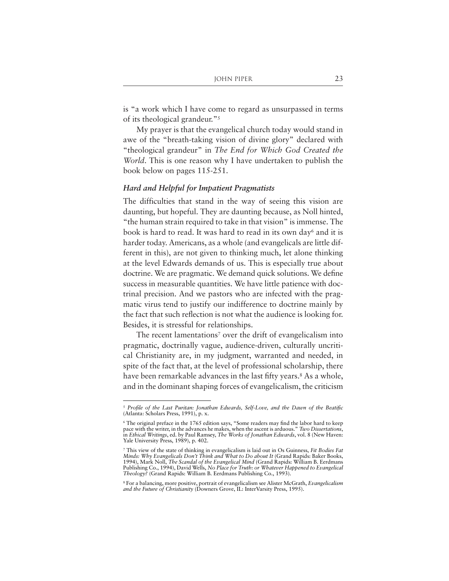is "a work which I have come to regard as unsurpassed in terms of its theological grandeur."5

My prayer is that the evangelical church today would stand in awe of the "breath-taking vision of divine glory" declared with "theological grandeur" in *The End for Which God Created the World*. This is one reason why I have undertaken to publish the book below on pages 115-251.

#### *Hard and Helpful for Impatient Pragmatists*

The difficulties that stand in the way of seeing this vision are daunting, but hopeful. They are daunting because, as Noll hinted, "the human strain required to take in that vision" is immense. The book is hard to read. It was hard to read in its own day<sup>6</sup> and it is harder today. Americans, as a whole (and evangelicals are little different in this), are not given to thinking much, let alone thinking at the level Edwards demands of us. This is especially true about doctrine. We are pragmatic. We demand quick solutions. We define success in measurable quantities. We have little patience with doctrinal precision. And we pastors who are infected with the pragmatic virus tend to justify our indifference to doctrine mainly by the fact that such reflection is not what the audience is looking for. Besides, it is stressful for relationships.

The recent lamentations<sup>7</sup> over the drift of evangelicalism into pragmatic, doctrinally vague, audience-driven, culturally uncritical Christianity are, in my judgment, warranted and needed, in spite of the fact that, at the level of professional scholarship, there have been remarkable advances in the last fifty years.<sup>8</sup> As a whole, and in the dominant shaping forces of evangelicalism, the criticism

<sup>5</sup> *Profile of the Last Puritan: Jonathan Edwards, Self-Love, and the Dawn of the Beatific* (Atlanta: Scholars Press, 1991), p. x.

<sup>&</sup>lt;sup>6</sup> The original preface in the 1765 edition says, "Some readers may find the labor hard to keep pace with the writer, in the advances he makes, when the ascent is arduous." *Two Dissertations*, in *Ethical Writings*, ed. by Paul Ramsey, *The Works of Jonathan Edwards*, vol. 8 (New Haven: Yale University Press, 1989), p. 402.

<sup>7</sup> This view of the state of thinking in evangelicalism is laid out in Os Guinness, *Fit Bodies Fat Minds: Why Evangelicals Don't Think and What to Do about It* (Grand Rapids: Baker Books, 1994), Mark Noll, *The Scandal of the Evangelical Mind* (Grand Rapids: William B. Eerdmans Publishing Co., 1994), David Wells, *No Place for Truth: or Whatever Happened to Evangelical Theology?* (Grand Rapids: William B. Eerdmans Publishing Co., 1993).

<sup>8</sup> For a balancing, more positive, portrait of evangelicalism see Alister McGrath, *Evangelicalism and the Future of Christianity* (Downers Grove, IL: InterVarsity Press, 1995).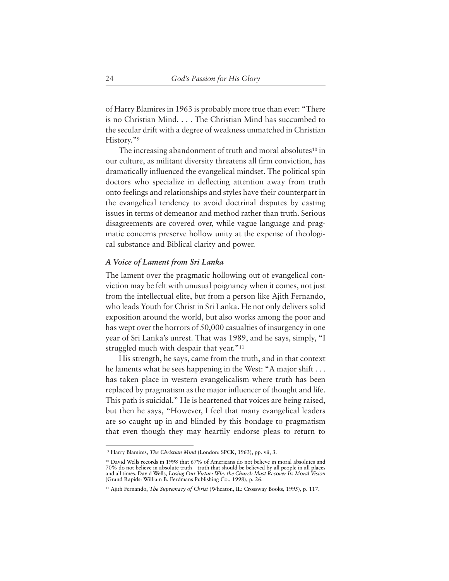of Harry Blamires in 1963 is probably more true than ever: "There is no Christian Mind. . . . The Christian Mind has succumbed to the secular drift with a degree of weakness unmatched in Christian History."9

The increasing abandonment of truth and moral absolutes<sup>10</sup> in our culture, as militant diversity threatens all firm conviction, has dramatically influenced the evangelical mindset. The political spin doctors who specialize in deflecting attention away from truth onto feelings and relationships and styles have their counterpart in the evangelical tendency to avoid doctrinal disputes by casting issues in terms of demeanor and method rather than truth. Serious disagreements are covered over, while vague language and pragmatic concerns preserve hollow unity at the expense of theological substance and Biblical clarity and power.

#### *A Voice of Lament from Sri Lanka*

The lament over the pragmatic hollowing out of evangelical conviction may be felt with unusual poignancy when it comes, not just from the intellectual elite, but from a person like Ajith Fernando, who leads Youth for Christ in Sri Lanka. He not only delivers solid exposition around the world, but also works among the poor and has wept over the horrors of 50,000 casualties of insurgency in one year of Sri Lanka's unrest. That was 1989, and he says, simply, "I struggled much with despair that year."<sup>11</sup>

His strength, he says, came from the truth, and in that context he laments what he sees happening in the West: "A major shift . . . has taken place in western evangelicalism where truth has been replaced by pragmatism as the major influencer of thought and life. This path is suicidal." He is heartened that voices are being raised, but then he says, "However, I feel that many evangelical leaders are so caught up in and blinded by this bondage to pragmatism that even though they may heartily endorse pleas to return to

<sup>9</sup> Harry Blamires, *The Christian Mind* (London: SPCK, 1963), pp. vii, 3.

<sup>10</sup> David Wells records in 1998 that 67% of Americans do not believe in moral absolutes and 70% do not believe in absolute truth—truth that should be believed by all people in all places and all times. David Wells, *Losing Our Virtue: Why the Church Must Recover Its Moral Vision* (Grand Rapids: William B. Eerdmans Publishing Co., 1998), p. 26.

<sup>11</sup> Ajith Fernando, *The Supremacy of Christ* (Wheaton, IL: Crossway Books, 1995), p. 117.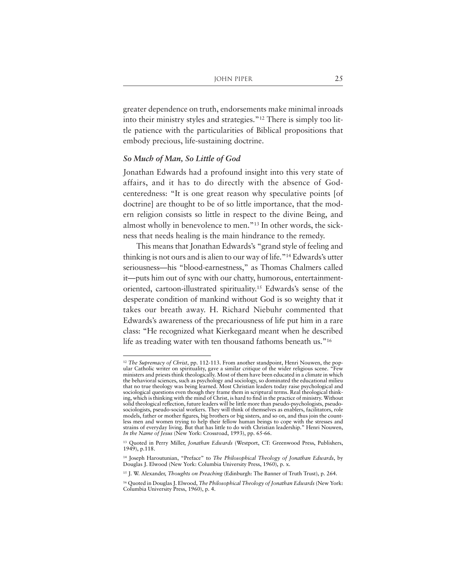greater dependence on truth, endorsements make minimal inroads into their ministry styles and strategies."12 There is simply too little patience with the particularities of Biblical propositions that embody precious, life-sustaining doctrine.

#### *So Much of Man, So Little of God*

Jonathan Edwards had a profound insight into this very state of affairs, and it has to do directly with the absence of Godcenteredness: "It is one great reason why speculative points [of doctrine] are thought to be of so little importance, that the modern religion consists so little in respect to the divine Being, and almost wholly in benevolence to men."13 In other words, the sickness that needs healing is the main hindrance to the remedy.

This means that Jonathan Edwards's "grand style of feeling and thinking is not ours and is alien to our way of life."14 Edwards's utter seriousness—his "blood-earnestness," as Thomas Chalmers called it—puts him out of sync with our chatty, humorous, entertainmentoriented, cartoon-illustrated spirituality.15 Edwards's sense of the desperate condition of mankind without God is so weighty that it takes our breath away. H. Richard Niebuhr commented that Edwards's awareness of the precariousness of life put him in a rare class: "He recognized what Kierkegaard meant when he described life as treading water with ten thousand fathoms beneath us."<sup>16</sup>

<sup>12</sup> *The Supremacy of Christ*, pp. 112-113. From another standpoint, Henri Nouwen, the popular Catholic writer on spirituality, gave a similar critique of the wider religious scene. "Few ministers and priests think theologically. Most of them have been educated in a climate in which the behavioral sciences, such as psychology and sociology, so dominated the educational milieu that no true theology was being learned. Most Christian leaders today raise psychological and sociological questions even though they frame them in scriptural terms. Real theological thinking, which is thinking with the mind of Christ, is hard to find in the practice of ministry. Without solid theological reflection, future leaders will be little more than pseudo-psychologists, pseudosociologists, pseudo-social workers. They will think of themselves as enablers, facilitators, role models, father or mother figures, big brothers or big sisters, and so on, and thus join the countless men and women trying to help their fellow human beings to cope with the stresses and strains of everyday living. But that has little to do with Christian leadership." Henri Nouwen, *In the Name of Jesus* (New York: Crossroad, 1993), pp. 65-66.

<sup>13</sup> Quoted in Perry Miller, *Jonathan Edwards* (Westport, CT: Greenwood Press, Publishers, 1949), p.118.

<sup>14</sup> Joseph Haroutunian, "Preface" to *The Philosophical Theology of Jonathan Edwards*, by Douglas J. Elwood (New York: Columbia University Press, 1960), p. x.

<sup>15</sup> J. W. Alexander, *Thoughts on Preaching* (Edinburgh: The Banner of Truth Trust), p. 264.

<sup>16</sup> Quoted in Douglas J. Elwood, *The Philosophical Theology of Jonathan Edwards* (New York: Columbia University Press, 1960), p. 4.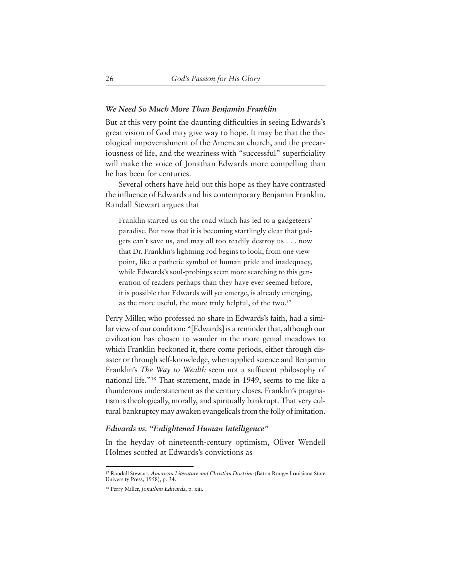#### *We Need So Much More Than Benjamin Franklin*

But at this very point the daunting difficulties in seeing Edwards's great vision of God may give way to hope. It may be that the theological impoverishment of the American church, and the precariousness of life, and the weariness with "successful" superficiality will make the voice of Jonathan Edwards more compelling than he has been for centuries.

Several others have held out this hope as they have contrasted the influence of Edwards and his contemporary Benjamin Franklin. Randall Stewart argues that

Franklin started us on the road which has led to a gadgeteers' paradise. But now that it is becoming startlingly clear that gadgets can't save us, and may all too readily destroy us . . . now that Dr. Franklin's lightning rod begins to look, from one viewpoint, like a pathetic symbol of human pride and inadequacy, while Edwards's soul-probings seem more searching to this generation of readers perhaps than they have ever seemed before, it is possible that Edwards will yet emerge, is already emerging, as the more useful, the more truly helpful, of the two.17

Perry Miller, who professed no share in Edwards's faith, had a similar view of our condition: "[Edwards] is a reminder that, although our civilization has chosen to wander in the more genial meadows to which Franklin beckoned it, there come periods, either through disaster or through self-knowledge, when applied science and Benjamin Franklin's *The Way to Wealth* seem not a sufficient philosophy of national life."18 That statement, made in 1949, seems to me like a thunderous understatement as the century closes. Franklin's pragmatism is theologically, morally, and spiritually bankrupt. That very cultural bankruptcy may awaken evangelicals from the folly of imitation.

#### *Edwards vs. "Enlightened Human Intelligence"*

In the heyday of nineteenth-century optimism, Oliver Wendell Holmes scoffed at Edwards's convictions as

<sup>17</sup> Randall Stewart, *American Literature and Christian Doctrine* (Baton Rouge: Louisiana State University Press, 1958), p. 34.

<sup>18</sup> Perry Miller, *Jonathan Edwards*, p. xiii.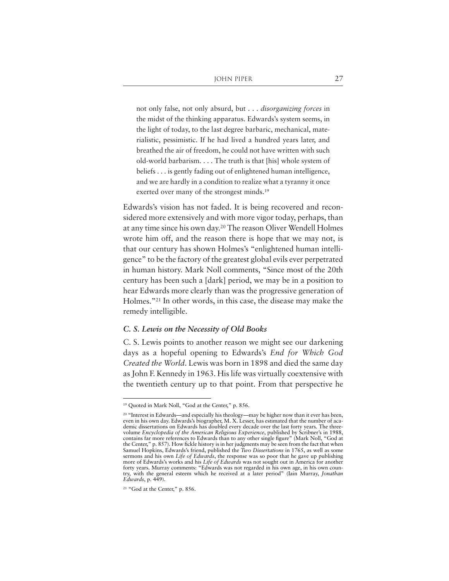not only false, not only absurd, but . . . *disorganizing forces* in the midst of the thinking apparatus. Edwards's system seems, in the light of today, to the last degree barbaric, mechanical, materialistic, pessimistic. If he had lived a hundred years later, and breathed the air of freedom, he could not have written with such old-world barbarism. . . . The truth is that [his] whole system of beliefs . . . is gently fading out of enlightened human intelligence, and we are hardly in a condition to realize what a tyranny it once exerted over many of the strongest minds.<sup>19</sup>

Edwards's vision has not faded. It is being recovered and reconsidered more extensively and with more vigor today, perhaps, than at any time since his own day.20 The reason Oliver Wendell Holmes wrote him off, and the reason there is hope that we may not, is that our century has shown Holmes's "enlightened human intelligence" to be the factory of the greatest global evils ever perpetrated in human history. Mark Noll comments, "Since most of the 20th century has been such a [dark] period, we may be in a position to hear Edwards more clearly than was the progressive generation of Holmes."21 In other words, in this case, the disease may make the remedy intelligible.

#### *C. S. Lewis on the Necessity of Old Books*

C. S. Lewis points to another reason we might see our darkening days as a hopeful opening to Edwards's *End for Which God Created the World*. Lewis was born in 1898 and died the same day as John F. Kennedy in 1963. His life was virtually coextensive with the twentieth century up to that point. From that perspective he

<sup>19</sup> Quoted in Mark Noll, "God at the Center," p. 856.

<sup>20</sup> "Interest in Edwards—and especially his theology—may be higher now than it ever has been, even in his own day. Edwards's biographer, M. X. Lesser, has estimated that the number of academic dissertations on Edwards has doubled every decade over the last forty years. The threevolume *Encyclopedia of the American Religious Experience*, published by Scribner's in 1988, contains far more references to Edwards than to any other single figure" (Mark Noll, "God at the Center," p. 857). How fickle history is in her judgments may be seen from the fact that when Samuel Hopkins, Edwards's friend, published the *Two Dissertations* in 1765, as well as some sermons and his own *Life of Edwards*, the response was so poor that he gave up publishing more of Edwards's works and his *Life of Edwards* was not sought out in America for another forty years. Murray comments: "Edwards was not regarded in his own age, in his own country, with the general esteem which he received at a later period" (Iain Murray, *Jonathan Edwards*, p. 449).

<sup>21</sup> "God at the Center," p. 856.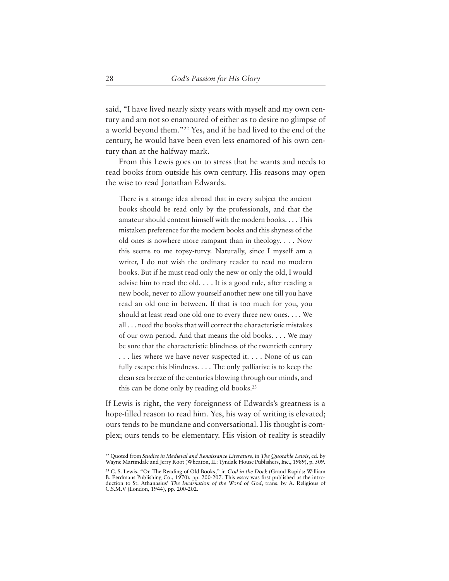said, "I have lived nearly sixty years with myself and my own century and am not so enamoured of either as to desire no glimpse of a world beyond them."22 Yes, and if he had lived to the end of the century, he would have been even less enamored of his own century than at the halfway mark.

From this Lewis goes on to stress that he wants and needs to read books from outside his own century. His reasons may open the wise to read Jonathan Edwards.

There is a strange idea abroad that in every subject the ancient books should be read only by the professionals, and that the amateur should content himself with the modern books. . . . This mistaken preference for the modern books and this shyness of the old ones is nowhere more rampant than in theology. . . . Now this seems to me topsy-turvy. Naturally, since I myself am a writer, I do not wish the ordinary reader to read no modern books. But if he must read only the new or only the old, I would advise him to read the old. . . . It is a good rule, after reading a new book, never to allow yourself another new one till you have read an old one in between. If that is too much for you, you should at least read one old one to every three new ones. . . . We all . . . need the books that will correct the characteristic mistakes of our own period. And that means the old books. . . . We may be sure that the characteristic blindness of the twentieth century . . . lies where we have never suspected it. . . . None of us can fully escape this blindness. . . . The only palliative is to keep the clean sea breeze of the centuries blowing through our minds, and this can be done only by reading old books.23

If Lewis is right, the very foreignness of Edwards's greatness is a hope-filled reason to read him. Yes, his way of writing is elevated; ours tends to be mundane and conversational. His thought is complex; ours tends to be elementary. His vision of reality is steadily

<sup>22</sup> Quoted from *Studies in Medieval and Renaissance Literature*, in *The Quotable Lewis*, ed. by Wayne Martindale and Jerry Root (Wheaton, IL: Tyndale House Publishers, Inc., 1989), p. 509.

<sup>23</sup> C. S. Lewis, "On The Reading of Old Books," in *God in the Dock* (Grand Rapids: William B. Eerdmans Publishing Co., 1970), pp. 200-207. This essay was first published as the introduction to St. Athanasius' *The Incarnation of the Word of God*, trans. by A. Religious of C.S.M.V (London, 1944), pp. 200-202.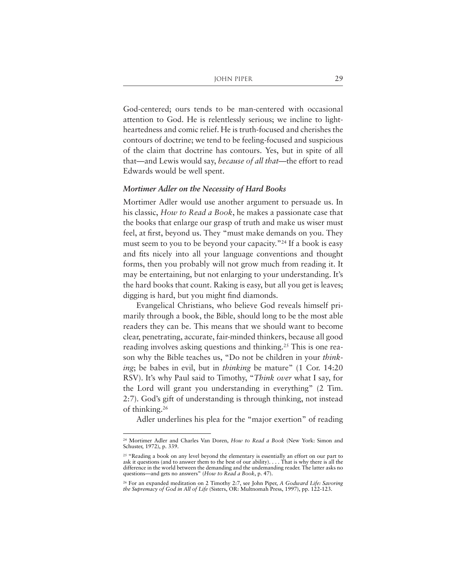God-centered; ours tends to be man-centered with occasional attention to God. He is relentlessly serious; we incline to lightheartedness and comic relief. He is truth-focused and cherishes the contours of doctrine; we tend to be feeling-focused and suspicious of the claim that doctrine has contours. Yes, but in spite of all that—and Lewis would say, *because of all that*—the effort to read Edwards would be well spent.

#### *Mortimer Adler on the Necessity of Hard Books*

Mortimer Adler would use another argument to persuade us. In his classic, *How to Read a Book*, he makes a passionate case that the books that enlarge our grasp of truth and make us wiser must feel, at first, beyond us. They "must make demands on you. They must seem to you to be beyond your capacity."24 If a book is easy and fits nicely into all your language conventions and thought forms, then you probably will not grow much from reading it. It may be entertaining, but not enlarging to your understanding. It's the hard books that count. Raking is easy, but all you get is leaves; digging is hard, but you might find diamonds.

Evangelical Christians, who believe God reveals himself primarily through a book, the Bible, should long to be the most able readers they can be. This means that we should want to become clear, penetrating, accurate, fair-minded thinkers, because all good reading involves asking questions and thinking.25 This is one reason why the Bible teaches us, "Do not be children in your *thinking*; be babes in evil, but in *thinking* be mature" (1 Cor. 14:20 RSV). It's why Paul said to Timothy, "*Think over* what I say, for the Lord will grant you understanding in everything" (2 Tim. 2:7). God's gift of understanding is through thinking, not instead of thinking.26

Adler underlines his plea for the "major exertion" of reading

<sup>24</sup> Mortimer Adler and Charles Van Doren, *How to Read a Book* (New York: Simon and Schuster, 1972), p. 339.

<sup>&</sup>lt;sup>25</sup> "Reading a book on any level beyond the elementary is essentially an effort on our part to ask it questions (and to answer them to the best of our ability). . . . That is why there is all the difference in the world between the demanding and the undemanding reader. The latter asks no questions—and gets no answers" (*How to Read a Book*, p. 47).

<sup>26</sup> For an expanded meditation on 2 Timothy 2:7, see John Piper, *A Godward Life: Savoring the Supremacy of God in All of Life* (Sisters, OR: Multnomah Press, 1997), pp. 122-123.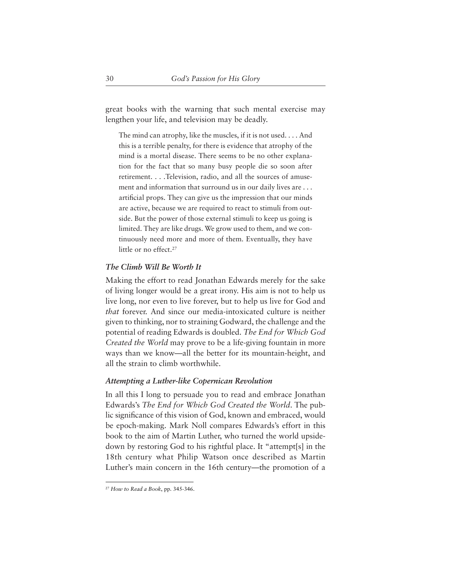great books with the warning that such mental exercise may lengthen your life, and television may be deadly.

The mind can atrophy, like the muscles, if it is not used. . . . And this is a terrible penalty, for there is evidence that atrophy of the mind is a mortal disease. There seems to be no other explanation for the fact that so many busy people die so soon after retirement. . . .Television, radio, and all the sources of amusement and information that surround us in our daily lives are . . . artificial props. They can give us the impression that our minds are active, because we are required to react to stimuli from outside. But the power of those external stimuli to keep us going is limited. They are like drugs. We grow used to them, and we continuously need more and more of them. Eventually, they have little or no effect.<sup>27</sup>

#### *The Climb Will Be Worth It*

Making the effort to read Jonathan Edwards merely for the sake of living longer would be a great irony. His aim is not to help us live long, nor even to live forever, but to help us live for God and *that* forever. And since our media-intoxicated culture is neither given to thinking, nor to straining Godward, the challenge and the potential of reading Edwards is doubled. *The End for Which God Created the World* may prove to be a life-giving fountain in more ways than we know—all the better for its mountain-height, and all the strain to climb worthwhile.

#### *Attempting a Luther-like Copernican Revolution*

In all this I long to persuade you to read and embrace Jonathan Edwards's *The End for Which God Created the World*. The public significance of this vision of God, known and embraced, would be epoch-making. Mark Noll compares Edwards's effort in this book to the aim of Martin Luther, who turned the world upsidedown by restoring God to his rightful place. It "attempt[s] in the 18th century what Philip Watson once described as Martin Luther's main concern in the 16th century—the promotion of a

<sup>27</sup> *How to Read a Book*, pp. 345-346.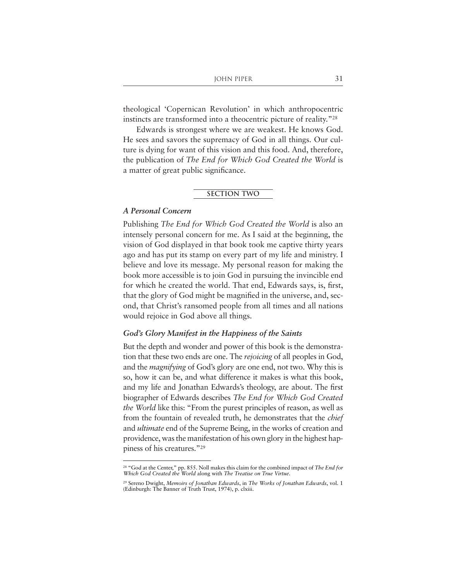theological 'Copernican Revolution' in which anthropocentric instincts are transformed into a theocentric picture of reality."28

Edwards is strongest where we are weakest. He knows God. He sees and savors the supremacy of God in all things. Our culture is dying for want of this vision and this food. And, therefore, the publication of *The End for Which God Created the World* is a matter of great public significance.

#### **SECTION TWO**

#### *A Personal Concern*

Publishing *The End for Which God Created the World* is also an intensely personal concern for me. As I said at the beginning, the vision of God displayed in that book took me captive thirty years ago and has put its stamp on every part of my life and ministry. I believe and love its message. My personal reason for making the book more accessible is to join God in pursuing the invincible end for which he created the world. That end, Edwards says, is, first, that the glory of God might be magnified in the universe, and, second, that Christ's ransomed people from all times and all nations would rejoice in God above all things.

#### *God's Glory Manifest in the Happiness of the Saints*

But the depth and wonder and power of this book is the demonstration that these two ends are one. The *rejoicing* of all peoples in God, and the *magnifying* of God's glory are one end, not two. Why this is so, how it can be, and what difference it makes is what this book, and my life and Jonathan Edwards's theology, are about. The first biographer of Edwards describes *The End for Which God Created the World* like this: "From the purest principles of reason, as well as from the fountain of revealed truth, he demonstrates that the *chief* and *ultimate* end of the Supreme Being, in the works of creation and providence, was the manifestation of his own glory in the highest happiness of his creatures."29

<sup>28</sup> "God at the Center," pp. 855. Noll makes this claim for the combined impact of *The End for Which God Created the World* along with *The Treatise on True Virtue*.

<sup>29</sup> Sereno Dwight, *Memoirs of Jonathan Edwards*, in *The Works of Jonathan Edwards*, vol. 1 (Edinburgh: The Banner of Truth Trust, 1974), p. clxiii.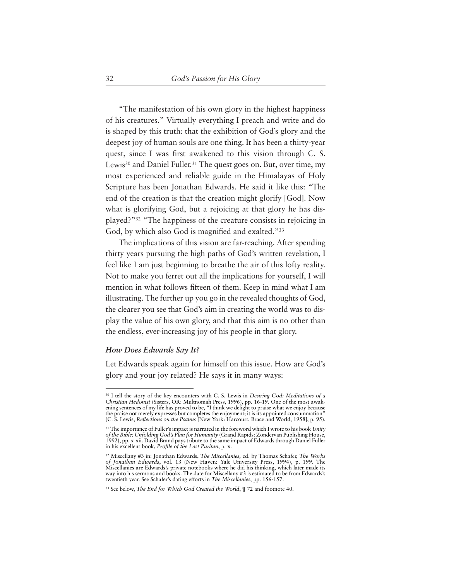"The manifestation of his own glory in the highest happiness of his creatures." Virtually everything I preach and write and do is shaped by this truth: that the exhibition of God's glory and the deepest joy of human souls are one thing. It has been a thirty-year quest, since I was first awakened to this vision through C. S. Lewis<sup>30</sup> and Daniel Fuller.<sup>31</sup> The quest goes on. But, over time, my most experienced and reliable guide in the Himalayas of Holy Scripture has been Jonathan Edwards. He said it like this: "The end of the creation is that the creation might glorify [God]. Now what is glorifying God, but a rejoicing at that glory he has displayed?"32 "The happiness of the creature consists in rejoicing in God, by which also God is magnified and exalted."33

The implications of this vision are far-reaching. After spending thirty years pursuing the high paths of God's written revelation, I feel like I am just beginning to breathe the air of this lofty reality. Not to make you ferret out all the implications for yourself, I will mention in what follows fifteen of them. Keep in mind what I am illustrating. The further up you go in the revealed thoughts of God, the clearer you see that God's aim in creating the world was to display the value of his own glory, and that this aim is no other than the endless, ever-increasing joy of his people in that glory.

#### *How Does Edwards Say It?*

Let Edwards speak again for himself on this issue. How are God's glory and your joy related? He says it in many ways:

<sup>30</sup> I tell the story of the key encounters with C. S. Lewis in *Desiring God: Meditations of a Christian Hedonist* (Sisters, OR: Multnomah Press, 1996), pp. 16-19. One of the most awakening sentences of my life has proved to be, "I think we delight to praise what we enjoy because the praise not merely expresses but completes the enjoyment; it is its appointed consummation" (C. S. Lewis, *Reflections on the Psalms* [New York: Harcourt, Brace and World, 1958], p. 95).

<sup>31</sup> The importance of Fuller's impact is narrated in the foreword which I wrote to his book *Unity of the Bible: Unfolding God's Plan for Humanity* (Grand Rapids: Zondervan Publishing House, 1992), pp. x-xii. David Brand pays tribute to the same impact of Edwards through Daniel Fuller in his excellent book, *Profile of the Last Puritan*, p. x.

<sup>32</sup> Miscellany #3 in: Jonathan Edwards, *The Miscellanies,* ed. by Thomas Schafer, *The Works of Jonathan Edwards*, vol. 13 (New Haven: Yale University Press, 1994), p. 199. The Miscellanies are Edwards's private notebooks where he did his thinking, which later made its way into his sermons and books. The date for Miscellany #3 is estimated to be from Edwards's twentieth year. See Schafer's dating efforts in *The Miscellanies*, pp. 156-157.

<sup>33</sup> See below, *The End for Which God Created the World*, ¶ 72 and footnote 40.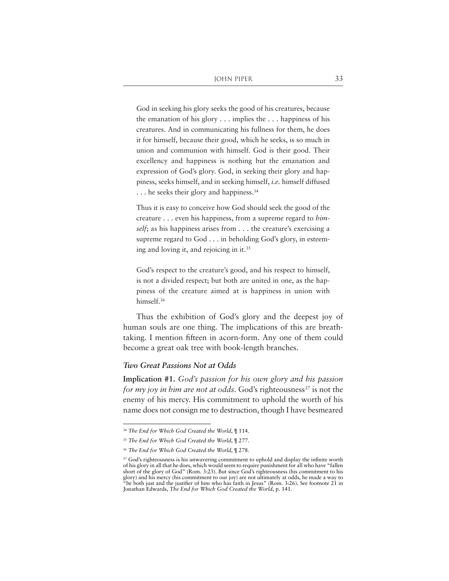God in seeking his glory seeks the good of his creatures, because the emanation of his glory . . . implies the . . . happiness of his creatures. And in communicating his fullness for them, he does it for himself, because their good, which he seeks, is so much in union and communion with himself. God is their good. Their excellency and happiness is nothing but the emanation and expression of God's glory. God, in seeking their glory and happiness, seeks himself, and in seeking himself, *i.e.* himself diffused ... he seeks their glory and happiness.<sup>34</sup>

Thus it is easy to conceive how God should seek the good of the creature . . . even his happiness, from a supreme regard to *himself*; as his happiness arises from . . . the creature's exercising a supreme regard to God . . . in beholding God's glory, in esteeming and loving it, and rejoicing in it.35

God's respect to the creature's good, and his respect to himself, is not a divided respect; but both are united in one, as the happiness of the creature aimed at is happiness in union with himself.36

Thus the exhibition of God's glory and the deepest joy of human souls are one thing. The implications of this are breathtaking. I mention fifteen in acorn-form. Any one of them could become a great oak tree with book-length branches.

#### *Two Great Passions Not at Odds*

**Implication #1.** *God's passion for his own glory and his passion for my joy in him are not at odds.* God's righteousness<sup>37</sup> is not the enemy of his mercy. His commitment to uphold the worth of his name does not consign me to destruction, though I have besmeared

<sup>34</sup> *The End for Which God Created the World*, ¶ 114.

<sup>35</sup> *The End for Which God Created the World*, ¶ 277.

<sup>36</sup> *The End for Which God Created the World*, ¶ 278.

<sup>&</sup>lt;sup>37</sup> God's righteousness is his unwavering commitment to uphold and display the infinite worth of his glory in all that he does, which would seem to require punishment for all who have "fallen short of the glory of God" (Rom. 3:23). But since God's righteousness (his commitment to his glory) and his mercy (his commitment to our joy) are not ultimately at odds, he made a way to "be both just and the justifier of him who has faith in Jesus" (Rom. 3:26). See footnote 21 in Jonathan Edwards, *The End for Which God Created the World*, p. 141.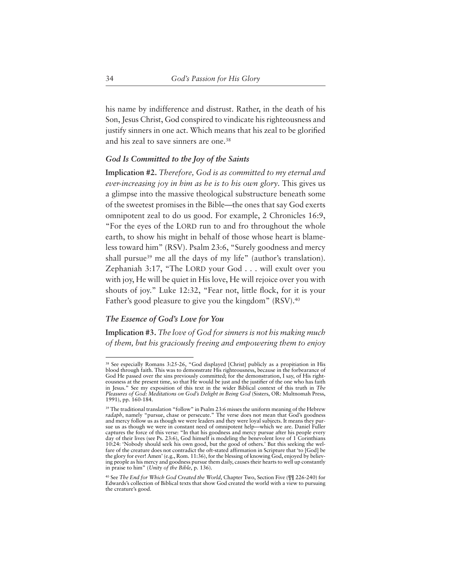his name by indifference and distrust. Rather, in the death of his Son, Jesus Christ, God conspired to vindicate his righteousness and justify sinners in one act. Which means that his zeal to be glorified and his zeal to save sinners are one.38

#### *God Is Committed to the Joy of the Saints*

**Implication #2.** *Therefore, God is as committed to my eternal and ever-increasing joy in him as he is to his own glory*. This gives us a glimpse into the massive theological substructure beneath some of the sweetest promises in the Bible—the ones that say God exerts omnipotent zeal to do us good. For example, 2 Chronicles 16:9, "For the eyes of the LORD run to and fro throughout the whole earth, to show his might in behalf of those whose heart is blameless toward him" (RSV). Psalm 23:6, "Surely goodness and mercy shall pursue<sup>39</sup> me all the days of my life" (author's translation). Zephaniah 3:17, "The LORD your God . . . will exult over you with joy, He will be quiet in His love, He will rejoice over you with shouts of joy." Luke 12:32, "Fear not, little flock, for it is your Father's good pleasure to give you the kingdom" (RSV).<sup>40</sup>

#### *The Essence of God's Love for You*

**Implication #3.** *The love of God for sinners is not his making much of them, but his graciously freeing and empowering them to enjoy*

<sup>38</sup> See especially Romans 3:25-26, "God displayed [Christ] publicly as a propitiation in His blood through faith. This was to demonstrate His righteousness, because in the forbearance of God He passed over the sins previously committed; for the demonstration, I say, of His righteousness at the present time, so that He would be just and the justifier of the one who has faith in Jesus." See my exposition of this text in the wider Biblical context of this truth in *The Pleasures of God: Meditations on God's Delight in Being God* (Sisters, OR: Multnomah Press, 1991), pp. 160-184.

 $39$  The traditional translation "follow" in Psalm 23:6 misses the uniform meaning of the Hebrew *radaph*, namely "pursue, chase or persecute." The verse does not mean that God's goodness and mercy follow us as though we were leaders and they were loyal subjects. It means they pursue us as though we were in constant need of omnipotent help—which we are. Daniel Fuller captures the force of this verse: "In that his goodness and mercy pursue after his people every day of their lives (see Ps. 23:6), God himself is modeling the benevolent love of 1 Corinthians 10:24: 'Nobody should seek his own good, but the good of others.' But this seeking the welfare of the creature does not contradict the oft-stated affirmation in Scripture that 'to [God] be the glory for ever! Amen' (e.g., Rom. 11:36), for the blessing of knowing God, enjoyed by believing people as his mercy and goodness pursue them daily, causes their hearts to well up constantly in praise to him" (*Unity of the Bible*, p. 136).

<sup>40</sup> See *The End for Which God Created the World*, Chapter Two, Section Five (¶¶ 226-240) for Edwards's collection of Biblical texts that show God created the world with a view to pursuing the creature's good.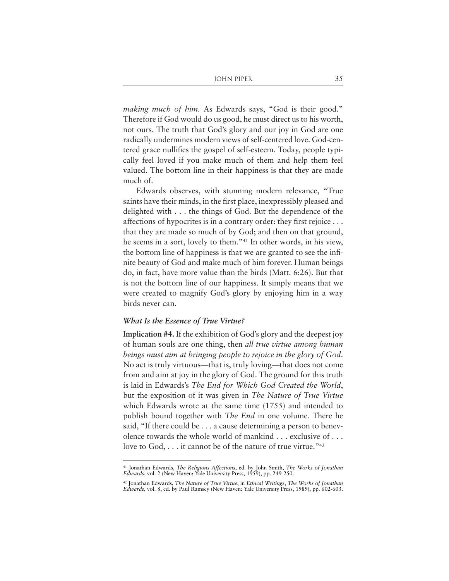*making much of him.* As Edwards says, "God is their good." Therefore if God would do us good, he must direct us to his worth, not ours. The truth that God's glory and our joy in God are one radically undermines modern views of self-centered love. God-centered grace nullifies the gospel of self-esteem. Today, people typically feel loved if you make much of them and help them feel valued. The bottom line in their happiness is that they are made much of.

Edwards observes, with stunning modern relevance, "True saints have their minds, in the first place, inexpressibly pleased and delighted with . . . the things of God. But the dependence of the affections of hypocrites is in a contrary order: they first rejoice . . . that they are made so much of by God; and then on that ground, he seems in a sort, lovely to them."41 In other words, in his view, the bottom line of happiness is that we are granted to see the infinite beauty of God and make much of him forever. Human beings do, in fact, have more value than the birds (Matt. 6:26). But that is not the bottom line of our happiness. It simply means that we were created to magnify God's glory by enjoying him in a way birds never can.

#### *What Is the Essence of True Virtue?*

**Implication #4.** If the exhibition of God's glory and the deepest joy of human souls are one thing, then *all true virtue among human beings must aim at bringing people to rejoice in the glory of God*. No act is truly virtuous—that is, truly loving—that does not come from and aim at joy in the glory of God. The ground for this truth is laid in Edwards's *The End for Which God Created the World*, but the exposition of it was given in *The Nature of True Virtue* which Edwards wrote at the same time (1755) and intended to publish bound together with *The End* in one volume. There he said, "If there could be . . . a cause determining a person to benevolence towards the whole world of mankind . . . exclusive of . . . love to God,  $\dots$  it cannot be of the nature of true virtue."<sup>42</sup>

<sup>41</sup> Jonathan Edwards, *The Religious Affections*, ed. by John Smith, *The Works of Jonathan Edwards*, vol. 2 (New Haven: Yale University Press, 1959), pp. 249-250.

<sup>42</sup> Jonathan Edwards, *The Nature of True Virtue*, in *Ethical Writings*, *The Works of Jonathan Edwards*, vol. 8, ed. by Paul Ramsey (New Haven: Yale University Press, 1989), pp. 602-603.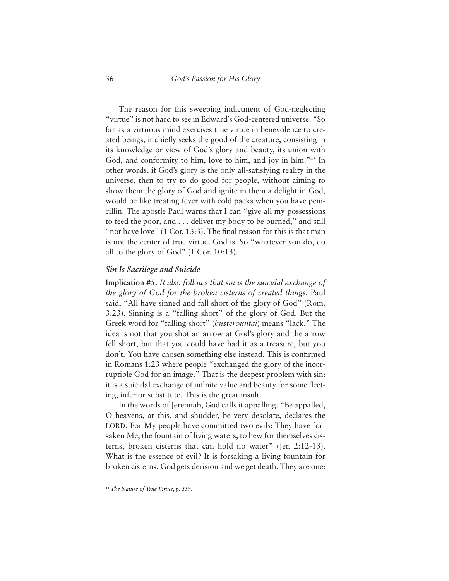The reason for this sweeping indictment of God-neglecting "virtue" is not hard to see in Edward's God-centered universe: "So far as a virtuous mind exercises true virtue in benevolence to created beings, it chiefly seeks the good of the creature, consisting in its knowledge or view of God's glory and beauty, its union with God, and conformity to him, love to him, and joy in him."43 In other words, if God's glory is the only all-satisfying reality in the universe, then to try to do good for people, without aiming to show them the glory of God and ignite in them a delight in God, would be like treating fever with cold packs when you have penicillin. The apostle Paul warns that I can "give all my possessions to feed the poor*,* and . . . deliver my body to be burned," and still "not have love" (1 Cor. 13:3). The final reason for this is that man is not the center of true virtue, God is. So "whatever you do, do all to the glory of God" (1 Cor. 10:13).

#### *Sin Is Sacrilege and Suicide*

**Implication #5.** *It also follows that sin is the suicidal exchange of the glory of God for the broken cisterns of created things*. Paul said, "All have sinned and fall short of the glory of God" (Rom. 3:23). Sinning is a "falling short" of the glory of God. But the Greek word for "falling short" (*husterountai*) means "lack." The idea is not that you shot an arrow at God's glory and the arrow fell short, but that you could have had it as a treasure, but you don't. You have chosen something else instead. This is confirmed in Romans 1:23 where people "exchanged the glory of the incorruptible God for an image." That is the deepest problem with sin: it is a suicidal exchange of infinite value and beauty for some fleeting, inferior substitute. This is the great insult.

In the words of Jeremiah, God calls it appalling. "Be appalled, O heavens, at this, and shudder, be very desolate, declares the LORD. For My people have committed two evils: They have forsaken Me, the fountain of living waters, to hew for themselves cisterns, broken cisterns that can hold no water" (Jer. 2:12-13). What is the essence of evil? It is forsaking a living fountain for broken cisterns. God gets derision and we get death. They are one:

<sup>43</sup> *The Nature of True Virtue*, p. 559.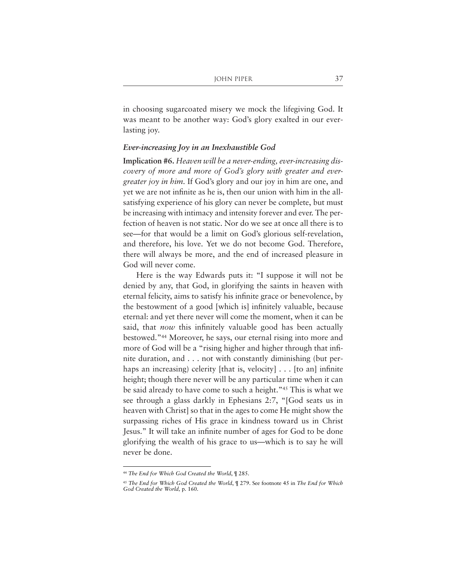in choosing sugarcoated misery we mock the lifegiving God. It was meant to be another way: God's glory exalted in our everlasting joy.

#### *Ever-increasing Joy in an Inexhaustible God*

**Implication #6.** *Heaven will be a never-ending, ever-increasing discovery of more and more of God's glory with greater and evergreater joy in him.* If God's glory and our joy in him are one, and yet we are not infinite as he is, then our union with him in the allsatisfying experience of his glory can never be complete, but must be increasing with intimacy and intensity forever and ever. The perfection of heaven is not static. Nor do we see at once all there is to see—for that would be a limit on God's glorious self-revelation, and therefore, his love. Yet we do not become God. Therefore, there will always be more, and the end of increased pleasure in God will never come.

Here is the way Edwards puts it: "I suppose it will not be denied by any, that God, in glorifying the saints in heaven with eternal felicity, aims to satisfy his infinite grace or benevolence, by the bestowment of a good [which is] infinitely valuable, because eternal: and yet there never will come the moment, when it can be said, that *now* this infinitely valuable good has been actually bestowed."44 Moreover, he says, our eternal rising into more and more of God will be a "rising higher and higher through that infinite duration, and . . . not with constantly diminishing (but perhaps an increasing) celerity [that is, velocity]  $\ldots$  [to an] infinite height; though there never will be any particular time when it can be said already to have come to such a height."45 This is what we see through a glass darkly in Ephesians 2:7, "[God seats us in heaven with Christ] so that in the ages to come He might show the surpassing riches of His grace in kindness toward us in Christ Jesus." It will take an infinite number of ages for God to be done glorifying the wealth of his grace to us—which is to say he will never be done.

<sup>44</sup> *The End for Which God Created the World*, ¶ 285.

<sup>45</sup> *The End for Which God Created the World*, ¶ 279. See footnote 45 in *The End for Which God Created the World,* p. 160.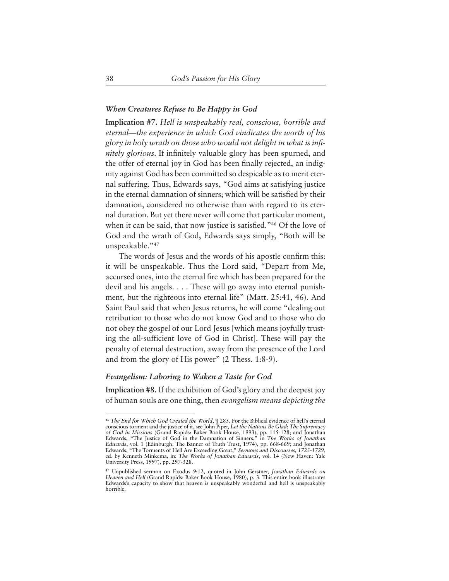#### *When Creatures Refuse to Be Happy in God*

**Implication #7.** *Hell is unspeakably real, conscious, horrible and eternal—the experience in which God vindicates the worth of his glory in holy wrath on those who would not delight in what is infinitely glorious*. If infinitely valuable glory has been spurned, and the offer of eternal joy in God has been finally rejected, an indignity against God has been committed so despicable as to merit eternal suffering. Thus, Edwards says, "God aims at satisfying justice in the eternal damnation of sinners; which will be satisfied by their damnation, considered no otherwise than with regard to its eternal duration. But yet there never will come that particular moment, when it can be said, that now justice is satisfied."<sup>46</sup> Of the love of God and the wrath of God, Edwards says simply, "Both will be unspeakable."47

The words of Jesus and the words of his apostle confirm this: it will be unspeakable. Thus the Lord said, "Depart from Me, accursed ones, into the eternal fire which has been prepared for the devil and his angels. . . . These will go away into eternal punishment, but the righteous into eternal life" (Matt. 25:41, 46). And Saint Paul said that when Jesus returns, he will come "dealing out retribution to those who do not know God and to those who do not obey the gospel of our Lord Jesus [which means joyfully trusting the all-sufficient love of God in Christ]. These will pay the penalty of eternal destruction, away from the presence of the Lord and from the glory of His power" (2 Thess. 1:8-9).

#### *Evangelism: Laboring to Waken a Taste for God*

**Implication #8.** If the exhibition of God's glory and the deepest joy of human souls are one thing, then *evangelism means depicting the*

<sup>46</sup> *The End for Which God Created the World*, ¶ 285. For the Biblical evidence of hell's eternal conscious torment and the justice of it, see John Piper, *Let the Nations Be Glad*: *The Supremacy of God in Missions* (Grand Rapids: Baker Book House, 1993), pp. 115-128; and Jonathan Edwards, "The Justice of God in the Damnation of Sinners," in *The Works of Jonathan Edwards*, vol. 1 (Edinburgh: The Banner of Truth Trust, 1974), pp. 668-669; and Jonathan Edwards, "The Torments of Hell Are Exceeding Great," *Sermons and Discourses, 1723-1729*, ed. by Kenneth Minkema, in: *The Works of Jonathan Edwards*, vol. 14 (New Haven: Yale University Press, 1997), pp. 297-328.

<sup>47</sup> Unpublished sermon on Exodus 9:12, quoted in John Gerstner, *Jonathan Edwards on Heaven and Hell* (Grand Rapids: Baker Book House, 1980), p. 3. This entire book illustrates Edwards's capacity to show that heaven is unspeakably wonderful and hell is unspeakably horrible.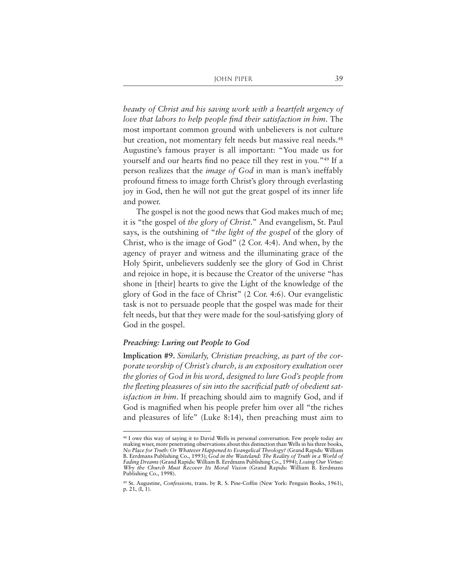*beauty of Christ and his saving work with a heartfelt urgency of love that labors to help people find their satisfaction in him*. The most important common ground with unbelievers is not culture but creation, not momentary felt needs but massive real needs.<sup>48</sup> Augustine's famous prayer is all important: "You made us for yourself and our hearts find no peace till they rest in you."49 If a person realizes that the *image of God* in man is man's ineffably profound fitness to image forth Christ's glory through everlasting joy in God, then he will not gut the great gospel of its inner life and power.

The gospel is not the good news that God makes much of me; it is "the gospel of *the glory of Christ*." And evangelism, St. Paul says, is the outshining of "*the light of the gospel* of the glory of Christ, who is the image of God" (2 Cor. 4:4). And when, by the agency of prayer and witness and the illuminating grace of the Holy Spirit, unbelievers suddenly see the glory of God in Christ and rejoice in hope, it is because the Creator of the universe "has shone in [their] hearts to give the Light of the knowledge of the glory of God in the face of Christ" (2 Cor. 4:6). Our evangelistic task is not to persuade people that the gospel was made for their felt needs, but that they were made for the soul-satisfying glory of God in the gospel.

#### *Preaching: Luring out People to God*

**Implication #9.** *Similarly, Christian preaching, as part of the corporate worship of Christ's church, is an expository exultation over the glories of God in his word, designed to lure God's people from the fleeting pleasures of sin into the sacrificial path of obedient satisfaction in him*. If preaching should aim to magnify God, and if God is magnified when his people prefer him over all "the riches and pleasures of life" (Luke 8:14), then preaching must aim to

<sup>&</sup>lt;sup>48</sup> I owe this way of saying it to David Wells in personal conversation. Few people today are making wiser, more penetrating observations about this distinction than Wells in his three books, *No Place for Truth: Or Whatever Happened to Evangelical Theology?* (Grand Rapids: William B. Eerdmans Publishing Co., 1993); *God in the Wasteland: The Reality of Truth in a World of Fading Dreams* (Grand Rapids: William B. Eerdmans Publishing Co., 1994); *Losing Our Virtue: Why the Church Must Recover Its Moral Vision* (Grand Rapids: William B. Eerdmans Publishing Co., 1998).

<sup>49</sup> St. Augustine, *Confessions,* trans. by R. S. Pine-Coffin (New York: Penguin Books, 1961), p. 21, (I, 1).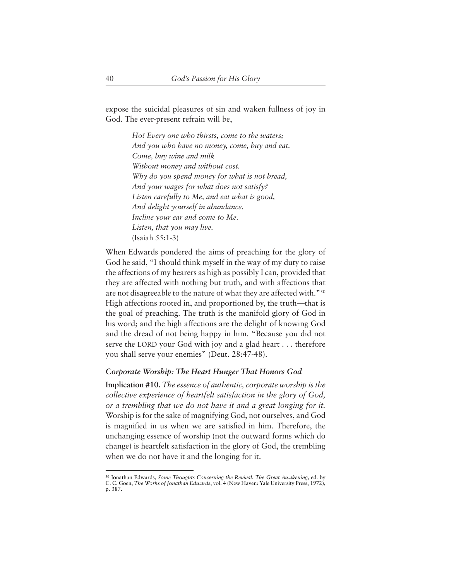expose the suicidal pleasures of sin and waken fullness of joy in God. The ever-present refrain will be,

> *Ho! Every one who thirsts, come to the waters; And you who have no money, come, buy and eat. Come, buy wine and milk Without money and without cost. Why do you spend money for what is not bread, And your wages for what does not satisfy? Listen carefully to Me, and eat what is good, And delight yourself in abundance. Incline your ear and come to Me. Listen, that you may live.* (Isaiah 55:1-3)

When Edwards pondered the aims of preaching for the glory of God he said, "I should think myself in the way of my duty to raise the affections of my hearers as high as possibly I can, provided that they are affected with nothing but truth, and with affections that are not disagreeable to the nature of what they are affected with."50 High affections rooted in, and proportioned by, the truth—that is the goal of preaching. The truth is the manifold glory of God in his word; and the high affections are the delight of knowing God and the dread of not being happy in him. "Because you did not serve the LORD your God with joy and a glad heart . . . therefore you shall serve your enemies" (Deut. 28:47-48).

#### *Corporate Worship: The Heart Hunger That Honors God*

**Implication #10.** *The essence of authentic, corporate worship is the collective experience of heartfelt satisfaction in the glory of God, or a trembling that we do not have it and a great longing for it.* Worship is for the sake of magnifying God, not ourselves, and God is magnified in us when we are satisfied in him. Therefore, the unchanging essence of worship (not the outward forms which do change) is heartfelt satisfaction in the glory of God, the trembling when we do not have it and the longing for it.

<sup>50</sup> Jonathan Edwards, *Some Thoughts Concerning the Revival*, *The Great Awakening*, ed. by C. C. Goen, *The Works of Jonathan Edwards*, vol. 4 (New Haven: Yale University Press, 1972), p. 387.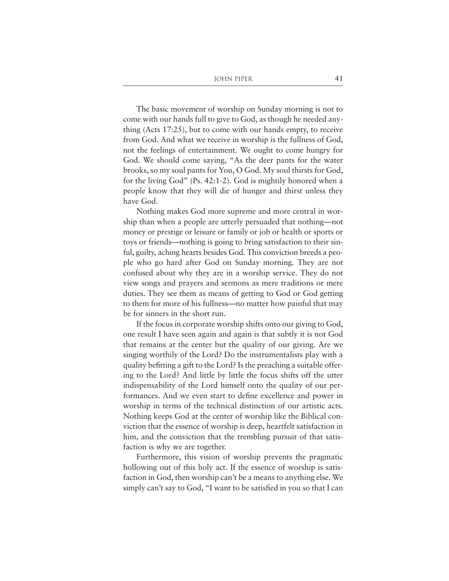The basic movement of worship on Sunday morning is not to come with our hands full to give to God, as though he needed anything (Acts 17:25), but to come with our hands empty, to receive from God. And what we receive in worship is the fullness of God, not the feelings of entertainment. We ought to come hungry for God. We should come saying, "As the deer pants for the water brooks, so my soul pants for You, O God. My soul thirsts for God, for the living God" (Ps. 42:1-2). God is mightily honored when a people know that they will die of hunger and thirst unless they have God.

Nothing makes God more supreme and more central in worship than when a people are utterly persuaded that nothing—not money or prestige or leisure or family or job or health or sports or toys or friends—nothing is going to bring satisfaction to their sinful, guilty, aching hearts besides God. This conviction breeds a people who go hard after God on Sunday morning. They are not confused about why they are in a worship service. They do not view songs and prayers and sermons as mere traditions or mere duties. They see them as means of getting to God or God getting to them for more of his fullness—no matter how painful that may be for sinners in the short run.

If the focus in corporate worship shifts onto our giving to God, one result I have seen again and again is that subtly it is not God that remains at the center but the quality of our giving. Are we singing worthily of the Lord? Do the instrumentalists play with a quality befitting a gift to the Lord? Is the preaching a suitable offering to the Lord? And little by little the focus shifts off the utter indispensability of the Lord himself onto the quality of our performances. And we even start to define excellence and power in worship in terms of the technical distinction of our artistic acts. Nothing keeps God at the center of worship like the Biblical conviction that the essence of worship is deep, heartfelt satisfaction in him, and the conviction that the trembling pursuit of that satisfaction is why we are together.

Furthermore, this vision of worship prevents the pragmatic hollowing out of this holy act. If the essence of worship is satisfaction in God, then worship can't be a means to anything else. We simply can't say to God, "I want to be satisfied in you so that I can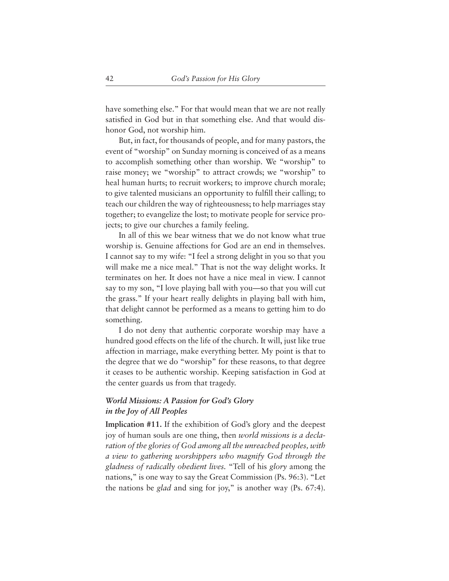have something else." For that would mean that we are not really satisfied in God but in that something else. And that would dishonor God, not worship him.

But, in fact, for thousands of people, and for many pastors, the event of "worship" on Sunday morning is conceived of as a means to accomplish something other than worship. We "worship" to raise money; we "worship" to attract crowds; we "worship" to heal human hurts; to recruit workers; to improve church morale; to give talented musicians an opportunity to fulfill their calling; to teach our children the way of righteousness; to help marriages stay together; to evangelize the lost; to motivate people for service projects; to give our churches a family feeling.

In all of this we bear witness that we do not know what true worship is. Genuine affections for God are an end in themselves. I cannot say to my wife: "I feel a strong delight in you so that you will make me a nice meal." That is not the way delight works. It terminates on her. It does not have a nice meal in view. I cannot say to my son, "I love playing ball with you—so that you will cut the grass." If your heart really delights in playing ball with him, that delight cannot be performed as a means to getting him to do something.

I do not deny that authentic corporate worship may have a hundred good effects on the life of the church. It will, just like true affection in marriage, make everything better. My point is that to the degree that we do "worship" for these reasons, to that degree it ceases to be authentic worship. Keeping satisfaction in God at the center guards us from that tragedy.

## *World Missions: A Passion for God's Glory in the Joy of All Peoples*

**Implication #11.** If the exhibition of God's glory and the deepest joy of human souls are one thing, then *world missions is a declaration of the glories of God among all the unreached peoples, with a view to gathering worshippers who magnify God through the gladness of radically obedient lives.* "Tell of his *glory* among the nations," is one way to say the Great Commission (Ps. 96:3). "Let the nations be *glad* and sing for joy," is another way (Ps. 67:4).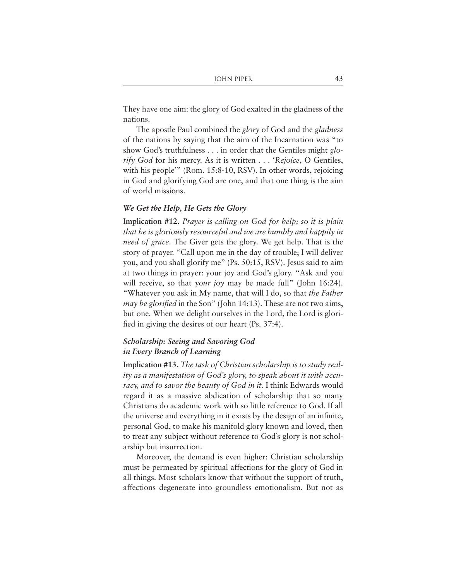They have one aim: the glory of God exalted in the gladness of the nations.

The apostle Paul combined the *glory* of God and the *gladness* of the nations by saying that the aim of the Incarnation was "to show God's truthfulness . . . in order that the Gentiles might *glorify God* for his mercy. As it is written . . . '*Rejoice*, O Gentiles, with his people'" (Rom. 15:8-10, RSV). In other words, rejoicing in God and glorifying God are one, and that one thing is the aim of world missions.

#### *We Get the Help, He Gets the Glory*

**Implication #12.** *Prayer is calling on God for help; so it is plain that he is gloriously resourceful and we are humbly and happily in need of grace*. The Giver gets the glory. We get help. That is the story of prayer. "Call upon me in the day of trouble; I will deliver you, and you shall glorify me" (Ps. 50:15, RSV). Jesus said to aim at two things in prayer: your joy and God's glory. "Ask and you will receive, so that *your joy* may be made full" (John 16:24). "Whatever you ask in My name, that will I do, so that *the Father may be glorified* in the Son" (John 14:13). These are not two aims, but one. When we delight ourselves in the Lord, the Lord is glorified in giving the desires of our heart (Ps. 37:4).

## *Scholarship: Seeing and Savoring God in Every Branch of Learning*

**Implication #13.** *The task of Christian scholarship is to study reality as a manifestation of God's glory, to speak about it with accuracy, and to savor the beauty of God in it.* I think Edwards would regard it as a massive abdication of scholarship that so many Christians do academic work with so little reference to God. If all the universe and everything in it exists by the design of an infinite, personal God, to make his manifold glory known and loved, then to treat any subject without reference to God's glory is not scholarship but insurrection.

Moreover, the demand is even higher: Christian scholarship must be permeated by spiritual affections for the glory of God in all things. Most scholars know that without the support of truth, affections degenerate into groundless emotionalism. But not as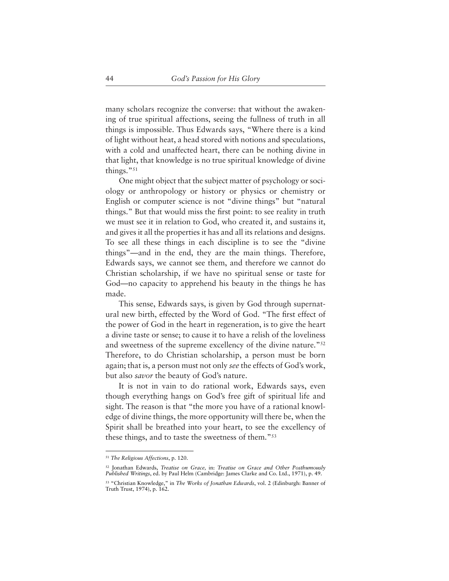many scholars recognize the converse: that without the awakening of true spiritual affections, seeing the fullness of truth in all things is impossible. Thus Edwards says, "Where there is a kind of light without heat, a head stored with notions and speculations, with a cold and unaffected heart, there can be nothing divine in that light, that knowledge is no true spiritual knowledge of divine things."<sup>51</sup>

One might object that the subject matter of psychology or sociology or anthropology or history or physics or chemistry or English or computer science is not "divine things" but "natural things." But that would miss the first point: to see reality in truth we must see it in relation to God, who created it, and sustains it, and gives it all the properties it has and all its relations and designs. To see all these things in each discipline is to see the "divine things"—and in the end, they are the main things. Therefore, Edwards says, we cannot see them, and therefore we cannot do Christian scholarship, if we have no spiritual sense or taste for God—no capacity to apprehend his beauty in the things he has made.

This sense, Edwards says, is given by God through supernatural new birth, effected by the Word of God. "The first effect of the power of God in the heart in regeneration, is to give the heart a divine taste or sense; to cause it to have a relish of the loveliness and sweetness of the supreme excellency of the divine nature."52 Therefore, to do Christian scholarship, a person must be born again; that is, a person must not only *see* the effects of God's work, but also *savor* the beauty of God's nature.

It is not in vain to do rational work, Edwards says, even though everything hangs on God's free gift of spiritual life and sight. The reason is that "the more you have of a rational knowledge of divine things, the more opportunity will there be, when the Spirit shall be breathed into your heart, to see the excellency of these things, and to taste the sweetness of them."53

<sup>51</sup> *The Religious Affections*, p. 120.

<sup>52</sup> Jonathan Edwards, *Treatise on Grace,* in: *Treatise on Grace and Other Posthumously Published Writings*, ed. by Paul Helm (Cambridge: James Clarke and Co. Ltd., 1971), p. 49.

<sup>53</sup> "Christian Knowledge," in *The Works of Jonathan Edwards*, vol. 2 (Edinburgh: Banner of Truth Trust, 1974), p. 162.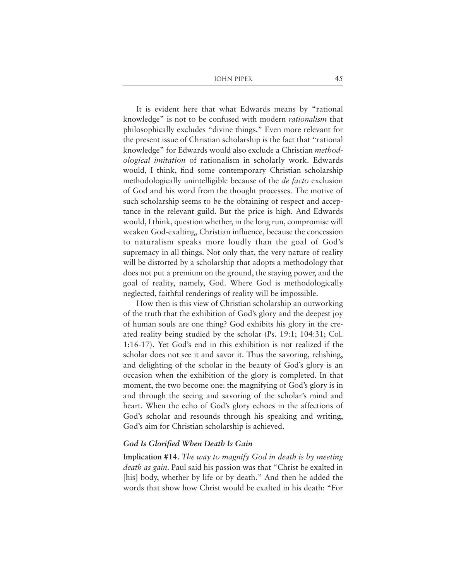It is evident here that what Edwards means by "rational knowledge" is not to be confused with modern *rationalism* that philosophically excludes "divine things." Even more relevant for the present issue of Christian scholarship is the fact that "rational knowledge" for Edwards would also exclude a Christian *methodological imitation* of rationalism in scholarly work. Edwards would, I think, find some contemporary Christian scholarship methodologically unintelligible because of the *de facto* exclusion of God and his word from the thought processes. The motive of such scholarship seems to be the obtaining of respect and acceptance in the relevant guild. But the price is high. And Edwards would, I think, question whether, in the long run, compromise will weaken God-exalting, Christian influence, because the concession to naturalism speaks more loudly than the goal of God's supremacy in all things. Not only that, the very nature of reality will be distorted by a scholarship that adopts a methodology that does not put a premium on the ground, the staying power, and the goal of reality, namely, God. Where God is methodologically neglected, faithful renderings of reality will be impossible.

How then is this view of Christian scholarship an outworking of the truth that the exhibition of God's glory and the deepest joy of human souls are one thing? God exhibits his glory in the created reality being studied by the scholar (Ps. 19:1; 104:31; Col. 1:16-17). Yet God's end in this exhibition is not realized if the scholar does not see it and savor it. Thus the savoring, relishing, and delighting of the scholar in the beauty of God's glory is an occasion when the exhibition of the glory is completed. In that moment, the two become one: the magnifying of God's glory is in and through the seeing and savoring of the scholar's mind and heart. When the echo of God's glory echoes in the affections of God's scholar and resounds through his speaking and writing, God's aim for Christian scholarship is achieved.

#### *God Is Glorified When Death Is Gain*

**Implication #14.** *The way to magnify God in death is by meeting death as gain*. Paul said his passion was that "Christ be exalted in [his] body, whether by life or by death." And then he added the words that show how Christ would be exalted in his death: "For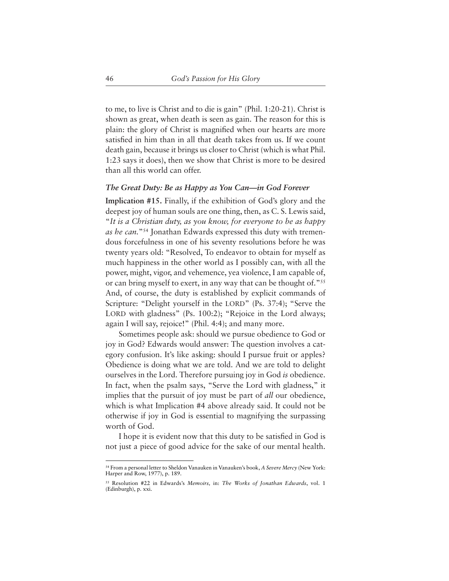to me, to live is Christ and to die is gain" (Phil. 1:20-21). Christ is shown as great, when death is seen as gain. The reason for this is plain: the glory of Christ is magnified when our hearts are more satisfied in him than in all that death takes from us. If we count death gain, because it brings us closer to Christ (which is what Phil. 1:23 says it does), then we show that Christ is more to be desired than all this world can offer.

#### *The Great Duty: Be as Happy as You Can—in God Forever*

**Implication #15.** Finally, if the exhibition of God's glory and the deepest joy of human souls are one thing, then, as C. S. Lewis said, "*It is a Christian duty, as you know, for everyone to be as happy as he can.*"54 Jonathan Edwards expressed this duty with tremendous forcefulness in one of his seventy resolutions before he was twenty years old: "Resolved, To endeavor to obtain for myself as much happiness in the other world as I possibly can, with all the power, might, vigor, and vehemence, yea violence, I am capable of, or can bring myself to exert, in any way that can be thought of."55 And, of course, the duty is established by explicit commands of Scripture: "Delight yourself in the LORD" (Ps. 37:4); "Serve the LORD with gladness" (Ps. 100:2); "Rejoice in the Lord always; again I will say, rejoice!" (Phil. 4:4); and many more.

Sometimes people ask: should we pursue obedience to God or joy in God? Edwards would answer: The question involves a category confusion. It's like asking: should I pursue fruit or apples? Obedience is doing what we are told. And we are told to delight ourselves in the Lord. Therefore pursuing joy in God *is* obedience. In fact, when the psalm says, "Serve the Lord with gladness," it implies that the pursuit of joy must be part of *all* our obedience, which is what Implication #4 above already said. It could not be otherwise if joy in God is essential to magnifying the surpassing worth of God.

I hope it is evident now that this duty to be satisfied in God is not just a piece of good advice for the sake of our mental health.

<sup>54</sup> From a personal letter to Sheldon Vanauken in Vanauken's book, *A Severe Mercy* (New York: Harper and Row, 1977), p. 189.

<sup>55</sup> Resolution #22 in Edwards's *Memoirs,* in: *The Works of Jonathan Edwards*, vol. 1 (Edinburgh), p. xxi.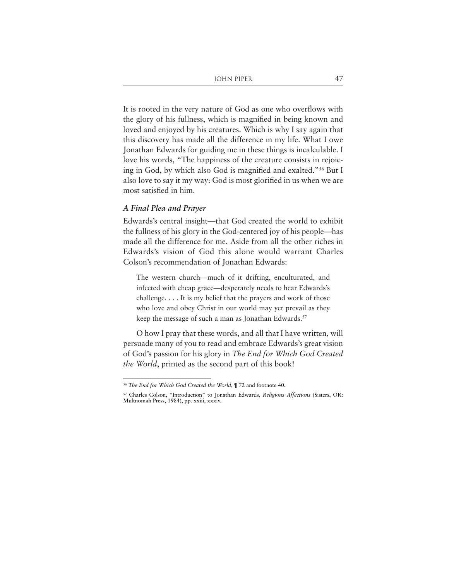It is rooted in the very nature of God as one who overflows with the glory of his fullness, which is magnified in being known and loved and enjoyed by his creatures. Which is why I say again that this discovery has made all the difference in my life. What I owe Jonathan Edwards for guiding me in these things is incalculable. I love his words, "The happiness of the creature consists in rejoicing in God, by which also God is magnified and exalted."56 But I also love to say it my way: God is most glorified in us when we are most satisfied in him.

#### *A Final Plea and Prayer*

Edwards's central insight—that God created the world to exhibit the fullness of his glory in the God-centered joy of his people—has made all the difference for me. Aside from all the other riches in Edwards's vision of God this alone would warrant Charles Colson's recommendation of Jonathan Edwards:

The western church—much of it drifting, enculturated, and infected with cheap grace—desperately needs to hear Edwards's challenge. . . . It is my belief that the prayers and work of those who love and obey Christ in our world may yet prevail as they keep the message of such a man as Jonathan Edwards.<sup>57</sup>

O how I pray that these words, and all that I have written, will persuade many of you to read and embrace Edwards's great vision of God's passion for his glory in *The End for Which God Created the World*, printed as the second part of this book!

<sup>56</sup> *The End for Which God Created the World*, ¶ 72 and footnote 40.

<sup>57</sup> Charles Colson, "Introduction" to Jonathan Edwards, *Religious Affections* (Sisters, OR: Multnomah Press, 1984), pp. xxiii, xxxiv.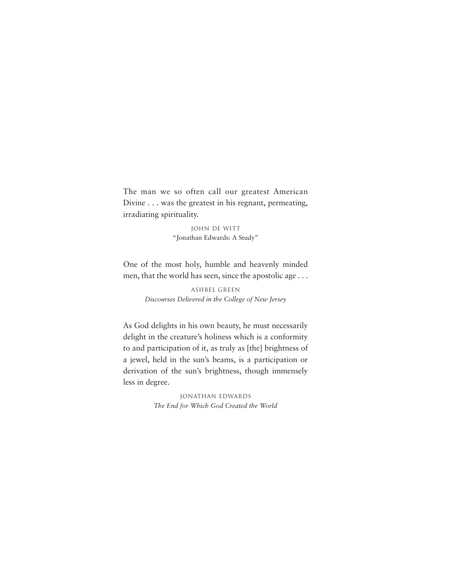The man we so often call our greatest American Divine . . . was the greatest in his regnant, permeating, irradiating spirituality.

> John De Witt "Jonathan Edwards: A Study"

One of the most holy, humble and heavenly minded men, that the world has seen, since the apostolic age . . .

> Ashbel Green *Discourses Delivered in the College of New Jersey*

As God delights in his own beauty, he must necessarily delight in the creature's holiness which is a conformity to and participation of it, as truly as [the] brightness of a jewel, held in the sun's beams, is a participation or derivation of the sun's brightness, though immensely less in degree.

> Jonathan Edwards *The End for Which God Created the World*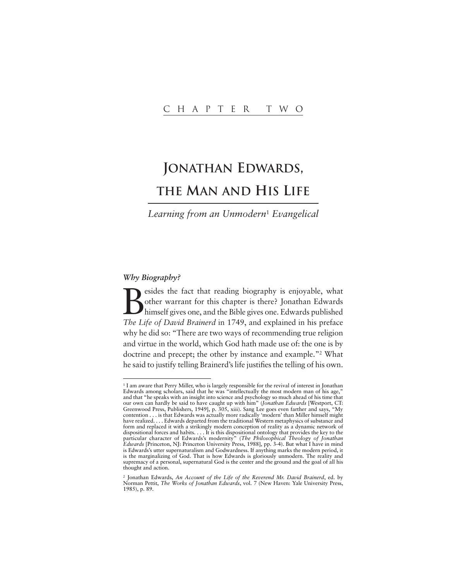# **JONATHAN EDWARDS, THE MAN AND HIS LIFE**

*Learning from an Unmodern*<sup>1</sup> *Evangelical*

## *Why Biography?*

Besides the fact that reading biography is enjoyable, what<br>other warrant for this chapter is there? Jonathan Edwards<br>himself gives one, and the Bible gives one. Edwards published<br>The Life of David Brainard in 1749, and exp other warrant for this chapter is there? Jonathan Edwards himself gives one, and the Bible gives one. Edwards published *The Life of David Brainerd* in 1749, and explained in his preface why he did so: "There are two ways of recommending true religion and virtue in the world, which God hath made use of: the one is by doctrine and precept; the other by instance and example."2 What he said to justify telling Brainerd's life justifies the telling of his own.

<sup>1</sup> I am aware that Perry Miller, who is largely responsible for the revival of interest in Jonathan Edwards among scholars, said that he was "intellectually the most modern man of his age," and that "he speaks with an insight into science and psychology so much ahead of his time that our own can hardly be said to have caught up with him" (*Jonathan Edwards* [Westport, CT: Greenwood Press, Publishers, 1949], p. 305, xiii). Sang Lee goes even farther and says, "My contention . . . is that Edwards was actually more radically 'modern' than Miller himself might have realized. . . . Edwards departed from the traditional Western metaphysics of substance and form and replaced it with a strikingly modern conception of reality as a dynamic network of dispositional forces and habits. . . . It is this dispositional ontology that provides the key to the particular character of Edwards's modernity" (*The Philosophical Theology of Jonathan Edwards* [Princeton, NJ: Princeton University Press, 1988], pp. 3-4). But what I have in mind is Edwards's utter supernaturalism and Godwardness. If anything marks the modern period, it is the marginalizing of God. That is how Edwards is gloriously unmodern. The reality and supremacy of a personal, supernatural God is the center and the ground and the goal of all his thought and action.

<sup>2</sup> Jonathan Edwards, *An Account of the Life of the Reverend Mr. David Brainerd*, ed. by Norman Pettit, *The Works of Jonathan Edwards*, vol. 7 (New Haven: Yale University Press, 1985), p. 89.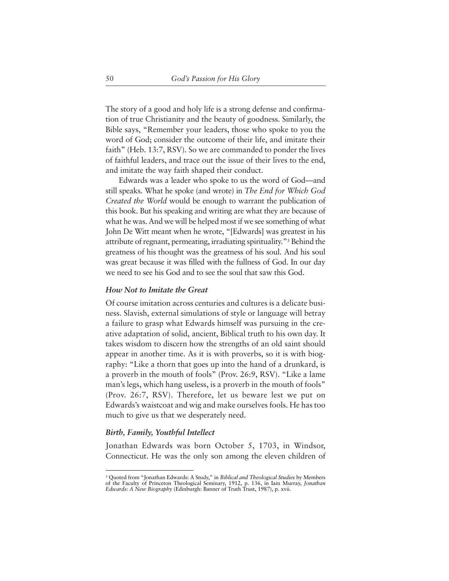The story of a good and holy life is a strong defense and confirmation of true Christianity and the beauty of goodness. Similarly, the Bible says, "Remember your leaders, those who spoke to you the word of God; consider the outcome of their life, and imitate their faith" (Heb. 13:7, RSV). So we are commanded to ponder the lives of faithful leaders, and trace out the issue of their lives to the end, and imitate the way faith shaped their conduct.

Edwards was a leader who spoke to us the word of God—and still speaks. What he spoke (and wrote) in *The End for Which God Created the World* would be enough to warrant the publication of this book. But his speaking and writing are what they are because of what he was. And we will be helped most if we see something of what John De Witt meant when he wrote, "[Edwards] was greatest in his attribute of regnant, permeating, irradiating spirituality."3 Behind the greatness of his thought was the greatness of his soul. And his soul was great because it was filled with the fullness of God. In our day we need to see his God and to see the soul that saw this God.

## *How Not to Imitate the Great*

Of course imitation across centuries and cultures is a delicate business. Slavish, external simulations of style or language will betray a failure to grasp what Edwards himself was pursuing in the creative adaptation of solid, ancient, Biblical truth to his own day. It takes wisdom to discern how the strengths of an old saint should appear in another time. As it is with proverbs, so it is with biography: "Like a thorn that goes up into the hand of a drunkard, is a proverb in the mouth of fools" (Prov. 26:9, RSV). "Like a lame man's legs, which hang useless, is a proverb in the mouth of fools" (Prov. 26:7, RSV). Therefore, let us beware lest we put on Edwards's waistcoat and wig and make ourselves fools. He has too much to give us that we desperately need.

## *Birth, Family, Youthful Intellect*

Jonathan Edwards was born October 5, 1703, in Windsor, Connecticut. He was the only son among the eleven children of

<sup>3</sup> Quoted from "Jonathan Edwards: A Study," in *Biblical and Theological Studies* by Members of the Faculty of Princeton Theological Seminary, 1912, p. 136, in Iain Murray, *Jonathan Edwards: A New Biography* (Edinburgh: Banner of Truth Trust, 1987), p. xvii.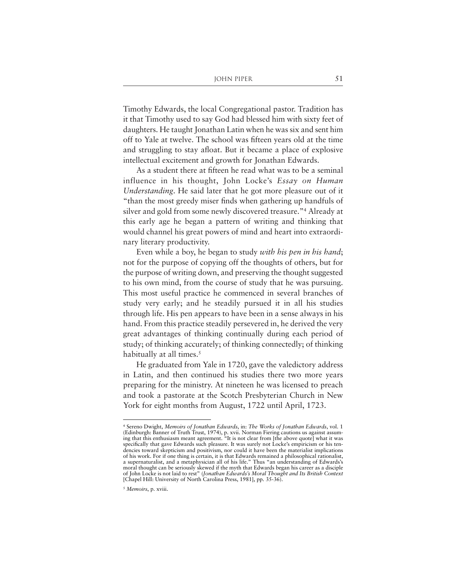Timothy Edwards, the local Congregational pastor. Tradition has it that Timothy used to say God had blessed him with sixty feet of daughters. He taught Jonathan Latin when he was six and sent him off to Yale at twelve. The school was fifteen years old at the time and struggling to stay afloat. But it became a place of explosive intellectual excitement and growth for Jonathan Edwards.

As a student there at fifteen he read what was to be a seminal influence in his thought, John Locke's *Essay on Human Understanding*. He said later that he got more pleasure out of it "than the most greedy miser finds when gathering up handfuls of silver and gold from some newly discovered treasure."4 Already at this early age he began a pattern of writing and thinking that would channel his great powers of mind and heart into extraordinary literary productivity.

Even while a boy, he began to study *with his pen in his hand*; not for the purpose of copying off the thoughts of others, but for the purpose of writing down, and preserving the thought suggested to his own mind, from the course of study that he was pursuing. This most useful practice he commenced in several branches of study very early; and he steadily pursued it in all his studies through life. His pen appears to have been in a sense always in his hand. From this practice steadily persevered in, he derived the very great advantages of thinking continually during each period of study; of thinking accurately; of thinking connectedly; of thinking habitually at all times.<sup>5</sup>

He graduated from Yale in 1720, gave the valedictory address in Latin, and then continued his studies there two more years preparing for the ministry. At nineteen he was licensed to preach and took a pastorate at the Scotch Presbyterian Church in New York for eight months from August, 1722 until April, 1723.

<sup>4</sup> Sereno Dwight, *Memoirs of Jonathan Edwards*, in: *The Works of Jonathan Edwards*, vol. 1 (Edinburgh: Banner of Truth Trust, 1974), p. xvii. Norman Fiering cautions us against assuming that this enthusiasm meant agreement. "It is not clear from [the above quote] what it was specifically that gave Edwards such pleasure. It was surely not Locke's empiricism or his tendencies toward skepticism and positivism, nor could it have been the materialist implications of his work. For if one thing is certain, it is that Edwards remained a philosophical rationalist, a supernaturalist, and a metaphysician all of his life." Thus "an understanding of Edwards's moral thought can be seriously skewed if the myth that Edwards began his career as a disciple of John Locke is not laid to rest" (*Jonathan Edwards's Moral Thought and Its British Context* [Chapel Hill: University of North Carolina Press, 1981], pp. 35-36).

<sup>5</sup> *Memoirs*, p. xviii.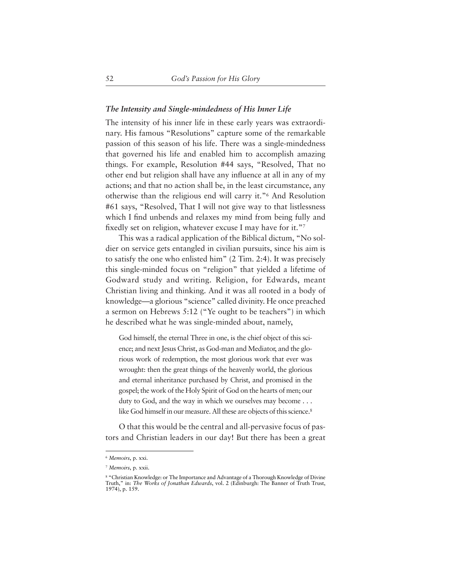## *The Intensity and Single-mindedness of His Inner Life*

The intensity of his inner life in these early years was extraordinary. His famous "Resolutions" capture some of the remarkable passion of this season of his life. There was a single-mindedness that governed his life and enabled him to accomplish amazing things. For example, Resolution #44 says, "Resolved, That no other end but religion shall have any influence at all in any of my actions; and that no action shall be, in the least circumstance, any otherwise than the religious end will carry it."6 And Resolution #61 says, "Resolved, That I will not give way to that listlessness which I find unbends and relaxes my mind from being fully and fixedly set on religion, whatever excuse I may have for it."7

This was a radical application of the Biblical dictum, "No soldier on service gets entangled in civilian pursuits, since his aim is to satisfy the one who enlisted him" (2 Tim. 2:4). It was precisely this single-minded focus on "religion" that yielded a lifetime of Godward study and writing. Religion, for Edwards, meant Christian living and thinking. And it was all rooted in a body of knowledge—a glorious "science" called divinity. He once preached a sermon on Hebrews 5:12 ("Ye ought to be teachers") in which he described what he was single-minded about, namely,

God himself, the eternal Three in one, is the chief object of this science; and next Jesus Christ, as God-man and Mediator, and the glorious work of redemption, the most glorious work that ever was wrought: then the great things of the heavenly world, the glorious and eternal inheritance purchased by Christ, and promised in the gospel; the work of the Holy Spirit of God on the hearts of men; our duty to God, and the way in which we ourselves may become . . . like God himself in our measure. All these are objects of this science.<sup>8</sup>

O that this would be the central and all-pervasive focus of pastors and Christian leaders in our day! But there has been a great

<sup>6</sup> *Memoirs*, p. xxi.

<sup>7</sup> *Memoirs*, p. xxii.

<sup>8</sup> "Christian Knowledge: or The Importance and Advantage of a Thorough Knowledge of Divine Truth," in: *The Works of Jonathan Edwards*, vol. 2 (Edinburgh: The Banner of Truth Trust, 1974), p. 159.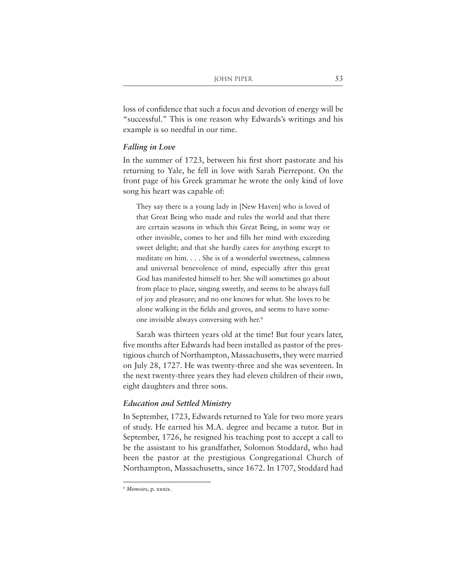loss of confidence that such a focus and devotion of energy will be "successful." This is one reason why Edwards's writings and his example is so needful in our time.

#### *Falling in Love*

In the summer of 1723, between his first short pastorate and his returning to Yale, he fell in love with Sarah Pierrepont. On the front page of his Greek grammar he wrote the only kind of love song his heart was capable of:

They say there is a young lady in [New Haven] who is loved of that Great Being who made and rules the world and that there are certain seasons in which this Great Being, in some way or other invisible, comes to her and fills her mind with exceeding sweet delight; and that she hardly cares for anything except to meditate on him. . . . She is of a wonderful sweetness, calmness and universal benevolence of mind, especially after this great God has manifested himself to her. She will sometimes go about from place to place, singing sweetly, and seems to be always full of joy and pleasure; and no one knows for what. She loves to be alone walking in the fields and groves, and seems to have someone invisible always conversing with her.9

Sarah was thirteen years old at the time! But four years later, five months after Edwards had been installed as pastor of the prestigious church of Northampton, Massachusetts, they were married on July 28, 1727. He was twenty-three and she was seventeen. In the next twenty-three years they had eleven children of their own, eight daughters and three sons.

#### *Education and Settled Ministry*

In September, 1723, Edwards returned to Yale for two more years of study. He earned his M.A. degree and became a tutor. But in September, 1726, he resigned his teaching post to accept a call to be the assistant to his grandfather, Solomon Stoddard, who had been the pastor at the prestigious Congregational Church of Northampton, Massachusetts, since 1672. In 1707, Stoddard had

<sup>9</sup> *Memoirs*, p. xxxix.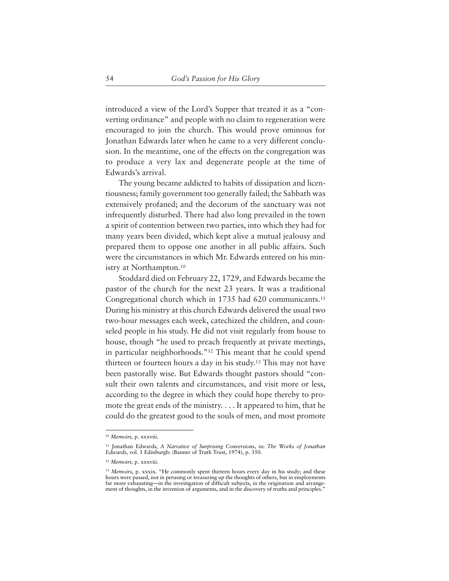introduced a view of the Lord's Supper that treated it as a "converting ordinance" and people with no claim to regeneration were encouraged to join the church. This would prove ominous for Jonathan Edwards later when he came to a very different conclusion. In the meantime, one of the effects on the congregation was to produce a very lax and degenerate people at the time of Edwards's arrival.

The young became addicted to habits of dissipation and licentiousness; family government too generally failed; the Sabbath was extensively profaned; and the decorum of the sanctuary was not infrequently disturbed. There had also long prevailed in the town a spirit of contention between two parties, into which they had for many years been divided, which kept alive a mutual jealousy and prepared them to oppose one another in all public affairs. Such were the circumstances in which Mr. Edwards entered on his ministry at Northampton.<sup>10</sup>

Stoddard died on February 22, 1729, and Edwards became the pastor of the church for the next 23 years. It was a traditional Congregational church which in 1735 had 620 communicants.11 During his ministry at this church Edwards delivered the usual two two-hour messages each week, catechized the children, and counseled people in his study. He did not visit regularly from house to house, though "he used to preach frequently at private meetings, in particular neighborhoods."12 This meant that he could spend thirteen or fourteen hours a day in his study.13 This may not have been pastorally wise. But Edwards thought pastors should "consult their own talents and circumstances, and visit more or less, according to the degree in which they could hope thereby to promote the great ends of the ministry. . . . It appeared to him, that he could do the greatest good to the souls of men, and most promote

<sup>10</sup> *Memoirs,* p. xxxviii.

<sup>11</sup> Jonathan Edwards, *A Narrative of Surprising Conversions*, in: *The Works of Jonathan Edwards*, vol. 1 Edinburgh: (Banner of Truth Trust, 1974), p. 350.

<sup>12</sup> *Memoirs,* p. xxxviii.

<sup>&</sup>lt;sup>13</sup> Memoirs, p. xxxix. "He commonly spent thirteen hours every day in his study; and these hours were passed, not in perusing or treasuring up the thoughts of others, but in employments far more exhausting—in the investigation of difficult subjects, in the origination and arrangement of thoughts, in the invention of arguments, and in the discovery of truths and principles."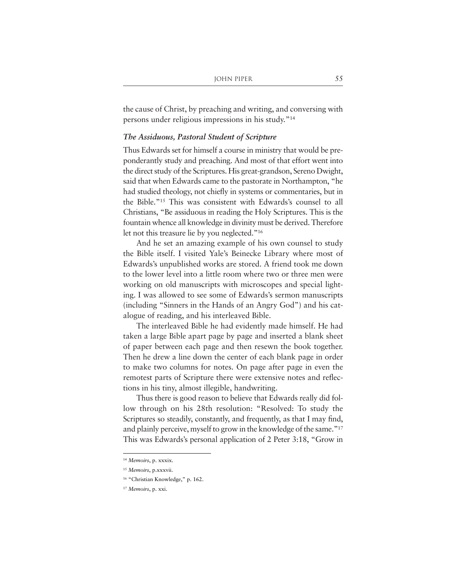the cause of Christ, by preaching and writing, and conversing with persons under religious impressions in his study."14

#### *The Assiduous, Pastoral Student of Scripture*

Thus Edwards set for himself a course in ministry that would be preponderantly study and preaching. And most of that effort went into the direct study of the Scriptures. His great-grandson, Sereno Dwight, said that when Edwards came to the pastorate in Northampton, "he had studied theology, not chiefly in systems or commentaries, but in the Bible."15 This was consistent with Edwards's counsel to all Christians, "Be assiduous in reading the Holy Scriptures. This is the fountain whence all knowledge in divinity must be derived. Therefore let not this treasure lie by you neglected."16

And he set an amazing example of his own counsel to study the Bible itself. I visited Yale's Beinecke Library where most of Edwards's unpublished works are stored. A friend took me down to the lower level into a little room where two or three men were working on old manuscripts with microscopes and special lighting. I was allowed to see some of Edwards's sermon manuscripts (including "Sinners in the Hands of an Angry God") and his catalogue of reading, and his interleaved Bible.

The interleaved Bible he had evidently made himself. He had taken a large Bible apart page by page and inserted a blank sheet of paper between each page and then resewn the book together. Then he drew a line down the center of each blank page in order to make two columns for notes. On page after page in even the remotest parts of Scripture there were extensive notes and reflections in his tiny, almost illegible, handwriting.

Thus there is good reason to believe that Edwards really did follow through on his 28th resolution: "Resolved: To study the Scriptures so steadily, constantly, and frequently, as that I may find, and plainly perceive, myself to grow in the knowledge of the same."17 This was Edwards's personal application of 2 Peter 3:18, "Grow in

<sup>14</sup> *Memoirs*, p. xxxix.

<sup>15</sup> *Memoirs*, p.xxxvii.

<sup>&</sup>lt;sup>16</sup> "Christian Knowledge," p. 162.

<sup>17</sup> *Memoirs*, p. xxi.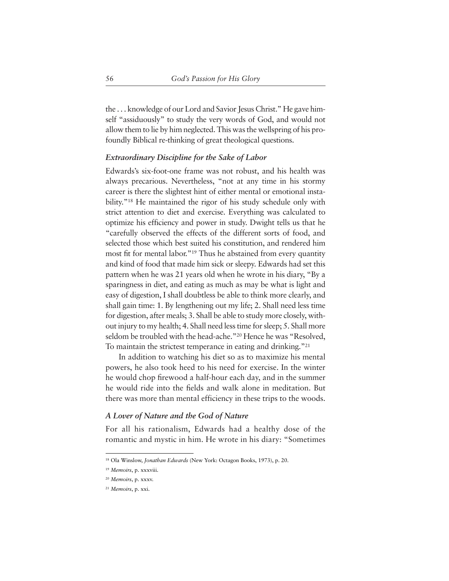the . . . knowledge of our Lord and Savior Jesus Christ." He gave himself "assiduously" to study the very words of God, and would not allow them to lie by him neglected. This was the wellspring of his profoundly Biblical re-thinking of great theological questions.

## *Extraordinary Discipline for the Sake of Labor*

Edwards's six-foot-one frame was not robust, and his health was always precarious. Nevertheless, "not at any time in his stormy career is there the slightest hint of either mental or emotional instability."18 He maintained the rigor of his study schedule only with strict attention to diet and exercise. Everything was calculated to optimize his efficiency and power in study. Dwight tells us that he "carefully observed the effects of the different sorts of food, and selected those which best suited his constitution, and rendered him most fit for mental labor."19 Thus he abstained from every quantity and kind of food that made him sick or sleepy. Edwards had set this pattern when he was 21 years old when he wrote in his diary, "By a sparingness in diet, and eating as much as may be what is light and easy of digestion, I shall doubtless be able to think more clearly, and shall gain time: 1. By lengthening out my life; 2. Shall need less time for digestion, after meals; 3. Shall be able to study more closely, without injury to my health; 4. Shall need less time for sleep; 5. Shall more seldom be troubled with the head-ache."20 Hence he was "Resolved, To maintain the strictest temperance in eating and drinking."21

In addition to watching his diet so as to maximize his mental powers, he also took heed to his need for exercise. In the winter he would chop firewood a half-hour each day, and in the summer he would ride into the fields and walk alone in meditation. But there was more than mental efficiency in these trips to the woods.

#### *A Lover of Nature and the God of Nature*

For all his rationalism, Edwards had a healthy dose of the romantic and mystic in him. He wrote in his diary: "Sometimes

<sup>18</sup> Ola Winslow, *Jonathan Edwards* (New York: Octagon Books, 1973), p. 20.

<sup>19</sup> *Memoirs*, p. xxxviii.

<sup>20</sup> *Memoirs*, p. xxxv.

<sup>21</sup> *Memoirs*, p. xxi.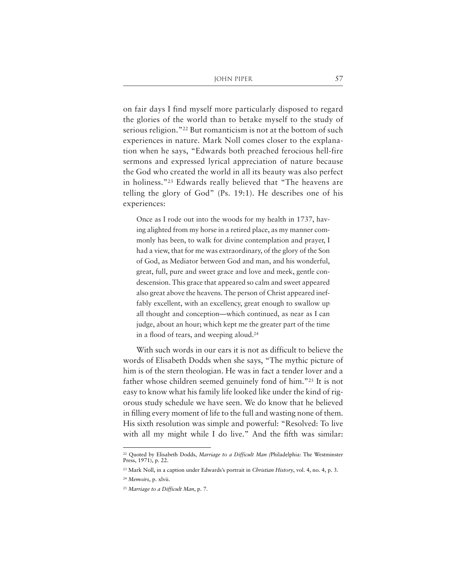on fair days I find myself more particularly disposed to regard the glories of the world than to betake myself to the study of serious religion."22 But romanticism is not at the bottom of such experiences in nature. Mark Noll comes closer to the explanation when he says, "Edwards both preached ferocious hell-fire sermons and expressed lyrical appreciation of nature because the God who created the world in all its beauty was also perfect in holiness."23 Edwards really believed that "The heavens are telling the glory of God" (Ps. 19:1). He describes one of his experiences:

Once as I rode out into the woods for my health in 1737, having alighted from my horse in a retired place, as my manner commonly has been, to walk for divine contemplation and prayer, I had a view, that for me was extraordinary, of the glory of the Son of God, as Mediator between God and man, and his wonderful, great, full, pure and sweet grace and love and meek, gentle condescension. This grace that appeared so calm and sweet appeared also great above the heavens. The person of Christ appeared ineffably excellent, with an excellency, great enough to swallow up all thought and conception—which continued, as near as I can judge, about an hour; which kept me the greater part of the time in a flood of tears, and weeping aloud.24

With such words in our ears it is not as difficult to believe the words of Elisabeth Dodds when she says, "The mythic picture of him is of the stern theologian. He was in fact a tender lover and a father whose children seemed genuinely fond of him."25 It is not easy to know what his family life looked like under the kind of rigorous study schedule we have seen. We do know that he believed in filling every moment of life to the full and wasting none of them. His sixth resolution was simple and powerful: "Resolved: To live with all my might while I do live." And the fifth was similar:

<sup>22</sup> Quoted by Elisabeth Dodds, *Marriage to a Difficult Man (*Philadelphia: The Westminster Press, 1971), p. 22.

<sup>23</sup> Mark Noll, in a caption under Edwards's portrait in *Christian History*, vol. 4, no. 4, p. 3.

<sup>24</sup> *Memoirs*, p. xlvii.

<sup>25</sup> *Marriage to a Difficult Man*, p. 7.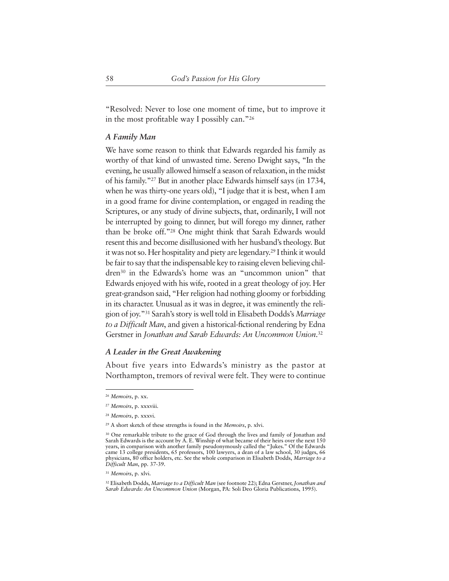"Resolved: Never to lose one moment of time, but to improve it in the most profitable way I possibly can."26

#### *A Family Man*

We have some reason to think that Edwards regarded his family as worthy of that kind of unwasted time. Sereno Dwight says, "In the evening, he usually allowed himself a season of relaxation, in the midst of his family."27 But in another place Edwards himself says (in 1734, when he was thirty-one years old), "I judge that it is best, when I am in a good frame for divine contemplation, or engaged in reading the Scriptures, or any study of divine subjects, that, ordinarily, I will not be interrupted by going to dinner, but will forego my dinner, rather than be broke off."28 One might think that Sarah Edwards would resent this and become disillusioned with her husband's theology. But it was not so. Her hospitality and piety are legendary.29 I think it would be fair to say that the indispensable key to raising eleven believing children30 in the Edwards's home was an "uncommon union" that Edwards enjoyed with his wife, rooted in a great theology of joy. Her great-grandson said, "Her religion had nothing gloomy or forbidding in its character. Unusual as it was in degree, it was eminently the religion of joy."31 Sarah's story is well told in Elisabeth Dodds's *Marriage to a Difficult Man*, and given a historical-fictional rendering by Edna Gerstner in *Jonathan and Sarah Edwards: An Uncommon Union*. 32

#### *A Leader in the Great Awakening*

About five years into Edwards's ministry as the pastor at Northampton, tremors of revival were felt. They were to continue

<sup>26</sup> *Memoirs*, p. xx.

<sup>27</sup> *Memoirs*, p. xxxviii.

<sup>28</sup> *Memoirs*, p. xxxvi.

<sup>29</sup> A short sketch of these strengths is found in the *Memoirs*, p. xlvi.

<sup>30</sup> One remarkable tribute to the grace of God through the lives and family of Jonathan and Sarah Edwards is the account by A. E. Winship of what became of their heirs over the next 150 years, in comparison with another family pseudonymously called the "Jukes." Of the Edwards came 13 college presidents, 65 professors, 100 lawyers, a dean of a law school, 30 judges, 66 physicians, 80 office holders, etc. See the whole comparison in Elisabeth Dodds, *Marriage to a Difficult Man*, pp. 37-39.

<sup>31</sup> *Memoirs*, p. xlvi.

<sup>32</sup> Elisabeth Dodds, *Marriage to a Difficult Man* (see footnote 22); Edna Gerstner, *Jonathan and Sarah Edwards: An Uncommon Union* (Morgan, PA: Soli Deo Gloria Publications, 1995).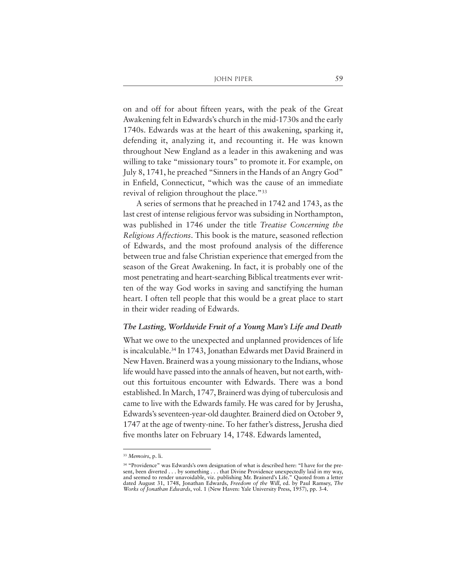on and off for about fifteen years, with the peak of the Great Awakening felt in Edwards's church in the mid-1730s and the early 1740s. Edwards was at the heart of this awakening, sparking it, defending it, analyzing it, and recounting it. He was known throughout New England as a leader in this awakening and was willing to take "missionary tours" to promote it. For example, on July 8, 1741, he preached "Sinners in the Hands of an Angry God" in Enfield, Connecticut, "which was the cause of an immediate revival of religion throughout the place."33

A series of sermons that he preached in 1742 and 1743, as the last crest of intense religious fervor was subsiding in Northampton, was published in 1746 under the title *Treatise Concerning the Religious Affections*. This book is the mature, seasoned reflection of Edwards, and the most profound analysis of the difference between true and false Christian experience that emerged from the season of the Great Awakening. In fact, it is probably one of the most penetrating and heart-searching Biblical treatments ever written of the way God works in saving and sanctifying the human heart. I often tell people that this would be a great place to start in their wider reading of Edwards.

#### *The Lasting, Worldwide Fruit of a Young Man's Life and Death*

What we owe to the unexpected and unplanned providences of life is incalculable.34 In 1743, Jonathan Edwards met David Brainerd in New Haven. Brainerd was a young missionary to the Indians, whose life would have passed into the annals of heaven, but not earth, without this fortuitous encounter with Edwards. There was a bond established. In March, 1747, Brainerd was dying of tuberculosis and came to live with the Edwards family. He was cared for by Jerusha, Edwards's seventeen-year-old daughter. Brainerd died on October 9, 1747 at the age of twenty-nine. To her father's distress, Jerusha died five months later on February 14, 1748. Edwards lamented,

<sup>33</sup> *Memoirs*, p. li.

<sup>34</sup> "Providence" was Edwards's own designation of what is described here: "I have for the present, been diverted . . . by something . . . that Divine Providence unexpectedly laid in my way, and seemed to render unavoidable, viz. publishing Mr. Brainerd's Life." Quoted from a letter dated August 31, 1748, Jonathan Edwards, *Freedom of the Will*, ed. by Paul Ramsey, *The Works of Jonathan Edwards*, vol. 1 (New Haven: Yale University Press, 1957), pp. 3-4.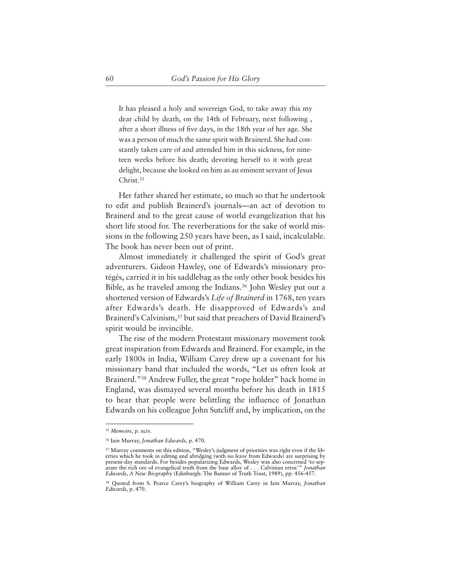It has pleased a holy and sovereign God, to take away this my dear child by death, on the 14th of February, next following , after a short illness of five days, in the 18th year of her age. She was a person of much the same spirit with Brainerd. She had constantly taken care of and attended him in this sickness, for nineteen weeks before his death; devoting herself to it with great delight, because she looked on him as an eminent servant of Jesus Christ.35

Her father shared her estimate, so much so that he undertook to edit and publish Brainerd's journals—an act of devotion to Brainerd and to the great cause of world evangelization that his short life stood for. The reverberations for the sake of world missions in the following 250 years have been, as I said, incalculable. The book has never been out of print.

Almost immediately it challenged the spirit of God's great adventurers. Gideon Hawley, one of Edwards's missionary protégés, carried it in his saddlebag as the only other book besides his Bible, as he traveled among the Indians.<sup>36</sup> John Wesley put out a shortened version of Edwards's *Life of Brainerd* in 1768, ten years after Edwards's death. He disapproved of Edwards's and Brainerd's Calvinism,<sup>37</sup> but said that preachers of David Brainerd's spirit would be invincible.

The rise of the modern Protestant missionary movement took great inspiration from Edwards and Brainerd. For example, in the early 1800s in India, William Carey drew up a covenant for his missionary band that included the words, "Let us often look at Brainerd."38 Andrew Fuller, the great "rope holder" back home in England, was dismayed several months before his death in 1815 to hear that people were belittling the influence of Jonathan Edwards on his colleague John Sutcliff and, by implication, on the

<sup>35</sup> *Memoirs*, p. xciv.

<sup>36</sup> Iain Murray, *Jonathan Edwards*, p. 470.

<sup>37</sup> Murray comments on this edition, "Wesley's judgment of priorities was right even if the liberties which he took in editing and abridging (with no leave from Edwards) are surprising by present-day standards. For besides popularizing Edwards, Wesley was also concerned 'to separate the rich ore of evangelical truth from the base alloy of . . . Calvinian error.'" *Jonathan Edwards*, *A New Biography* (Edinburgh: The Banner of Truth Trust, 1989), pp. 456-457.

<sup>38</sup> Quoted from S. Pearce Carey's biography of William Carey in Iain Murray, *Jonathan Edwards*, p. 470.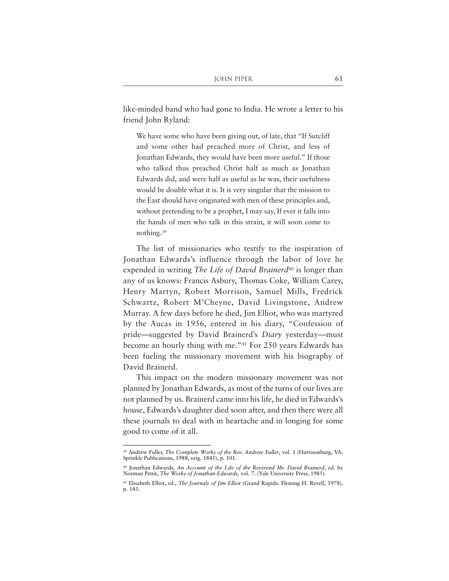like-minded band who had gone to India. He wrote a letter to his friend John Ryland:

We have some who have been giving out, of late, that "If Sutcliff and some other had preached more of Christ, and less of Jonathan Edwards, they would have been more useful." If those who talked thus preached Christ half as much as Jonathan Edwards did, and were half as useful as he was, their usefulness would be double what it is. It is very singular that the mission to the East should have originated with men of these principles and, without pretending to be a prophet, I may say, If ever it falls into the hands of men who talk in this strain, it will soon come to nothing.39

The list of missionaries who testify to the inspiration of Jonathan Edwards's influence through the labor of love he expended in writing *The Life of David Brainerd<sup>40</sup>* is longer than any of us knows: Francis Asbury, Thomas Coke, William Carey, Henry Martyn, Robert Morrison, Samuel Mills, Fredrick Schwartz, Robert M'Cheyne, David Livingstone, Andrew Murray. A few days before he died, Jim Elliot, who was martyred by the Aucas in 1956, entered in his diary, "Confession of pride—suggested by David Brainerd's *Diary* yesterday—must become an hourly thing with me."41 For 250 years Edwards has been fueling the missionary movement with his biography of David Brainerd.

This impact on the modern missionary movement was not planned by Jonathan Edwards, as most of the turns of our lives are not planned by us. Brainerd came into his life, he died in Edwards's house, Edwards's daughter died soon after, and then there were all these journals to deal with in heartache and in longing for some good to come of it all.

<sup>39</sup> Andrew Fuller, *The Complete Works of the Rev. Andrew Fuller*, vol. 1 (Harrisonburg, VA: Sprinkle Publications, 1988, orig. 1845), p. 101.

<sup>40</sup> Jonathan Edwards, *An Account of the Life of the Reverend Mr. David Brainerd*, ed. by Norman Pettit, *The Works of Jonathan Edwards,* vol. 7. (Yale University Press, 1985).

<sup>41</sup> Elisabeth Elliot, ed., *The Journals of Jim Elliot* (Grand Rapids: Fleming H. Revell, 1978), p. 143.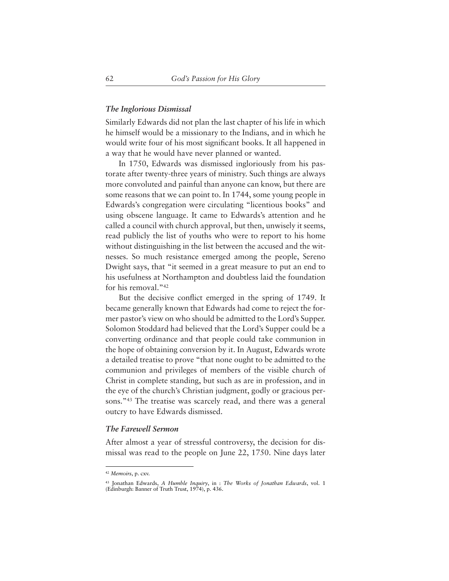#### *The Inglorious Dismissal*

Similarly Edwards did not plan the last chapter of his life in which he himself would be a missionary to the Indians, and in which he would write four of his most significant books. It all happened in a way that he would have never planned or wanted.

In 1750, Edwards was dismissed ingloriously from his pastorate after twenty-three years of ministry. Such things are always more convoluted and painful than anyone can know, but there are some reasons that we can point to. In 1744, some young people in Edwards's congregation were circulating "licentious books" and using obscene language. It came to Edwards's attention and he called a council with church approval, but then, unwisely it seems, read publicly the list of youths who were to report to his home without distinguishing in the list between the accused and the witnesses. So much resistance emerged among the people, Sereno Dwight says, that "it seemed in a great measure to put an end to his usefulness at Northampton and doubtless laid the foundation for his removal."42

But the decisive conflict emerged in the spring of 1749. It became generally known that Edwards had come to reject the former pastor's view on who should be admitted to the Lord's Supper. Solomon Stoddard had believed that the Lord's Supper could be a converting ordinance and that people could take communion in the hope of obtaining conversion by it. In August, Edwards wrote a detailed treatise to prove "that none ought to be admitted to the communion and privileges of members of the visible church of Christ in complete standing, but such as are in profession, and in the eye of the church's Christian judgment, godly or gracious persons."<sup>43</sup> The treatise was scarcely read, and there was a general outcry to have Edwards dismissed.

#### *The Farewell Sermon*

After almost a year of stressful controversy, the decision for dismissal was read to the people on June 22, 1750. Nine days later

<sup>42</sup> *Memoirs*, p. cxv.

<sup>43</sup> Jonathan Edwards, *A Humble Inquiry*, in : *The Works of Jonathan Edwards*, vol. 1 (Edinburgh: Banner of Truth Trust, 1974), p. 436.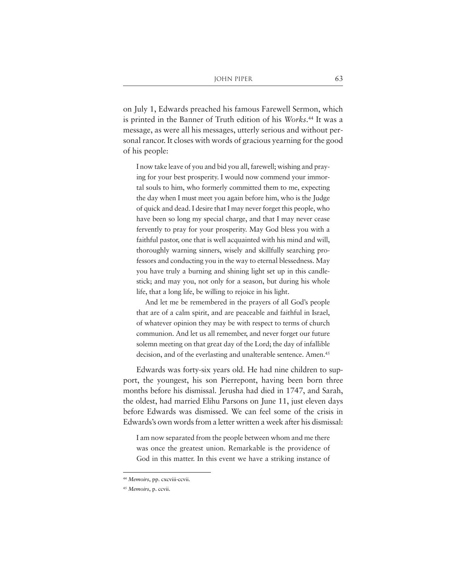on July 1, Edwards preached his famous Farewell Sermon, which is printed in the Banner of Truth edition of his *Works*. <sup>44</sup> It was a message, as were all his messages, utterly serious and without personal rancor. It closes with words of gracious yearning for the good of his people:

I now take leave of you and bid you all, farewell; wishing and praying for your best prosperity. I would now commend your immortal souls to him, who formerly committed them to me, expecting the day when I must meet you again before him, who is the Judge of quick and dead. I desire that I may never forget this people, who have been so long my special charge, and that I may never cease fervently to pray for your prosperity. May God bless you with a faithful pastor, one that is well acquainted with his mind and will, thoroughly warning sinners, wisely and skillfully searching professors and conducting you in the way to eternal blessedness. May you have truly a burning and shining light set up in this candlestick; and may you, not only for a season, but during his whole life, that a long life, be willing to rejoice in his light.

And let me be remembered in the prayers of all God's people that are of a calm spirit, and are peaceable and faithful in Israel, of whatever opinion they may be with respect to terms of church communion. And let us all remember, and never forget our future solemn meeting on that great day of the Lord; the day of infallible decision, and of the everlasting and unalterable sentence. Amen.<sup>45</sup>

Edwards was forty-six years old. He had nine children to support, the youngest, his son Pierrepont, having been born three months before his dismissal. Jerusha had died in 1747, and Sarah, the oldest, had married Elihu Parsons on June 11, just eleven days before Edwards was dismissed. We can feel some of the crisis in Edwards's own words from a letter written a week after his dismissal:

I am now separated from the people between whom and me there was once the greatest union. Remarkable is the providence of God in this matter. In this event we have a striking instance of

<sup>44</sup> *Memoirs*, pp. cxcviii-ccvii.

<sup>45</sup> *Memoirs*, p. ccvii.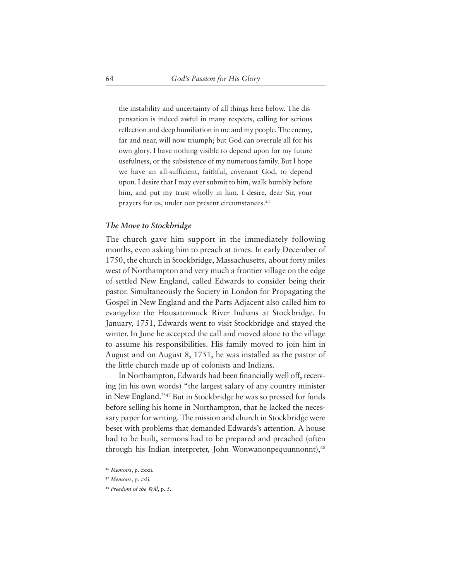the instability and uncertainty of all things here below. The dispensation is indeed awful in many respects, calling for serious reflection and deep humiliation in me and my people. The enemy, far and near, will now triumph; but God can overrule all for his own glory. I have nothing visible to depend upon for my future usefulness, or the subsistence of my numerous family. But I hope we have an all-sufficient, faithful, covenant God, to depend upon. I desire that I may ever submit to him, walk humbly before him, and put my trust wholly in him. I desire, dear Sir, your prayers for us, under our present circumstances.46

#### *The Move to Stockbridge*

The church gave him support in the immediately following months, even asking him to preach at times. In early December of 1750, the church in Stockbridge, Massachusetts, about forty miles west of Northampton and very much a frontier village on the edge of settled New England, called Edwards to consider being their pastor. Simultaneously the Society in London for Propagating the Gospel in New England and the Parts Adjacent also called him to evangelize the Housatonnuck River Indians at Stockbridge. In January, 1751, Edwards went to visit Stockbridge and stayed the winter. In June he accepted the call and moved alone to the village to assume his responsibilities. His family moved to join him in August and on August 8, 1751, he was installed as the pastor of the little church made up of colonists and Indians.

In Northampton, Edwards had been financially well off, receiving (in his own words) "the largest salary of any country minister in New England."47 But in Stockbridge he was so pressed for funds before selling his home in Northampton, that he lacked the necessary paper for writing. The mission and church in Stockbridge were beset with problems that demanded Edwards's attention. A house had to be built, sermons had to be prepared and preached (often through his Indian interpreter, John Wonwanonpequunnonnt), 48

<sup>46</sup> *Memoirs*, p. cxxii.

<sup>47</sup> *Memoirs*, p. cxli.

<sup>48</sup> *Freedom of the Will*, p. 5.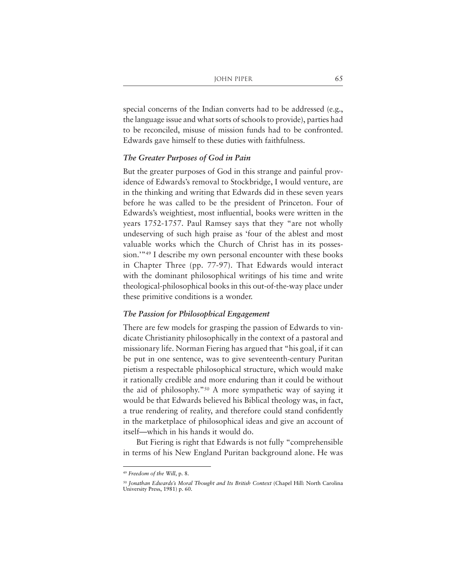special concerns of the Indian converts had to be addressed (e.g., the language issue and what sorts of schools to provide), parties had to be reconciled, misuse of mission funds had to be confronted. Edwards gave himself to these duties with faithfulness.

#### *The Greater Purposes of God in Pain*

But the greater purposes of God in this strange and painful providence of Edwards's removal to Stockbridge, I would venture, are in the thinking and writing that Edwards did in these seven years before he was called to be the president of Princeton. Four of Edwards's weightiest, most influential, books were written in the years 1752-1757. Paul Ramsey says that they "are not wholly undeserving of such high praise as 'four of the ablest and most valuable works which the Church of Christ has in its possession.'"49 I describe my own personal encounter with these books in Chapter Three (pp. 77-97). That Edwards would interact with the dominant philosophical writings of his time and write theological-philosophical books in this out-of-the-way place under these primitive conditions is a wonder.

#### *The Passion for Philosophical Engagement*

There are few models for grasping the passion of Edwards to vindicate Christianity philosophically in the context of a pastoral and missionary life. Norman Fiering has argued that "his goal, if it can be put in one sentence, was to give seventeenth-century Puritan pietism a respectable philosophical structure, which would make it rationally credible and more enduring than it could be without the aid of philosophy."50 A more sympathetic way of saying it would be that Edwards believed his Biblical theology was, in fact, a true rendering of reality, and therefore could stand confidently in the marketplace of philosophical ideas and give an account of itself—which in his hands it would do.

But Fiering is right that Edwards is not fully "comprehensible in terms of his New England Puritan background alone. He was

<sup>49</sup> *Freedom of the Will*, p. 8.

<sup>50</sup> *Jonathan Edwards's Moral Thought and Its British Context* (Chapel Hill: North Carolina University Press, 1981) p. 60.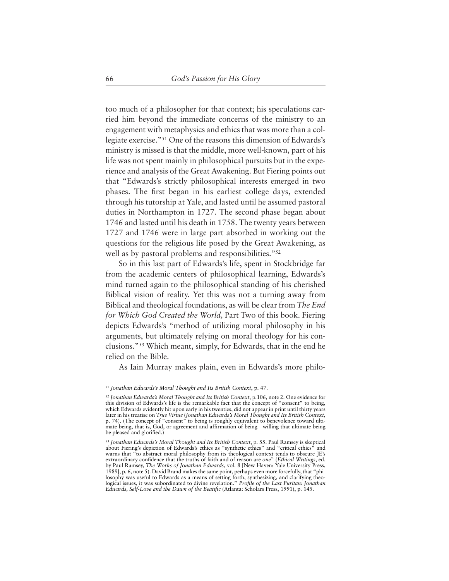too much of a philosopher for that context; his speculations carried him beyond the immediate concerns of the ministry to an engagement with metaphysics and ethics that was more than a collegiate exercise."51 One of the reasons this dimension of Edwards's ministry is missed is that the middle, more well-known, part of his life was not spent mainly in philosophical pursuits but in the experience and analysis of the Great Awakening. But Fiering points out that "Edwards's strictly philosophical interests emerged in two phases. The first began in his earliest college days, extended through his tutorship at Yale, and lasted until he assumed pastoral duties in Northampton in 1727. The second phase began about 1746 and lasted until his death in 1758. The twenty years between 1727 and 1746 were in large part absorbed in working out the questions for the religious life posed by the Great Awakening, as well as by pastoral problems and responsibilities."<sup>52</sup>

So in this last part of Edwards's life, spent in Stockbridge far from the academic centers of philosophical learning, Edwards's mind turned again to the philosophical standing of his cherished Biblical vision of reality. Yet this was not a turning away from Biblical and theological foundations, as will be clear from *The End for Which God Created the World,* Part Two of this book. Fiering depicts Edwards's "method of utilizing moral philosophy in his arguments, but ultimately relying on moral theology for his conclusions."53 Which meant, simply, for Edwards, that in the end he relied on the Bible.

As Iain Murray makes plain, even in Edwards's more philo-

<sup>51</sup> *Jonathan Edwards's Moral Thought and Its British Context*, p. 47.

<sup>52</sup> *Jonathan Edwards's Moral Thought and Its British Context*, p.106, note 2. One evidence for this division of Edwards's life is the remarkable fact that the concept of "consent" to being, which Edwards evidently hit upon early in his twenties, did not appear in print until thirty years later in his treatise on *True Virtue* (*Jonathan Edwards's Moral Thought and Its British Context*, p. 74). (The concept of "consent" to being is roughly equivalent to benevolence toward ultimate being, that is, God, or agreement and affirmation of being—willing that ultimate being be pleased and glorified.)

<sup>53</sup> *Jonathan Edwards's Moral Thought and Its British Context*, p. 55. Paul Ramsey is skeptical about Fiering's depiction of Edwards's ethics as "synthetic ethics" and "critical ethics" and warns that "to abstract moral philosophy from its theological context tends to obscure JE's extraordinary confidence that the truths of faith and of reason are *one*" (*Ethical Writings*, ed. by Paul Ramsey, *The Works of Jonathan Edwards*, vol. 8 [New Haven: Yale University Press, 1989], p. 6, note 5). David Brand makes the same point, perhaps even more forcefully, that "philosophy was useful to Edwards as a means of setting forth, synthesizing, and clarifying theological issues, it was subordinated to divine revelation." *Profile of the Last Puritan: Jonathan Edwards, Self-Love and the Dawn of the Beatific* (Atlanta: Scholars Press, 1991), p. 145.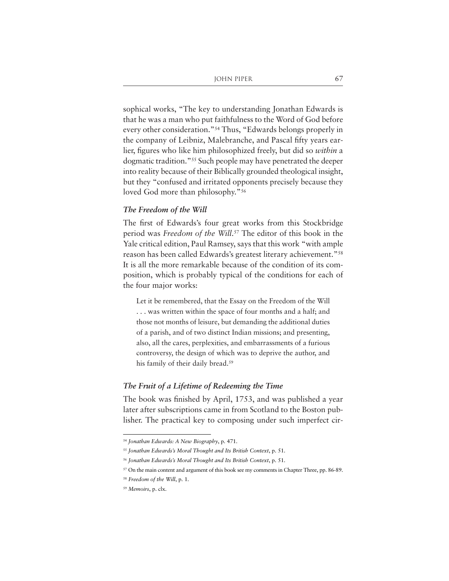sophical works, "The key to understanding Jonathan Edwards is that he was a man who put faithfulness to the Word of God before every other consideration."54 Thus, "Edwards belongs properly in the company of Leibniz, Malebranche, and Pascal fifty years earlier, figures who like him philosophized freely, but did so *within* a dogmatic tradition."55 Such people may have penetrated the deeper into reality because of their Biblically grounded theological insight, but they "confused and irritated opponents precisely because they loved God more than philosophy."<sup>56</sup>

### *The Freedom of the Will*

The first of Edwards's four great works from this Stockbridge period was *Freedom of the Will*. <sup>57</sup> The editor of this book in the Yale critical edition, Paul Ramsey, says that this work "with ample reason has been called Edwards's greatest literary achievement."58 It is all the more remarkable because of the condition of its composition, which is probably typical of the conditions for each of the four major works:

Let it be remembered, that the Essay on the Freedom of the Will . . . was written within the space of four months and a half; and those not months of leisure, but demanding the additional duties of a parish, and of two distinct Indian missions; and presenting, also, all the cares, perplexities, and embarrassments of a furious controversy, the design of which was to deprive the author, and his family of their daily bread.59

#### *The Fruit of a Lifetime of Redeeming the Time*

The book was finished by April, 1753, and was published a year later after subscriptions came in from Scotland to the Boston publisher. The practical key to composing under such imperfect cir-

<sup>54</sup> *Jonathan Edwards: A New Biography*, p. 471.

<sup>55</sup> *Jonathan Edwards's Moral Thought and Its British Context*, p. 51.

<sup>56</sup> *Jonathan Edwards's Moral Thought and Its British Context*, p. 51.

<sup>&</sup>lt;sup>57</sup> On the main content and argument of this book see my comments in Chapter Three, pp. 86-89.

<sup>58</sup> *Freedom of the Will*, p. 1.

<sup>59</sup> *Memoirs*, p. clx.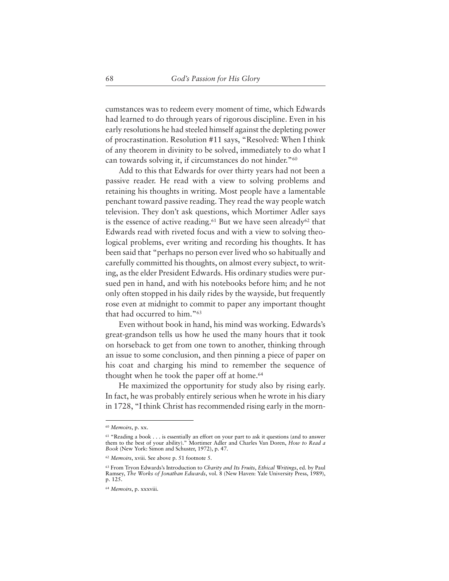cumstances was to redeem every moment of time, which Edwards had learned to do through years of rigorous discipline. Even in his early resolutions he had steeled himself against the depleting power of procrastination. Resolution #11 says, "Resolved: When I think of any theorem in divinity to be solved, immediately to do what I can towards solving it, if circumstances do not hinder."60

Add to this that Edwards for over thirty years had not been a passive reader. He read with a view to solving problems and retaining his thoughts in writing. Most people have a lamentable penchant toward passive reading. They read the way people watch television. They don't ask questions, which Mortimer Adler says is the essence of active reading.<sup>61</sup> But we have seen already<sup>62</sup> that Edwards read with riveted focus and with a view to solving theological problems, ever writing and recording his thoughts. It has been said that "perhaps no person ever lived who so habitually and carefully committed his thoughts, on almost every subject, to writing, as the elder President Edwards. His ordinary studies were pursued pen in hand, and with his notebooks before him; and he not only often stopped in his daily rides by the wayside, but frequently rose even at midnight to commit to paper any important thought that had occurred to him."63

Even without book in hand, his mind was working. Edwards's great-grandson tells us how he used the many hours that it took on horseback to get from one town to another, thinking through an issue to some conclusion, and then pinning a piece of paper on his coat and charging his mind to remember the sequence of thought when he took the paper off at home.<sup>64</sup>

He maximized the opportunity for study also by rising early. In fact, he was probably entirely serious when he wrote in his diary in 1728, "I think Christ has recommended rising early in the morn-

<sup>60</sup> *Memoirs*, p. xx.

<sup>&</sup>lt;sup>61</sup> "Reading a book . . . is essentially an effort on your part to ask it questions (and to answer them to the best of your ability)." Mortimer Adler and Charles Van Doren, *How to Read a Book* (New York: Simon and Schuster, 1972), p. 47.

<sup>62</sup> *Memoirs*, xviii. See above p. 51 footnote 5.

<sup>63</sup> From Tryon Edwards's Introduction to *Charity and Its Fruits*, *Ethical Writings*, ed. by Paul Ramsey, *The Works of Jonathan Edwards*, vol. 8 (New Haven: Yale University Press, 1989), p. 125.

<sup>64</sup> *Memoirs*, p. xxxviii.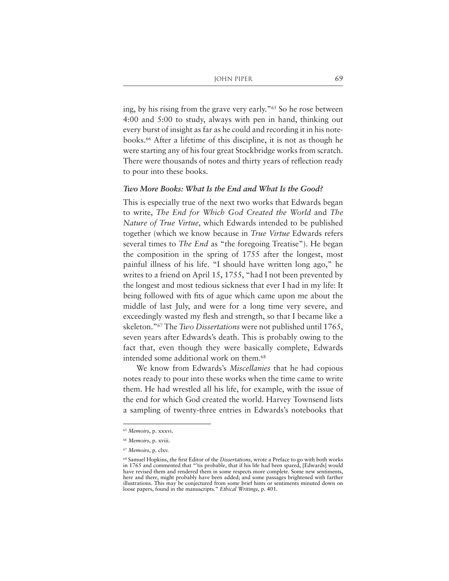ing, by his rising from the grave very early."65 So he rose between 4:00 and 5:00 to study, always with pen in hand, thinking out every burst of insight as far as he could and recording it in his notebooks.66 After a lifetime of this discipline, it is not as though he were starting any of his four great Stockbridge works from scratch. There were thousands of notes and thirty years of reflection ready to pour into these books.

#### *Two More Books: What Is the End and What Is the Good?*

This is especially true of the next two works that Edwards began to write, *The End for Which God Created the World* and *The Nature of True Virtue*, which Edwards intended to be published together (which we know because in *True Virtue* Edwards refers several times to *The End* as "the foregoing Treatise"). He began the composition in the spring of 1755 after the longest, most painful illness of his life. "I should have written long ago," he writes to a friend on April 15, 1755, "had I not been prevented by the longest and most tedious sickness that ever I had in my life: It being followed with fits of ague which came upon me about the middle of last July, and were for a long time very severe, and exceedingly wasted my flesh and strength, so that I became like a skeleton."67 The *Two Dissertations* were not published until 1765, seven years after Edwards's death. This is probably owing to the fact that, even though they were basically complete, Edwards intended some additional work on them.68

We know from Edwards's *Miscellanies* that he had copious notes ready to pour into these works when the time came to write them. He had wrestled all his life, for example, with the issue of the end for which God created the world. Harvey Townsend lists a sampling of twenty-three entries in Edwards's notebooks that

<sup>65</sup> *Memoirs*, p. xxxvi.

<sup>66</sup> *Memoirs*, p. xviii.

<sup>67</sup> *Memoirs*, p. clxv.

<sup>68</sup> Samuel Hopkins, the first Editor of the *Dissertations*, wrote a Preface to go with both works in 1765 and commented that "'tis probable, that if his life had been spared, [Edwards] would have revised them and rendered them in some respects more complete. Some new sentiments, here and there, might probably have been added; and some passages brightened with farther illustrations. This may be conjectured from some brief hints or sentiments minuted down on loose papers, found in the manuscripts." *Ethical Writings*, p. 401.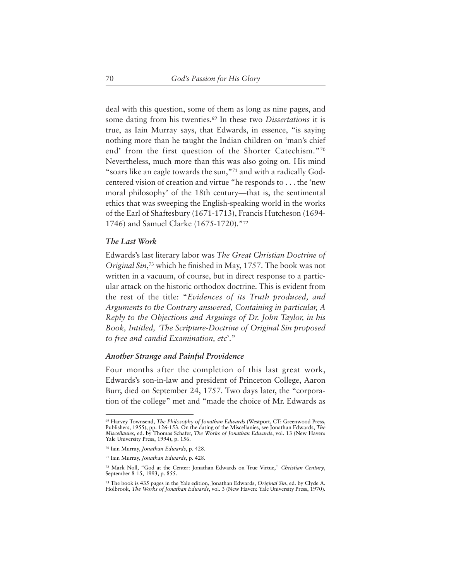deal with this question, some of them as long as nine pages, and some dating from his twenties.69 In these two *Dissertations* it is true, as Iain Murray says, that Edwards, in essence, "is saying nothing more than he taught the Indian children on 'man's chief end' from the first question of the Shorter Catechism."70 Nevertheless, much more than this was also going on. His mind "soars like an eagle towards the sun,"71 and with a radically Godcentered vision of creation and virtue "he responds to . . . the 'new moral philosophy' of the 18th century—that is, the sentimental ethics that was sweeping the English-speaking world in the works of the Earl of Shaftesbury (1671-1713), Francis Hutcheson (1694- 1746) and Samuel Clarke (1675-1720)."72

#### *The Last Work*

Edwards's last literary labor was *The Great Christian Doctrine of Original Sin*, <sup>73</sup> which he finished in May, 1757. The book was not written in a vacuum, of course, but in direct response to a particular attack on the historic orthodox doctrine. This is evident from the rest of the title: "*Evidences of its Truth produced, and Arguments to the Contrary answered, Containing in particular, A Reply to the Objections and Arguings of Dr. John Taylor, in his Book, Intitled, 'The Scripture-Doctrine of Original Sin proposed to free and candid Examination, etc*'."

#### *Another Strange and Painful Providence*

Four months after the completion of this last great work, Edwards's son-in-law and president of Princeton College, Aaron Burr, died on September 24, 1757. Two days later, the "corporation of the college" met and "made the choice of Mr. Edwards as

<sup>69</sup> Harvey Townsend, *The Philosophy of Jonathan Edwards* (Westport, CT: Greenwood Press, Publishers, 1955), pp. 126-153. On the dating of the Miscellanies, see Jonathan Edwards, *The Miscellanies,* ed. by Thomas Schafer, *The Works of Jonathan Edwards*, vol. 13 (New Haven: Yale University Press, 1994), p. 156.

<sup>70</sup> Iain Murray, *Jonathan Edwards*, p. 428.

<sup>71</sup> Iain Murray, *Jonathan Edwards*, p. 428.

<sup>72</sup> Mark Noll, "God at the Center: Jonathan Edwards on True Virtue," *Christian Century*, September 8-15, 1993, p. 855.

<sup>73</sup> The book is 435 pages in the Yale edition, Jonathan Edwards, *Original Sin*, ed. by Clyde A. Holbrook, *The Works of Jonathan Edwards*, vol. 3 (New Haven: Yale University Press, 1970).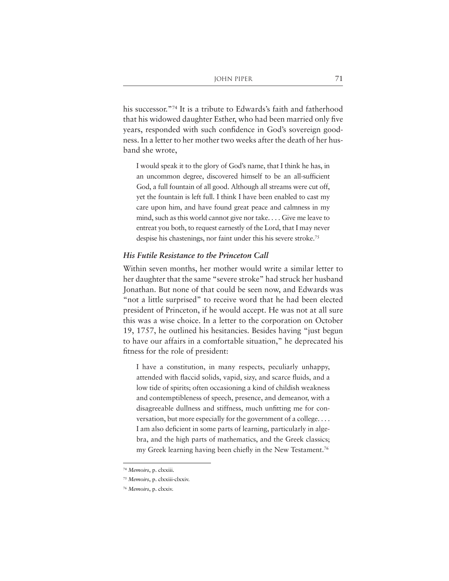his successor."<sup>74</sup> It is a tribute to Edwards's faith and fatherhood that his widowed daughter Esther, who had been married only five years, responded with such confidence in God's sovereign goodness. In a letter to her mother two weeks after the death of her husband she wrote,

I would speak it to the glory of God's name, that I think he has, in an uncommon degree, discovered himself to be an all-sufficient God, a full fountain of all good. Although all streams were cut off, yet the fountain is left full. I think I have been enabled to cast my care upon him, and have found great peace and calmness in my mind, such as this world cannot give nor take. . . . Give me leave to entreat you both, to request earnestly of the Lord, that I may never despise his chastenings, nor faint under this his severe stroke.<sup>75</sup>

#### *His Futile Resistance to the Princeton Call*

Within seven months, her mother would write a similar letter to her daughter that the same "severe stroke" had struck her husband Jonathan. But none of that could be seen now, and Edwards was "not a little surprised" to receive word that he had been elected president of Princeton, if he would accept. He was not at all sure this was a wise choice. In a letter to the corporation on October 19, 1757, he outlined his hesitancies. Besides having "just begun to have our affairs in a comfortable situation," he deprecated his fitness for the role of president:

I have a constitution, in many respects, peculiarly unhappy, attended with flaccid solids, vapid, sizy, and scarce fluids, and a low tide of spirits; often occasioning a kind of childish weakness and contemptibleness of speech, presence, and demeanor, with a disagreeable dullness and stiffness, much unfitting me for conversation, but more especially for the government of a college. . . . I am also deficient in some parts of learning, particularly in algebra, and the high parts of mathematics, and the Greek classics; my Greek learning having been chiefly in the New Testament.76

<sup>74</sup> *Memoirs*, p. clxxiii.

<sup>75</sup> *Memoirs*, p. clxxiii-clxxiv.

<sup>76</sup> *Memoirs*, p. clxxiv.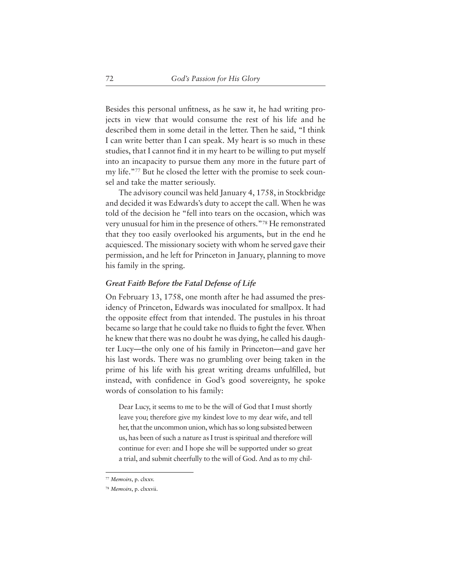Besides this personal unfitness, as he saw it, he had writing projects in view that would consume the rest of his life and he described them in some detail in the letter. Then he said, "I think I can write better than I can speak. My heart is so much in these studies, that I cannot find it in my heart to be willing to put myself into an incapacity to pursue them any more in the future part of my life."77 But he closed the letter with the promise to seek counsel and take the matter seriously.

The advisory council was held January 4, 1758, in Stockbridge and decided it was Edwards's duty to accept the call. When he was told of the decision he "fell into tears on the occasion, which was very unusual for him in the presence of others."78 He remonstrated that they too easily overlooked his arguments, but in the end he acquiesced. The missionary society with whom he served gave their permission, and he left for Princeton in January, planning to move his family in the spring.

## *Great Faith Before the Fatal Defense of Life*

On February 13, 1758, one month after he had assumed the presidency of Princeton, Edwards was inoculated for smallpox. It had the opposite effect from that intended. The pustules in his throat became so large that he could take no fluids to fight the fever. When he knew that there was no doubt he was dying, he called his daughter Lucy—the only one of his family in Princeton—and gave her his last words. There was no grumbling over being taken in the prime of his life with his great writing dreams unfulfilled, but instead, with confidence in God's good sovereignty, he spoke words of consolation to his family:

Dear Lucy, it seems to me to be the will of God that I must shortly leave you; therefore give my kindest love to my dear wife, and tell her, that the uncommon union, which has so long subsisted between us, has been of such a nature as I trust is spiritual and therefore will continue for ever: and I hope she will be supported under so great a trial, and submit cheerfully to the will of God. And as to my chil-

<sup>77</sup> *Memoirs*, p. clxxv.

<sup>78</sup> *Memoirs*, p. clxxvii.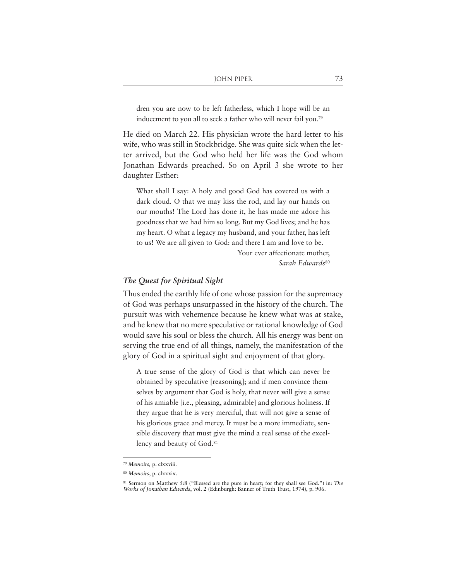dren you are now to be left fatherless, which I hope will be an inducement to you all to seek a father who will never fail you.79

He died on March 22. His physician wrote the hard letter to his wife, who was still in Stockbridge. She was quite sick when the letter arrived, but the God who held her life was the God whom Jonathan Edwards preached. So on April 3 she wrote to her daughter Esther:

What shall I say: A holy and good God has covered us with a dark cloud. O that we may kiss the rod, and lay our hands on our mouths! The Lord has done it, he has made me adore his goodness that we had him so long. But my God lives; and he has my heart. O what a legacy my husband, and your father, has left to us! We are all given to God: and there I am and love to be.

> Your ever affectionate mother, *Sarah Edwards*<sup>80</sup>

#### *The Quest for Spiritual Sight*

Thus ended the earthly life of one whose passion for the supremacy of God was perhaps unsurpassed in the history of the church. The pursuit was with vehemence because he knew what was at stake, and he knew that no mere speculative or rational knowledge of God would save his soul or bless the church. All his energy was bent on serving the true end of all things, namely, the manifestation of the glory of God in a spiritual sight and enjoyment of that glory.

A true sense of the glory of God is that which can never be obtained by speculative [reasoning]; and if men convince themselves by argument that God is holy, that never will give a sense of his amiable [i.e., pleasing, admirable] and glorious holiness. If they argue that he is very merciful, that will not give a sense of his glorious grace and mercy. It must be a more immediate, sensible discovery that must give the mind a real sense of the excellency and beauty of God.<sup>81</sup>

<sup>79</sup> *Memoirs,* p. clxxviii.

<sup>80</sup> *Memoirs*, p. clxxxix.

<sup>81</sup> Sermon on Matthew 5:8 ("Blessed are the pure in heart; for they shall see God.") in: *The Works of Jonathan Edwards*, vol. 2 (Edinburgh: Banner of Truth Trust, 1974), p. 906.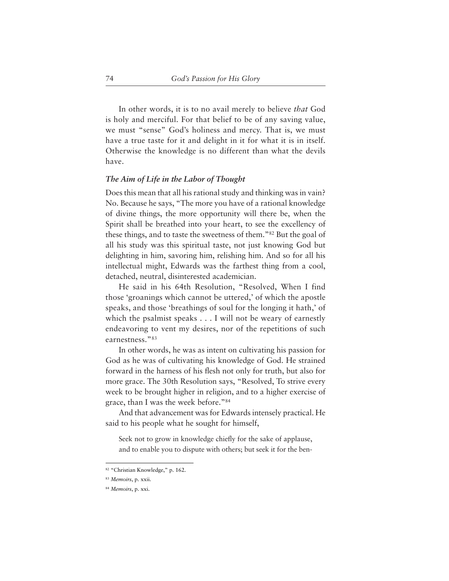In other words, it is to no avail merely to believe *that* God is holy and merciful. For that belief to be of any saving value, we must "sense" God's holiness and mercy. That is, we must have a true taste for it and delight in it for what it is in itself. Otherwise the knowledge is no different than what the devils have.

#### *The Aim of Life in the Labor of Thought*

Does this mean that all his rational study and thinking was in vain? No. Because he says, "The more you have of a rational knowledge of divine things, the more opportunity will there be, when the Spirit shall be breathed into your heart, to see the excellency of these things, and to taste the sweetness of them."82 But the goal of all his study was this spiritual taste, not just knowing God but delighting in him, savoring him, relishing him. And so for all his intellectual might, Edwards was the farthest thing from a cool, detached, neutral, disinterested academician.

He said in his 64th Resolution, "Resolved, When I find those 'groanings which cannot be uttered,' of which the apostle speaks, and those 'breathings of soul for the longing it hath,' of which the psalmist speaks . . . I will not be weary of earnestly endeavoring to vent my desires, nor of the repetitions of such earnestness."83

In other words, he was as intent on cultivating his passion for God as he was of cultivating his knowledge of God. He strained forward in the harness of his flesh not only for truth, but also for more grace. The 30th Resolution says, "Resolved, To strive every week to be brought higher in religion, and to a higher exercise of grace, than I was the week before."84

And that advancement was for Edwards intensely practical. He said to his people what he sought for himself,

Seek not to grow in knowledge chiefly for the sake of applause, and to enable you to dispute with others; but seek it for the ben-

<sup>82</sup> "Christian Knowledge," p. 162.

<sup>83</sup> *Memoirs*, p. xxii.

<sup>84</sup> *Memoirs*, p. xxi.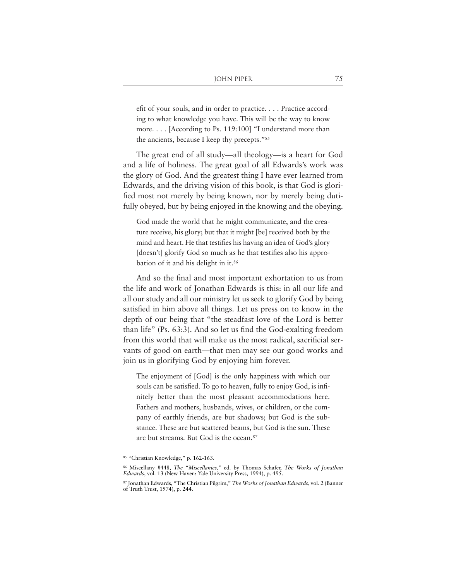efit of your souls, and in order to practice. . . . Practice according to what knowledge you have. This will be the way to know more. . . . [According to Ps. 119:100] "I understand more than the ancients, because I keep thy precepts."85

The great end of all study—all theology—is a heart for God and a life of holiness. The great goal of all Edwards's work was the glory of God. And the greatest thing I have ever learned from Edwards, and the driving vision of this book, is that God is glorified most not merely by being known, nor by merely being dutifully obeyed, but by being enjoyed in the knowing and the obeying.

God made the world that he might communicate, and the creature receive, his glory; but that it might [be] received both by the mind and heart. He that testifies his having an idea of God's glory [doesn't] glorify God so much as he that testifies also his approbation of it and his delight in it.<sup>86</sup>

And so the final and most important exhortation to us from the life and work of Jonathan Edwards is this: in all our life and all our study and all our ministry let us seek to glorify God by being satisfied in him above all things. Let us press on to know in the depth of our being that "the steadfast love of the Lord is better than life" (Ps. 63:3). And so let us find the God-exalting freedom from this world that will make us the most radical, sacrificial servants of good on earth—that men may see our good works and join us in glorifying God by enjoying him forever.

The enjoyment of [God] is the only happiness with which our souls can be satisfied. To go to heaven, fully to enjoy God, is infinitely better than the most pleasant accommodations here. Fathers and mothers, husbands, wives, or children, or the company of earthly friends, are but shadows; but God is the substance. These are but scattered beams, but God is the sun. These are but streams. But God is the ocean.87

<sup>85</sup> "Christian Knowledge," p. 162-163.

<sup>86</sup> Miscellany #448, *The "Miscellanies,"* ed. by Thomas Schafer, *The Works of Jonathan Edwards*, vol. 13 (New Haven: Yale University Press, 1994), p. 495.

<sup>87</sup> Jonathan Edwards, "The Christian Pilgrim," *The Works of Jonathan Edwards*, vol. 2 (Banner of Truth Trust, 1974), p. 244.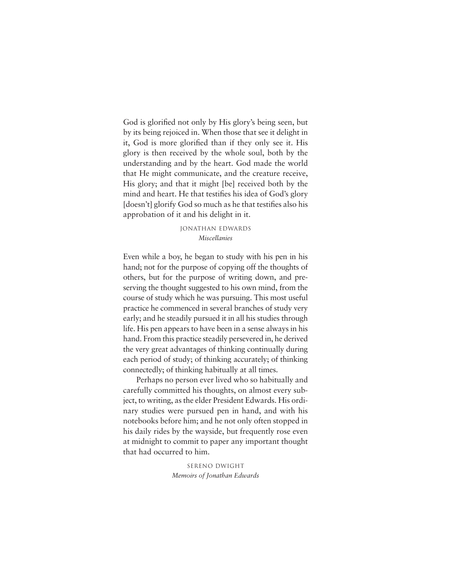God is glorified not only by His glory's being seen, but by its being rejoiced in. When those that see it delight in it, God is more glorified than if they only see it. His glory is then received by the whole soul, both by the understanding and by the heart. God made the world that He might communicate, and the creature receive, His glory; and that it might [be] received both by the mind and heart. He that testifies his idea of God's glory [doesn't] glorify God so much as he that testifies also his approbation of it and his delight in it.

#### Jonathan Edwards *Miscellanies*

Even while a boy, he began to study with his pen in his hand; not for the purpose of copying off the thoughts of others, but for the purpose of writing down, and preserving the thought suggested to his own mind, from the course of study which he was pursuing. This most useful practice he commenced in several branches of study very early; and he steadily pursued it in all his studies through life. His pen appears to have been in a sense always in his hand. From this practice steadily persevered in, he derived the very great advantages of thinking continually during each period of study; of thinking accurately; of thinking connectedly; of thinking habitually at all times.

Perhaps no person ever lived who so habitually and carefully committed his thoughts, on almost every subject, to writing, as the elder President Edwards. His ordinary studies were pursued pen in hand, and with his notebooks before him; and he not only often stopped in his daily rides by the wayside, but frequently rose even at midnight to commit to paper any important thought that had occurred to him.

> Sereno Dwight *Memoirs of Jonathan Edwards*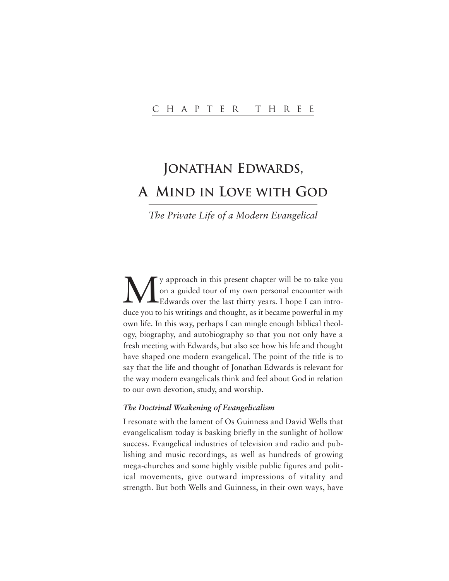# **JONATHAN EDWARDS, A MIND IN LOVE WITH GOD**

*The Private Life of a Modern Evangelical*

We approach in this present chapter will be to take you on a guided tour of my own personal encounter with Edwards over the last thirty years. I hope I can introon a guided tour of my own personal encounter with duce you to his writings and thought, as it became powerful in my own life. In this way, perhaps I can mingle enough biblical theology, biography, and autobiography so that you not only have a fresh meeting with Edwards, but also see how his life and thought have shaped one modern evangelical. The point of the title is to say that the life and thought of Jonathan Edwards is relevant for the way modern evangelicals think and feel about God in relation to our own devotion, study, and worship.

## *The Doctrinal Weakening of Evangelicalism*

I resonate with the lament of Os Guinness and David Wells that evangelicalism today is basking briefly in the sunlight of hollow success. Evangelical industries of television and radio and publishing and music recordings, as well as hundreds of growing mega-churches and some highly visible public figures and political movements, give outward impressions of vitality and strength. But both Wells and Guinness, in their own ways, have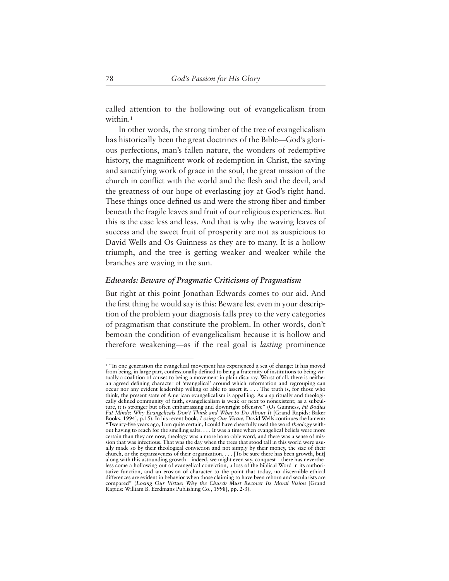called attention to the hollowing out of evangelicalism from within.<sup>1</sup>

In other words, the strong timber of the tree of evangelicalism has historically been the great doctrines of the Bible—God's glorious perfections, man's fallen nature, the wonders of redemptive history, the magnificent work of redemption in Christ, the saving and sanctifying work of grace in the soul, the great mission of the church in conflict with the world and the flesh and the devil, and the greatness of our hope of everlasting joy at God's right hand. These things once defined us and were the strong fiber and timber beneath the fragile leaves and fruit of our religious experiences. But this is the case less and less. And that is why the waving leaves of success and the sweet fruit of prosperity are not as auspicious to David Wells and Os Guinness as they are to many. It is a hollow triumph, and the tree is getting weaker and weaker while the branches are waving in the sun.

# *Edwards: Beware of Pragmatic Criticisms of Pragmatism*

But right at this point Jonathan Edwards comes to our aid. And the first thing he would say is this: Beware lest even in your description of the problem your diagnosis falls prey to the very categories of pragmatism that constitute the problem. In other words, don't bemoan the condition of evangelicalism because it is hollow and therefore weakening—as if the real goal is *lasting* prominence

<sup>&</sup>lt;sup>1</sup> "In one generation the evangelical movement has experienced a sea of change: It has moved from being, in large part, confessionally defined to being a fraternity of institutions to being virtually a coalition of causes to being a movement in plain disarray. Worst of all, there is neither an agreed defining character of 'evangelical' around which reformation and regrouping can occur nor any evident leadership willing or able to assert it. . . . The truth is, for those who think, the present state of American evangelicalism is appalling. As a spiritually and theologically defined community of faith, evangelicalism is weak or next to nonexistent; as a subculture, it is stronger but often embarrassing and downright offensive" (Os Guinness, *Fit Bodies Fat Minds: Why Evangelicals Don't Think and What to Do About It* [Grand Rapids: Baker Books, 1994], p.15). In his recent book, *Losing Our Virtue,* David Wells continues the lament: "Twenty-five years ago, I am quite certain, I could have cheerfully used the word *theology* without having to reach for the smelling salts. . . . It was a time when evangelical beliefs were more certain than they are now, theology was a more honorable word, and there was a sense of mission that was infectious. That was the day when the trees that stood tall in this world were usually made so by their theological conviction and not simply by their money, the size of their church, or the expansiveness of their organization. . . . [To be sure there has been growth, but] along with this astounding growth—indeed, we might even say, conquest—there has nevertheless come a hollowing out of evangelical conviction, a loss of the biblical Word in its authoritative function, and an erosion of character to the point that today, no discernible ethical differences are evident in behavior when those claiming to have been reborn and secularists are compared" (*Losing Our Virtue: Why the Church Must Recover Its Moral Vision* [Grand Rapids: William B. Eerdmans Publishing Co., 1998], pp. 2-3).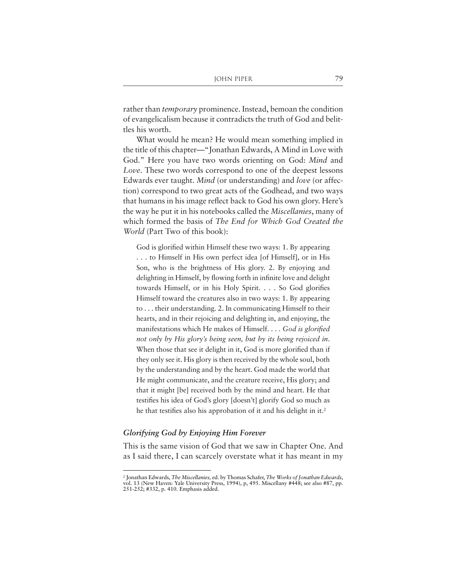rather than *temporary* prominence. Instead, bemoan the condition of evangelicalism because it contradicts the truth of God and belittles his worth.

What would he mean? He would mean something implied in the title of this chapter—"Jonathan Edwards, A Mind in Love with God." Here you have two words orienting on God: *Mind* and *Love*. These two words correspond to one of the deepest lessons Edwards ever taught. *Mind* (or understanding) and *love* (or affection) correspond to two great acts of the Godhead, and two ways that humans in his image reflect back to God his own glory. Here's the way he put it in his notebooks called the *Miscellanies*, many of which formed the basis of *The End for Which God Created the World* (Part Two of this book):

God is glorified within Himself these two ways: 1. By appearing . . . to Himself in His own perfect idea [of Himself], or in His Son, who is the brightness of His glory. 2. By enjoying and delighting in Himself, by flowing forth in infinite love and delight towards Himself, or in his Holy Spirit. . . . So God glorifies Himself toward the creatures also in two ways: 1. By appearing to . . . their understanding. 2. In communicating Himself to their hearts, and in their rejoicing and delighting in, and enjoying, the manifestations which He makes of Himself. . . . *God is glorified not only by His glory's being seen, but by its being rejoiced in*. When those that see it delight in it, God is more glorified than if they only see it. His glory is then received by the whole soul, both by the understanding and by the heart. God made the world that He might communicate, and the creature receive, His glory; and that it might [be] received both by the mind and heart. He that testifies his idea of God's glory [doesn't] glorify God so much as he that testifies also his approbation of it and his delight in it.<sup>2</sup>

## *Glorifying God by Enjoying Him Forever*

This is the same vision of God that we saw in Chapter One. And as I said there, I can scarcely overstate what it has meant in my

<sup>2</sup> Jonathan Edwards, *The Miscellanies,* ed. by Thomas Schafer, *The Works of Jonathan Edwards*, vol. 13 (New Haven: Yale University Press, 1994), p, 495. Miscellany #448; see also #87, pp. 251-252; #332, p. 410. Emphasis added.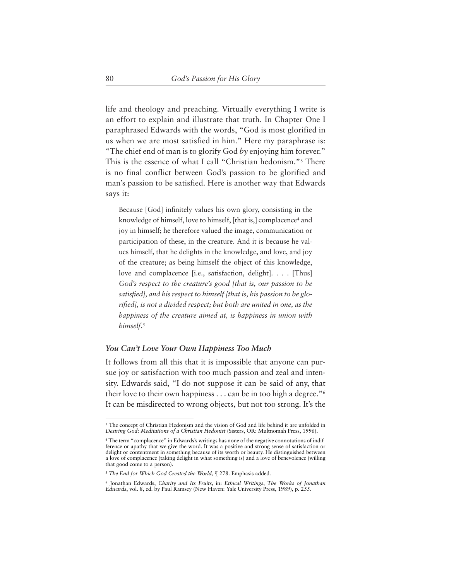life and theology and preaching. Virtually everything I write is an effort to explain and illustrate that truth. In Chapter One I paraphrased Edwards with the words, "God is most glorified in us when we are most satisfied in him." Here my paraphrase is: "The chief end of man is to glorify God *by* enjoying him forever." This is the essence of what I call "Christian hedonism."3 There is no final conflict between God's passion to be glorified and man's passion to be satisfied. Here is another way that Edwards says it:

Because [God] infinitely values his own glory, consisting in the knowledge of himself, love to himself, [that is,] complacence<sup>4</sup> and joy in himself; he therefore valued the image, communication or participation of these, in the creature. And it is because he values himself, that he delights in the knowledge, and love, and joy of the creature; as being himself the object of this knowledge, love and complacence [i.e., satisfaction, delight]. . . . [Thus] *God's respect to the creature's good [that is, our passion to be satisfied], and his respect to himself [that is, his passion to be glorified], is not a divided respect; but both are united in one, as the happiness of the creature aimed at, is happiness in union with himself*. 5

# *You Can't Love Your Own Happiness Too Much*

It follows from all this that it is impossible that anyone can pursue joy or satisfaction with too much passion and zeal and intensity. Edwards said, "I do not suppose it can be said of any, that their love to their own happiness . . . can be in too high a degree."6 It can be misdirected to wrong objects, but not too strong. It's the

<sup>&</sup>lt;sup>3</sup> The concept of Christian Hedonism and the vision of God and life behind it are unfolded in *Desiring God: Meditations of a Christian Hedonist* (Sisters, OR: Multnomah Press, 1996).

<sup>4</sup> The term "complacence" in Edwards's writings has none of the negative connotations of indifference or apathy that we give the word. It was a positive and strong sense of satisfaction or delight or contentment in something because of its worth or beauty. He distinguished between a love of complacence (taking delight in what something is) and a love of benevolence (willing that good come to a person).

<sup>5</sup> *The End for Which God Created the World,* ¶ 278. Emphasis added.

<sup>6</sup> Jonathan Edwards, *Charity and Its Fruits*, in: *Ethical Writings*, *The Works of Jonathan Edwards*, vol. 8, ed. by Paul Ramsey (New Haven: Yale University Press, 1989), p. 255.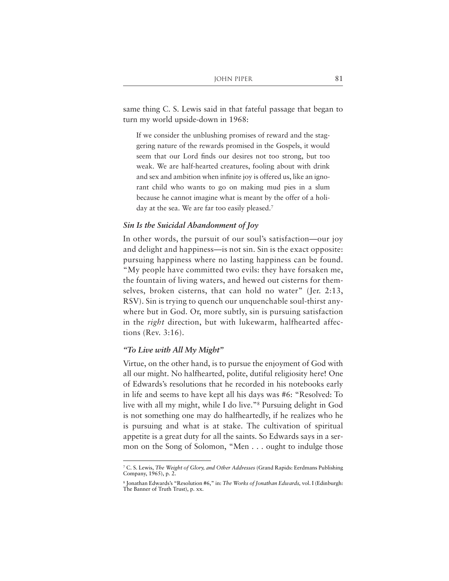same thing C. S. Lewis said in that fateful passage that began to turn my world upside-down in 1968:

If we consider the unblushing promises of reward and the staggering nature of the rewards promised in the Gospels, it would seem that our Lord finds our desires not too strong, but too weak. We are half-hearted creatures, fooling about with drink and sex and ambition when infinite joy is offered us, like an ignorant child who wants to go on making mud pies in a slum because he cannot imagine what is meant by the offer of a holiday at the sea. We are far too easily pleased.7

# *Sin Is the Suicidal Abandonment of Joy*

In other words, the pursuit of our soul's satisfaction—our joy and delight and happiness—is not sin. Sin is the exact opposite: pursuing happiness where no lasting happiness can be found. "My people have committed two evils: they have forsaken me, the fountain of living waters, and hewed out cisterns for themselves, broken cisterns, that can hold no water" (Jer. 2:13, RSV). Sin is trying to quench our unquenchable soul-thirst anywhere but in God. Or, more subtly, sin is pursuing satisfaction in the *right* direction, but with lukewarm, halfhearted affections (Rev. 3:16).

### *"To Live with All My Might"*

Virtue, on the other hand, is to pursue the enjoyment of God with all our might. No halfhearted, polite, dutiful religiosity here! One of Edwards's resolutions that he recorded in his notebooks early in life and seems to have kept all his days was #6: "Resolved: To live with all my might, while I do live."8 Pursuing delight in God is not something one may do halfheartedly, if he realizes who he is pursuing and what is at stake. The cultivation of spiritual appetite is a great duty for all the saints. So Edwards says in a sermon on the Song of Solomon, "Men . . . ought to indulge those

<sup>7</sup> C. S. Lewis, *The Weight of Glory, and Other Addresses* (Grand Rapids: Eerdmans Publishing Company, 1965), p. 2.

<sup>8</sup> Jonathan Edwards's "Resolution #6," in: *The Works of Jonathan Edwards,* vol. I (Edinburgh: The Banner of Truth Trust), p. xx.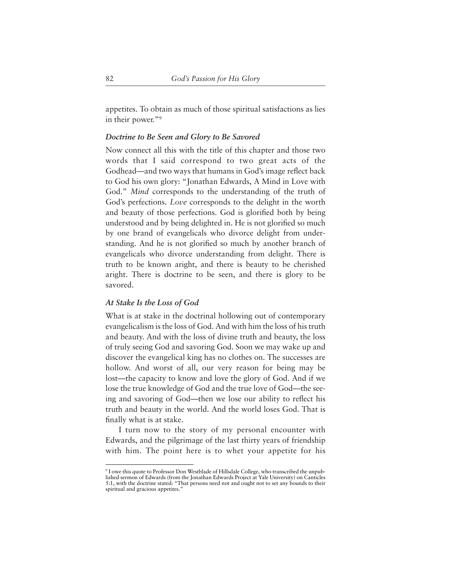appetites. To obtain as much of those spiritual satisfactions as lies in their power."9

# *Doctrine to Be Seen and Glory to Be Savored*

Now connect all this with the title of this chapter and those two words that I said correspond to two great acts of the Godhead—and two ways that humans in God's image reflect back to God his own glory: "Jonathan Edwards, A Mind in Love with God." *Mind* corresponds to the understanding of the truth of God's perfections. *Love* corresponds to the delight in the worth and beauty of those perfections. God is glorified both by being understood and by being delighted in. He is not glorified so much by one brand of evangelicals who divorce delight from understanding. And he is not glorified so much by another branch of evangelicals who divorce understanding from delight. There is truth to be known aright, and there is beauty to be cherished aright. There is doctrine to be seen, and there is glory to be savored.

# *At Stake Is the Loss of God*

What is at stake in the doctrinal hollowing out of contemporary evangelicalism is the loss of God. And with him the loss of his truth and beauty. And with the loss of divine truth and beauty, the loss of truly seeing God and savoring God. Soon we may wake up and discover the evangelical king has no clothes on. The successes are hollow. And worst of all, our very reason for being may be lost—the capacity to know and love the glory of God. And if we lose the true knowledge of God and the true love of God—the seeing and savoring of God—then we lose our ability to reflect his truth and beauty in the world. And the world loses God. That is finally what is at stake.

I turn now to the story of my personal encounter with Edwards, and the pilgrimage of the last thirty years of friendship with him. The point here is to whet your appetite for his

<sup>9</sup> I owe this quote to Professor Don Westblade of Hillsdale College, who transcribed the unpublished sermon of Edwards (from the Jonathan Edwards Project at Yale University) on Canticles 5:1, with the doctrine stated: "That persons need not and ought not to set any bounds to their spiritual and gracious appetites.'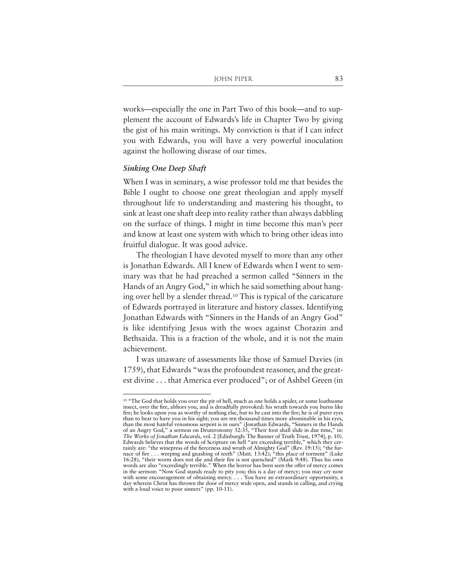works—especially the one in Part Two of this book—and to supplement the account of Edwards's life in Chapter Two by giving the gist of his main writings. My conviction is that if I can infect you with Edwards, you will have a very powerful inoculation against the hollowing disease of our times.

## *Sinking One Deep Shaft*

When I was in seminary, a wise professor told me that besides the Bible I ought to choose one great theologian and apply myself throughout life to understanding and mastering his thought, to sink at least one shaft deep into reality rather than always dabbling on the surface of things. I might in time become this man's peer and know at least one system with which to bring other ideas into fruitful dialogue. It was good advice.

The theologian I have devoted myself to more than any other is Jonathan Edwards. All I knew of Edwards when I went to seminary was that he had preached a sermon called "Sinners in the Hands of an Angry God," in which he said something about hanging over hell by a slender thread.10 This is typical of the caricature of Edwards portrayed in literature and history classes. Identifying Jonathan Edwards with "Sinners in the Hands of an Angry God" is like identifying Jesus with the woes against Chorazin and Bethsaida. This is a fraction of the whole, and it is not the main achievement.

I was unaware of assessments like those of Samuel Davies (in 1759), that Edwards "was the profoundest reasoner, and the greatest divine . . . that America ever produced"; or of Ashbel Green (in

<sup>&</sup>lt;sup>10</sup> "The God that holds you over the pit of hell, much as one holds a spider, or some loathsome insect, over the fire, abhors you, and is dreadfully provoked: his wrath towards you burns like fire; he looks upon you as worthy of nothing else, but to be cast into the fire; he is of purer eyes than to bear to have you in his sight; you are ten thousand times more abominable in his eyes, than the most hateful venomous serpent is in ours" (Jonathan Edwards, "Sinners in the Hands of an Angry God," a sermon on Deuteronomy 32:35, "Their foot shall slide in due time," in: *The Works of Jonathan Edwards*, vol. 2 [Edinburgh: The Banner of Truth Trust, 1974], p. 10). Edwards believes that the words of Scripture on hell "are exceeding terrible," which they certainly are: "the winepress of the fierceness and wrath of Almighty God" (Rev. 19:15); "the furnace of fire . . . weeping and gnashing of teeth" (Matt. 13:42); "this place of torment" (Luke 16:28), "their worm does not die and their fire is not quenched" (Mark 9:48). Thus his own words are also "exceedingly terrible." When the horror has been seen the offer of mercy comes in the sermon: "Now God stands ready to pity you; this is a day of mercy; you may cry now with some encouragement of obtaining mercy. . . . You have an extraordinary opportunity, a day wherein Christ has thrown the door of mercy wide open, and stands in calling, and crying with a loud voice to poor sinners" (pp. 10-11).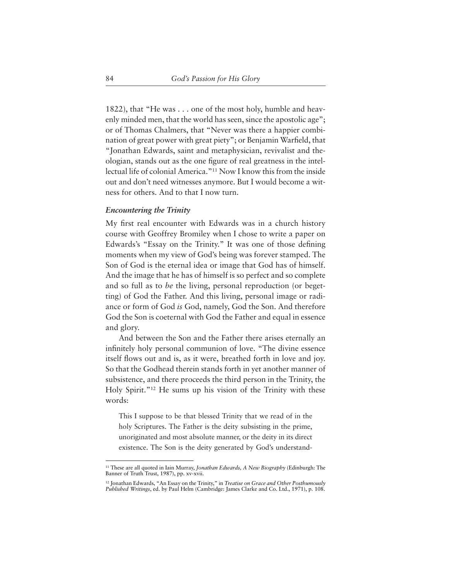1822), that "He was . . . one of the most holy, humble and heavenly minded men, that the world has seen, since the apostolic age"; or of Thomas Chalmers, that "Never was there a happier combination of great power with great piety"; or Benjamin Warfield, that "Jonathan Edwards, saint and metaphysician, revivalist and theologian, stands out as the one figure of real greatness in the intellectual life of colonial America."11 Now I know this from the inside out and don't need witnesses anymore. But I would become a witness for others. And to that I now turn.

#### *Encountering the Trinity*

My first real encounter with Edwards was in a church history course with Geoffrey Bromiley when I chose to write a paper on Edwards's "Essay on the Trinity." It was one of those defining moments when my view of God's being was forever stamped. The Son of God is the eternal idea or image that God has of himself. And the image that he has of himself is so perfect and so complete and so full as to *be* the living, personal reproduction (or begetting) of God the Father. And this living, personal image or radiance or form of God *is* God, namely, God the Son. And therefore God the Son is coeternal with God the Father and equal in essence and glory.

And between the Son and the Father there arises eternally an infinitely holy personal communion of love. "The divine essence itself flows out and is, as it were, breathed forth in love and joy. So that the Godhead therein stands forth in yet another manner of subsistence, and there proceeds the third person in the Trinity, the Holy Spirit."12 He sums up his vision of the Trinity with these words:

This I suppose to be that blessed Trinity that we read of in the holy Scriptures. The Father is the deity subsisting in the prime, unoriginated and most absolute manner, or the deity in its direct existence. The Son is the deity generated by God's understand-

<sup>11</sup> These are all quoted in Iain Murray, *Jonathan Edwards, A New Biography* (Edinburgh: The Banner of Truth Trust, 1987), pp. xv-xvii.

<sup>12</sup> Jonathan Edwards, "An Essay on the Trinity," in *Treatise on Grace and Other Posthumously Published Writings*, ed. by Paul Helm (Cambridge: James Clarke and Co. Ltd., 1971), p. 108.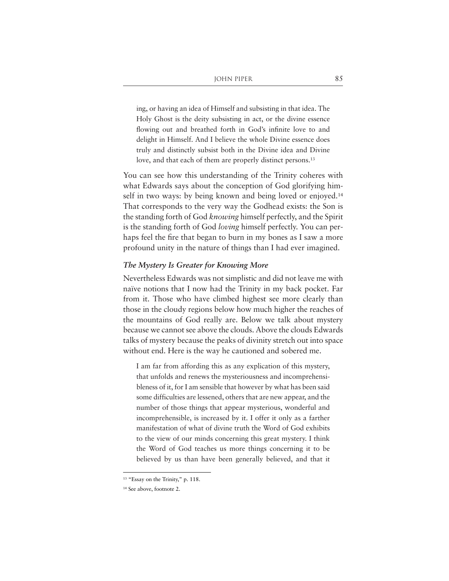ing, or having an idea of Himself and subsisting in that idea. The Holy Ghost is the deity subsisting in act, or the divine essence flowing out and breathed forth in God's infinite love to and delight in Himself. And I believe the whole Divine essence does truly and distinctly subsist both in the Divine idea and Divine love, and that each of them are properly distinct persons.<sup>13</sup>

You can see how this understanding of the Trinity coheres with what Edwards says about the conception of God glorifying himself in two ways: by being known and being loved or enjoyed.<sup>14</sup> That corresponds to the very way the Godhead exists: the Son is the standing forth of God *knowing* himself perfectly, and the Spirit is the standing forth of God *loving* himself perfectly. You can perhaps feel the fire that began to burn in my bones as I saw a more profound unity in the nature of things than I had ever imagined.

# *The Mystery Is Greater for Knowing More*

Nevertheless Edwards was not simplistic and did not leave me with naïve notions that I now had the Trinity in my back pocket. Far from it. Those who have climbed highest see more clearly than those in the cloudy regions below how much higher the reaches of the mountains of God really are. Below we talk about mystery because we cannot see above the clouds. Above the clouds Edwards talks of mystery because the peaks of divinity stretch out into space without end. Here is the way he cautioned and sobered me.

I am far from affording this as any explication of this mystery, that unfolds and renews the mysteriousness and incomprehensibleness of it, for I am sensible that however by what has been said some difficulties are lessened, others that are new appear, and the number of those things that appear mysterious, wonderful and incomprehensible, is increased by it. I offer it only as a farther manifestation of what of divine truth the Word of God exhibits to the view of our minds concerning this great mystery. I think the Word of God teaches us more things concerning it to be believed by us than have been generally believed, and that it

<sup>&</sup>lt;sup>13</sup> "Essay on the Trinity," p. 118.

<sup>&</sup>lt;sup>14</sup> See above, footnote 2.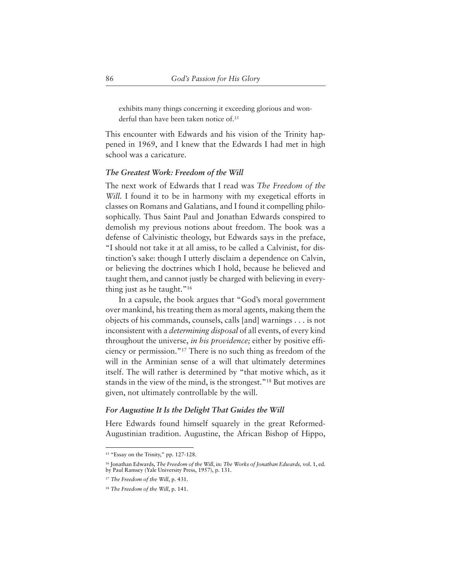exhibits many things concerning it exceeding glorious and wonderful than have been taken notice of.<sup>15</sup>

This encounter with Edwards and his vision of the Trinity happened in 1969, and I knew that the Edwards I had met in high school was a caricature.

#### *The Greatest Work: Freedom of the Will*

The next work of Edwards that I read was *The Freedom of the Will.* I found it to be in harmony with my exegetical efforts in classes on Romans and Galatians, and I found it compelling philosophically. Thus Saint Paul and Jonathan Edwards conspired to demolish my previous notions about freedom. The book was a defense of Calvinistic theology, but Edwards says in the preface, "I should not take it at all amiss, to be called a Calvinist, for distinction's sake: though I utterly disclaim a dependence on Calvin, or believing the doctrines which I hold, because he believed and taught them, and cannot justly be charged with believing in everything just as he taught."16

In a capsule, the book argues that "God's moral government over mankind, his treating them as moral agents, making them the objects of his commands, counsels, calls [and] warnings . . . is not inconsistent with a *determining disposal* of all events, of every kind throughout the universe, *in his providence;* either by positive efficiency or permission."17 There is no such thing as freedom of the will in the Arminian sense of a will that ultimately determines itself. The will rather is determined by "that motive which, as it stands in the view of the mind, is the strongest."18 But motives are given, not ultimately controllable by the will.

#### *For Augustine It Is the Delight That Guides the Will*

Here Edwards found himself squarely in the great Reformed-Augustinian tradition. Augustine, the African Bishop of Hippo,

<sup>&</sup>lt;sup>15</sup> "Essay on the Trinity," pp. 127-128.

<sup>16</sup> Jonathan Edwards, *The Freedom of the Will*, in: *The Works of Jonathan Edwards,* vol. 1, ed. by Paul Ramsey (Yale University Press, 1957), p. 131.

<sup>17</sup> *The Freedom of the Will*, p. 431.

<sup>18</sup> *The Freedom of the Will*, p. 141.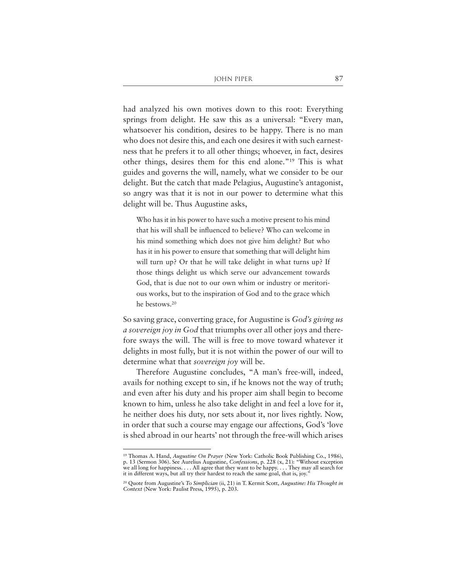had analyzed his own motives down to this root: Everything springs from delight. He saw this as a universal: "Every man, whatsoever his condition, desires to be happy. There is no man who does not desire this, and each one desires it with such earnestness that he prefers it to all other things; whoever, in fact, desires other things, desires them for this end alone."19 This is what guides and governs the will, namely, what we consider to be our delight. But the catch that made Pelagius, Augustine's antagonist, so angry was that it is not in our power to determine what this delight will be. Thus Augustine asks,

Who has it in his power to have such a motive present to his mind that his will shall be influenced to believe? Who can welcome in his mind something which does not give him delight? But who has it in his power to ensure that something that will delight him will turn up? Or that he will take delight in what turns up? If those things delight us which serve our advancement towards God, that is due not to our own whim or industry or meritorious works, but to the inspiration of God and to the grace which he bestows.20

So saving grace, converting grace, for Augustine is *God's giving us a sovereign joy in God* that triumphs over all other joys and therefore sways the will. The will is free to move toward whatever it delights in most fully, but it is not within the power of our will to determine what that *sovereign joy* will be.

Therefore Augustine concludes, "A man's free-will, indeed, avails for nothing except to sin, if he knows not the way of truth; and even after his duty and his proper aim shall begin to become known to him, unless he also take delight in and feel a love for it, he neither does his duty, nor sets about it, nor lives rightly. Now, in order that such a course may engage our affections, God's 'love is shed abroad in our hearts' not through the free-will which arises

<sup>19</sup> Thomas A. Hand, *Augustine On Prayer* (New York: Catholic Book Publishing Co., 1986), p. 13 (Sermon 306). See Aurelius Augustine, *Confessions*, p. 228 (x, 21): "Without exception we all long for happiness. . . . All agree that they want to be happy. . . . They may all search for it in different ways, but all try their hardest to reach the same goal, that is, joy."

<sup>20</sup> Quote from Augustine's *To Simplician* (ii, 21) in T. Kermit Scott, *Augustine: His Thought in Context* (New York: Paulist Press, 1995), p. 203.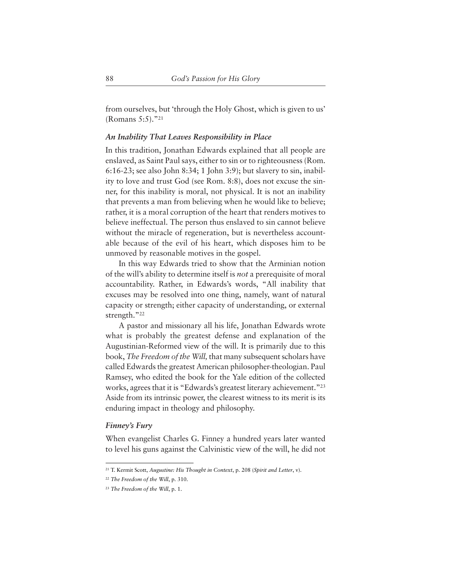from ourselves, but 'through the Holy Ghost, which is given to us' (Romans 5:5)."21

# *An Inability That Leaves Responsibility in Place*

In this tradition, Jonathan Edwards explained that all people are enslaved, as Saint Paul says, either to sin or to righteousness (Rom. 6:16-23; see also John 8:34; 1 John 3:9); but slavery to sin, inability to love and trust God (see Rom. 8:8), does not excuse the sinner, for this inability is moral, not physical. It is not an inability that prevents a man from believing when he would like to believe; rather, it is a moral corruption of the heart that renders motives to believe ineffectual. The person thus enslaved to sin cannot believe without the miracle of regeneration, but is nevertheless accountable because of the evil of his heart, which disposes him to be unmoved by reasonable motives in the gospel.

In this way Edwards tried to show that the Arminian notion of the will's ability to determine itself is *not* a prerequisite of moral accountability. Rather, in Edwards's words, "All inability that excuses may be resolved into one thing, namely, want of natural capacity or strength; either capacity of understanding, or external strength."22

A pastor and missionary all his life, Jonathan Edwards wrote what is probably the greatest defense and explanation of the Augustinian-Reformed view of the will. It is primarily due to this book, *The Freedom of the Will,* that many subsequent scholars have called Edwards the greatest American philosopher-theologian. Paul Ramsey, who edited the book for the Yale edition of the collected works, agrees that it is "Edwards's greatest literary achievement."23 Aside from its intrinsic power, the clearest witness to its merit is its enduring impact in theology and philosophy.

## *Finney's Fury*

When evangelist Charles G. Finney a hundred years later wanted to level his guns against the Calvinistic view of the will, he did not

<sup>21</sup> T. Kermit Scott, *Augustine: His Thought in Context*, p. 208 (*Spirit and Letter*, v).

<sup>22</sup> *The Freedom of the Will*, p. 310.

<sup>23</sup> *The Freedom of the Will*, p. 1.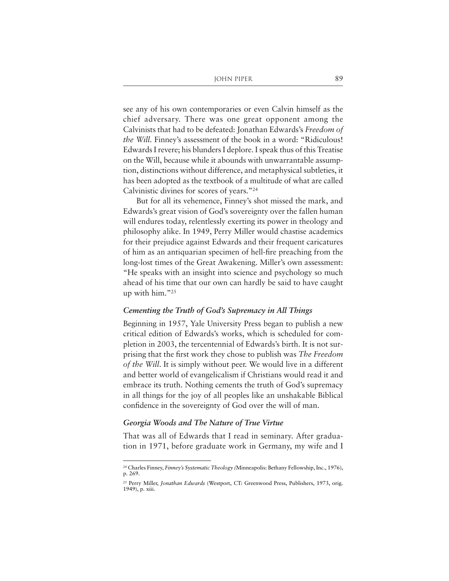see any of his own contemporaries or even Calvin himself as the chief adversary. There was one great opponent among the Calvinists that had to be defeated: Jonathan Edwards's *Freedom of the Will.* Finney's assessment of the book in a word: "Ridiculous! Edwards I revere; his blunders I deplore. I speak thus of this Treatise on the Will, because while it abounds with unwarrantable assumption, distinctions without difference, and metaphysical subtleties, it has been adopted as the textbook of a multitude of what are called Calvinistic divines for scores of years."24

But for all its vehemence, Finney's shot missed the mark, and Edwards's great vision of God's sovereignty over the fallen human will endures today, relentlessly exerting its power in theology and philosophy alike. In 1949, Perry Miller would chastise academics for their prejudice against Edwards and their frequent caricatures of him as an antiquarian specimen of hell-fire preaching from the long-lost times of the Great Awakening. Miller's own assessment: "He speaks with an insight into science and psychology so much ahead of his time that our own can hardly be said to have caught up with him."25

#### *Cementing the Truth of God's Supremacy in All Things*

Beginning in 1957, Yale University Press began to publish a new critical edition of Edwards's works, which is scheduled for completion in 2003, the tercentennial of Edwards's birth. It is not surprising that the first work they chose to publish was *The Freedom of the Will*. It is simply without peer. We would live in a different and better world of evangelicalism if Christians would read it and embrace its truth. Nothing cements the truth of God's supremacy in all things for the joy of all peoples like an unshakable Biblical confidence in the sovereignty of God over the will of man.

#### *Georgia Woods and The Nature of True Virtue*

That was all of Edwards that I read in seminary. After graduation in 1971, before graduate work in Germany, my wife and I

<sup>24</sup> Charles Finney, *Finney's Systematic Theology (*Minneapolis: Bethany Fellowship, Inc., 1976), p. 269.

<sup>25</sup> Perry Miller, *Jonathan Edwards* (Westport, CT: Greenwood Press, Publishers, 1973, orig. 1949), p. xiii.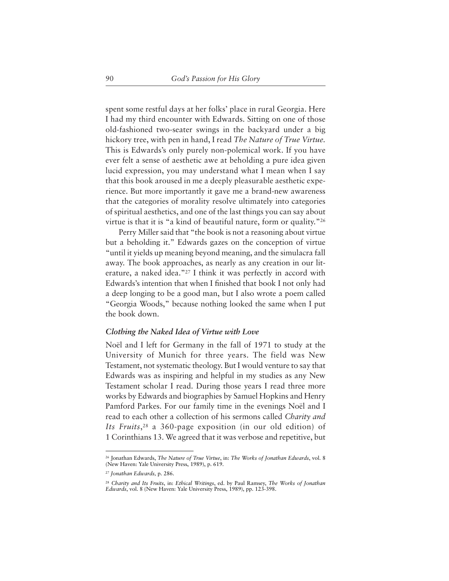spent some restful days at her folks' place in rural Georgia. Here I had my third encounter with Edwards. Sitting on one of those old-fashioned two-seater swings in the backyard under a big hickory tree, with pen in hand, I read *The Nature of True Virtue.* This is Edwards's only purely non-polemical work. If you have ever felt a sense of aesthetic awe at beholding a pure idea given lucid expression, you may understand what I mean when I say that this book aroused in me a deeply pleasurable aesthetic experience. But more importantly it gave me a brand-new awareness that the categories of morality resolve ultimately into categories of spiritual aesthetics, and one of the last things you can say about virtue is that it is "a kind of beautiful nature, form or quality."26

Perry Miller said that "the book is not a reasoning about virtue but a beholding it." Edwards gazes on the conception of virtue "until it yields up meaning beyond meaning, and the simulacra fall away. The book approaches, as nearly as any creation in our literature, a naked idea."27 I think it was perfectly in accord with Edwards's intention that when I finished that book I not only had a deep longing to be a good man, but I also wrote a poem called "Georgia Woods," because nothing looked the same when I put the book down.

# *Clothing the Naked Idea of Virtue with Love*

Noël and I left for Germany in the fall of 1971 to study at the University of Munich for three years. The field was New Testament, not systematic theology. But I would venture to say that Edwards was as inspiring and helpful in my studies as any New Testament scholar I read. During those years I read three more works by Edwards and biographies by Samuel Hopkins and Henry Pamford Parkes. For our family time in the evenings Noël and I read to each other a collection of his sermons called *Charity and* Its Fruits,<sup>28</sup> a 360-page exposition (in our old edition) of 1 Corinthians 13. We agreed that it was verbose and repetitive, but

<sup>26</sup> Jonathan Edwards, *The Nature of True Virtue*, in: *The Works of Jonathan Edwards*, vol. 8 (New Haven: Yale University Press, 1989), p. 619.

<sup>27</sup> *Jonathan Edwards,* p. 286.

<sup>28</sup> *Charity and Its Fruits*, in: *Ethical Writings*, ed. by Paul Ramsey, *The Works of Jonathan Edwards*, vol. 8 (New Haven: Yale University Press, 1989), pp. 123-398.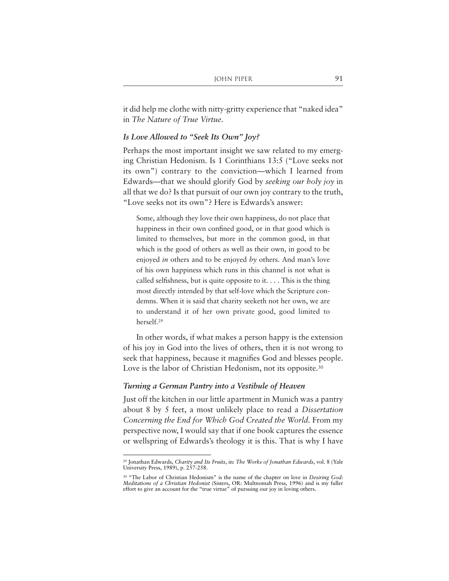it did help me clothe with nitty-gritty experience that "naked idea" in *The Nature of True Virtue.* 

# *Is Love Allowed to "Seek Its Own" Joy?*

Perhaps the most important insight we saw related to my emerging Christian Hedonism. Is 1 Corinthians 13:5 ("Love seeks not its own") contrary to the conviction—which I learned from Edwards—that we should glorify God by *seeking our holy joy* in all that we do? Is that pursuit of our own joy contrary to the truth, "Love seeks not its own"? Here is Edwards's answer:

Some, although they love their own happiness, do not place that happiness in their own confined good, or in that good which is limited to themselves, but more in the common good, in that which is the good of others as well as their own, in good to be enjoyed *in* others and to be enjoyed *by* others. And man's love of his own happiness which runs in this channel is not what is called selfishness, but is quite opposite to it.  $\ldots$ . This is the thing most directly intended by that self-love which the Scripture condemns. When it is said that charity seeketh not her own, we are to understand it of her own private good, good limited to herself.29

In other words, if what makes a person happy is the extension of his joy in God into the lives of others, then it is not wrong to seek that happiness, because it magnifies God and blesses people. Love is the labor of Christian Hedonism, not its opposite.<sup>30</sup>

### *Turning a German Pantry into a Vestibule of Heaven*

Just off the kitchen in our little apartment in Munich was a pantry about 8 by 5 feet, a most unlikely place to read a *Dissertation Concerning the End for Which God Created the World.* From my perspective now, I would say that if one book captures the essence or wellspring of Edwards's theology it is this. That is why I have

<sup>29</sup> Jonathan Edwards, *Charity and Its Fruits*, in: *The Works of Jonathan Edwards*, vol. 8 (Yale University Press, 1989), p. 257-258.

<sup>30</sup> "The Labor of Christian Hedonism" is the name of the chapter on love in *Desiring God: Meditations of a Christian Hedonist* (Sisters, OR: Multnomah Press, 1996) and is my fuller effort to give an account for the "true virtue" of pursuing our joy in loving others.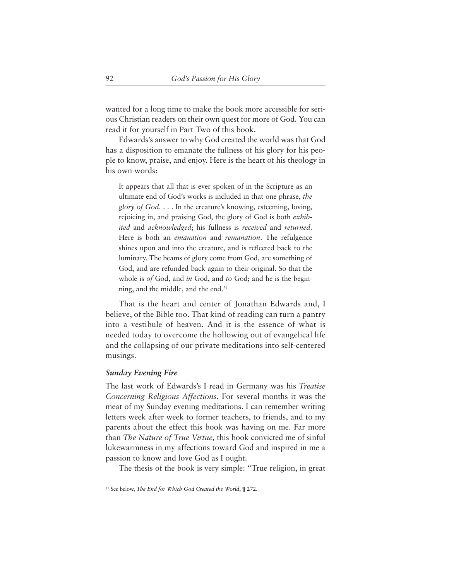wanted for a long time to make the book more accessible for serious Christian readers on their own quest for more of God. You can read it for yourself in Part Two of this book.

Edwards's answer to why God created the world was that God has a disposition to emanate the fullness of his glory for his people to know, praise, and enjoy. Here is the heart of his theology in his own words:

It appears that all that is ever spoken of in the Scripture as an ultimate end of God's works is included in that one phrase, *the glory of God*. . . . In the creature's knowing, esteeming, loving, rejoicing in, and praising God, the glory of God is both *exhibited* and *acknowledged*; his fullness is *received* and *returned*. Here is both an *emanation* and *remanation*. The refulgence shines upon and into the creature, and is reflected back to the luminary. The beams of glory come from God, are something of God, and are refunded back again to their original. So that the whole is *of* God, and *in* God, and *to* God; and he is the beginning, and the middle, and the end.31

That is the heart and center of Jonathan Edwards and, I believe, of the Bible too. That kind of reading can turn a pantry into a vestibule of heaven. And it is the essence of what is needed today to overcome the hollowing out of evangelical life and the collapsing of our private meditations into self-centered musings.

#### *Sunday Evening Fire*

The last work of Edwards's I read in Germany was his *Treatise Concerning Religious Affections*. For several months it was the meat of my Sunday evening meditations. I can remember writing letters week after week to former teachers, to friends, and to my parents about the effect this book was having on me. Far more than *The Nature of True Virtue,* this book convicted me of sinful lukewarmness in my affections toward God and inspired in me a passion to know and love God as I ought.

The thesis of the book is very simple: "True religion, in great

<sup>31</sup> See below, *The End for Which God Created the World*, ¶ 272.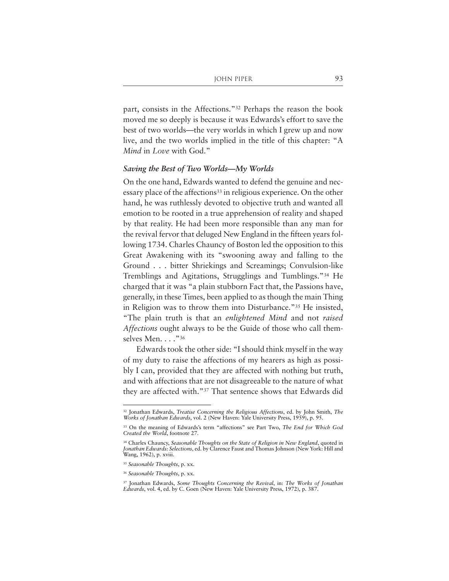part, consists in the Affections."32 Perhaps the reason the book moved me so deeply is because it was Edwards's effort to save the best of two worlds—the very worlds in which I grew up and now live, and the two worlds implied in the title of this chapter: "A *Mind* in *Love* with God."

#### *Saving the Best of Two Worlds—My Worlds*

On the one hand, Edwards wanted to defend the genuine and necessary place of the affections<sup>33</sup> in religious experience. On the other hand, he was ruthlessly devoted to objective truth and wanted all emotion to be rooted in a true apprehension of reality and shaped by that reality. He had been more responsible than any man for the revival fervor that deluged New England in the fifteen years following 1734. Charles Chauncy of Boston led the opposition to this Great Awakening with its "swooning away and falling to the Ground . . . bitter Shriekings and Screamings; Convulsion-like Tremblings and Agitations, Strugglings and Tumblings."34 He charged that it was "a plain stubborn Fact that, the Passions have, generally, in these Times, been applied to as though the main Thing in Religion was to throw them into Disturbance."35 He insisted, "The plain truth is that an *enlightened Mind* and not *raised Affections* ought always to be the Guide of those who call themselves Men. . . . "36

Edwards took the other side: "I should think myself in the way of my duty to raise the affections of my hearers as high as possibly I can, provided that they are affected with nothing but truth, and with affections that are not disagreeable to the nature of what they are affected with."37 That sentence shows that Edwards did

<sup>32</sup> Jonathan Edwards, *Treatise Concerning the Religious Affections*, ed. by John Smith, *The Works of Jonathan Edwards*, vol. 2 (New Haven: Yale University Press, 1959), p. 95.

<sup>33</sup> On the meaning of Edwards's term "affections" see Part Two, *The End for Which God Created the World*, footnote 27.

<sup>34</sup> Charles Chauncy, *Seasonable Thoughts on the State of Religion in New England*, quoted in *Jonathan Edwards: Selections,* ed. by Clarence Faust and Thomas Johnson (New York: Hill and Wang, 1962), p. xviii.

<sup>35</sup> *Seasonable Thoughts*, p. xx.

<sup>36</sup> *Seasonable Thoughts*, p. xx.

<sup>37</sup> Jonathan Edwards, *Some Thoughts Concerning the Revival*, in: *The Works of Jonathan Edwards*, vol. 4, ed. by C. Goen (New Haven: Yale University Press, 1972), p. 387.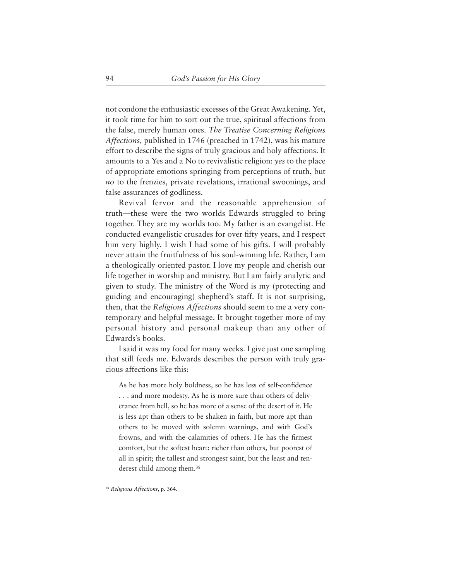not condone the enthusiastic excesses of the Great Awakening. Yet, it took time for him to sort out the true, spiritual affections from the false, merely human ones. *The Treatise Concerning Religious Affections,* published in 1746 (preached in 1742), was his mature effort to describe the signs of truly gracious and holy affections. It amounts to a Yes and a No to revivalistic religion: *yes* to the place of appropriate emotions springing from perceptions of truth, but *no* to the frenzies, private revelations, irrational swoonings, and false assurances of godliness.

Revival fervor and the reasonable apprehension of truth—these were the two worlds Edwards struggled to bring together. They are my worlds too. My father is an evangelist. He conducted evangelistic crusades for over fifty years, and I respect him very highly. I wish I had some of his gifts. I will probably never attain the fruitfulness of his soul-winning life. Rather, I am a theologically oriented pastor. I love my people and cherish our life together in worship and ministry. But I am fairly analytic and given to study. The ministry of the Word is my (protecting and guiding and encouraging) shepherd's staff. It is not surprising, then, that the *Religious Affections* should seem to me a very contemporary and helpful message. It brought together more of my personal history and personal makeup than any other of Edwards's books.

I said it was my food for many weeks. I give just one sampling that still feeds me. Edwards describes the person with truly gracious affections like this:

As he has more holy boldness, so he has less of self-confidence . . . and more modesty. As he is more sure than others of deliverance from hell, so he has more of a sense of the desert of it. He is less apt than others to be shaken in faith, but more apt than others to be moved with solemn warnings, and with God's frowns, and with the calamities of others. He has the firmest comfort, but the softest heart: richer than others, but poorest of all in spirit; the tallest and strongest saint, but the least and tenderest child among them.38

<sup>38</sup> *Religious Affections*, p. 364.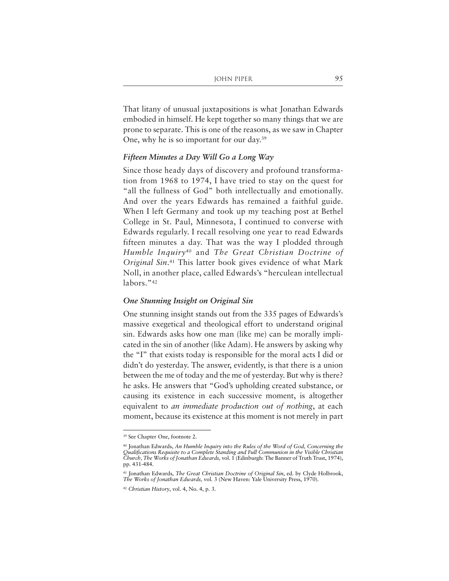That litany of unusual juxtapositions is what Jonathan Edwards embodied in himself. He kept together so many things that we are prone to separate. This is one of the reasons, as we saw in Chapter One, why he is so important for our day.39

# *Fifteen Minutes a Day Will Go a Long Way*

Since those heady days of discovery and profound transformation from 1968 to 1974, I have tried to stay on the quest for "all the fullness of God" both intellectually and emotionally. And over the years Edwards has remained a faithful guide. When I left Germany and took up my teaching post at Bethel College in St. Paul, Minnesota, I continued to converse with Edwards regularly. I recall resolving one year to read Edwards fifteen minutes a day. That was the way I plodded through *Humble Inquiry*<sup>40</sup> and *The Great Christian Doctrine of Original Sin*.41 This latter book gives evidence of what Mark Noll, in another place, called Edwards's "herculean intellectual labors."<sup>42</sup>

# *One Stunning Insight on Original Sin*

One stunning insight stands out from the 335 pages of Edwards's massive exegetical and theological effort to understand original sin. Edwards asks how one man (like me) can be morally implicated in the sin of another (like Adam). He answers by asking why the "I" that exists today is responsible for the moral acts I did or didn't do yesterday. The answer, evidently, is that there is a union between the me of today and the me of yesterday. But why is there? he asks. He answers that "God's upholding created substance, or causing its existence in each successive moment, is altogether equivalent to *an immediate production out of nothing*, at each moment, because its existence at this moment is not merely in part

<sup>39</sup> See Chapter One, footnote 2.

<sup>40</sup> Jonathan Edwards, *An Humble Inquiry into the Rules of the Word of God, Concerning the Qualifications Requisite to a Complete Standing and Full Communion in the Visible Christian Church, The Works of Jonathan Edwards,* vol. 1 (Edinburgh: The Banner of Truth Trust, 1974), pp. 431-484.

<sup>41</sup> Jonathan Edwards, *The Great Christian Doctrine of Original Sin*, ed. by Clyde Holbrook, *The Works of Jonathan Edwards,* vol. 3 (New Haven: Yale University Press, 1970).

<sup>42</sup> *Christian History*, vol. 4, No. 4, p. 3.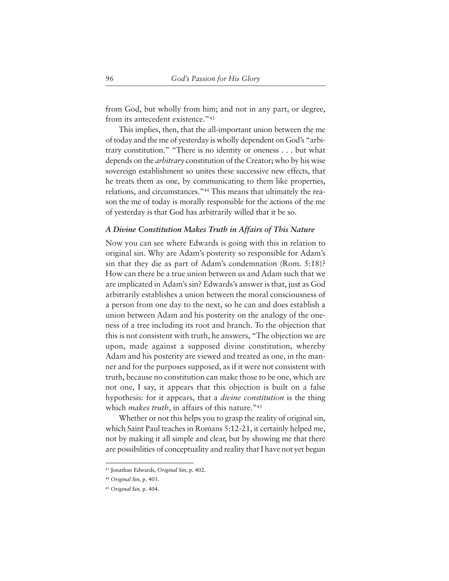from God, but wholly from him; and not in any part, or degree, from its antecedent existence."43

This implies, then, that the all-important union between the me of today and the me of yesterday is wholly dependent on God's "arbitrary constitution." "There is no identity or oneness . . . but what depends on the *arbitrary* constitution of the Creator; who by his wise sovereign establishment so unites these successive new effects, that he treats them as one, by communicating to them like properties, relations, and circumstances."44 This means that ultimately the reason the me of today is morally responsible for the actions of the me of yesterday is that God has arbitrarily willed that it be so.

# *A Divine Constitution Makes Truth in Affairs of This Nature*

Now you can see where Edwards is going with this in relation to original sin. Why are Adam's posterity so responsible for Adam's sin that they die as part of Adam's condemnation (Rom. 5:18)? How can there be a true union between us and Adam such that we are implicated in Adam's sin? Edwards's answer is that, just as God arbitrarily establishes a union between the moral consciousness of a person from one day to the next, so he can and does establish a union between Adam and his posterity on the analogy of the oneness of a tree including its root and branch. To the objection that this is not consistent with truth, he answers, "The objection we are upon, made against a supposed divine constitution, whereby Adam and his posterity are viewed and treated as one, in the manner and for the purposes supposed, as if it were not consistent with truth, because no constitution can make those to be one, which are not one, I say, it appears that this objection is built on a false hypothesis: for it appears, that a *divine constitution* is the thing which *makes truth*, in affairs of this nature."<sup>45</sup>

Whether or not this helps you to grasp the reality of original sin, which Saint Paul teaches in Romans 5:12-21, it certainly helped me, not by making it all simple and clear, but by showing me that there are possibilities of conceptuality and reality that I have not yet begun

<sup>43</sup> Jonathan Edwards, *Original Sin*, p. 402.

<sup>44</sup> *Original Sin*, p. 403.

<sup>45</sup> *Original Sin,* p. 404.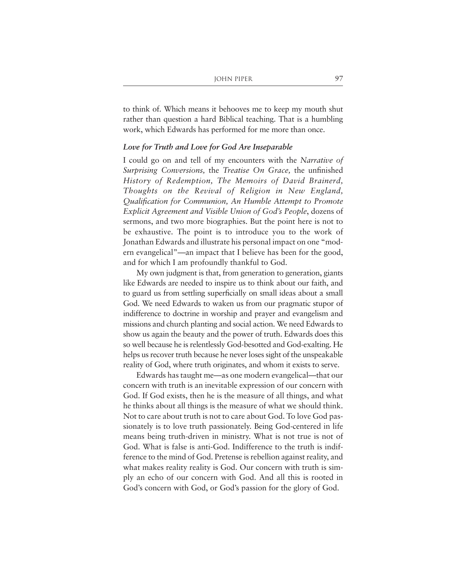to think of. Which means it behooves me to keep my mouth shut rather than question a hard Biblical teaching. That is a humbling work, which Edwards has performed for me more than once.

# *Love for Truth and Love for God Are Inseparable*

I could go on and tell of my encounters with the *Narrative of Surprising Conversions,* the *Treatise On Grace,* the unfinished *History of Redemption, The Memoirs of David Brainerd, Thoughts on the Revival of Religion in New England, Qualification for Communion, An Humble Attempt to Promote Explicit Agreement and Visible Union of God's People*, dozens of sermons, and two more biographies. But the point here is not to be exhaustive. The point is to introduce you to the work of Jonathan Edwards and illustrate his personal impact on one "modern evangelical"—an impact that I believe has been for the good, and for which I am profoundly thankful to God.

My own judgment is that, from generation to generation, giants like Edwards are needed to inspire us to think about our faith, and to guard us from settling superficially on small ideas about a small God. We need Edwards to waken us from our pragmatic stupor of indifference to doctrine in worship and prayer and evangelism and missions and church planting and social action. We need Edwards to show us again the beauty and the power of truth. Edwards does this so well because he is relentlessly God-besotted and God-exalting. He helps us recover truth because he never loses sight of the unspeakable reality of God, where truth originates, and whom it exists to serve.

Edwards has taught me—as one modern evangelical—that our concern with truth is an inevitable expression of our concern with God. If God exists, then he is the measure of all things, and what he thinks about all things is the measure of what we should think. Not to care about truth is not to care about God. To love God passionately is to love truth passionately. Being God-centered in life means being truth-driven in ministry. What is not true is not of God. What is false is anti-God. Indifference to the truth is indifference to the mind of God. Pretense is rebellion against reality, and what makes reality reality is God. Our concern with truth is simply an echo of our concern with God. And all this is rooted in God's concern with God, or God's passion for the glory of God.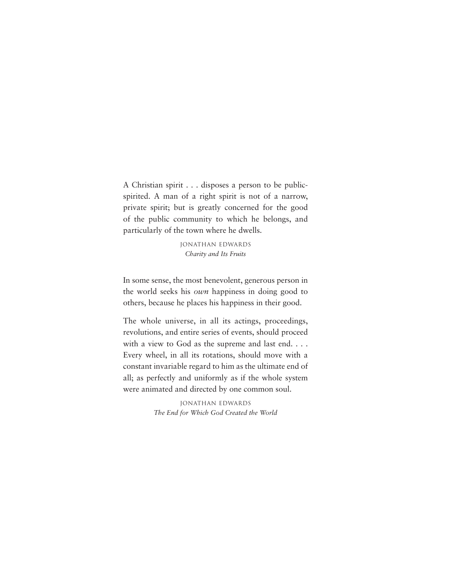A Christian spirit . . . disposes a person to be publicspirited. A man of a right spirit is not of a narrow, private spirit; but is greatly concerned for the good of the public community to which he belongs, and particularly of the town where he dwells.

> Jonathan Edwards *Charity and Its Fruits*

In some sense, the most benevolent, generous person in the world seeks his *own* happiness in doing good to others, because he places his happiness in their good.

The whole universe, in all its actings, proceedings, revolutions, and entire series of events, should proceed with a view to God as the supreme and last end. . . . Every wheel, in all its rotations, should move with a constant invariable regard to him as the ultimate end of all; as perfectly and uniformly as if the whole system were animated and directed by one common soul.

> Jonathan Edwards *The End for Which God Created the World*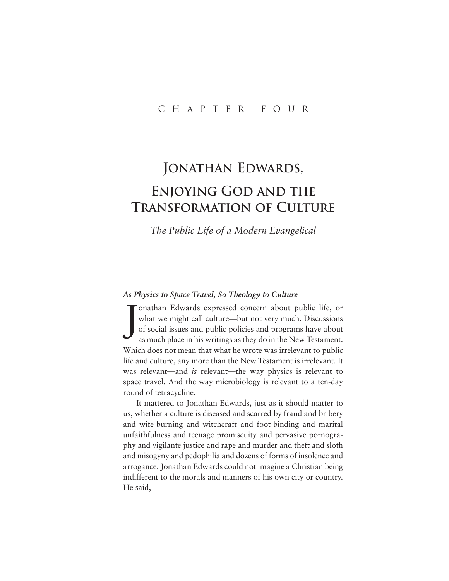# **JONATHAN EDWARDS, ENJOYING GOD AND THE TRANSFORMATION OF CULTURE**

*The Public Life of a Modern Evangelical*

# *As Physics to Space Travel, So Theology to Culture*

J onathan Edwards expressed concern about public life, or what we might call culture—but not very much. Discussions of social issues and public policies and programs have about as much place in his writings as they do in the New Testament. Which does not mean that what he wrote was irrelevant to public life and culture, any more than the New Testament is irrelevant. It was relevant—and *is* relevant—the way physics is relevant to space travel. And the way microbiology is relevant to a ten-day round of tetracycline.

It mattered to Jonathan Edwards, just as it should matter to us, whether a culture is diseased and scarred by fraud and bribery and wife-burning and witchcraft and foot-binding and marital unfaithfulness and teenage promiscuity and pervasive pornography and vigilante justice and rape and murder and theft and sloth and misogyny and pedophilia and dozens of forms of insolence and arrogance. Jonathan Edwards could not imagine a Christian being indifferent to the morals and manners of his own city or country. He said,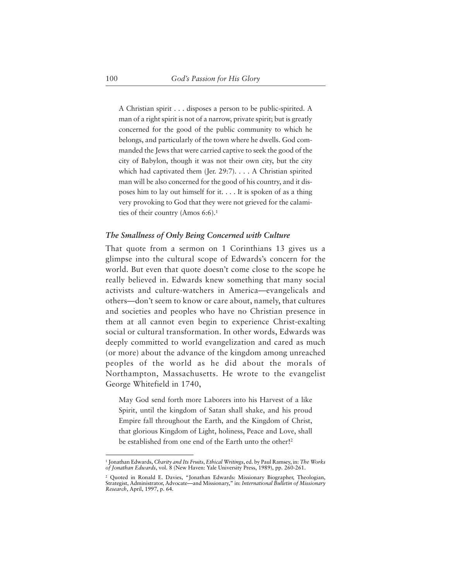A Christian spirit . . . disposes a person to be public-spirited. A man of a right spirit is not of a narrow, private spirit; but is greatly concerned for the good of the public community to which he belongs, and particularly of the town where he dwells. God commanded the Jews that were carried captive to seek the good of the city of Babylon, though it was not their own city, but the city which had captivated them (Jer. 29:7). . . . A Christian spirited man will be also concerned for the good of his country, and it disposes him to lay out himself for it. . . . It is spoken of as a thing very provoking to God that they were not grieved for the calamities of their country (Amos 6:6).1

#### *The Smallness of Only Being Concerned with Culture*

That quote from a sermon on 1 Corinthians 13 gives us a glimpse into the cultural scope of Edwards's concern for the world. But even that quote doesn't come close to the scope he really believed in. Edwards knew something that many social activists and culture-watchers in America—evangelicals and others—don't seem to know or care about, namely, that cultures and societies and peoples who have no Christian presence in them at all cannot even begin to experience Christ-exalting social or cultural transformation. In other words, Edwards was deeply committed to world evangelization and cared as much (or more) about the advance of the kingdom among unreached peoples of the world as he did about the morals of Northampton, Massachusetts. He wrote to the evangelist George Whitefield in 1740,

May God send forth more Laborers into his Harvest of a like Spirit, until the kingdom of Satan shall shake, and his proud Empire fall throughout the Earth, and the Kingdom of Christ, that glorious Kingdom of Light, holiness, Peace and Love, shall be established from one end of the Earth unto the other!<sup>2</sup>

<sup>1</sup> Jonathan Edwards, *Charity and Its Fruits*, *Ethical Writings*, ed. by Paul Ramsey, in: *The Works of Jonathan Edwards*, vol. 8 (New Haven: Yale University Press, 1989), pp. 260-261.

<sup>2</sup> Quoted in Ronald E. Davies, "Jonathan Edwards: Missionary Biographer, Theologian, Strategist, Administrator, Advocate—and Missionary," in: *International Bulletin of Missionary Research*, April, 1997, p. 64.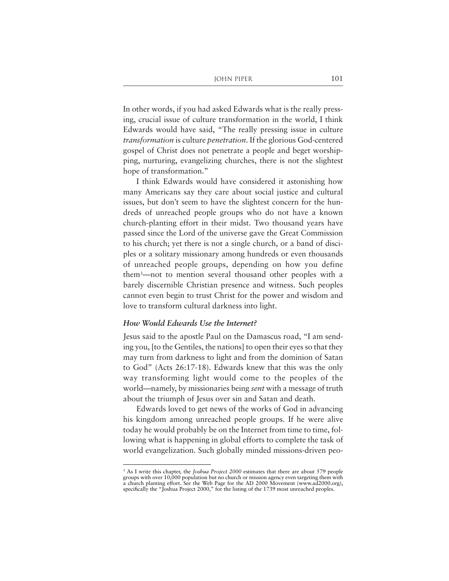In other words, if you had asked Edwards what is the really pressing, crucial issue of culture transformation in the world, I think Edwards would have said, "The really pressing issue in culture *transformation* is culture *penetration*. If the glorious God-centered gospel of Christ does not penetrate a people and beget worshipping, nurturing, evangelizing churches, there is not the slightest hope of transformation."

I think Edwards would have considered it astonishing how many Americans say they care about social justice and cultural issues, but don't seem to have the slightest concern for the hundreds of unreached people groups who do not have a known church-planting effort in their midst. Two thousand years have passed since the Lord of the universe gave the Great Commission to his church; yet there is not a single church, or a band of disciples or a solitary missionary among hundreds or even thousands of unreached people groups, depending on how you define them3—not to mention several thousand other peoples with a barely discernible Christian presence and witness. Such peoples cannot even begin to trust Christ for the power and wisdom and love to transform cultural darkness into light.

#### *How Would Edwards Use the Internet?*

Jesus said to the apostle Paul on the Damascus road, "I am sending you, [to the Gentiles, the nations] to open their eyes so that they may turn from darkness to light and from the dominion of Satan to God" (Acts 26:17-18). Edwards knew that this was the only way transforming light would come to the peoples of the world—namely, by missionaries being *sent* with a message of truth about the triumph of Jesus over sin and Satan and death.

Edwards loved to get news of the works of God in advancing his kingdom among unreached people groups. If he were alive today he would probably be on the Internet from time to time, following what is happening in global efforts to complete the task of world evangelization. Such globally minded missions-driven peo-

<sup>3</sup> As I write this chapter, the *Joshua Project 2000* estimates that there are about 579 people groups with over 10,000 population but no church or mission agency even targeting them with a church planting effort. See the Web Page for the AD 2000 Movement (www.ad2000.org), specifically the "Joshua Project 2000," for the listing of the 1739 most unreached peoples.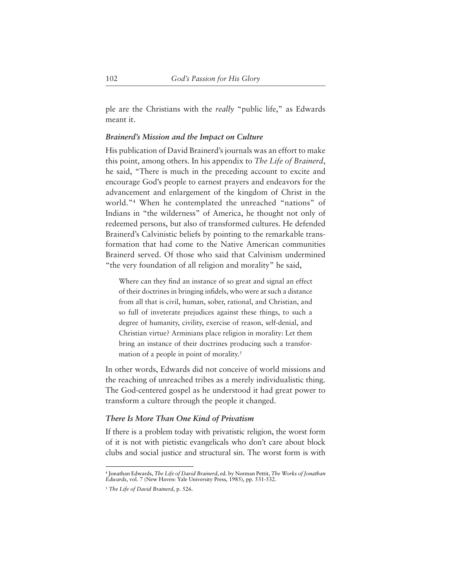ple are the Christians with the *really* "public life," as Edwards meant it.

# *Brainerd's Mission and the Impact on Culture*

His publication of David Brainerd's journals was an effort to make this point, among others. In his appendix to *The Life of Brainerd*, he said, "There is much in the preceding account to excite and encourage God's people to earnest prayers and endeavors for the advancement and enlargement of the kingdom of Christ in the world."4 When he contemplated the unreached "nations" of Indians in "the wilderness" of America, he thought not only of redeemed persons, but also of transformed cultures. He defended Brainerd's Calvinistic beliefs by pointing to the remarkable transformation that had come to the Native American communities Brainerd served. Of those who said that Calvinism undermined "the very foundation of all religion and morality" he said,

Where can they find an instance of so great and signal an effect of their doctrines in bringing infidels, who were at such a distance from all that is civil, human, sober, rational, and Christian, and so full of inveterate prejudices against these things, to such a degree of humanity, civility, exercise of reason, self-denial, and Christian virtue? Arminians place religion in morality: Let them bring an instance of their doctrines producing such a transformation of a people in point of morality.<sup>5</sup>

In other words, Edwards did not conceive of world missions and the reaching of unreached tribes as a merely individualistic thing. The God-centered gospel as he understood it had great power to transform a culture through the people it changed.

# *There Is More Than One Kind of Privatism*

If there is a problem today with privatistic religion, the worst form of it is not with pietistic evangelicals who don't care about block clubs and social justice and structural sin. The worst form is with

<sup>4</sup> Jonathan Edwards, *The Life of David Brainerd*, ed. by Norman Pettit, *The Works of Jonathan Edwards*, vol. 7 (New Haven: Yale University Press, 1985), pp. 531-532.

<sup>5</sup> *The Life of David Brainerd*, p. 526.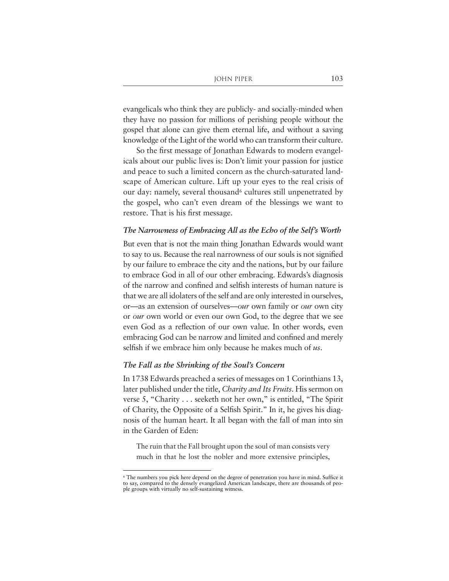evangelicals who think they are publicly- and socially-minded when they have no passion for millions of perishing people without the gospel that alone can give them eternal life, and without a saving knowledge of the Light of the world who can transform their culture.

So the first message of Jonathan Edwards to modern evangelicals about our public lives is: Don't limit your passion for justice and peace to such a limited concern as the church-saturated landscape of American culture. Lift up your eyes to the real crisis of our day: namely, several thousand<sup>6</sup> cultures still unpenetrated by the gospel, who can't even dream of the blessings we want to restore. That is his first message.

#### *The Narrowness of Embracing All as the Echo of the Self's Worth*

But even that is not the main thing Jonathan Edwards would want to say to us. Because the real narrowness of our souls is not signified by our failure to embrace the city and the nations, but by our failure to embrace God in all of our other embracing. Edwards's diagnosis of the narrow and confined and selfish interests of human nature is that we are all idolaters of the self and are only interested in ourselves, or—as an extension of ourselves—*our* own family or *our* own city or *our* own world or even our own God, to the degree that we see even God as a reflection of our own value. In other words, even embracing God can be narrow and limited and confined and merely selfish if we embrace him only because he makes much of *us*.

# *The Fall as the Shrinking of the Soul's Concern*

In 1738 Edwards preached a series of messages on 1 Corinthians 13, later published under the title, *Charity and Its Fruits*. His sermon on verse 5, "Charity . . . seeketh not her own," is entitled, "The Spirit of Charity, the Opposite of a Selfish Spirit." In it, he gives his diagnosis of the human heart. It all began with the fall of man into sin in the Garden of Eden:

The ruin that the Fall brought upon the soul of man consists very much in that he lost the nobler and more extensive principles,

<sup>6</sup> The numbers you pick here depend on the degree of penetration you have in mind. Suffice it to say, compared to the densely evangelized American landscape, there are thousands of people groups with virtually no self-sustaining witness.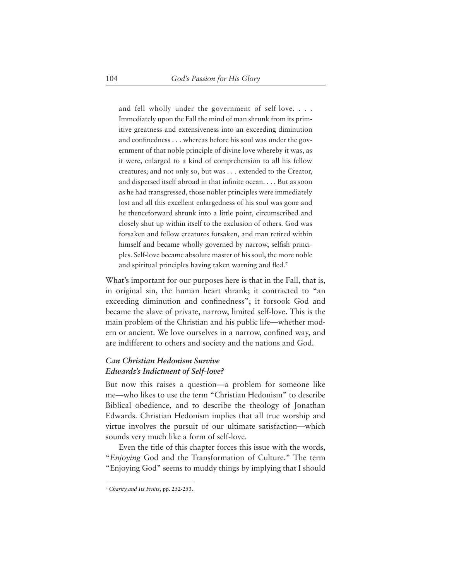and fell wholly under the government of self-love. . . . Immediately upon the Fall the mind of man shrunk from its primitive greatness and extensiveness into an exceeding diminution and confinedness . . . whereas before his soul was under the government of that noble principle of divine love whereby it was, as it were, enlarged to a kind of comprehension to all his fellow creatures; and not only so, but was . . . extended to the Creator, and dispersed itself abroad in that infinite ocean. . . . But as soon as he had transgressed, those nobler principles were immediately lost and all this excellent enlargedness of his soul was gone and he thenceforward shrunk into a little point, circumscribed and closely shut up within itself to the exclusion of others. God was forsaken and fellow creatures forsaken, and man retired within himself and became wholly governed by narrow, selfish principles. Self-love became absolute master of his soul, the more noble and spiritual principles having taken warning and fled.7

What's important for our purposes here is that in the Fall, that is, in original sin, the human heart shrank; it contracted to "an exceeding diminution and confinedness"; it forsook God and became the slave of private, narrow, limited self-love. This is the main problem of the Christian and his public life—whether modern or ancient. We love ourselves in a narrow, confined way, and are indifferent to others and society and the nations and God.

# *Can Christian Hedonism Survive Edwards's Indictment of Self-love?*

But now this raises a question—a problem for someone like me—who likes to use the term "Christian Hedonism" to describe Biblical obedience, and to describe the theology of Jonathan Edwards. Christian Hedonism implies that all true worship and virtue involves the pursuit of our ultimate satisfaction—which sounds very much like a form of self-love.

Even the title of this chapter forces this issue with the words, "*Enjoying* God and the Transformation of Culture." The term "Enjoying God" seems to muddy things by implying that I should

<sup>7</sup> *Charity and Its Fruits*, pp. 252-253.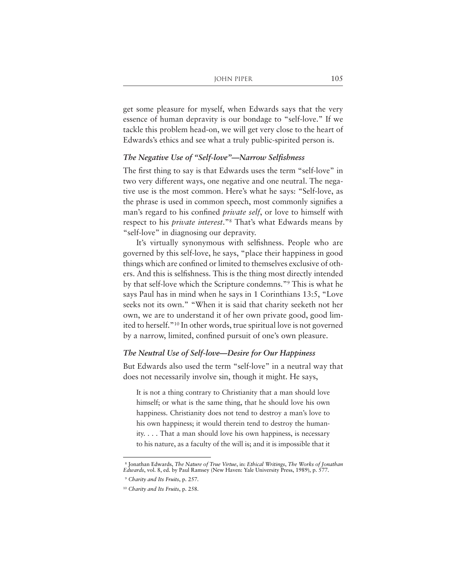get some pleasure for myself, when Edwards says that the very essence of human depravity is our bondage to "self-love." If we tackle this problem head-on, we will get very close to the heart of Edwards's ethics and see what a truly public-spirited person is.

# *The Negative Use of "Self-love"—Narrow Selfishness*

The first thing to say is that Edwards uses the term "self-love" in two very different ways, one negative and one neutral. The negative use is the most common. Here's what he says: "Self-love, as the phrase is used in common speech, most commonly signifies a man's regard to his confined *private self*, or love to himself with respect to his *private interest*."8 That's what Edwards means by "self-love" in diagnosing our depravity.

It's virtually synonymous with selfishness. People who are governed by this self-love, he says, "place their happiness in good things which are confined or limited to themselves exclusive of others. And this is selfishness. This is the thing most directly intended by that self-love which the Scripture condemns."9 This is what he says Paul has in mind when he says in 1 Corinthians 13:5, "Love seeks not its own." "When it is said that charity seeketh not her own, we are to understand it of her own private good, good limited to herself."10 In other words, true spiritual love is not governed by a narrow, limited, confined pursuit of one's own pleasure.

## *The Neutral Use of Self-love—Desire for Our Happiness*

But Edwards also used the term "self-love" in a neutral way that does not necessarily involve sin, though it might. He says,

It is not a thing contrary to Christianity that a man should love himself; or what is the same thing, that he should love his own happiness. Christianity does not tend to destroy a man's love to his own happiness; it would therein tend to destroy the humanity. . . . That a man should love his own happiness, is necessary to his nature, as a faculty of the will is; and it is impossible that it

<sup>8</sup> Jonathan Edwards, *The Nature of True Virtue*, in: *Ethical Writings*, *The Works of Jonathan Edwards*, vol. 8, ed. by Paul Ramsey (New Haven: Yale University Press, 1989), p. 577.

<sup>9</sup> *Charity and Its Fruits*, p. 257.

<sup>10</sup> *Charity and Its Fruits*, p. 258.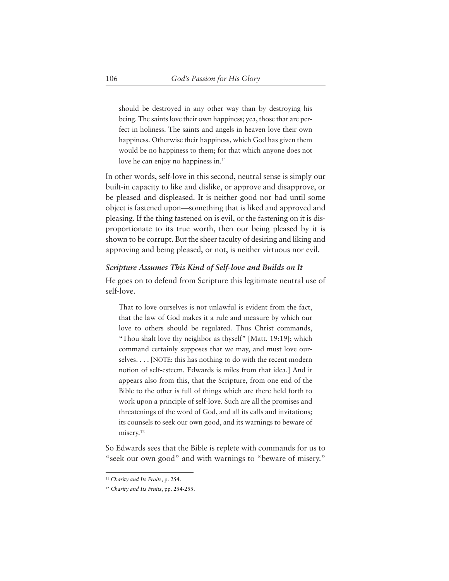should be destroyed in any other way than by destroying his being. The saints love their own happiness; yea, those that are perfect in holiness. The saints and angels in heaven love their own happiness. Otherwise their happiness, which God has given them would be no happiness to them; for that which anyone does not love he can enjoy no happiness in.<sup>11</sup>

In other words, self-love in this second, neutral sense is simply our built-in capacity to like and dislike, or approve and disapprove, or be pleased and displeased. It is neither good nor bad until some object is fastened upon—something that is liked and approved and pleasing. If the thing fastened on is evil, or the fastening on it is disproportionate to its true worth, then our being pleased by it is shown to be corrupt. But the sheer faculty of desiring and liking and approving and being pleased, or not, is neither virtuous nor evil.

#### *Scripture Assumes This Kind of Self-love and Builds on It*

He goes on to defend from Scripture this legitimate neutral use of self-love.

That to love ourselves is not unlawful is evident from the fact, that the law of God makes it a rule and measure by which our love to others should be regulated. Thus Christ commands, "Thou shalt love thy neighbor as thyself" [Matt. 19:19]; which command certainly supposes that we may, and must love ourselves. . . . [NOTE: this has nothing to do with the recent modern notion of self-esteem. Edwards is miles from that idea.] And it appears also from this, that the Scripture, from one end of the Bible to the other is full of things which are there held forth to work upon a principle of self-love. Such are all the promises and threatenings of the word of God, and all its calls and invitations; its counsels to seek our own good, and its warnings to beware of misery.<sup>12</sup>

So Edwards sees that the Bible is replete with commands for us to "seek our own good" and with warnings to "beware of misery."

<sup>11</sup> *Charity and Its Fruits*, p. 254.

<sup>12</sup> *Charity and Its Fruits*, pp. 254-255.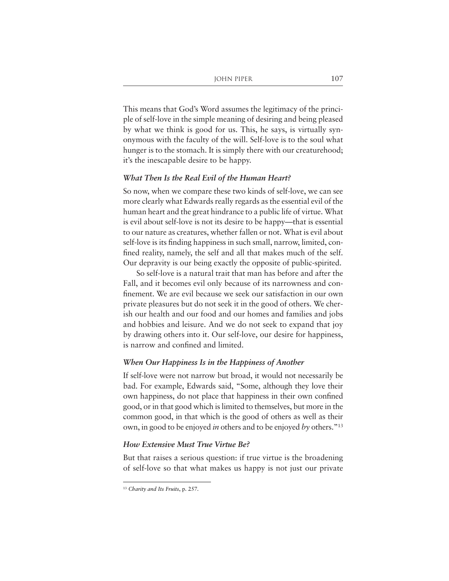This means that God's Word assumes the legitimacy of the principle of self-love in the simple meaning of desiring and being pleased by what we think is good for us. This, he says, is virtually synonymous with the faculty of the will. Self-love is to the soul what hunger is to the stomach. It is simply there with our creaturehood; it's the inescapable desire to be happy.

#### *What Then Is the Real Evil of the Human Heart?*

So now, when we compare these two kinds of self-love, we can see more clearly what Edwards really regards as the essential evil of the human heart and the great hindrance to a public life of virtue. What is evil about self-love is not its desire to be happy—that is essential to our nature as creatures, whether fallen or not. What is evil about self-love is its finding happiness in such small, narrow, limited, confined reality, namely, the self and all that makes much of the self. Our depravity is our being exactly the opposite of public-spirited.

So self-love is a natural trait that man has before and after the Fall, and it becomes evil only because of its narrowness and confinement. We are evil because we seek our satisfaction in our own private pleasures but do not seek it in the good of others. We cherish our health and our food and our homes and families and jobs and hobbies and leisure. And we do not seek to expand that joy by drawing others into it. Our self-love, our desire for happiness, is narrow and confined and limited.

# *When Our Happiness Is in the Happiness of Another*

If self-love were not narrow but broad, it would not necessarily be bad. For example, Edwards said, "Some, although they love their own happiness, do not place that happiness in their own confined good, or in that good which is limited to themselves, but more in the common good, in that which is the good of others as well as their own, in good to be enjoyed *in* others and to be enjoyed *by* others."13

## *How Extensive Must True Virtue Be?*

But that raises a serious question: if true virtue is the broadening of self-love so that what makes us happy is not just our private

<sup>13</sup> *Charity and Its Fruits*, p. 257.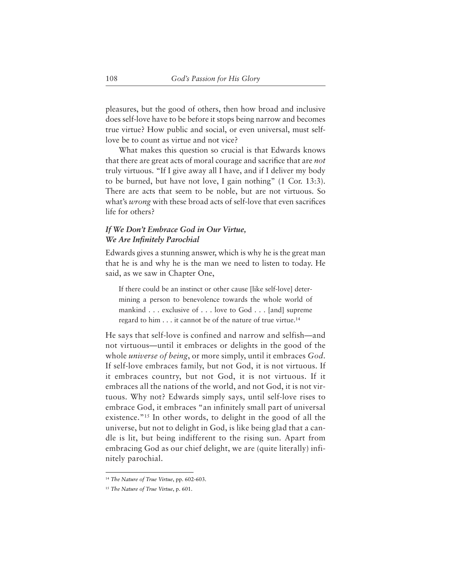pleasures, but the good of others, then how broad and inclusive does self-love have to be before it stops being narrow and becomes true virtue? How public and social, or even universal, must selflove be to count as virtue and not vice?

What makes this question so crucial is that Edwards knows that there are great acts of moral courage and sacrifice that are *not* truly virtuous. "If I give away all I have, and if I deliver my body to be burned, but have not love, I gain nothing" (1 Cor. 13:3). There are acts that seem to be noble, but are not virtuous. So what's *wrong* with these broad acts of self-love that even sacrifices life for others?

# *If We Don't Embrace God in Our Virtue, We Are Infinitely Parochial*

Edwards gives a stunning answer, which is why he is the great man that he is and why he is the man we need to listen to today. He said, as we saw in Chapter One,

If there could be an instinct or other cause [like self-love] determining a person to benevolence towards the whole world of mankind . . . exclusive of . . . love to God . . . [and] supreme regard to him . . . it cannot be of the nature of true virtue.14

He says that self-love is confined and narrow and selfish—and not virtuous—until it embraces or delights in the good of the whole *universe of being*, or more simply, until it embraces *God*. If self-love embraces family, but not God, it is not virtuous. If it embraces country, but not God, it is not virtuous. If it embraces all the nations of the world, and not God, it is not virtuous. Why not? Edwards simply says, until self-love rises to embrace God, it embraces "an infinitely small part of universal existence."15 In other words, to delight in the good of all the universe, but not to delight in God, is like being glad that a candle is lit, but being indifferent to the rising sun. Apart from embracing God as our chief delight, we are (quite literally) infinitely parochial.

<sup>14</sup> *The Nature of True Virtue*, pp. 602-603.

<sup>15</sup> *The Nature of True Virtue*, p. 601.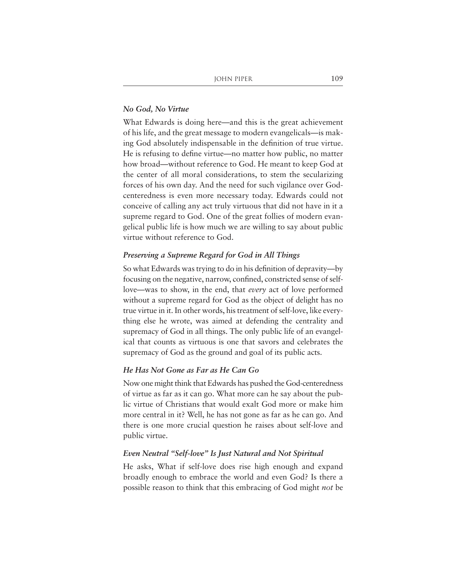## *No God, No Virtue*

What Edwards is doing here—and this is the great achievement of his life, and the great message to modern evangelicals—is making God absolutely indispensable in the definition of true virtue. He is refusing to define virtue—no matter how public, no matter how broad—without reference to God. He meant to keep God at the center of all moral considerations, to stem the secularizing forces of his own day. And the need for such vigilance over Godcenteredness is even more necessary today. Edwards could not conceive of calling any act truly virtuous that did not have in it a supreme regard to God. One of the great follies of modern evangelical public life is how much we are willing to say about public virtue without reference to God.

# *Preserving a Supreme Regard for God in All Things*

So what Edwards was trying to do in his definition of depravity—by focusing on the negative, narrow, confined, constricted sense of selflove—was to show, in the end, that *every* act of love performed without a supreme regard for God as the object of delight has no true virtue in it. In other words, his treatment of self-love, like everything else he wrote, was aimed at defending the centrality and supremacy of God in all things. The only public life of an evangelical that counts as virtuous is one that savors and celebrates the supremacy of God as the ground and goal of its public acts.

#### *He Has Not Gone as Far as He Can Go*

Now one might think that Edwards has pushed the God-centeredness of virtue as far as it can go. What more can he say about the public virtue of Christians that would exalt God more or make him more central in it? Well, he has not gone as far as he can go. And there is one more crucial question he raises about self-love and public virtue.

# *Even Neutral "Self-love" Is Just Natural and Not Spiritual*

He asks, What if self-love does rise high enough and expand broadly enough to embrace the world and even God? Is there a possible reason to think that this embracing of God might *not* be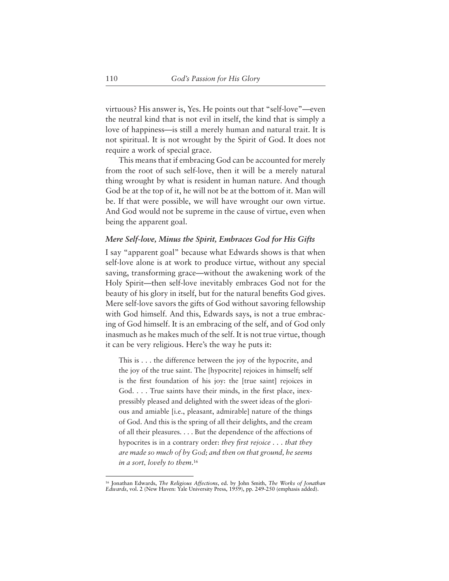virtuous? His answer is, Yes. He points out that "self-love"—even the neutral kind that is not evil in itself, the kind that is simply a love of happiness—is still a merely human and natural trait. It is not spiritual. It is not wrought by the Spirit of God. It does not require a work of special grace.

This means that if embracing God can be accounted for merely from the root of such self-love, then it will be a merely natural thing wrought by what is resident in human nature. And though God be at the top of it, he will not be at the bottom of it. Man will be. If that were possible, we will have wrought our own virtue. And God would not be supreme in the cause of virtue, even when being the apparent goal.

## *Mere Self-love, Minus the Spirit, Embraces God for His Gifts*

I say "apparent goal" because what Edwards shows is that when self-love alone is at work to produce virtue, without any special saving, transforming grace—without the awakening work of the Holy Spirit—then self-love inevitably embraces God not for the beauty of his glory in itself, but for the natural benefits God gives. Mere self-love savors the gifts of God without savoring fellowship with God himself. And this, Edwards says, is not a true embracing of God himself. It is an embracing of the self, and of God only inasmuch as he makes much of the self. It is not true virtue, though it can be very religious. Here's the way he puts it:

This is . . . the difference between the joy of the hypocrite, and the joy of the true saint. The [hypocrite] rejoices in himself; self is the first foundation of his joy: the [true saint] rejoices in God. . . . True saints have their minds, in the first place, inexpressibly pleased and delighted with the sweet ideas of the glorious and amiable [i.e., pleasant, admirable] nature of the things of God. And this is the spring of all their delights, and the cream of all their pleasures. . . . But the dependence of the affections of hypocrites is in a contrary order: *they first rejoice . . . that they are made so much of by God; and then on that ground, he seems in a sort, lovely to them*. 16

<sup>16</sup> Jonathan Edwards, *The Religious Affections*, ed. by John Smith, *The Works of Jonathan Edwards*, vol. 2 (New Haven: Yale University Press, 1959), pp. 249-250 (emphasis added).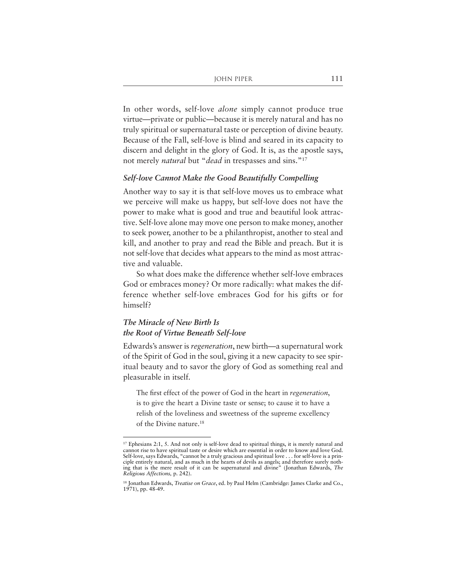In other words, self-love *alone* simply cannot produce true virtue—private or public—because it is merely natural and has no truly spiritual or supernatural taste or perception of divine beauty. Because of the Fall, self-love is blind and seared in its capacity to discern and delight in the glory of God. It is, as the apostle says, not merely *natural* but "*dead* in trespasses and sins."17

#### *Self-love Cannot Make the Good Beautifully Compelling*

Another way to say it is that self-love moves us to embrace what we perceive will make us happy, but self-love does not have the power to make what is good and true and beautiful look attractive. Self-love alone may move one person to make money, another to seek power, another to be a philanthropist, another to steal and kill, and another to pray and read the Bible and preach. But it is not self-love that decides what appears to the mind as most attractive and valuable.

So what does make the difference whether self-love embraces God or embraces money? Or more radically: what makes the difference whether self-love embraces God for his gifts or for himself?

# *The Miracle of New Birth Is the Root of Virtue Beneath Self-love*

Edwards's answer is *regeneration*, new birth—a supernatural work of the Spirit of God in the soul, giving it a new capacity to see spiritual beauty and to savor the glory of God as something real and pleasurable in itself.

The first effect of the power of God in the heart in *regeneration*, is to give the heart a Divine taste or sense; to cause it to have a relish of the loveliness and sweetness of the supreme excellency of the Divine nature.18

<sup>&</sup>lt;sup>17</sup> Ephesians 2:1, 5. And not only is self-love dead to spiritual things, it is merely natural and cannot rise to have spiritual taste or desire which are essential in order to know and love God. Self-love, says Edwards, "cannot be a truly gracious and spiritual love . . . for self-love is a principle entirely natural, and as much in the hearts of devils as angels; and therefore surely nothing that is the mere result of it can be supernatural and divine" (Jonathan Edwards, *The Religious Affections,* p. 242).

<sup>18</sup> Jonathan Edwards, *Treatise on Grace*, ed. by Paul Helm (Cambridge: James Clarke and Co., 1971), pp. 48-49.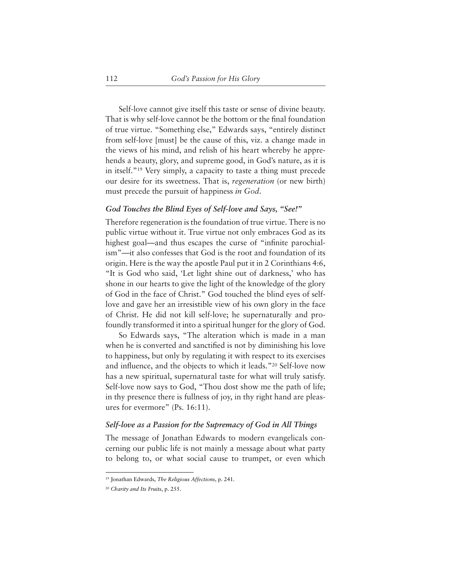Self-love cannot give itself this taste or sense of divine beauty. That is why self-love cannot be the bottom or the final foundation of true virtue. "Something else," Edwards says, "entirely distinct from self-love [must] be the cause of this, viz. a change made in the views of his mind, and relish of his heart whereby he apprehends a beauty, glory, and supreme good, in God's nature, as it is in itself."19 Very simply, a capacity to taste a thing must precede our desire for its sweetness. That is, *regeneration* (or new birth) must precede the pursuit of happiness *in God*.

#### *God Touches the Blind Eyes of Self-love and Says, "See!"*

Therefore regeneration is the foundation of true virtue. There is no public virtue without it. True virtue not only embraces God as its highest goal—and thus escapes the curse of "infinite parochialism"—it also confesses that God is the root and foundation of its origin. Here is the way the apostle Paul put it in 2 Corinthians 4:6, "It is God who said, 'Let light shine out of darkness,' who has shone in our hearts to give the light of the knowledge of the glory of God in the face of Christ." God touched the blind eyes of selflove and gave her an irresistible view of his own glory in the face of Christ. He did not kill self-love; he supernaturally and profoundly transformed it into a spiritual hunger for the glory of God.

So Edwards says, "The alteration which is made in a man when he is converted and sanctified is not by diminishing his love to happiness, but only by regulating it with respect to its exercises and influence, and the objects to which it leads."20 Self-love now has a new spiritual, supernatural taste for what will truly satisfy. Self-love now says to God, "Thou dost show me the path of life; in thy presence there is fullness of joy, in thy right hand are pleasures for evermore" (Ps. 16:11).

# *Self-love as a Passion for the Supremacy of God in All Things*

The message of Jonathan Edwards to modern evangelicals concerning our public life is not mainly a message about what party to belong to, or what social cause to trumpet, or even which

<sup>19</sup> Jonathan Edwards, *The Religious Affections*, p. 241.

<sup>20</sup> *Charity and Its Fruits*, p. 255.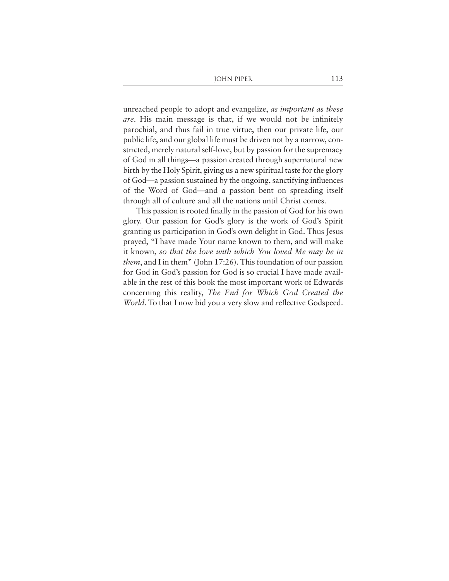unreached people to adopt and evangelize, *as important as these are*. His main message is that, if we would not be infinitely parochial, and thus fail in true virtue, then our private life, our public life, and our global life must be driven not by a narrow, constricted, merely natural self-love, but by passion for the supremacy of God in all things—a passion created through supernatural new birth by the Holy Spirit, giving us a new spiritual taste for the glory of God—a passion sustained by the ongoing, sanctifying influences of the Word of God—and a passion bent on spreading itself through all of culture and all the nations until Christ comes.

This passion is rooted finally in the passion of God for his own glory. Our passion for God's glory is the work of God's Spirit granting us participation in God's own delight in God. Thus Jesus prayed, "I have made Your name known to them, and will make it known, *so that the love with which You loved Me may be in them*, and I in them" (John 17:26). This foundation of our passion for God in God's passion for God is so crucial I have made available in the rest of this book the most important work of Edwards concerning this reality, *The End for Which God Created the World*. To that I now bid you a very slow and reflective Godspeed.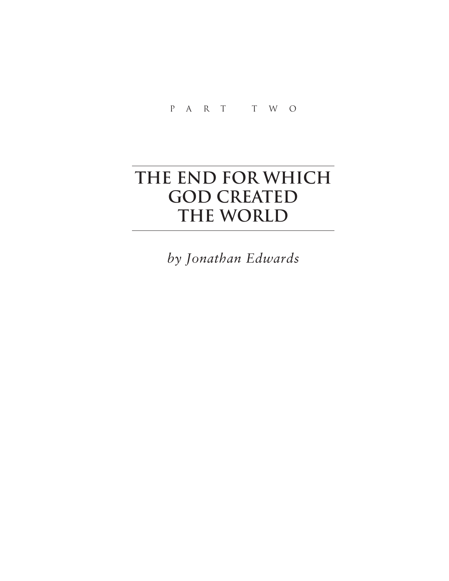# **THE END FOR WHICH GOD CREATED THE WORLD**

*by Jonathan Edwards*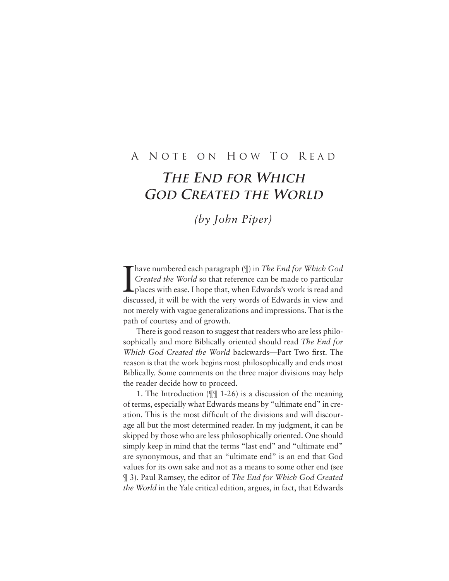## A N OTE ON H O W T O R EAD

## **THE END FOR WHICH GOD CREATED THE WORLD**

## *(by John Piper)*

I have numbered each paragraph (¶) in *The End for Which God Created the World* so that reference can be made to particular places with ease. I hope that, when Edwards's work is read and discussed, it will be with the very words of Edwards in view and not merely with vague generalizations and impressions. That is the path of courtesy and of growth.

There is good reason to suggest that readers who are less philosophically and more Biblically oriented should read *The End for Which God Created the World* backwards—Part Two first. The reason is that the work begins most philosophically and ends most Biblically. Some comments on the three major divisions may help the reader decide how to proceed.

1. The Introduction (¶¶ 1-26) is a discussion of the meaning of terms, especially what Edwards means by "ultimate end" in creation. This is the most difficult of the divisions and will discourage all but the most determined reader. In my judgment, it can be skipped by those who are less philosophically oriented. One should simply keep in mind that the terms "last end" and "ultimate end" are synonymous, and that an "ultimate end" is an end that God values for its own sake and not as a means to some other end (see ¶ 3). Paul Ramsey, the editor of *The End for Which God Created the World* in the Yale critical edition, argues, in fact, that Edwards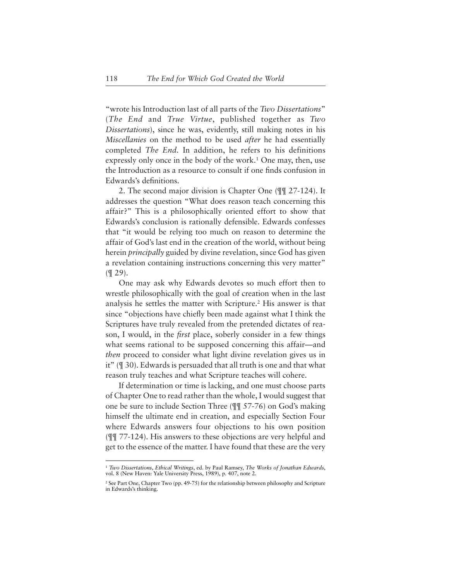"wrote his Introduction last of all parts of the *Two Dissertations*" (*The End* and *True Virtue*, published together as *Two Dissertations*), since he was, evidently, still making notes in his *Miscellanies* on the method to be used *after* he had essentially completed *The End.* In addition, he refers to his definitions expressly only once in the body of the work.<sup>1</sup> One may, then, use the Introduction as a resource to consult if one finds confusion in Edwards's definitions.

2. The second major division is Chapter One (¶¶ 27-124). It addresses the question "What does reason teach concerning this affair?" This is a philosophically oriented effort to show that Edwards's conclusion is rationally defensible. Edwards confesses that "it would be relying too much on reason to determine the affair of God's last end in the creation of the world, without being herein *principally* guided by divine revelation, since God has given a revelation containing instructions concerning this very matter" (¶ 29).

One may ask why Edwards devotes so much effort then to wrestle philosophically with the goal of creation when in the last analysis he settles the matter with Scripture.2 His answer is that since "objections have chiefly been made against what I think the Scriptures have truly revealed from the pretended dictates of reason, I would, in the *first* place, soberly consider in a few things what seems rational to be supposed concerning this affair—and *then* proceed to consider what light divine revelation gives us in it" (¶ 30). Edwards is persuaded that all truth is one and that what reason truly teaches and what Scripture teaches will cohere.

If determination or time is lacking, and one must choose parts of Chapter One to read rather than the whole, I would suggest that one be sure to include Section Three (¶¶ 57-76) on God's making himself the ultimate end in creation, and especially Section Four where Edwards answers four objections to his own position (¶¶ 77-124). His answers to these objections are very helpful and get to the essence of the matter. I have found that these are the very

<sup>1</sup> *Two Dissertations*, *Ethical Writings*, ed. by Paul Ramsey, *The Works of Jonathan Edwards*, vol. 8 (New Haven: Yale University Press, 1989), p. 407, note 2.

<sup>2</sup> See Part One, Chapter Two (pp. 49-75) for the relationship between philosophy and Scripture in Edwards's thinking.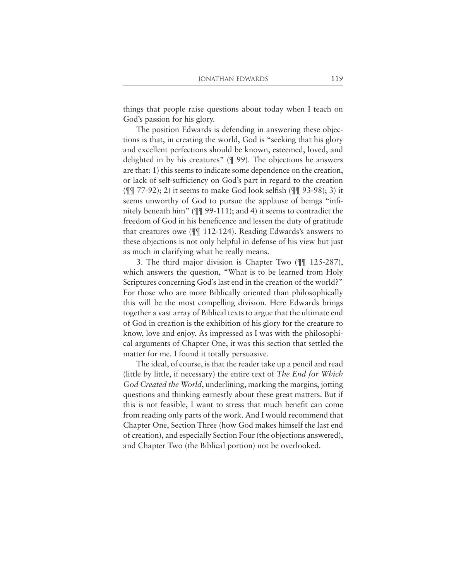things that people raise questions about today when I teach on God's passion for his glory.

The position Edwards is defending in answering these objections is that, in creating the world, God is "seeking that his glory and excellent perfections should be known, esteemed, loved, and delighted in by his creatures" (¶ 99). The objections he answers are that: 1) this seems to indicate some dependence on the creation, or lack of self-sufficiency on God's part in regard to the creation (¶¶ 77-92); 2) it seems to make God look selfish (¶¶ 93-98); 3) it seems unworthy of God to pursue the applause of beings "infinitely beneath him" (¶¶ 99-111); and 4) it seems to contradict the freedom of God in his beneficence and lessen the duty of gratitude that creatures owe (¶¶ 112-124). Reading Edwards's answers to these objections is not only helpful in defense of his view but just as much in clarifying what he really means.

3. The third major division is Chapter Two (¶¶ 125-287), which answers the question, "What is to be learned from Holy Scriptures concerning God's last end in the creation of the world?" For those who are more Biblically oriented than philosophically this will be the most compelling division. Here Edwards brings together a vast array of Biblical texts to argue that the ultimate end of God in creation is the exhibition of his glory for the creature to know, love and enjoy. As impressed as I was with the philosophical arguments of Chapter One, it was this section that settled the matter for me. I found it totally persuasive.

The ideal, of course, is that the reader take up a pencil and read (little by little, if necessary) the entire text of *The End for Which God Created the World*, underlining, marking the margins, jotting questions and thinking earnestly about these great matters. But if this is not feasible, I want to stress that much benefit can come from reading only parts of the work. And I would recommend that Chapter One, Section Three (how God makes himself the last end of creation), and especially Section Four (the objections answered), and Chapter Two (the Biblical portion) not be overlooked.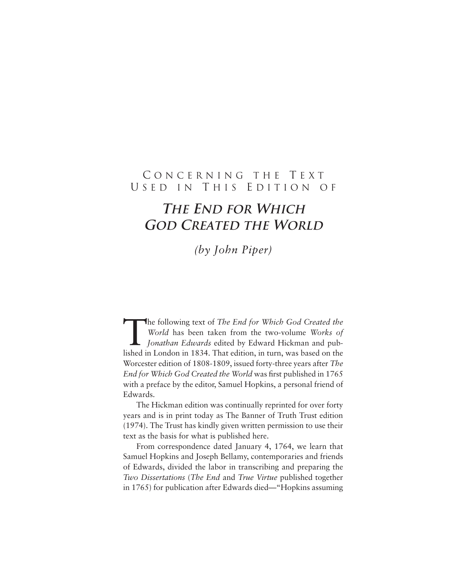## C ONCERNING THE T EXT U SED IN T HIS E D ITION OF

# **THE END FOR WHICH GOD CREATED THE WORLD**

## *(by John Piper)*

The following text of *The End for Which God Created the*<br>World has been taken from the two-volume *Works of*<br>Jonathan Edwards edited by Edward Hickman and pub-<br>lished in London in 1834. That edition in turn, was based on *World* has been taken from the two-volume *Works of Jonathan Edwards* edited by Edward Hickman and published in London in 1834. That edition, in turn, was based on the Worcester edition of 1808-1809, issued forty-three years after *The End for Which God Created the World* was first published in 1765 with a preface by the editor, Samuel Hopkins, a personal friend of Edwards.

The Hickman edition was continually reprinted for over forty years and is in print today as The Banner of Truth Trust edition (1974). The Trust has kindly given written permission to use their text as the basis for what is published here.

From correspondence dated January 4, 1764, we learn that Samuel Hopkins and Joseph Bellamy, contemporaries and friends of Edwards, divided the labor in transcribing and preparing the *Two Dissertations* (*The End* and *True Virtue* published together in 1765) for publication after Edwards died—"Hopkins assuming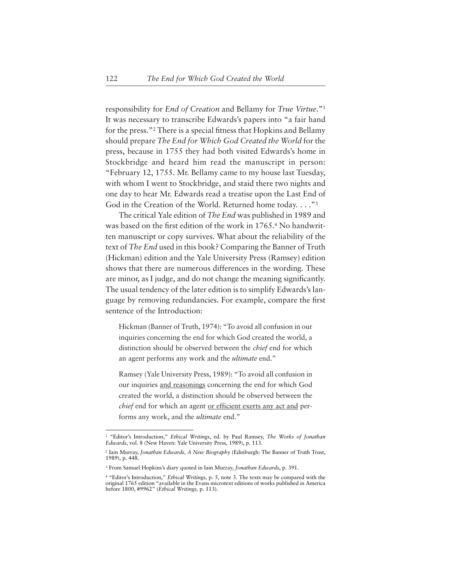responsibility for *End of Creation* and Bellamy for *True Virtue*."1 It was necessary to transcribe Edwards's papers into "a fair hand for the press."2 There is a special fitness that Hopkins and Bellamy should prepare *The End for Which God Created the World* for the press, because in 1755 they had both visited Edwards's home in Stockbridge and heard him read the manuscript in person: "February 12, 1755. Mr. Bellamy came to my house last Tuesday, with whom I went to Stockbridge, and staid there two nights and one day to hear Mr. Edwards read a treatise upon the Last End of God in the Creation of the World. Returned home today. . . ."3

The critical Yale edition of *The End* was published in 1989 and was based on the first edition of the work in 1765.4 No handwritten manuscript or copy survives. What about the reliability of the text of *The End* used in this book? Comparing the Banner of Truth (Hickman) edition and the Yale University Press (Ramsey) edition shows that there are numerous differences in the wording. These are minor, as I judge, and do not change the meaning significantly. The usual tendency of the later edition is to simplify Edwards's language by removing redundancies. For example, compare the first sentence of the Introduction:

Hickman (Banner of Truth, 1974): "To avoid all confusion in our inquiries concerning the end for which God created the world, a distinction should be observed between the *chief* end for which an agent performs any work and the *ultimate* end."

Ramsey (Yale University Press, 1989): "To avoid all confusion in our inquiries and reasonings concerning the end for which God created the world, a distinction should be observed between the *chief* end for which an agent or efficient exerts any act and performs any work, and the *ultimate* end."

<sup>1</sup> "Editor's Introduction," *Ethical Writings*, ed. by Paul Ramsey, *The Works of Jonathan Edwards*, vol. 8 (New Haven: Yale University Press, 1989), p. 113.

<sup>2</sup> Iain Murray, *Jonathan Edwards, A New Biography* (Edinburgh: The Banner of Truth Trust, 1989), p. 448.

<sup>3</sup> From Samuel Hopkins's diary quoted in Iain Murray, *Jonathan Edwards*, p. 391.

<sup>4</sup> "Editor's Introduction," *Ethical Writings,* p. 5, note 3. The texts may be compared with the original 1765 edition "available in the Evans microtext editions of works published in America before 1800, #9962" (*Ethical Writings,* p. 113).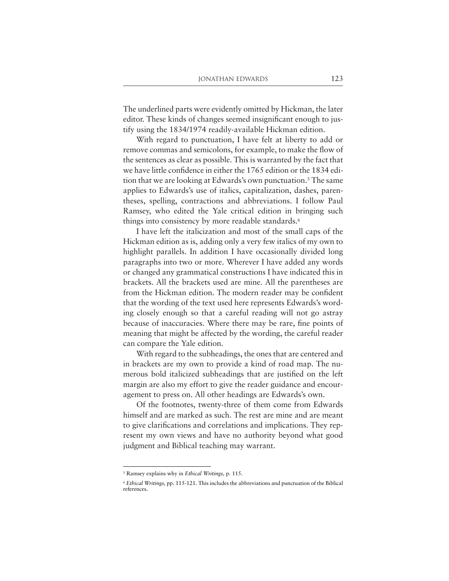The underlined parts were evidently omitted by Hickman, the later editor. These kinds of changes seemed insignificant enough to justify using the 1834/1974 readily-available Hickman edition.

With regard to punctuation, I have felt at liberty to add or remove commas and semicolons, for example, to make the flow of the sentences as clear as possible. This is warranted by the fact that we have little confidence in either the 1765 edition or the 1834 edition that we are looking at Edwards's own punctuation.5 The same applies to Edwards's use of italics, capitalization, dashes, parentheses, spelling, contractions and abbreviations. I follow Paul Ramsey, who edited the Yale critical edition in bringing such things into consistency by more readable standards.<sup>6</sup>

I have left the italicization and most of the small caps of the Hickman edition as is, adding only a very few italics of my own to highlight parallels. In addition I have occasionally divided long paragraphs into two or more. Wherever I have added any words or changed any grammatical constructions I have indicated this in brackets. All the brackets used are mine. All the parentheses are from the Hickman edition. The modern reader may be confident that the wording of the text used here represents Edwards's wording closely enough so that a careful reading will not go astray because of inaccuracies. Where there may be rare, fine points of meaning that might be affected by the wording, the careful reader can compare the Yale edition.

With regard to the subheadings, the ones that are centered and in brackets are my own to provide a kind of road map. The numerous bold italicized subheadings that are justified on the left margin are also my effort to give the reader guidance and encouragement to press on. All other headings are Edwards's own.

Of the footnotes, twenty-three of them come from Edwards himself and are marked as such. The rest are mine and are meant to give clarifications and correlations and implications. They represent my own views and have no authority beyond what good judgment and Biblical teaching may warrant.

<sup>5</sup> Ramsey explains why in *Ethical Writings,* p. 115.

<sup>6</sup> *Ethical Writings,* pp. 115-121. This includes the abbreviations and punctuation of the Biblical references.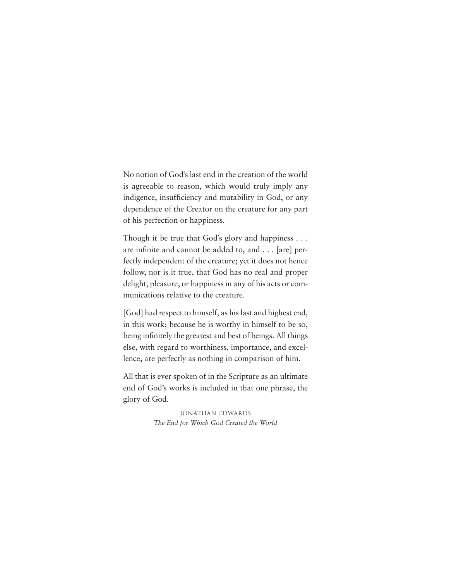No notion of God's last end in the creation of the world is agreeable to reason, which would truly imply any indigence, insufficiency and mutability in God, or any dependence of the Creator on the creature for any part of his perfection or happiness.

Though it be true that God's glory and happiness . . . are infinite and cannot be added to, and . . . [are] perfectly independent of the creature; yet it does not hence follow, nor is it true, that God has no real and proper delight, pleasure, or happiness in any of his acts or communications relative to the creature.

[God] had respect to himself, as his last and highest end, in this work; because he is worthy in himself to be so, being infinitely the greatest and best of beings. All things else, with regard to worthiness, importance, and excellence, are perfectly as nothing in comparison of him.

All that is ever spoken of in the Scripture as an ultimate end of God's works is included in that one phrase, the glory of God.

> Jonathan Edwards *The End for Which God Created the World*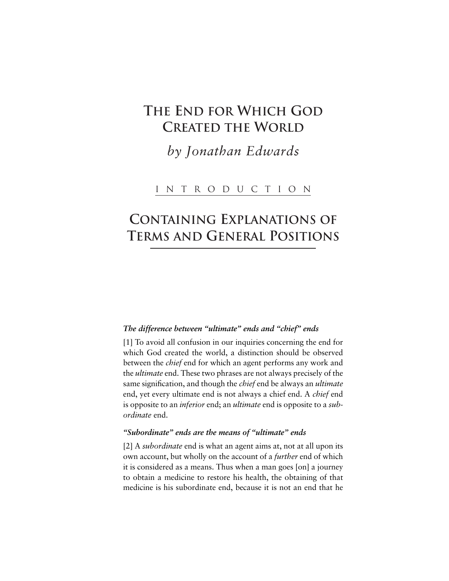# **THE END FOR WHICH GOD CREATED THE WORLD**

*by Jonathan Edwards*

## Introduction

# **CONTAINING EXPLANATIONS OF TERMS AND GENERAL POSITIONS**

#### *The difference between "ultimate" ends and "chief" ends*

[1] To avoid all confusion in our inquiries concerning the end for which God created the world, a distinction should be observed between the *chief* end for which an agent performs any work and the *ultimate* end. These two phrases are not always precisely of the same signification, and though the *chief* end be always an *ultimate* end, yet every ultimate end is not always a chief end. A *chief* end is opposite to an *inferior* end; an *ultimate* end is opposite to a *subordinate* end.

#### *"Subordinate" ends are the means of "ultimate" ends*

[2] A *subordinate* end is what an agent aims at, not at all upon its own account, but wholly on the account of a *further* end of which it is considered as a means. Thus when a man goes [on] a journey to obtain a medicine to restore his health, the obtaining of that medicine is his subordinate end, because it is not an end that he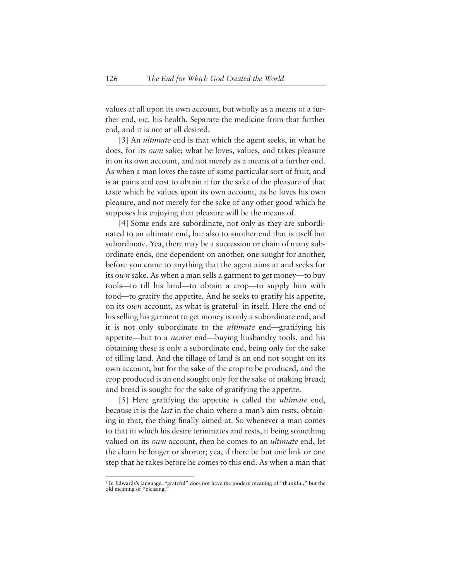values at all upon its own account, but wholly as a means of a further end, *viz.* his health. Separate the medicine from that further end, and it is not at all desired.

[3] An *ultimate* end is that which the agent seeks, in what he does, for its *own* sake; what he loves, values, and takes pleasure in on its own account, and not merely as a means of a further end. As when a man loves the taste of some particular sort of fruit, and is at pains and cost to obtain it for the sake of the pleasure of that taste which he values upon its own account, as he loves his own pleasure, and not merely for the sake of any other good which he supposes his enjoying that pleasure will be the means of.

[4] Some ends are subordinate, not only as they are subordinated to an ultimate end, but also to another end that is itself but subordinate. Yea, there may be a succession or chain of many subordinate ends, one dependent on another, one sought for another, before you come to anything that the agent aims at and seeks for its *own* sake. As when a man sells a garment to get money—to buy tools—to till his land—to obtain a crop—to supply him with food—to gratify the appetite. And he seeks to gratify his appetite, on its *own* account, as what is grateful<sup>1</sup> in itself. Here the end of his selling his garment to get money is only a subordinate end, and it is not only subordinate to the *ultimate* end—gratifying his appetite—but to a *nearer* end—buying husbandry tools, and his obtaining these is only a subordinate end, being only for the sake of tilling land. And the tillage of land is an end not sought on its own account, but for the sake of the crop to be produced, and the crop produced is an end sought only for the sake of making bread; and bread is sought for the sake of gratifying the appetite.

[5] Here gratifying the appetite is called the *ultimate* end, because it is the *last* in the chain where a man's aim rests, obtaining in that, the thing finally aimed at. So whenever a man comes to that in which his desire terminates and rests, it being something valued on its *own* account, then he comes to an *ultimate* end, let the chain be longer or shorter; yea, if there be but one link or one step that he takes before he comes to this end. As when a man that

<sup>&</sup>lt;sup>1</sup> In Edwards's language, "grateful" does not have the modern meaning of "thankful," but the old meaning of "pleasing.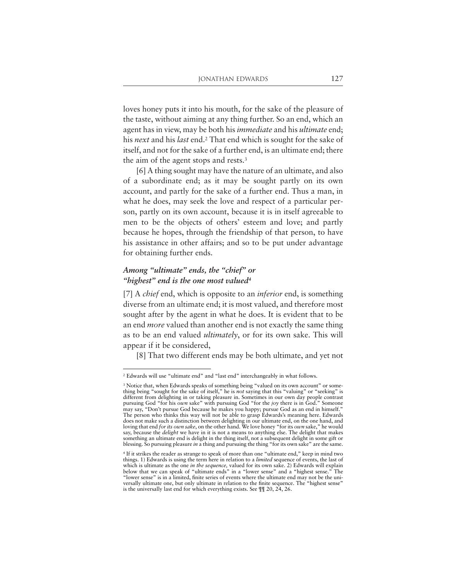loves honey puts it into his mouth, for the sake of the pleasure of the taste, without aiming at any thing further. So an end, which an agent has in view, may be both his *immediate* and his *ultimate* end; his *next* and his *last* end.2 That end which is sought for the sake of itself, and not for the sake of a further end, is an ultimate end; there the aim of the agent stops and rests.3

[6] A thing sought may have the nature of an ultimate, and also of a subordinate end; as it may be sought partly on its own account, and partly for the sake of a further end. Thus a man, in what he does, may seek the love and respect of a particular person, partly on its own account, because it is in itself agreeable to men to be the objects of others' esteem and love; and partly because he hopes, through the friendship of that person, to have his assistance in other affairs; and so to be put under advantage for obtaining further ends.

## *Among "ultimate" ends, the "chief" or "highest" end is the one most valued4*

[7] A *chief* end, which is opposite to an *inferior* end, is something diverse from an ultimate end; it is most valued, and therefore most sought after by the agent in what he does. It is evident that to be an end *more* valued than another end is not exactly the same thing as to be an end valued *ultimately*, or for its own sake. This will appear if it be considered,

[8] That two different ends may be both ultimate, and yet not

<sup>2</sup> Edwards will use "ultimate end" and "last end" interchangeably in what follows.

<sup>&</sup>lt;sup>3</sup> Notice that, when Edwards speaks of something being "valued on its own account" or something being "sought for the sake of itself," he is *not* saying that this "valuing" or "seeking" is different from delighting in or taking pleasure in. Sometimes in our own day people contrast pursuing God "for his *own* sake" with pursuing God "for the *joy* there is in God." Someone may say, "Don't pursue God because he makes you happy; pursue God as an end in himself." The person who thinks this way will not be able to grasp Edwards's meaning here. Edwards does not make such a distinction between delighting in our ultimate end, on the one hand, and loving that end *for its own sake*, on the other hand. We love honey "for its *own* sake," he would say, because the *delight* we have in it is not a means to anything else. The delight that makes something an ultimate end is delight in the thing itself, not a subsequent delight in some gift or blessing. So pursuing pleasure *in* a thing and pursuing the thing "for its own sake" are the same.

<sup>4</sup> If it strikes the reader as strange to speak of more than one "ultimate end," keep in mind two things. 1) Edwards is using the term here in relation to a *limited* sequence of events, the last of which is ultimate as the one *in the sequence,* valued for its own sake. 2) Edwards will explain below that we can speak of "ultimate ends" in a "lower sense" and a "highest sense." The "lower sense" is in a limited, finite series of events where the ultimate end may not be the universally ultimate one, but only ultimate in relation to the finite sequence. The "highest sense" is the universally last end for which everything exists. See ¶¶ 20, 24, 26.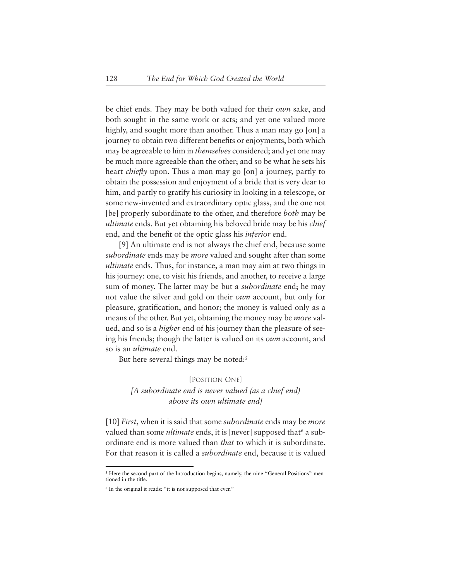be chief ends. They may be both valued for their *own* sake, and both sought in the same work or acts; and yet one valued more highly, and sought more than another. Thus a man may go [on] a journey to obtain two different benefits or enjoyments, both which may be agreeable to him in *themselves* considered; and yet one may be much more agreeable than the other; and so be what he sets his heart *chiefly* upon. Thus a man may go [on] a journey, partly to obtain the possession and enjoyment of a bride that is very dear to him, and partly to gratify his curiosity in looking in a telescope, or some new-invented and extraordinary optic glass, and the one not [be] properly subordinate to the other, and therefore *both* may be *ultimate* ends. But yet obtaining his beloved bride may be his *chief* end, and the benefit of the optic glass his *inferior* end.

[9] An ultimate end is not always the chief end, because some *subordinate* ends may be *more* valued and sought after than some *ultimate* ends. Thus, for instance, a man may aim at two things in his journey: one, to visit his friends, and another, to receive a large sum of money. The latter may be but a *subordinate* end; he may not value the silver and gold on their *own* account, but only for pleasure, gratification, and honor; the money is valued only as a means of the other. But yet, obtaining the money may be *more* valued, and so is a *higher* end of his journey than the pleasure of seeing his friends; though the latter is valued on its *own* account, and so is an *ultimate* end.

But here several things may be noted:<sup>5</sup>

#### [POSITION ONE]

*[A subordinate end is never valued (as a chief end) above its own ultimate end]*

[10] *First*, when it is said that some *subordinate* ends may be *more* valued than some *ultimate* ends, it is [never] supposed that<sup>6</sup> a subordinate end is more valued than *that* to which it is subordinate. For that reason it is called a *subordinate* end, because it is valued

<sup>&</sup>lt;sup>5</sup> Here the second part of the Introduction begins, namely, the nine "General Positions" mentioned in the title.

<sup>&</sup>lt;sup>6</sup> In the original it reads: "it is not supposed that ever."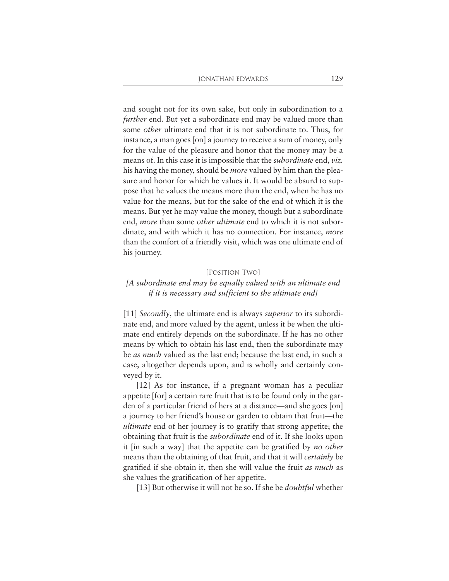and sought not for its own sake, but only in subordination to a *further* end. But yet a subordinate end may be valued more than some *other* ultimate end that it is not subordinate to. Thus, for instance, a man goes [on] a journey to receive a sum of money, only for the value of the pleasure and honor that the money may be a means of. In this case it is impossible that the *subordinate* end, *viz.* his having the money, should be *more* valued by him than the pleasure and honor for which he values it. It would be absurd to suppose that he values the means more than the end, when he has no value for the means, but for the sake of the end of which it is the means. But yet he may value the money, though but a subordinate end, *more* than some *other ultimate* end to which it is not subordinate, and with which it has no connection. For instance, *more* than the comfort of a friendly visit, which was one ultimate end of his journey.

#### [POSITION TWO]

## *[A subordinate end may be equally valued with an ultimate end if it is necessary and sufficient to the ultimate end]*

[11] *Secondly*, the ultimate end is always *superior* to its subordinate end, and more valued by the agent, unless it be when the ultimate end entirely depends on the subordinate. If he has no other means by which to obtain his last end, then the subordinate may be *as much* valued as the last end; because the last end, in such a case, altogether depends upon, and is wholly and certainly conveyed by it.

[12] As for instance, if a pregnant woman has a peculiar appetite [for] a certain rare fruit that is to be found only in the garden of a particular friend of hers at a distance—and she goes [on] a journey to her friend's house or garden to obtain that fruit—the *ultimate* end of her journey is to gratify that strong appetite; the obtaining that fruit is the *subordinate* end of it. If she looks upon it [in such a way] that the appetite can be gratified by *no other* means than the obtaining of that fruit, and that it will *certainly* be gratified if she obtain it, then she will value the fruit *as much* as she values the gratification of her appetite.

[13] But otherwise it will not be so. If she be *doubtful* whether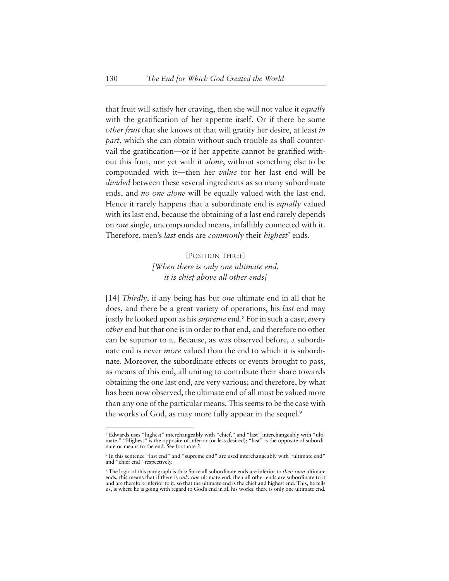that fruit will satisfy her craving, then she will not value it *equally* with the gratification of her appetite itself. Or if there be some *other fruit* that she knows of that will gratify her desire, at least *in part*, which she can obtain without such trouble as shall countervail the gratification—or if her appetite cannot be gratified without this fruit, nor yet with it *alone*, without something else to be compounded with it—then her *value* for her last end will be *divided* between these several ingredients as so many subordinate ends, and *no one alone* will be equally valued with the last end. Hence it rarely happens that a subordinate end is *equally* valued with its last end, because the obtaining of a last end rarely depends on *one* single, uncompounded means, infallibly connected with it. Therefore, men's *last* ends are *commonly* their *highest*<sup>7</sup> ends.

## [POSITION THREE] *[When there is only one ultimate end, it is chief above all other ends]*

[14] *Thirdly*, if any being has but *one* ultimate end in all that he does, and there be a great variety of operations, his *last* end may justly be looked upon as his *supreme* end.8 For in such a case, *every other* end but that one is in order to that end, and therefore no other can be superior to it. Because, as was observed before, a subordinate end is never *more* valued than the end to which it is subordinate. Moreover, the subordinate effects or events brought to pass, as means of this end, all uniting to contribute their share towards obtaining the one last end, are very various; and therefore, by what has been now observed, the ultimate end of all must be valued more than any one of the particular means. This seems to be the case with the works of God, as may more fully appear in the sequel.<sup>9</sup>

<sup>7</sup> Edwards uses "highest" interchangeably with "chief," and "last" interchangeably with "ultimate." "Highest" is the opposite of inferior (or less desired); "last" is the opposite of subordinate or means to the end. See footnote 2.

<sup>8</sup> In this sentence "last end" and "supreme end" are used interchangeably with "ultimate end" and "chief end" respectively.

<sup>9</sup> The logic of this paragraph is this: Since all subordinate ends are inferior to *their own* ultimate ends, this means that if there is *only one* ultimate end, then all other ends are subordinate to it and are therefore inferior to it, so that the ultimate end is the chief and highest end. This, he tells us, is where he is going with regard to God's end in all his works: there is only one ultimate end.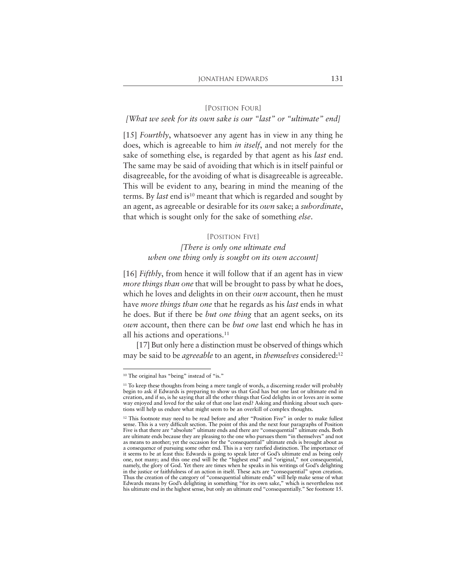#### [POSITION FOUR]

### *[What we seek for its own sake is our "last" or "ultimate" end]*

[15] *Fourthly*, whatsoever any agent has in view in any thing he does, which is agreeable to him *in itself*, and not merely for the sake of something else, is regarded by that agent as his *last* end. The same may be said of avoiding that which is in itself painful or disagreeable, for the avoiding of what is disagreeable is agreeable. This will be evident to any, bearing in mind the meaning of the terms. By *last* end is<sup>10</sup> meant that which is regarded and sought by an agent, as agreeable or desirable for its *own* sake; a *subordinate*, that which is sought only for the sake of something *else*.

#### [POSITION FIVE]

## *[There is only one ultimate end when one thing only is sought on its own account]*

[16] *Fifthly*, from hence it will follow that if an agent has in view *more things than one* that will be brought to pass by what he does, which he loves and delights in on their *own* account, then he must have *more things than one* that he regards as his *last* ends in what he does. But if there be *but one thing* that an agent seeks, on its *own* account, then there can be *but one* last end which he has in all his actions and operations.11

[17] But only here a distinction must be observed of things which may be said to be *agreeable* to an agent, in *themselves* considered:12

<sup>&</sup>lt;sup>10</sup> The original has "being" instead of "is."

<sup>&</sup>lt;sup>11</sup> To keep these thoughts from being a mere tangle of words, a discerning reader will probably begin to ask if Edwards is preparing to show us that God has but one last or ultimate end in creation, and if so, is he saying that all the other things that God delights in or loves are in some way enjoyed and loved for the sake of that one last end? Asking and thinking about such questions will help us endure what might seem to be an overkill of complex thoughts.

<sup>&</sup>lt;sup>12</sup> This footnote may need to be read before and after "Position Five" in order to make fullest sense. This is a very difficult section. The point of this and the next four paragraphs of Position Five is that there are "absolute" ultimate ends and there are "consequential" ultimate ends. Both are ultimate ends because they are pleasing to the one who pursues them "in themselves" and not as means to another; yet the occasion for the "consequential" ultimate ends is brought about as a consequence of pursuing some other end. This is a very rarefied distinction. The importance of it seems to be at least this: Edwards is going to speak later of God's ultimate end as being only one, not many; and this one end will be the "highest end" and "original," not consequential, namely, the glory of God. Yet there are times when he speaks in his writings of God's delighting in the justice or faithfulness of an action in itself. These acts are "consequential" upon creation. Thus the creation of the category of "consequential ultimate ends" will help make sense of what Edwards means by God's delighting in something "for its own sake," which is nevertheless not his ultimate end in the highest sense, but only an ultimate end "consequentially." See footnote 15.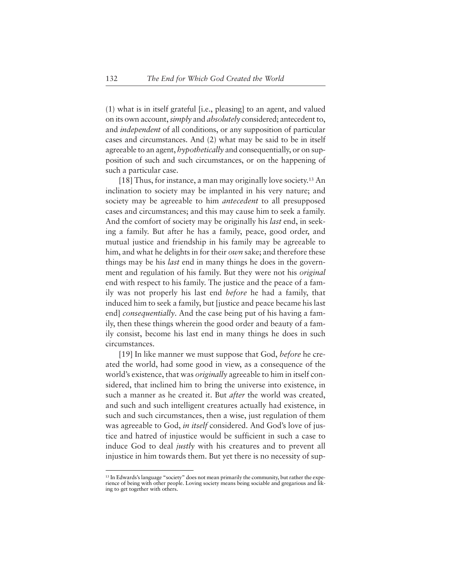(1) what is in itself grateful [i.e., pleasing] to an agent, and valued on its own account, *simply* and *absolutely* considered; antecedent to, and *independent* of all conditions, or any supposition of particular cases and circumstances. And (2) what may be said to be in itself agreeable to an agent, *hypothetically* and consequentially, or on supposition of such and such circumstances, or on the happening of such a particular case.

[18] Thus, for instance, a man may originally love society.<sup>13</sup> An inclination to society may be implanted in his very nature; and society may be agreeable to him *antecedent* to all presupposed cases and circumstances; and this may cause him to seek a family. And the comfort of society may be originally his *last* end, in seeking a family. But after he has a family, peace, good order, and mutual justice and friendship in his family may be agreeable to him, and what he delights in for their *own* sake; and therefore these things may be his *last* end in many things he does in the government and regulation of his family. But they were not his *original* end with respect to his family. The justice and the peace of a family was not properly his last end *before* he had a family, that induced him to seek a family, but [justice and peace became his last end] *consequentially*. And the case being put of his having a family, then these things wherein the good order and beauty of a family consist, become his last end in many things he does in such circumstances.

[19] In like manner we must suppose that God, *before* he created the world, had some good in view, as a consequence of the world's existence, that was *originally* agreeable to him in itself considered, that inclined him to bring the universe into existence, in such a manner as he created it. But *after* the world was created, and such and such intelligent creatures actually had existence, in such and such circumstances, then a wise, just regulation of them was agreeable to God, *in itself* considered. And God's love of justice and hatred of injustice would be sufficient in such a case to induce God to deal *justly* with his creatures and to prevent all injustice in him towards them. But yet there is no necessity of sup-

<sup>&</sup>lt;sup>13</sup> In Edwards's language "society" does not mean primarily the community, but rather the experience of being with other people. Loving society means being sociable and gregarious and liking to get together with others.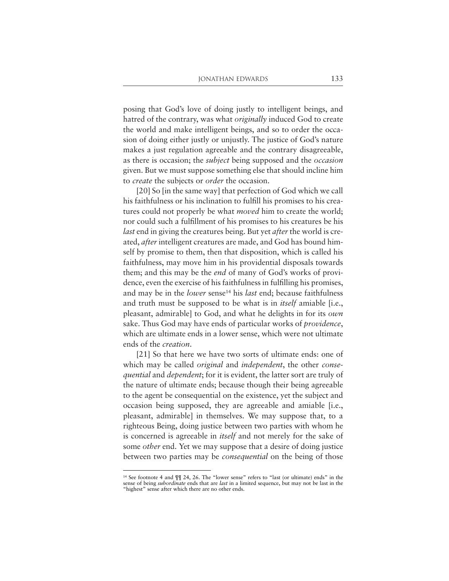posing that God's love of doing justly to intelligent beings, and hatred of the contrary, was what *originally* induced God to create the world and make intelligent beings, and so to order the occasion of doing either justly or unjustly. The justice of God's nature makes a just regulation agreeable and the contrary disagreeable, as there is occasion; the *subject* being supposed and the *occasion* given. But we must suppose something else that should incline him to *create* the subjects or *order* the occasion.

[20] So [in the same way] that perfection of God which we call his faithfulness or his inclination to fulfill his promises to his creatures could not properly be what *moved* him to create the world; nor could such a fulfillment of his promises to his creatures be his *last* end in giving the creatures being. But yet *after* the world is created, *after* intelligent creatures are made, and God has bound himself by promise to them, then that disposition, which is called his faithfulness, may move him in his providential disposals towards them; and this may be the *end* of many of God's works of providence, even the exercise of his faithfulness in fulfilling his promises, and may be in the *lower* sense<sup>14</sup> his *last* end; because faithfulness and truth must be supposed to be what is in *itself* amiable [i.e., pleasant, admirable] to God, and what he delights in for its *own* sake. Thus God may have ends of particular works of *providence*, which are ultimate ends in a lower sense, which were not ultimate ends of the *creation*.

[21] So that here we have two sorts of ultimate ends: one of which may be called *original* and *independent*, the other *consequential* and *dependent*; for it is evident, the latter sort are truly of the nature of ultimate ends; because though their being agreeable to the agent be consequential on the existence, yet the subject and occasion being supposed, they are agreeable and amiable [i.e., pleasant, admirable] in themselves. We may suppose that, to a righteous Being, doing justice between two parties with whom he is concerned is agreeable in *itself* and not merely for the sake of some *other* end. Yet we may suppose that a desire of doing justice between two parties may be *consequential* on the being of those

<sup>14</sup> See footnote 4 and ¶¶ 24, 26. The "lower sense" refers to "last (or ultimate) ends" in the sense of being *subordinate* ends that are *last* in a limited sequence, but may not be last in the "highest" sense after which there are no other ends.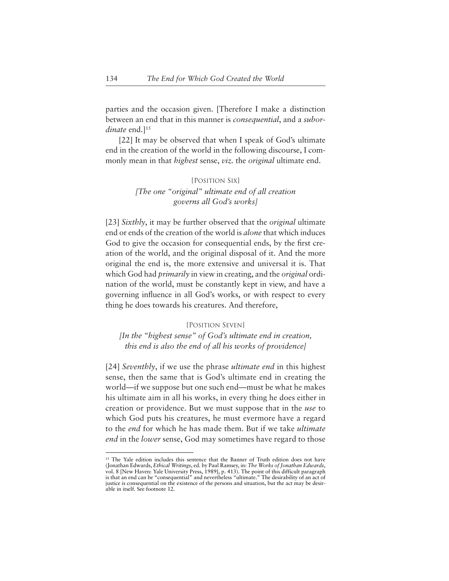parties and the occasion given. [Therefore I make a distinction between an end that in this manner is *consequential*, and a *subordinate* end.]<sup>15</sup>

[22] It may be observed that when I speak of God's ultimate end in the creation of the world in the following discourse, I commonly mean in that *highest* sense, *viz.* the *original* ultimate end.

## [POSITION SIX] *[The one "original" ultimate end of all creation governs all God's works]*

[23] *Sixthly*, it may be further observed that the *original* ultimate end or ends of the creation of the world is *alone* that which induces God to give the occasion for consequential ends, by the first creation of the world, and the original disposal of it. And the more original the end is, the more extensive and universal it is. That which God had *primarily* in view in creating, and the *original* ordination of the world, must be constantly kept in view, and have a governing influence in all God's works, or with respect to every thing he does towards his creatures. And therefore,

#### [POSITION SEVEN]

*[In the "highest sense" of God's ultimate end in creation, this end is also the end of all his works of providence]*

[24] *Seventhly*, if we use the phrase *ultimate end* in this highest sense, then the same that is God's ultimate end in creating the world—if we suppose but one such end—must be what he makes his ultimate aim in all his works, in every thing he does either in creation or providence. But we must suppose that in the *use* to which God puts his creatures, he must evermore have a regard to the *end* for which he has made them. But if we take *ultimate end* in the *lower* sense, God may sometimes have regard to those

<sup>&</sup>lt;sup>15</sup> The Yale edition includes this sentence that the Banner of Truth edition does not have (Jonathan Edwards, *Ethical Writings*, ed. by Paul Ramsey, in: *The Works of Jonathan Edwards*, vol. 8 [New Haven: Yale University Press, 1989], p. 413). The point of this difficult paragraph is that an end can be "consequential" and nevertheless "ultimate." The desirability of an act of justice is consequential on the existence of the persons and situation, but the act may be desirable in itself. See footnote 12.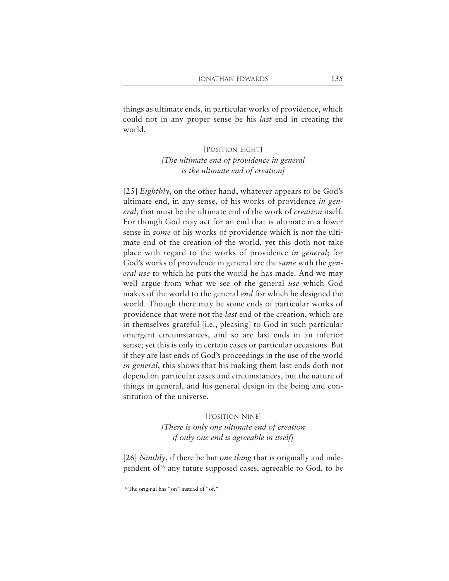things as ultimate ends, in particular works of providence, which could not in any proper sense be his *last* end in creating the world.

## [POSITION EIGHT] *[The ultimate end of providence in general is the ultimate end of creation]*

[25] *Eighthly*, on the other hand, whatever appears to be God's ultimate end, in any sense, of his works of providence *in general*, that must be the ultimate end of the work of *creation* itself. For though God may act for an end that is ultimate in a lower sense in *some* of his works of providence which is not the ultimate end of the creation of the world, yet this doth not take place with regard to the works of providence *in general*; for God's works of providence in general are the *same* with the *general use* to which he puts the world he has made. And we may well argue from what we see of the general *use* which God makes of the world to the general *end* for which he designed the world. Though there may be some ends of particular works of providence that were not the *last* end of the creation, which are in themselves grateful [i.e., pleasing] to God in such particular emergent circumstances, and so are last ends in an inferior sense; yet this is only in certain cases or particular occasions. But if they are last ends of God's proceedings in the use of the world *in general*, this shows that his making them last ends doth not depend on particular cases and circumstances, but the nature of things in general, and his general design in the being and constitution of the universe.

#### [POSITION NINE]

*[There is only one ultimate end of creation if only one end is agreeable in itself]*

[26] *Ninthly*, if there be but *one thing* that is originally and independent of16 any future supposed cases, agreeable to God, to be

<sup>&</sup>lt;sup>16</sup> The original has "on" instead of "of."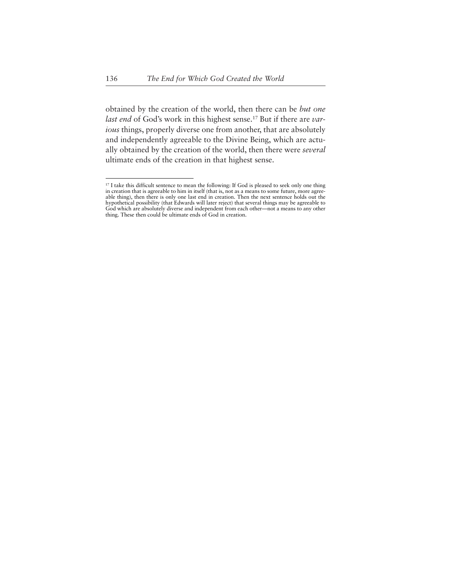obtained by the creation of the world, then there can be *but one* last end of God's work in this highest sense.<sup>17</sup> But if there are *various* things, properly diverse one from another, that are absolutely and independently agreeable to the Divine Being, which are actually obtained by the creation of the world, then there were *several* ultimate ends of the creation in that highest sense.

<sup>&</sup>lt;sup>17</sup> I take this difficult sentence to mean the following: If God is pleased to seek only one thing in creation that is agreeable to him in itself (that is, not as a means to some future, more agreeable thing), then there is only one last end in creation. Then the next sentence holds out the hypothetical possibility (that Edwards will later reject) that several things may be agreeable to God which are absolutely diverse and independent from each other—not a means to any other thing. These then could be ultimate ends of God in creation.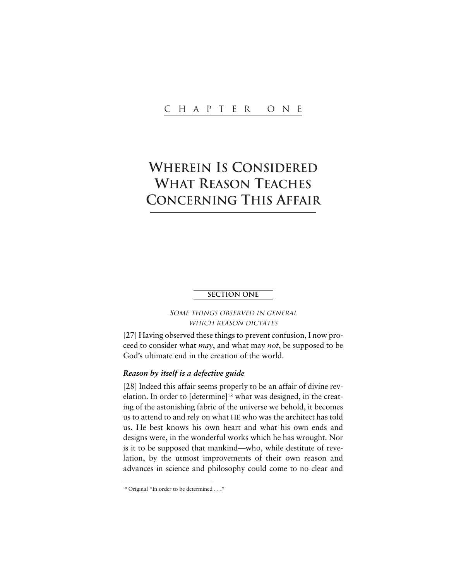# **WHEREIN IS CONSIDERED WHAT REASON TEACHES CONCERNING THIS AFFAIR**

#### **SECTION ONE**

## SOME THINGS OBSERVED IN GENERAL WHICH REASON DICTATES

[27] Having observed these things to prevent confusion, I now proceed to consider what *may*, and what may *not*, be supposed to be God's ultimate end in the creation of the world.

#### *Reason by itself is a defective guide*

[28] Indeed this affair seems properly to be an affair of divine revelation. In order to [determine]18 what was designed, in the creating of the astonishing fabric of the universe we behold, it becomes us to attend to and rely on what HE who was the architect has told us. He best knows his own heart and what his own ends and designs were, in the wonderful works which he has wrought. Nor is it to be supposed that mankind—who, while destitute of revelation, by the utmost improvements of their own reason and advances in science and philosophy could come to no clear and

<sup>&</sup>lt;sup>18</sup> Original "In order to be determined . . ."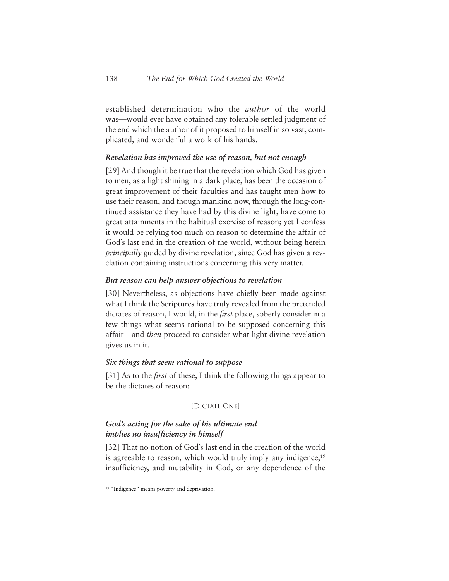established determination who the *author* of the world was—would ever have obtained any tolerable settled judgment of the end which the author of it proposed to himself in so vast, complicated, and wonderful a work of his hands.

#### *Revelation has improved the use of reason, but not enough*

[29] And though it be true that the revelation which God has given to men, as a light shining in a dark place, has been the occasion of great improvement of their faculties and has taught men how to use their reason; and though mankind now, through the long-continued assistance they have had by this divine light, have come to great attainments in the habitual exercise of reason; yet I confess it would be relying too much on reason to determine the affair of God's last end in the creation of the world, without being herein *principally* guided by divine revelation, since God has given a revelation containing instructions concerning this very matter.

#### *But reason can help answer objections to revelation*

[30] Nevertheless, as objections have chiefly been made against what I think the Scriptures have truly revealed from the pretended dictates of reason, I would, in the *first* place, soberly consider in a few things what seems rational to be supposed concerning this affair—and *then* proceed to consider what light divine revelation gives us in it.

#### *Six things that seem rational to suppose*

[31] As to the *first* of these, I think the following things appear to be the dictates of reason:

#### [DICTATE ONE]

## *God's acting for the sake of his ultimate end implies no insufficiency in himself*

[32] That no notion of God's last end in the creation of the world is agreeable to reason, which would truly imply any indigence,<sup>19</sup> insufficiency, and mutability in God, or any dependence of the

<sup>&</sup>lt;sup>19</sup> "Indigence" means poverty and deprivation.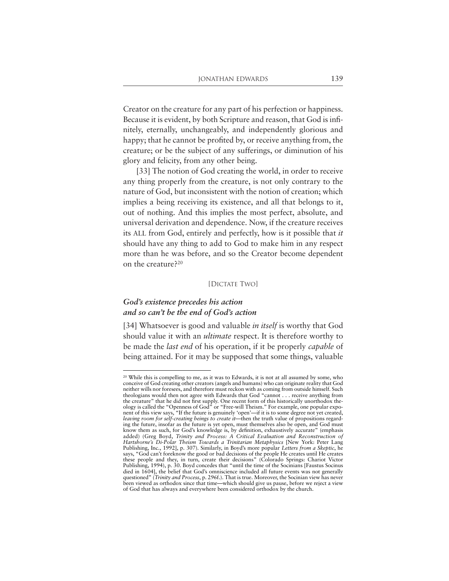Creator on the creature for any part of his perfection or happiness. Because it is evident, by both Scripture and reason, that God is infinitely, eternally, unchangeably, and independently glorious and happy; that he cannot be profited by, or receive anything from, the creature; or be the subject of any sufferings, or diminution of his glory and felicity, from any other being.

[33] The notion of God creating the world, in order to receive any thing properly from the creature, is not only contrary to the nature of God, but inconsistent with the notion of creation; which implies a being receiving its existence, and all that belongs to it, out of nothing. And this implies the most perfect, absolute, and universal derivation and dependence. Now, if the creature receives its ALL from God, entirely and perfectly, how is it possible that *it* should have any thing to add to God to make him in any respect more than he was before, and so the Creator become dependent on the creature?20

#### [DICTATE TWO]

### *God's existence precedes his action and so can't be the end of God's action*

[34] Whatsoever is good and valuable *in itself* is worthy that God should value it with an *ultimate* respect. It is therefore worthy to be made the *last end* of his operation, if it be properly *capable* of being attained. For it may be supposed that some things, valuable

<sup>20</sup> While this is compelling to me, as it was to Edwards, it is not at all assumed by some, who conceive of God creating other creators (angels and humans) who can originate reality that God neither wills nor foresees, and therefore must reckon with as coming from outside himself. Such theologians would then not agree with Edwards that God "cannot . . . receive anything from the creature" that he did not first supply. One recent form of this historically unorthodox theology is called the "Openness of God" or "Free-will Theism." For example, one popular exponent of this view says, "If the future is genuinely 'open'—if it is to some degree not yet created, *leaving room for self-creating beings to create it*—then the truth value of propositions regarding the future, insofar as the future is yet open, must themselves also be open, and God must know them as such, for God's knowledge is, by definition, exhaustively accurate" (emphasis added) (Greg Boyd, *Trinity and Process: A Critical Evaluation and Reconstruction of Hartshorne's Di-Polar Theism Towards a Trinitarian Metaphysics* [New York: Peter Lang Publishing, Inc., 1992], p. 307). Similarly, in Boyd's more popular *Letters from a Skeptic*, he says, "God can't foreknow the good or bad decisions of the people He creates until He creates these people and they, in turn, create their decisions" (Colorado Springs: Chariot Victor Publishing, 1994), p. 30. Boyd concedes that "until the time of the Socinians [Faustus Socinus died in 1604], the belief that God's omniscience included all future events was not generally questioned" (*Trinity and Process*, p. 296f.). That is true. Moreover, the Socinian view has never been viewed as orthodox since that time—which should give us pause, before we reject a view of God that has always and everywhere been considered orthodox by the church.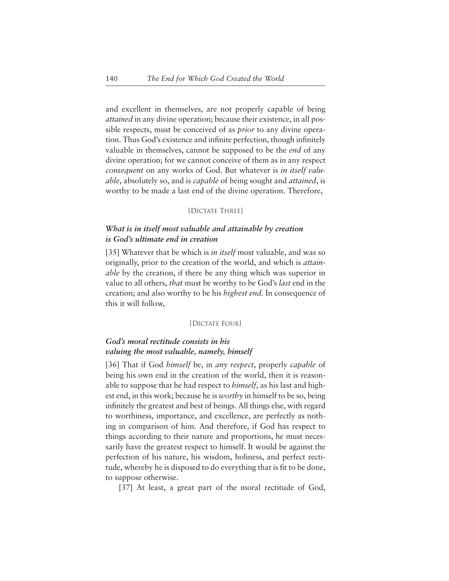and excellent in themselves, are not properly capable of being *attained* in any divine operation; because their existence, in all possible respects, must be conceived of as *prior* to any divine operation. Thus God's existence and infinite perfection, though infinitely valuable in themselves, cannot be supposed to be the *end* of any divine operation; for we cannot conceive of them as in any respect *consequent* on any works of God. But whatever is *in itself valuable*, absolutely so, and is *capable* of being sought and *attained*, is worthy to be made a last end of the divine operation. Therefore,

#### [DICTATE THREE]

### *What is in itself most valuable and attainable by creation is God's ultimate end in creation*

[35] Whatever that be which is *in itself* most valuable, and was so originally, prior to the creation of the world, and which is *attainable* by the creation, if there be any thing which was superior in value to all others, *that* must be worthy to be God's *last* end in the creation; and also worthy to be his *highest end.* In consequence of this it will follow,

#### [DICTATE FOUR]

## *God's moral rectitude consists in his valuing the most valuable, namely, himself*

[36] That if God *himself* be, in *any respect*, properly *capable* of being his own end in the creation of the world, then it is reasonable to suppose that he had respect to *himself*, as his last and highest end, in this work; because he is *worthy* in himself to be so, being infinitely the greatest and best of beings. All things else, with regard to worthiness, importance, and excellence, are perfectly as nothing in comparison of him. And therefore, if God has respect to things according to their nature and proportions, he must necessarily have the greatest respect to himself. It would be against the perfection of his nature, his wisdom, holiness, and perfect rectitude, whereby he is disposed to do everything that is fit to be done, to suppose otherwise.

[37] At least, a great part of the moral rectitude of God,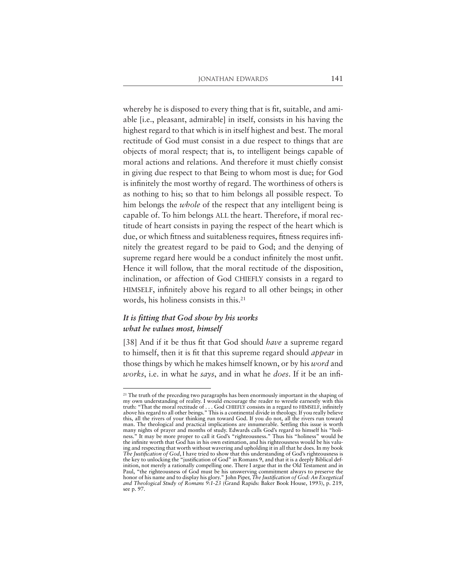whereby he is disposed to every thing that is fit, suitable, and amiable [i.e., pleasant, admirable] in itself, consists in his having the highest regard to that which is in itself highest and best. The moral rectitude of God must consist in a due respect to things that are objects of moral respect; that is, to intelligent beings capable of moral actions and relations. And therefore it must chiefly consist in giving due respect to that Being to whom most is due; for God is infinitely the most worthy of regard. The worthiness of others is as nothing to his; so that to him belongs all possible respect. To him belongs the *whole* of the respect that any intelligent being is capable of. To him belongs ALL the heart. Therefore, if moral rectitude of heart consists in paying the respect of the heart which is due, or which fitness and suitableness requires, fitness requires infinitely the greatest regard to be paid to God; and the denying of supreme regard here would be a conduct infinitely the most unfit. Hence it will follow, that the moral rectitude of the disposition, inclination, or affection of God CHIEFLY consists in a regard to HIMSELF, infinitely above his regard to all other beings; in other words, his holiness consists in this.<sup>21</sup>

## *It is fitting that God show by his works what he values most, himself*

[38] And if it be thus fit that God should *have* a supreme regard to himself, then it is fit that this supreme regard should *appear* in those things by which he makes himself known, or by his *word* and *works*, i.e. in what he *says*, and in what he *does*. If it be an infi-

<sup>&</sup>lt;sup>21</sup> The truth of the preceding two paragraphs has been enormously important in the shaping of my own understanding of reality. I would encourage the reader to wrestle earnestly with this truth: "That the moral rectitude of . . . God CHIEFLY consists in a regard to HIMSELF, infinitely above his regard to all other beings." This is a continental divide in theology. If you really believe this, all the rivers of your thinking run toward God. If you do not, all the rivers run toward man. The theological and practical implications are innumerable. Settling this issue is worth many nights of prayer and months of study. Edwards calls God's regard to himself his "holiness." It may be more proper to call it God's "righteousness." Thus his "holiness" would be the infinite worth that God has in his own estimation, and his righteousness would be his valuing and respecting that worth without wavering and upholding it in all that he does. In my book *The Justification of God*, I have tried to show that this understanding of God's righteousness is the key to unlocking the "justification of God" in Romans 9, and that it is a deeply Biblical definition, not merely a rationally compelling one. There I argue that in the Old Testament and in Paul, "the righteousness of God must be his unswerving commitment always to preserve the honor of his name and to display his glory." John Piper, *The Justification of God: An Exegetical and Theological Study of Romans 9:1-23* (Grand Rapids: Baker Book House, 1993), p. 219, see p. 97.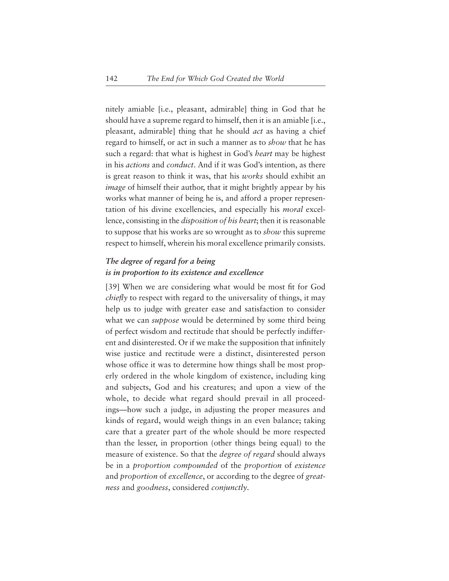nitely amiable [i.e., pleasant, admirable] thing in God that he should have a supreme regard to himself, then it is an amiable [i.e., pleasant, admirable] thing that he should *act* as having a chief regard to himself, or act in such a manner as to *show* that he has such a regard: that what is highest in God's *heart* may be highest in his *actions* and *conduct*. And if it was God's intention, as there is great reason to think it was, that his *works* should exhibit an *image* of himself their author, that it might brightly appear by his works what manner of being he is, and afford a proper representation of his divine excellencies, and especially his *moral* excellence, consisting in the *disposition of his heart*; then it is reasonable to suppose that his works are so wrought as to *show* this supreme respect to himself, wherein his moral excellence primarily consists.

## *The degree of regard for a being is in proportion to its existence and excellence*

[39] When we are considering what would be most fit for God *chiefly* to respect with regard to the universality of things, it may help us to judge with greater ease and satisfaction to consider what we can *suppose* would be determined by some third being of perfect wisdom and rectitude that should be perfectly indifferent and disinterested. Or if we make the supposition that infinitely wise justice and rectitude were a distinct, disinterested person whose office it was to determine how things shall be most properly ordered in the whole kingdom of existence, including king and subjects, God and his creatures; and upon a view of the whole, to decide what regard should prevail in all proceedings—how such a judge, in adjusting the proper measures and kinds of regard, would weigh things in an even balance; taking care that a greater part of the whole should be more respected than the lesser, in proportion (other things being equal) to the measure of existence. So that the *degree of regard* should always be in a *proportion compounded* of the *proportion* of *existence* and *proportion* of *excellence*, or according to the degree of *greatness* and *goodness*, considered *conjunctly*.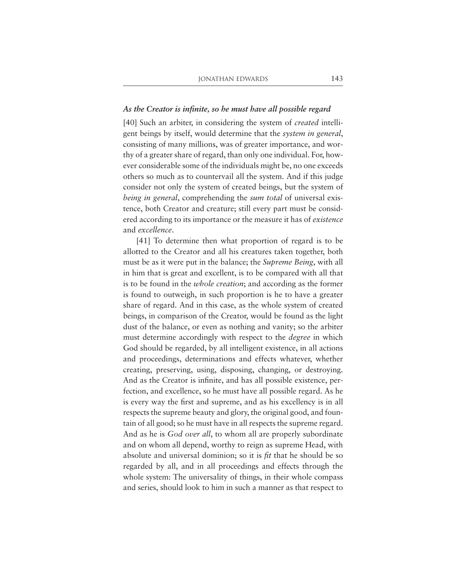#### *As the Creator is infinite, so he must have all possible regard*

[40] Such an arbiter, in considering the system of *created* intelligent beings by itself, would determine that the *system in general*, consisting of many millions, was of greater importance, and worthy of a greater share of regard, than only one individual. For, however considerable some of the individuals might be, no one exceeds others so much as to countervail all the system. And if this judge consider not only the system of created beings, but the system of *being in general*, comprehending the *sum total* of universal existence, both Creator and creature; still every part must be considered according to its importance or the measure it has of *existence* and *excellence*.

[41] To determine then what proportion of regard is to be allotted to the Creator and all his creatures taken together, both must be as it were put in the balance; the *Supreme Being*, with all in him that is great and excellent, is to be compared with all that is to be found in the *whole creation*; and according as the former is found to outweigh, in such proportion is he to have a greater share of regard. And in this case, as the whole system of created beings, in comparison of the Creator, would be found as the light dust of the balance, or even as nothing and vanity; so the arbiter must determine accordingly with respect to the *degree* in which God should be regarded, by all intelligent existence, in all actions and proceedings, determinations and effects whatever, whether creating, preserving, using, disposing, changing, or destroying. And as the Creator is infinite, and has all possible existence, perfection, and excellence, so he must have all possible regard. As he is every way the first and supreme, and as his excellency is in all respects the supreme beauty and glory, the original good, and fountain of all good; so he must have in all respects the supreme regard. And as he is *God over all*, to whom all are properly subordinate and on whom all depend, worthy to reign as supreme Head, with absolute and universal dominion; so it is *fit* that he should be so regarded by all, and in all proceedings and effects through the whole system: The universality of things, in their whole compass and series, should look to him in such a manner as that respect to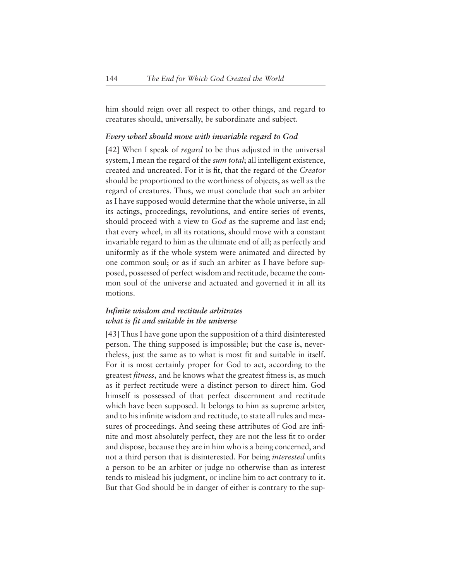him should reign over all respect to other things, and regard to creatures should, universally, be subordinate and subject.

#### *Every wheel should move with invariable regard to God*

[42] When I speak of *regard* to be thus adjusted in the universal system, I mean the regard of the *sum total*; all intelligent existence, created and uncreated. For it is fit, that the regard of the *Creator* should be proportioned to the worthiness of objects, as well as the regard of creatures. Thus, we must conclude that such an arbiter as I have supposed would determine that the whole universe, in all its actings, proceedings, revolutions, and entire series of events, should proceed with a view to *God* as the supreme and last end; that every wheel, in all its rotations, should move with a constant invariable regard to him as the ultimate end of all; as perfectly and uniformly as if the whole system were animated and directed by one common soul; or as if such an arbiter as I have before supposed, possessed of perfect wisdom and rectitude, became the common soul of the universe and actuated and governed it in all its motions.

### *Infinite wisdom and rectitude arbitrates what is fit and suitable in the universe*

[43] Thus I have gone upon the supposition of a third disinterested person. The thing supposed is impossible; but the case is, nevertheless, just the same as to what is most fit and suitable in itself. For it is most certainly proper for God to act, according to the greatest *fitness*, and he knows what the greatest fitness is, as much as if perfect rectitude were a distinct person to direct him. God himself is possessed of that perfect discernment and rectitude which have been supposed. It belongs to him as supreme arbiter, and to his infinite wisdom and rectitude, to state all rules and measures of proceedings. And seeing these attributes of God are infinite and most absolutely perfect, they are not the less fit to order and dispose, because they are in him who is a being concerned, and not a third person that is disinterested. For being *interested* unfits a person to be an arbiter or judge no otherwise than as interest tends to mislead his judgment, or incline him to act contrary to it. But that God should be in danger of either is contrary to the sup-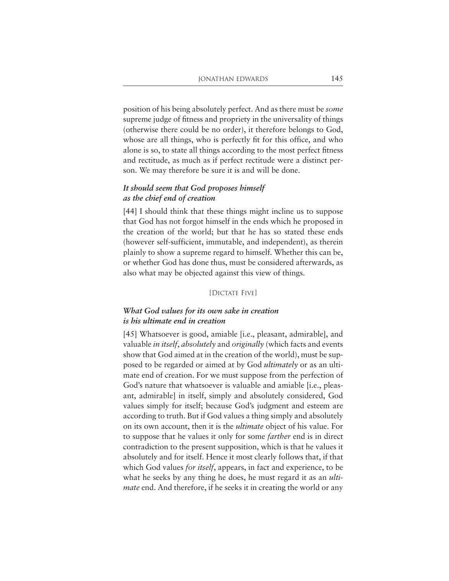position of his being absolutely perfect. And as there must be *some* supreme judge of fitness and propriety in the universality of things (otherwise there could be no order), it therefore belongs to God, whose are all things, who is perfectly fit for this office, and who alone is so, to state all things according to the most perfect fitness and rectitude, as much as if perfect rectitude were a distinct person. We may therefore be sure it is and will be done.

## *It should seem that God proposes himself as the chief end of creation*

[44] I should think that these things might incline us to suppose that God has not forgot himself in the ends which he proposed in the creation of the world; but that he has so stated these ends (however self-sufficient, immutable, and independent), as therein plainly to show a supreme regard to himself. Whether this can be, or whether God has done thus, must be considered afterwards, as also what may be objected against this view of things.

#### [DICTATE FIVE]

### *What God values for its own sake in creation is his ultimate end in creation*

[45] Whatsoever is good, amiable [i.e., pleasant, admirable], and valuable *in itself*, *absolutely* and *originally* (which facts and events show that God aimed at in the creation of the world), must be supposed to be regarded or aimed at by God *ultimately* or as an ultimate end of creation. For we must suppose from the perfection of God's nature that whatsoever is valuable and amiable [i.e., pleasant, admirable] in itself, simply and absolutely considered, God values simply for itself; because God's judgment and esteem are according to truth. But if God values a thing simply and absolutely on its own account, then it is the *ultimate* object of his value. For to suppose that he values it only for some *farther* end is in direct contradiction to the present supposition, which is that he values it absolutely and for itself. Hence it most clearly follows that, if that which God values *for itself*, appears, in fact and experience, to be what he seeks by any thing he does, he must regard it as an *ultimate* end. And therefore, if he seeks it in creating the world or any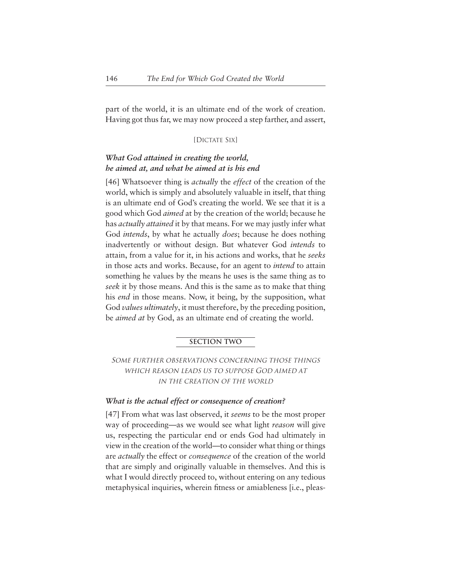part of the world, it is an ultimate end of the work of creation. Having got thus far, we may now proceed a step farther, and assert,

#### [DICTATE SIX]

## *What God attained in creating the world, he aimed at, and what he aimed at is his end*

[46] Whatsoever thing is *actually* the *effect* of the creation of the world, which is simply and absolutely valuable in itself, that thing is an ultimate end of God's creating the world. We see that it is a good which God *aimed* at by the creation of the world; because he has *actually attained* it by that means. For we may justly infer what God *intends*, by what he actually *does*; because he does nothing inadvertently or without design. But whatever God *intends* to attain, from a value for it, in his actions and works, that he *seeks* in those acts and works. Because, for an agent to *intend* to attain something he values by the means he uses is the same thing as to *seek* it by those means. And this is the same as to make that thing his *end* in those means. Now, it being, by the supposition, what God *values ultimately*, it must therefore, by the preceding position, be *aimed at* by God, as an ultimate end of creating the world.

#### **SECTION TWO**

SOME FURTHER OBSERVATIONS CONCERNING THOSE THINGS WHICH REASON LEADS US TO SUPPOSE GOD AIMED AT IN THE CREATION OF THE WORLD

#### *What is the actual effect or consequence of creation?*

[47] From what was last observed, it *seems* to be the most proper way of proceeding—as we would see what light *reason* will give us, respecting the particular end or ends God had ultimately in view in the creation of the world—to consider what thing or things are *actually* the effect or *consequence* of the creation of the world that are simply and originally valuable in themselves. And this is what I would directly proceed to, without entering on any tedious metaphysical inquiries, wherein fitness or amiableness [i.e., pleas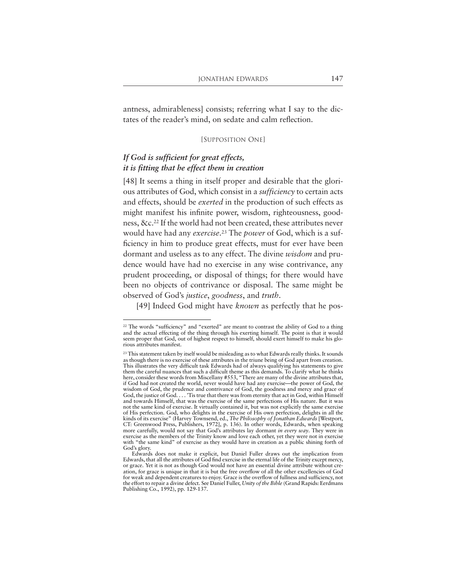antness, admirableness] consists; referring what I say to the dictates of the reader's mind, on sedate and calm reflection.

#### [SUPPOSITION ONE]

## *If God is sufficient for great effects, it is fitting that he effect them in creation*

[48] It seems a thing in itself proper and desirable that the glorious attributes of God, which consist in a *sufficiency* to certain acts and effects, should be *exerted* in the production of such effects as might manifest his infinite power, wisdom, righteousness, goodness, &c.22 If the world had not been created, these attributes never would have had any *exercise*. <sup>23</sup> The *power* of God, which is a sufficiency in him to produce great effects, must for ever have been dormant and useless as to any effect. The divine *wisdom* and prudence would have had no exercise in any wise contrivance, any prudent proceeding, or disposal of things; for there would have been no objects of contrivance or disposal. The same might be observed of God's *justice*, *goodness*, and *truth*.

[49] Indeed God might have *known* as perfectly that he pos-

<sup>&</sup>lt;sup>22</sup> The words "sufficiency" and "exerted" are meant to contrast the ability of God to a thing and the actual effecting of the thing through his exerting himself. The point is that it would seem proper that God, out of highest respect to himself, should exert himself to make his glorious attributes manifest.

<sup>&</sup>lt;sup>23</sup> This statement taken by itself would be misleading as to what Edwards really thinks. It sounds as though there is no exercise of these attributes in the triune being of God apart from creation. This illustrates the very difficult task Edwards had of always qualifying his statements to give them the careful nuances that such a difficult theme as this demands. To clarify what he thinks here, consider these words from Miscellany #553, "There are many of the divine attributes that, if God had not created the world, never would have had any exercise—the power of God, the wisdom of God, the prudence and contrivance of God, the goodness and mercy and grace of God, the justice of God. . . . 'Tis true that there was from eternity that act in God, within Himself and towards Himself, that was the exercise of the same perfections of His nature. But it was not the same kind of exercise. It virtually contained it, but was not explicitly the same exercise of His perfection. God, who delights in the exercise of His own perfection, delights in all the kinds of its exercise" (Harvey Townsend, ed., *The Philosophy of Jonathan Edwards* [Westport, CT: Greenwood Press, Publishers, 1972], p. 136). In other words, Edwards, when speaking more carefully, would not say that God's attributes lay dormant *in every way*. They were in exercise as the members of the Trinity know and love each other, yet they were not in exercise with "the same kind" of exercise as they would have in creation as a public shining forth of God's glory.

Edwards does not make it explicit, but Daniel Fuller draws out the implication from Edwards, that all the attributes of God find exercise in the eternal life of the Trinity except mercy, or grace. Yet it is not as though God would not have an essential divine attribute without creation, for grace is unique in that it is but the free overflow of all the other excellencies of God for weak and dependent creatures to enjoy. Grace is the overflow of fullness and sufficiency, not the effort to repair a divine defect. See Daniel Fuller, *Unity of the Bible* (Grand Rapids: Eerdmans Publishing Co., 1992), pp. 129-137.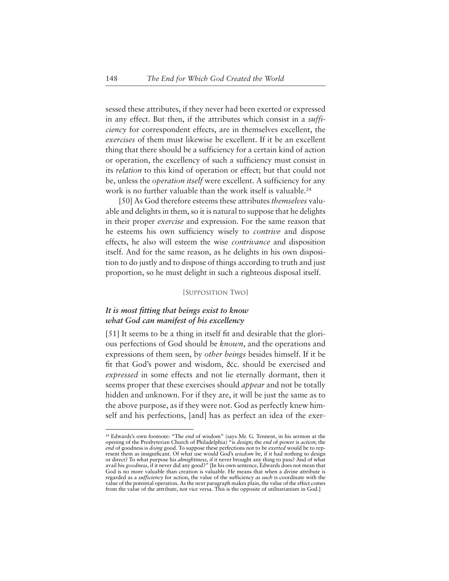sessed these attributes, if they never had been exerted or expressed in any effect. But then, if the attributes which consist in a *sufficiency* for correspondent effects, are in themselves excellent, the *exercises* of them must likewise be excellent. If it be an excellent thing that there should be a sufficiency for a certain kind of action or operation, the excellency of such a sufficiency must consist in its *relation* to this kind of operation or effect; but that could not be, unless the *operation itself* were excellent. A sufficiency for any work is no further valuable than the work itself is valuable.24

[50] As God therefore esteems these attributes *themselves* valuable and delights in them, so it is natural to suppose that he delights in their proper *exercise* and expression. For the same reason that he esteems his own sufficiency wisely to *contrive* and dispose effects, he also will esteem the wise *contrivance* and disposition itself. And for the same reason, as he delights in his own disposition to do justly and to dispose of things according to truth and just proportion, so he must delight in such a righteous disposal itself.

#### [SUPPOSITION TWO]

## *It is most fitting that beings exist to know what God can manifest of his excellency*

[51] It seems to be a thing in itself fit and desirable that the glorious perfections of God should be *known*, and the operations and expressions of them seen, by *other beings* besides himself. If it be fit that God's power and wisdom, &c. should be exercised and *expressed* in some effects and not lie eternally dormant, then it seems proper that these exercises should *appear* and not be totally hidden and unknown. For if they are, it will be just the same as to the above purpose, as if they were not. God as perfectly knew himself and his perfections, [and] has as perfect an idea of the exer-

<sup>24</sup> Edwards's own footnote: "The *end* of wisdom" (says Mr. G. Tennent, in his sermon at the opening of the Presbyterian Church of Philadelphia) "is *design*; the *end* of power is *action*; the *end* of goodness is *doing* good. To suppose these perfections not to be *exerted* would be to represent them as insignificant. Of what use would God's *wisdom* be, if it had nothing to design or direct? To what purpose his *almightiness*, if it never brought any thing to pass? And of what avail his *goodness*, if it never did any good?" [In his own sentence, Edwards does not mean that God is no more valuable than creation is valuable. He means that when a divine attribute is regarded as a *sufficiency* for action, the value of the sufficiency *as such* is coordinate with the value of the potential operation. As the next paragraph makes plain, the value of the effect comes from the value of the attribute, not vice versa. This is the opposite of utilitarianism in God.]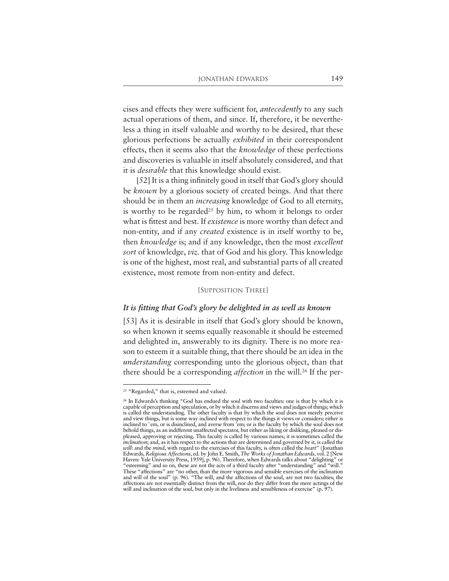cises and effects they were sufficient for, *antecedently* to any such actual operations of them, and since. If, therefore, it be nevertheless a thing in itself valuable and worthy to be desired, that these glorious perfections be actually *exhibited* in their correspondent effects, then it seems also that the *knowledge* of these perfections and discoveries is valuable in itself absolutely considered, and that it is *desirable* that this knowledge should exist.

[52] It is a thing infinitely good in itself that God's glory should be *known* by a glorious society of created beings. And that there should be in them an *increasing* knowledge of God to all eternity, is worthy to be regarded<sup>25</sup> by him, to whom it belongs to order what is fittest and best. If *existence* is more worthy than defect and non-entity, and if any *created* existence is in itself worthy to be, then *knowledge* is; and if any knowledge, then the most *excellent sort* of knowledge, *viz.* that of God and his glory. This knowledge is one of the highest, most real, and substantial parts of all created existence, most remote from non-entity and defect.

#### [SUPPOSITION THREE]

#### *It is fitting that God's glory be delighted in as well as known*

[53] As it is desirable in itself that God's glory should be known, so when known it seems equally reasonable it should be esteemed and delighted in, answerably to its dignity. There is no more reason to esteem it a suitable thing, that there should be an idea in the *understanding* corresponding unto the glorious object, than that there should be a corresponding *affection* in the will.26 If the per-

<sup>&</sup>lt;sup>25</sup> "Regarded," that is, esteemed and valued.

<sup>&</sup>lt;sup>26</sup> In Edwards's thinking "God has endued the soul with two faculties: one is that by which it is capable of perception and speculation, or by which it discerns and views and judges of things; which is called the understanding. The other faculty is that by which the soul does not merely perceive and view things, but is some way inclined with respect to the things it views or considers; either is inclined to 'em, or is disinclined, and averse from 'em; or is the faculty by which the soul does not behold things, as an indifferent unaffected spectator, but either as liking or disliking, pleased or displeased, approving or rejecting. This faculty is called by various names; it is sometimes called the *inclination*; and, as it has respect to the actions that are determined and governed by it, is called the *will*: and the *mind*, with regard to the exercises of this faculty, is often called the *heart*" (Jonathan Edwards, *Religious Affections*, ed. by John E. Smith, *The Works of Jonathan Edwards*, vol. 2 [New Haven: Yale University Press, 1959], p. 96). Therefore, when Edwards talks about "delighting" or "esteeming" and so on, these are not the acts of a third faculty after "understanding" and "will." These "affections" are "no other, than the more vigorous and sensible exercises of the inclination and will of the soul" (p. 96). "The will, and the affections of the soul, are not two faculties; the affections are not essentially distinct from the will, nor do they differ from the mere actings of the will and inclination of the soul, but only in the liveliness and sensibleness of exercise" (p. 97).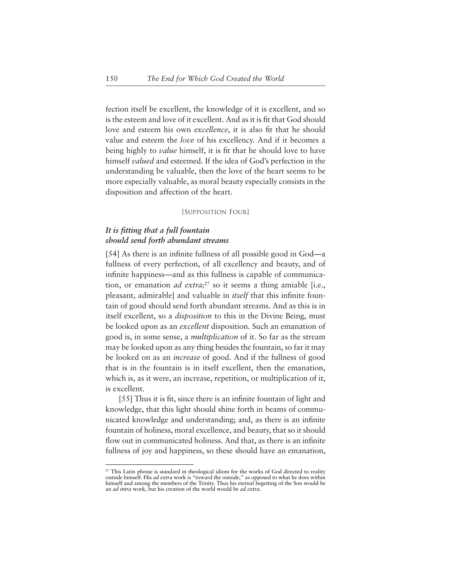fection itself be excellent, the knowledge of it is excellent, and so is the esteem and love of it excellent. And as it is fit that God should love and esteem his own *excellence*, it is also fit that he should value and esteem the *love* of his excellency. And if it becomes a being highly to *value* himself, it is fit that he should love to have himself *valued* and esteemed. If the idea of God's perfection in the understanding be valuable, then the love of the heart seems to be more especially valuable, as moral beauty especially consists in the disposition and affection of the heart.

#### [SUPPOSITION FOUR]

## *It is fitting that a full fountain should send forth abundant streams*

[54] As there is an infinite fullness of all possible good in God—a fullness of every perfection, of all excellency and beauty, and of infinite happiness—and as this fullness is capable of communication, or emanation *ad extra;*<sup>27</sup> so it seems a thing amiable [i.e., pleasant, admirable] and valuable in *itself* that this infinite fountain of good should send forth abundant streams. And as this is in itself excellent, so a *disposition* to this in the Divine Being, must be looked upon as an *excellent* disposition. Such an emanation of good is, in some sense, a *multiplication* of it. So far as the stream may be looked upon as any thing besides the fountain, so far it may be looked on as an *increase* of good. And if the fullness of good that is in the fountain is in itself excellent, then the emanation, which is, as it were, an increase, repetition, or multiplication of it, is excellent.

[55] Thus it is fit, since there is an infinite fountain of light and knowledge, that this light should shine forth in beams of communicated knowledge and understanding; and, as there is an infinite fountain of holiness, moral excellence, and beauty, that so it should flow out in communicated holiness. And that, as there is an infinite fullness of joy and happiness, so these should have an emanation,

<sup>&</sup>lt;sup>27</sup> This Latin phrase is standard in theological idiom for the works of God directed to reality outside himself. His *ad extra* work is "toward the outside," as opposed to what he does within himself and among the members of the Trinity. Thus his eternal begetting of the Son would be an *ad intra* work, but his creation of the world would be *ad extra.*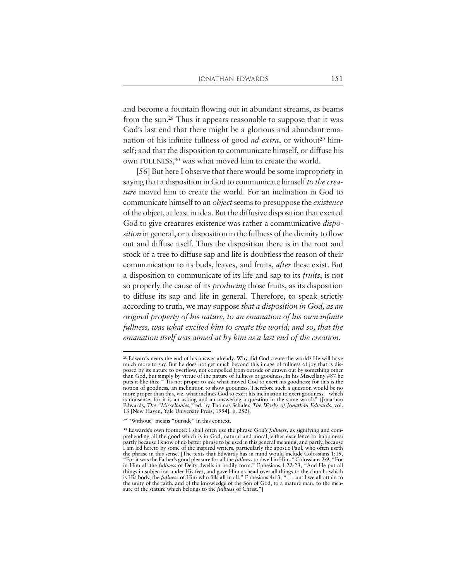and become a fountain flowing out in abundant streams, as beams from the sun.28 Thus it appears reasonable to suppose that it was God's last end that there might be a glorious and abundant emanation of his infinite fullness of good *ad extra*, or without<sup>29</sup> himself; and that the disposition to communicate himself, or diffuse his own FULLNESS, <sup>30</sup> was what moved him to create the world.

[56] But here I observe that there would be some impropriety in saying that a disposition in God to communicate himself *to the creature* moved him to create the world. For an inclination in God to communicate himself to an *object*seems to presuppose the *existence* of the object, at least in idea. But the diffusive disposition that excited God to give creatures existence was rather a communicative *disposition* in general, or a disposition in the fullness of the divinity to flow out and diffuse itself. Thus the disposition there is in the root and stock of a tree to diffuse sap and life is doubtless the reason of their communication to its buds, leaves, and fruits, *after* these exist. But a disposition to communicate of its life and sap to its *fruits*, is not so properly the cause of its *producing* those fruits, as its disposition to diffuse its sap and life in general. Therefore, to speak strictly according to truth, we may suppose *that a disposition in God, as an original property of his nature, to an emanation of his own infinite fullness, was what excited him to create the world; and so, that the emanation itself was aimed at by him as a last end of the creation.*

<sup>28</sup> Edwards nears the end of his answer already. Why did God create the world? He will have much more to say. But he does not get much beyond this image of fullness of joy that is disposed by its nature to overflow, not compelled from outside or drawn out by something other than God, but simply by virtue of the nature of fullness or goodness. In his Miscellany #87 he puts it like this: "'Tis not proper to ask what moved God to exert his goodness; for this is the notion of goodness, an inclination to show goodness. Therefore such a question would be no more proper than this, viz. what inclines God to exert his inclination to exert goodness—which is nonsense, for it is an asking and an answering a question in the same words" (Jonathan Edwards, *The "Miscellanies,"* ed. by Thomas Schafer, *The Works of Jonathan Edwards*, vol. 13 [New Haven, Yale University Press, 1994], p. 252).

<sup>29</sup> "Without" means "outside" in this context.

<sup>30</sup> Edwards's own footnote: I shall often use the phrase *God's fullness*, as signifying and comprehending all the good which is in God, natural and moral, either excellence or happiness: partly because I know of no better phrase to be used in this general meaning; and partly, because I am led hereto by some of the inspired writers, particularly the apostle Paul, who often useth the phrase in this sense. [The texts that Edwards has in mind would include Colossians 1:19, "For it was the Father's good pleasure for all the *fullness* to dwell in Him." Colossians 2:9, "For in Him all the *fullness* of Deity dwells in bodily form." Ephesians 1:22-23, "And He put all things in subjection under His feet, and gave Him as head over all things to the church, which is His body, the *fullness* of Him who fills all in all." Ephesians 4:13, ". . . until we all attain to the unity of the faith, and of the knowledge of the Son of God, to a mature man, to the measure of the stature which belongs to the *fullness* of Christ."]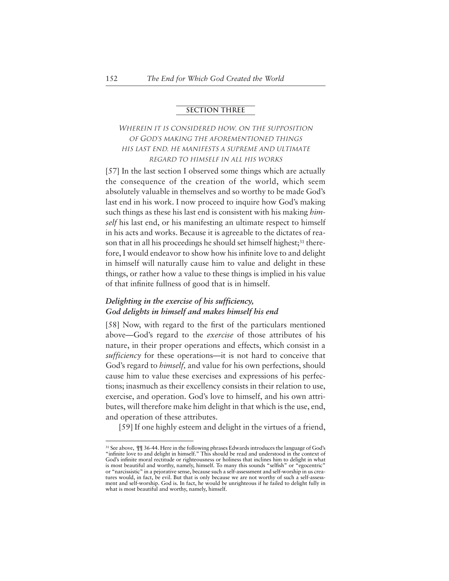#### **SECTION THREE**

## WHEREIN IT IS CONSIDERED HOW, ON THE SUPPOSITION OF GOD'S MAKING THE AFOREMENTIONED THINGS HIS LAST END, HE MANIFESTS A SUPREME AND ULTIMATE REGARD TO HIMSELF IN ALL HIS WORKS

[57] In the last section I observed some things which are actually the consequence of the creation of the world, which seem absolutely valuable in themselves and so worthy to be made God's last end in his work. I now proceed to inquire how God's making such things as these his last end is consistent with his making *himself* his last end, or his manifesting an ultimate respect to himself in his acts and works. Because it is agreeable to the dictates of reason that in all his proceedings he should set himself highest;<sup>31</sup> therefore, I would endeavor to show how his infinite love to and delight in himself will naturally cause him to value and delight in these things, or rather how a value to these things is implied in his value of that infinite fullness of good that is in himself.

## *Delighting in the exercise of his sufficiency, God delights in himself and makes himself his end*

[58] Now, with regard to the first of the particulars mentioned above—God's regard to the *exercise* of those attributes of his nature, in their proper operations and effects, which consist in a *sufficiency* for these operations—it is not hard to conceive that God's regard to *himself,* and value for his own perfections, should cause him to value these exercises and expressions of his perfections; inasmuch as their excellency consists in their relation to use, exercise, and operation. God's love to himself, and his own attributes, will therefore make him delight in that which is the use, end, and operation of these attributes.

[59] If one highly esteem and delight in the virtues of a friend,

<sup>31</sup> See above, ¶¶ 36-44. Here in the following phrases Edwards introduces the language of God's "infinite love to and delight in himself." This should be read and understood in the context of God's infinite moral rectitude or righteousness or holiness that inclines him to delight in what is most beautiful and worthy, namely, himself. To many this sounds "selfish" or "egocentric" or "narcissistic" in a pejorative sense, because such a self-assessment and self-worship in us creatures would, in fact, be evil. But that is only because we are not worthy of such a self-assessment and self-worship. God is. In fact, he would be unrighteous if he failed to delight fully in what is most beautiful and worthy, namely, himself.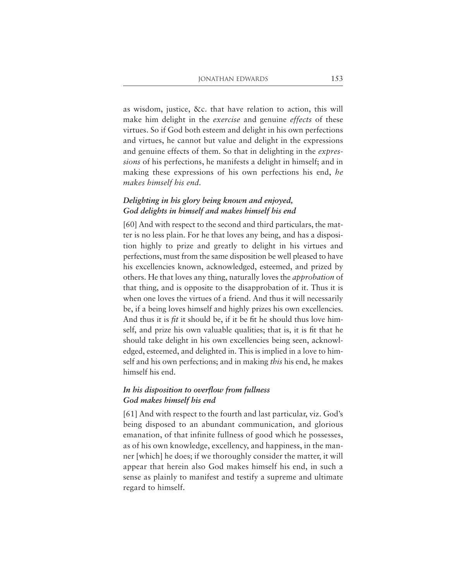as wisdom, justice, &c. that have relation to action, this will make him delight in the *exercise* and genuine *effects* of these virtues. So if God both esteem and delight in his own perfections and virtues, he cannot but value and delight in the expressions and genuine effects of them. So that in delighting in the *expressions* of his perfections, he manifests a delight in himself; and in making these expressions of his own perfections his end, *he makes himself his end.*

# *Delighting in his glory being known and enjoyed, God delights in himself and makes himself his end*

[60] And with respect to the second and third particulars, the matter is no less plain. For he that loves any being, and has a disposition highly to prize and greatly to delight in his virtues and perfections, must from the same disposition be well pleased to have his excellencies known, acknowledged, esteemed, and prized by others. He that loves any thing, naturally loves the *approbation* of that thing, and is opposite to the disapprobation of it. Thus it is when one loves the virtues of a friend. And thus it will necessarily be, if a being loves himself and highly prizes his own excellencies. And thus it is *fit* it should be, if it be fit he should thus love himself, and prize his own valuable qualities; that is, it is fit that he should take delight in his own excellencies being seen, acknowledged, esteemed, and delighted in. This is implied in a love to himself and his own perfections; and in making *this* his end, he makes himself his end.

# *In his disposition to overflow from fullness God makes himself his end*

[61] And with respect to the fourth and last particular, viz. God's being disposed to an abundant communication, and glorious emanation, of that infinite fullness of good which he possesses, as of his own knowledge, excellency, and happiness, in the manner [which] he does; if we thoroughly consider the matter, it will appear that herein also God makes himself his end, in such a sense as plainly to manifest and testify a supreme and ultimate regard to himself.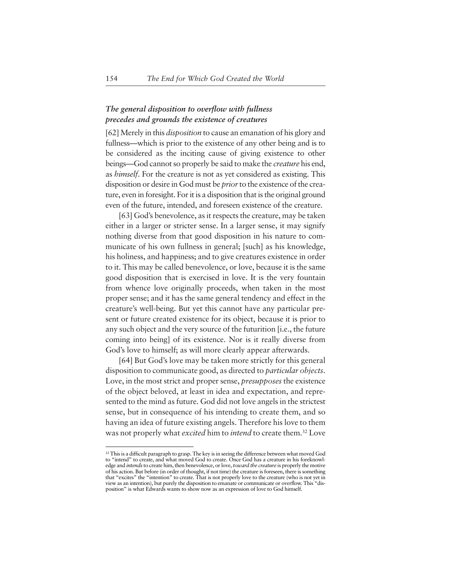# *The general disposition to overflow with fullness precedes and grounds the existence of creatures*

[62] Merely in this *disposition* to cause an emanation of his glory and fullness—which is prior to the existence of any other being and is to be considered as the inciting cause of giving existence to other beings—God cannot so properly be said to make the *creature* his end, as *himself*. For the creature is not as yet considered as existing. This disposition or desire in God must be *prior*to the existence of the creature, even in foresight. For it is a disposition that is the original ground even of the future, intended, and foreseen existence of the creature.

[63] God's benevolence, as it respects the creature, may be taken either in a larger or stricter sense. In a larger sense, it may signify nothing diverse from that good disposition in his nature to communicate of his own fullness in general; [such] as his knowledge, his holiness, and happiness; and to give creatures existence in order to it. This may be called benevolence, or love, because it is the same good disposition that is exercised in love. It is the very fountain from whence love originally proceeds, when taken in the most proper sense; and it has the same general tendency and effect in the creature's well-being. But yet this cannot have any particular present or future created existence for its object, because it is prior to any such object and the very source of the futurition [i.e., the future coming into being] of its existence. Nor is it really diverse from God's love to himself; as will more clearly appear afterwards.

[64] But God's love may be taken more strictly for this general disposition to communicate good, as directed to *particular objects*. Love, in the most strict and proper sense, *presupposes* the existence of the object beloved, at least in idea and expectation, and represented to the mind as future. God did not love angels in the strictest sense, but in consequence of his intending to create them, and so having an idea of future existing angels. Therefore his love to them was not properly what *excited* him to *intend* to create them.32 Love

<sup>&</sup>lt;sup>32</sup> This is a difficult paragraph to grasp. The key is in seeing the difference between what moved God to "intend" to create, and what moved God to create. Once God has a creature in his foreknowledge and *intends*to create him, then benevolence, or love, *toward the creature* is properly the motive of his action. But before (in order of thought, if not time) the creature is foreseen, there is something that "excites" the "intention" to create. That is not properly love to the creature (who is not yet in view as an intention), but purely the disposition to emanate or communicate or overflow. This "disposition" is what Edwards wants to show now as an expression of love to God himself.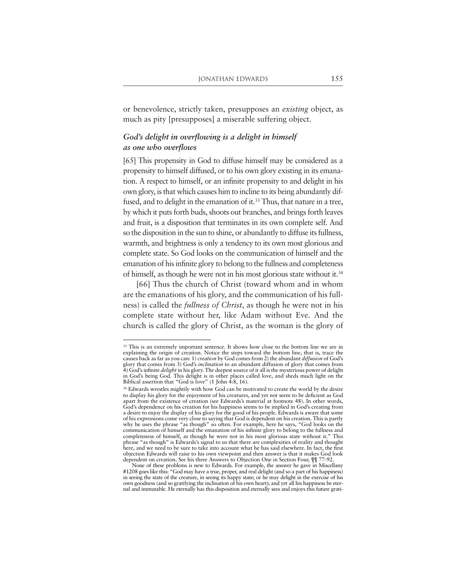or benevolence, strictly taken, presupposes an *existing* object, as much as pity [presupposes] a miserable suffering object.

# *God's delight in overflowing is a delight in himself as one who overflows*

[65] This propensity in God to diffuse himself may be considered as a propensity to himself diffused, or to his own glory existing in its emanation. A respect to himself, or an infinite propensity to and delight in his own glory, is that which causes him to incline to its being abundantly diffused, and to delight in the emanation of it.<sup>33</sup> Thus, that nature in a tree, by which it puts forth buds, shoots out branches, and brings forth leaves and fruit, is a disposition that terminates in its own complete self. And so the disposition in the sun to shine, or abundantly to diffuse its fullness, warmth, and brightness is only a tendency to its own most glorious and complete state. So God looks on the communication of himself and the emanation of his infinite glory to belong to the fullness and completeness of himself, as though he were not in his most glorious state without it.34

[66] Thus the church of Christ (toward whom and in whom are the emanations of his glory, and the communication of his fullness) is called the *fullness of Christ*, as though he were not in his complete state without her, like Adam without Eve. And the church is called the glory of Christ, as the woman is the glory of

<sup>&</sup>lt;sup>33</sup> This is an extremely important sentence. It shows how close to the bottom line we are in explaining the origin of creation. Notice the steps toward the bottom line, that is, trace the causes back as far as you can: 1) *creation* by God comes from 2) the abundant *diffusion* of God's glory that comes from 3) God's *inclination* to an abundant diffusion of glory that comes from 4) God's infinite *delight* in his glory. The deepest source of it all is the mysterious power of delight in God's being God. This delight is in other places called love, and sheds much light on the Biblical assertion that "God is love" (1 John 4:8, 16).

<sup>&</sup>lt;sup>34</sup> Edwards wrestles mightily with how God can be motivated to create the world by the desire to display his glory for the enjoyment of his creatures, and yet not seem to be deficient as God apart from the existence of creation (see Edwards's material at footnote 48). In other words, God's dependence on his creation for his happiness seems to be implied in God's creating from a desire to enjoy the display of his glory for the good of his people. Edwards is aware that some of his expressions come very close to saying that God is dependent on his creation. This is partly why he uses the phrase "as though" so often. For example, here he says, "God looks on the communication of himself and the emanation of his infinite glory to belong to the fullness and completeness of himself, as though he were not in his most glorious state without it." This phrase "as though" is Edwards's signal to us that there are complexities of reality and thought here, and we need to be sure to take into account what he has said elsewhere. In fact, the first objection Edwards will raise to his own viewpoint and then answer is that it makes God look dependent on creation. See his three Answers to Objection One in Section Four, ¶¶ 77-92.

None of these problems is new to Edwards. For example, the answer he gave in Miscellany #1208 goes like this: "God may have a true, proper, and real delight (and so a part of his happiness) in seeing the state of the creature, in seeing its happy state; or he may delight in the exercise of his own goodness (and so gratifying the inclination of his own heart); and yet all his happiness be eternal and immutable. He eternally has this disposition and eternally sees and enjoys this future grati-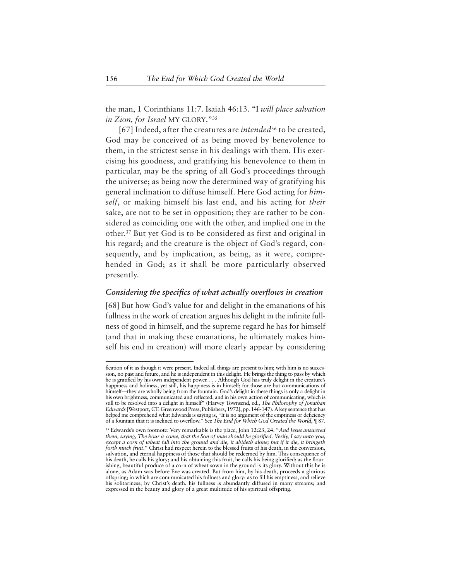the man, 1 Corinthians 11:7. Isaiah 46:13. "I *will place salvation in Zion, for Israel* MY GLORY."35

[67] Indeed, after the creatures are *intended*<sup>36</sup> to be created, God may be conceived of as being moved by benevolence to them, in the strictest sense in his dealings with them. His exercising his goodness, and gratifying his benevolence to them in particular, may be the spring of all God's proceedings through the universe; as being now the determined way of gratifying his general inclination to diffuse himself. Here God acting for *himself*, or making himself his last end, and his acting for *their* sake, are not to be set in opposition; they are rather to be considered as coinciding one with the other, and implied one in the other.37 But yet God is to be considered as first and original in his regard; and the creature is the object of God's regard, consequently, and by implication, as being, as it were, comprehended in God; as it shall be more particularly observed presently.

## *Considering the specifics of what actually overflows in creation*

[68] But how God's value for and delight in the emanations of his fullness in the work of creation argues his delight in the infinite fullness of good in himself, and the supreme regard he has for himself (and that in making these emanations, he ultimately makes himself his end in creation) will more clearly appear by considering

fication of it as though it were present. Indeed all things are present to him; with him is no succession, no past and future, and he is independent in this delight. He brings the thing to pass by which he is gratified by his own independent power. . . . Although God has truly delight in the creature's happiness and holiness, yet still, his happiness is in himself; for those are but communications of himself—they are wholly being from the fountain. God's delight in these things is only a delight in his own brightness, communicated and reflected, and in his own action of communicating, which is still to be resolved into a delight in himself" (Harvey Townsend, ed., *The Philosophy of Jonathan Edwards*[Westport, CT: Greenwood Press, Publishers, 1972], pp. 146-147). A key sentence that has helped me comprehend what Edwards is saying is, "It is no argument of the emptiness or deficiency of a fountain that it is inclined to overflow." See *The End for Which God Created the World*, ¶ 87.

<sup>35</sup> Edwards's own footnote: Very remarkable is the place, John 12:23, 24. "*And Jesus answered them, saying, The hour is come, that the Son of man should be glorified. Verily, I say unto you, except a corn of wheat fall into the ground and die, it abideth alone; but if it die, it bringeth forth much fruit*." Christ had respect herein to the blessed fruits of his death, in the conversion, salvation, and eternal happiness of those that should be redeemed by him. This consequence of his death, he calls his glory; and his obtaining this fruit, he calls his being glorified; as the flourishing, beautiful produce of a corn of wheat sown in the ground is its glory. Without this he is alone, as Adam was before Eve was created. But from him, by his death, proceeds a glorious offspring; in which are communicated his fullness and glory: as to fill his emptiness, and relieve his solitariness; by Christ's death, his fullness is abundantly diffused in many streams; and expressed in the beauty and glory of a great multitude of his spiritual offspring.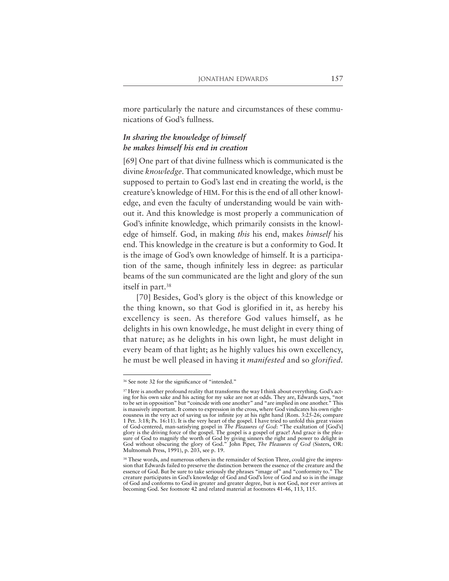more particularly the nature and circumstances of these communications of God's fullness.

# *In sharing the knowledge of himself he makes himself his end in creation*

[69] One part of that divine fullness which is communicated is the divine *knowledge*. That communicated knowledge, which must be supposed to pertain to God's last end in creating the world, is the creature's knowledge of HIM. For this is the end of all other knowledge, and even the faculty of understanding would be vain without it. And this knowledge is most properly a communication of God's infinite knowledge, which primarily consists in the knowledge of himself. God, in making *this* his end, makes *himself* his end. This knowledge in the creature is but a conformity to God. It is the image of God's own knowledge of himself. It is a participation of the same, though infinitely less in degree: as particular beams of the sun communicated are the light and glory of the sun itself in part.<sup>38</sup>

[70] Besides, God's glory is the object of this knowledge or the thing known, so that God is glorified in it, as hereby his excellency is seen. As therefore God values himself, as he delights in his own knowledge, he must delight in every thing of that nature; as he delights in his own light, he must delight in every beam of that light; as he highly values his own excellency, he must be well pleased in having it *manifested* and so *glorified.*

<sup>36</sup> See note 32 for the significance of "intended."

<sup>&</sup>lt;sup>37</sup> Here is another profound reality that transforms the way I think about everything. God's acting for his own sake and his acting for my sake are not at odds. They are, Edwards says, "not to be set in opposition" but "coincide with one another" and "are implied in one another." This is massively important. It comes to expression in the cross, where God vindicates his own righteousness in the very act of saving us for infinite joy at his right hand (Rom. 3:25-26; compare 1 Pet. 3:18; Ps. 16:11). It is the very heart of the gospel. I have tried to unfold this great vision of God-centered, man-satisfying gospel in *The Pleasures of God*: "The exaltation of [God's] glory is the driving force of the gospel. The gospel is a gospel of grace! And grace is the pleasure of God to magnify the worth of God by giving sinners the right and power to delight in God without obscuring the glory of God." John Piper, *The Pleasures of God* (Sisters, OR: Multnomah Press, 1991), p. 203, see p. 19.

<sup>&</sup>lt;sup>38</sup> These words, and numerous others in the remainder of Section Three, could give the impression that Edwards failed to preserve the distinction between the essence of the creature and the essence of God. But be sure to take seriously the phrases "image of" and "conformity to." The creature participates in God's knowledge of God and God's love of God and so is in the image of God and conforms to God in greater and greater degree, but is not God, nor ever arrives at becoming God. See footnote 42 and related material at footnotes 41-46, 113, 115.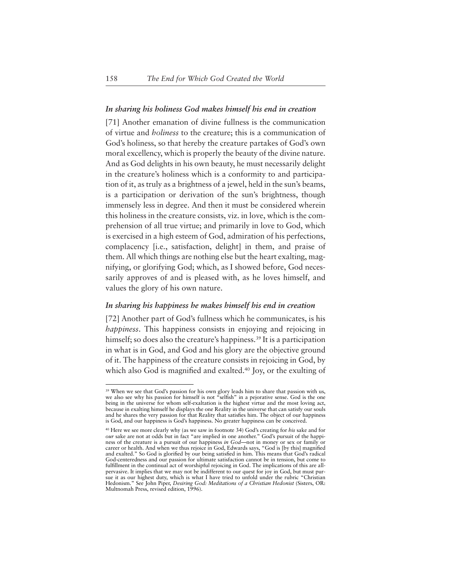## *In sharing his holiness God makes himself his end in creation*

[71] Another emanation of divine fullness is the communication of virtue and *holiness* to the creature; this is a communication of God's holiness, so that hereby the creature partakes of God's own moral excellency, which is properly the beauty of the divine nature. And as God delights in his own beauty, he must necessarily delight in the creature's holiness which is a conformity to and participation of it, as truly as a brightness of a jewel, held in the sun's beams, is a participation or derivation of the sun's brightness, though immensely less in degree. And then it must be considered wherein this holiness in the creature consists, viz. in love, which is the comprehension of all true virtue; and primarily in love to God, which is exercised in a high esteem of God, admiration of his perfections, complacency [i.e., satisfaction, delight] in them, and praise of them. All which things are nothing else but the heart exalting, magnifying, or glorifying God; which, as I showed before, God necessarily approves of and is pleased with, as he loves himself, and values the glory of his own nature.

## *In sharing his happiness he makes himself his end in creation*

[72] Another part of God's fullness which he communicates, is his *happiness*. This happiness consists in enjoying and rejoicing in himself; so does also the creature's happiness.<sup>39</sup> It is a participation in what is in God, and God and his glory are the objective ground of it. The happiness of the creature consists in rejoicing in God, by which also God is magnified and exalted.<sup>40</sup> Joy, or the exulting of

<sup>&</sup>lt;sup>39</sup> When we see that God's passion for his own glory leads him to share that passion with us, we also see why his passion for himself is not "selfish" in a pejorative sense. God is the one being in the universe for whom self-exaltation is the highest virtue and the most loving act, because in exalting himself he displays the one Reality in the universe that can satisfy our souls and he shares the very passion for that Reality that satisfies him. The object of our happiness is God, and our happiness is God's happiness. No greater happiness can be conceived.

<sup>40</sup> Here we see more clearly why (as we saw in footnote 34) God's creating for *his* sake and for *our* sake are not at odds but in fact "are implied in one another." God's pursuit of the happiness of the creature is a pursuit of our happiness *in God*—not in money or sex or family or career or health. And when we thus rejoice in God, Edwards says, "God is [by this] magnified and exalted." So God is glorified by our being satisfied in him. This means that God's radical God-centeredness and our passion for ultimate satisfaction cannot be in tension, but come to fulfillment in the continual act of worshipful rejoicing in God. The implications of this are allpervasive. It implies that we may not be indifferent to our quest for joy in God, but must pursue it as our highest duty, which is what I have tried to unfold under the rubric "Christian Hedonism." See John Piper, *Desiring God: Meditations of a Christian Hedonist* (Sisters, OR: Multnomah Press, revised edition, 1996).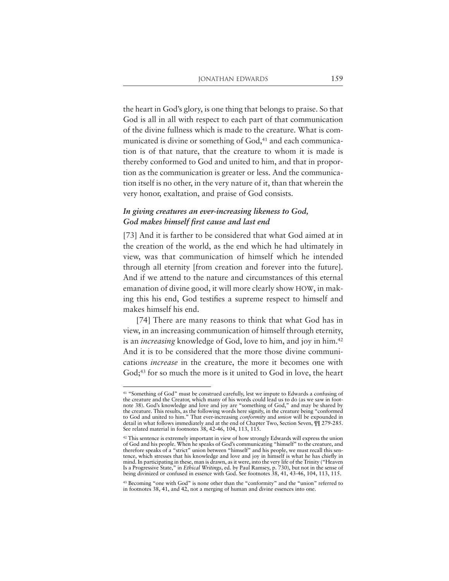the heart in God's glory, is one thing that belongs to praise. So that God is all in all with respect to each part of that communication of the divine fullness which is made to the creature. What is communicated is divine or something of God,<sup>41</sup> and each communication is of that nature, that the creature to whom it is made is thereby conformed to God and united to him, and that in proportion as the communication is greater or less. And the communication itself is no other, in the very nature of it, than that wherein the very honor, exaltation, and praise of God consists.

# *In giving creatures an ever-increasing likeness to God, God makes himself first cause and last end*

[73] And it is farther to be considered that what God aimed at in the creation of the world, as the end which he had ultimately in view, was that communication of himself which he intended through all eternity [from creation and forever into the future]. And if we attend to the nature and circumstances of this eternal emanation of divine good, it will more clearly show HOW, in making this his end, God testifies a supreme respect to himself and makes himself his end.

[74] There are many reasons to think that what God has in view, in an increasing communication of himself through eternity, is an *increasing* knowledge of God, love to him, and joy in him.42 And it is to be considered that the more those divine communications *increase* in the creature, the more it becomes one with God;<sup>43</sup> for so much the more is it united to God in love, the heart

<sup>41</sup> "Something of God" must be construed carefully, lest we impute to Edwards a confusing of the creature and the Creator, which many of his words could lead us to do (as we saw in footnote 38). God's knowledge and love and joy are "something of God," and may be shared by the creature. This results, as the following words here signify, in the creature being "conformed to God and united to him." That ever-increasing *conformity* and *union* will be expounded in detail in what follows immediately and at the end of Chapter Two, Section Seven, ¶¶ 279-285. See related material in footnotes 38, 42-46, 104, 113, 115.

 $42$  This sentence is extremely important in view of how strongly Edwards will express the union of God and his people. When he speaks of God's communicating "himself" to the creature, and therefore speaks of a "strict" union between "himself" and his people, we must recall this sentence, which stresses that his knowledge and love and joy in himself is what he has chiefly in mind. In participating in these, man is drawn, as it were, into the very life of the Trinity ("Heaven Is a Progressive State," in *Ethical Writings*, ed. by Paul Ramsey, p. 730), but not in the sense of being divinized or confused in essence with God. See footnotes 38, 41, 43-46, 104, 113, 115.

<sup>43</sup> Becoming "one with God" is none other than the "conformity" and the "union" referred to in footnotes 38, 41, and 42, not a merging of human and divine essences into one.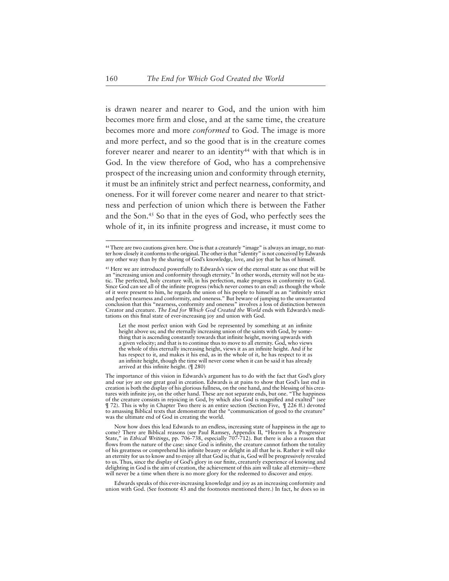is drawn nearer and nearer to God, and the union with him becomes more firm and close, and at the same time, the creature becomes more and more *conformed* to God. The image is more and more perfect, and so the good that is in the creature comes forever nearer and nearer to an identity<sup>44</sup> with that which is in God. In the view therefore of God, who has a comprehensive prospect of the increasing union and conformity through eternity, it must be an infinitely strict and perfect nearness, conformity, and oneness. For it will forever come nearer and nearer to that strictness and perfection of union which there is between the Father and the Son.45 So that in the eyes of God, who perfectly sees the whole of it, in its infinite progress and increase, it must come to

Let the most perfect union with God be represented by something at an infinite height above us; and the eternally increasing union of the saints with God, by something that is ascending constantly towards that infinite height, moving upwards with a given velocity; and that is to continue thus to move to all eternity. God, who views the whole of this eternally increasing height, views it as an infinite height. And if he has respect to it, and makes it his end, as in the whole of it, he has respect to it as an infinite height, though the time will never come when it can be said it has already arrived at this infinite height. (¶ 280)

The importance of this vision in Edwards's argument has to do with the fact that God's glory and our joy are one great goal in creation. Edwards is at pains to show that God's last end in creation is both the display of his glorious fullness, on the one hand, and the blessing of his creatures with infinite joy, on the other hand. These are not separate ends, but one. "The happiness of the creature consists in rejoicing in God, by which also God is magnified and exalted" (see ¶ 72). This is why in Chapter Two there is an entire section (Section Five, ¶ 226 ff.) devoted to amassing Biblical texts that demonstrate that the "communication of good to the creature" was the ultimate end of God in creating the world.

Now how does this lead Edwards to an endless, increasing state of happiness in the age to come? There are Biblical reasons (see Paul Ramsey, Appendix II, "Heaven Is a Progressive State," in *Ethical Writings*, pp. 706-738, especially 707-712). But there is also a reason that flows from the nature of the case: since God is infinite, the creature cannot fathom the totality of his greatness or comprehend his infinite beauty or delight in all that he is. Rather it will take an eternity for us to know and to enjoy all that God is; that is, God will be progressively revealed to us. Thus, since the display of God's glory in our finite, creaturely experience of knowing and delighting in God is the aim of creation, the achievement of this aim will take all eternity—there will never be a time when there is no more glory for the redeemed to discover and enjoy.

<sup>44</sup> There are two cautions given here. One is that a creaturely "image" is always an image, no matter how closely it conforms to the original. The other is that "identity" is not conceived by Edwards any other way than by the sharing of God's knowledge, love, and joy that he has of himself.

<sup>45</sup> Here we are introduced powerfully to Edwards's view of the eternal state as one that will be an "increasing union and conformity through eternity." In other words, eternity will not be static. The perfected, holy creature will, in his perfection, make progress in conformity to God. Since God can see all of the infinite progress (which never comes to an end) as though the whole of it were present to him, he regards the union of his people to himself as an "infinitely strict and perfect nearness and conformity, and oneness." But beware of jumping to the unwarranted conclusion that this "nearness, conformity and oneness" involves a loss of distinction between Creator and creature. *The End for Which God Created the World* ends with Edwards's meditations on this final state of ever-increasing joy and union with God.

Edwards speaks of this ever-increasing knowledge and joy as an increasing conformity and union with God. (See footnote 43 and the footnotes mentioned there.) In fact, he does so in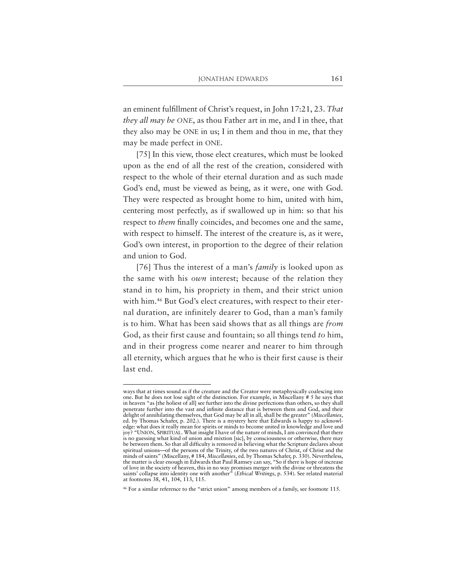an eminent fulfillment of Christ's request, in John 17:21, 23. *That they all may be ONE*, as thou Father art in me, and I in thee, that they also may be ONE in us; I in them and thou in me, that they may be made perfect in ONE.

[75] In this view, those elect creatures, which must be looked upon as the end of all the rest of the creation, considered with respect to the whole of their eternal duration and as such made God's end, must be viewed as being, as it were, one with God. They were respected as brought home to him, united with him, centering most perfectly, as if swallowed up in him: so that his respect to *them* finally coincides, and becomes one and the same, with respect to himself. The interest of the creature is, as it were, God's own interest, in proportion to the degree of their relation and union to God.

[76] Thus the interest of a man's *family* is looked upon as the same with his *own* interest; because of the relation they stand in to him, his propriety in them, and their strict union with him.46 But God's elect creatures, with respect to their eternal duration, are infinitely dearer to God, than a man's family is to him. What has been said shows that as all things are *from* God, as their first cause and fountain; so all things tend *to* him, and in their progress come nearer and nearer to him through all eternity, which argues that he who is their first cause is their last end.

ways that at times sound as if the creature and the Creator were metaphysically coalescing into one. But he does not lose sight of the distinction. For example, in Miscellany # 5 he says that in heaven "as [the holiest of all] see further into the divine perfections than others, so they shall penetrate further into the vast and infinite distance that is between them and God, and their delight of annihilating themselves, that God may be all in all, shall be the greater" (*Miscellanies*, ed. by Thomas Schafer, p. 202.). There is a mystery here that Edwards is happy to acknowledge: what does it really mean for spirits or minds to become united in knowledge and love and joy? "UNION, SPIRITUAL. What insight I have of the nature of minds, I am convinced that there is no guessing what kind of union and mixtion [sic], by consciousness or otherwise, there may be between them. So that all difficulty is removed in believing what the Scripture declares about spiritual unions—of the persons of the Trinity, of the two natures of Christ, of Christ and the minds of saints" (Miscellany, # 184, *Miscellanies*, ed. by Thomas Schafer, p. 330). Nevertheless, the matter is clear enough in Edwards that Paul Ramsey can say, "So if there is hope of increase of love in the society of heaven, this in no way promises merger with the divine or threatens the saints' collapse into identity one with another" (*Ethical Writings*, p. 534). See related material at footnotes 38, 41, 104, 113, 115.

<sup>46</sup> For a similar reference to the "strict union" among members of a family, see footnote 115.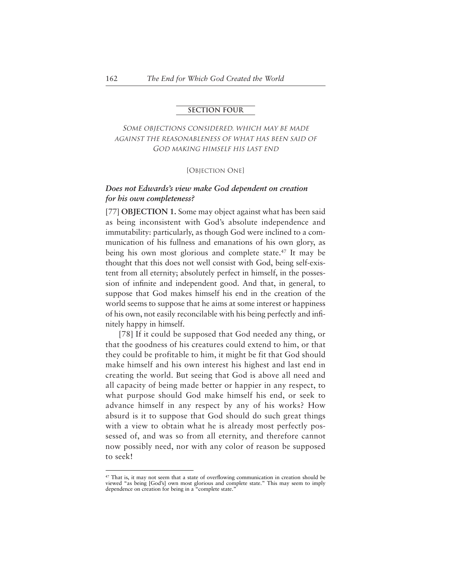#### **SECTION FOUR**

SOME OBJECTIONS CONSIDERED, WHICH MAY BE MADE AGAINST THE REASONABLENESS OF WHAT HAS BEEN SAID OF GOD MAKING HIMSELF HIS LAST END

#### [OBJECTION ONE]

## *Does not Edwards's view make God dependent on creation for his own completeness?*

[77] **OBJECTION 1.** Some may object against what has been said as being inconsistent with God's absolute independence and immutability: particularly, as though God were inclined to a communication of his fullness and emanations of his own glory, as being his own most glorious and complete state.47 It may be thought that this does not well consist with God, being self-existent from all eternity; absolutely perfect in himself, in the possession of infinite and independent good. And that, in general, to suppose that God makes himself his end in the creation of the world seems to suppose that he aims at some interest or happiness of his own, not easily reconcilable with his being perfectly and infinitely happy in himself.

[78] If it could be supposed that God needed any thing, or that the goodness of his creatures could extend to him, or that they could be profitable to him, it might be fit that God should make himself and his own interest his highest and last end in creating the world. But seeing that God is above all need and all capacity of being made better or happier in any respect, to what purpose should God make himself his end, or seek to advance himself in any respect by any of his works? How absurd is it to suppose that God should do such great things with a view to obtain what he is already most perfectly possessed of, and was so from all eternity, and therefore cannot now possibly need, nor with any color of reason be supposed to seek!

<sup>&</sup>lt;sup>47</sup> That is, it may not seem that a state of overflowing communication in creation should be viewed "as being [God's] own most glorious and complete state." This may seem to imply dependence on creation for being in a "complete state.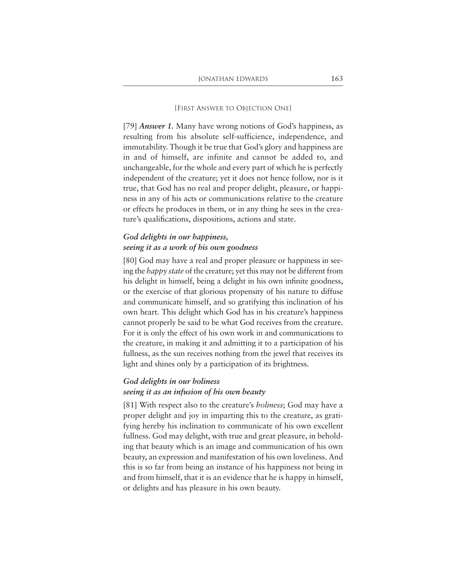#### [FIRST ANSWER TO OBJECTION ONE]

[79] *Answer 1.* Many have wrong notions of God's happiness, as resulting from his absolute self-sufficience, independence, and immutability. Though it be true that God's glory and happiness are in and of himself, are infinite and cannot be added to, and unchangeable, for the whole and every part of which he is perfectly independent of the creature; yet it does not hence follow, nor is it true, that God has no real and proper delight, pleasure, or happiness in any of his acts or communications relative to the creature or effects he produces in them, or in any thing he sees in the creature's qualifications, dispositions, actions and state.

# *God delights in our happiness, seeing it as a work of his own goodness*

[80] God may have a real and proper pleasure or happiness in seeing the *happy state* of the creature; yet this may not be different from his delight in himself, being a delight in his own infinite goodness, or the exercise of that glorious propensity of his nature to diffuse and communicate himself, and so gratifying this inclination of his own heart. This delight which God has in his creature's happiness cannot properly be said to be what God receives from the creature. For it is only the effect of his own work in and communications to the creature, in making it and admitting it to a participation of his fullness, as the sun receives nothing from the jewel that receives its light and shines only by a participation of its brightness.

# *God delights in our holiness*

## *seeing it as an infusion of his own beauty*

[81] With respect also to the creature's *holiness*; God may have a proper delight and joy in imparting this to the creature, as gratifying hereby his inclination to communicate of his own excellent fullness. God may delight, with true and great pleasure, in beholding that beauty which is an image and communication of his own beauty, an expression and manifestation of his own loveliness. And this is so far from being an instance of his happiness not being in and from himself, that it is an evidence that he is happy in himself, or delights and has pleasure in his own beauty.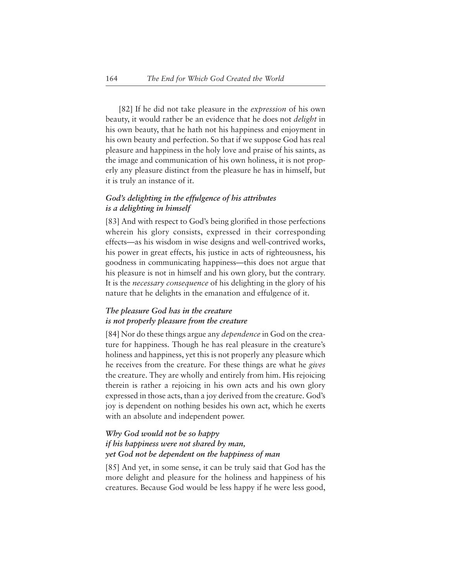[82] If he did not take pleasure in the *expression* of his own beauty, it would rather be an evidence that he does not *delight* in his own beauty, that he hath not his happiness and enjoyment in his own beauty and perfection. So that if we suppose God has real pleasure and happiness in the holy love and praise of his saints, as the image and communication of his own holiness, it is not properly any pleasure distinct from the pleasure he has in himself, but it is truly an instance of it.

# *God's delighting in the effulgence of his attributes is a delighting in himself*

[83] And with respect to God's being glorified in those perfections wherein his glory consists, expressed in their corresponding effects—as his wisdom in wise designs and well-contrived works, his power in great effects, his justice in acts of righteousness, his goodness in communicating happiness—this does not argue that his pleasure is not in himself and his own glory, but the contrary. It is the *necessary consequence* of his delighting in the glory of his nature that he delights in the emanation and effulgence of it.

# *The pleasure God has in the creature is not properly pleasure from the creature*

[84] Nor do these things argue any *dependence* in God on the creature for happiness. Though he has real pleasure in the creature's holiness and happiness, yet this is not properly any pleasure which he receives from the creature. For these things are what he *gives* the creature. They are wholly and entirely from him. His rejoicing therein is rather a rejoicing in his own acts and his own glory expressed in those acts, than a joy derived from the creature. God's joy is dependent on nothing besides his own act, which he exerts with an absolute and independent power.

# *Why God would not be so happy if his happiness were not shared by man, yet God not be dependent on the happiness of man*

[85] And yet, in some sense, it can be truly said that God has the more delight and pleasure for the holiness and happiness of his creatures. Because God would be less happy if he were less good,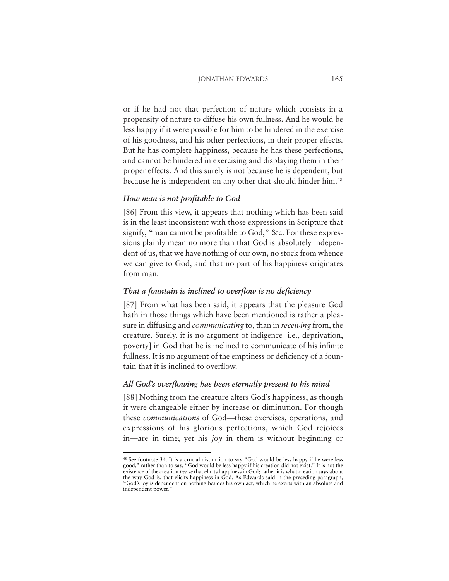or if he had not that perfection of nature which consists in a propensity of nature to diffuse his own fullness. And he would be less happy if it were possible for him to be hindered in the exercise of his goodness, and his other perfections, in their proper effects. But he has complete happiness, because he has these perfections, and cannot be hindered in exercising and displaying them in their proper effects. And this surely is not because he is dependent, but because he is independent on any other that should hinder him.<sup>48</sup>

## *How man is not profitable to God*

[86] From this view, it appears that nothing which has been said is in the least inconsistent with those expressions in Scripture that signify, "man cannot be profitable to God," &c. For these expressions plainly mean no more than that God is absolutely independent of us, that we have nothing of our own, no stock from whence we can give to God, and that no part of his happiness originates from man.

## *That a fountain is inclined to overflow is no deficiency*

[87] From what has been said, it appears that the pleasure God hath in those things which have been mentioned is rather a pleasure in diffusing and *communicating* to, than in *receiving* from, the creature. Surely, it is no argument of indigence [i.e., deprivation, poverty] in God that he is inclined to communicate of his infinite fullness. It is no argument of the emptiness or deficiency of a fountain that it is inclined to overflow.

## *All God's overflowing has been eternally present to his mind*

[88] Nothing from the creature alters God's happiness, as though it were changeable either by increase or diminution. For though these *communications* of God—these exercises, operations, and expressions of his glorious perfections, which God rejoices in—are in time; yet his *joy* in them is without beginning or

<sup>48</sup> See footnote 34. It is a crucial distinction to say "God would be less happy if he were less good," rather than to say, "God would be less happy if his creation did not exist." It is not the existence of the creation *per se* that elicits happiness in God; rather it is what creation says about the way God is, that elicits happiness in God. As Edwards said in the preceding paragraph, "God's joy is dependent on nothing besides his own act, which he exerts with an absolute and independent power.'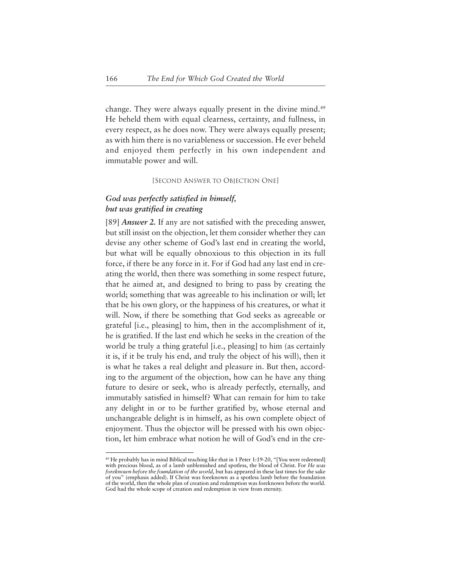change. They were always equally present in the divine mind.49 He beheld them with equal clearness, certainty, and fullness, in every respect, as he does now. They were always equally present; as with him there is no variableness or succession. He ever beheld and enjoyed them perfectly in his own independent and immutable power and will.

## [SECOND ANSWER TO OBJECTION ONE]

# *God was perfectly satisfied in himself, but was gratified in creating*

[89] *Answer 2.* If any are not satisfied with the preceding answer, but still insist on the objection, let them consider whether they can devise any other scheme of God's last end in creating the world, but what will be equally obnoxious to this objection in its full force, if there be any force in it. For if God had any last end in creating the world, then there was something in some respect future, that he aimed at, and designed to bring to pass by creating the world; something that was agreeable to his inclination or will; let that be his own glory, or the happiness of his creatures, or what it will. Now, if there be something that God seeks as agreeable or grateful [i.e., pleasing] to him, then in the accomplishment of it, he is gratified. If the last end which he seeks in the creation of the world be truly a thing grateful [i.e., pleasing] to him (as certainly it is, if it be truly his end, and truly the object of his will), then it is what he takes a real delight and pleasure in. But then, according to the argument of the objection, how can he have any thing future to desire or seek, who is already perfectly, eternally, and immutably satisfied in himself? What can remain for him to take any delight in or to be further gratified by, whose eternal and unchangeable delight is in himself, as his own complete object of enjoyment. Thus the objector will be pressed with his own objection, let him embrace what notion he will of God's end in the cre-

<sup>&</sup>lt;sup>49</sup> He probably has in mind Biblical teaching like that in 1 Peter 1:19-20, "[You were redeemed] with precious blood, as of a lamb unblemished and spotless, the blood of Christ. For *He was foreknown before the foundation of the world*, but has appeared in these last times for the sake of you" (emphasis added). If Christ was foreknown as a spotless lamb before the foundation of the world, then the whole plan of creation and redemption was foreknown before the world. God had the whole scope of creation and redemption in view from eternity.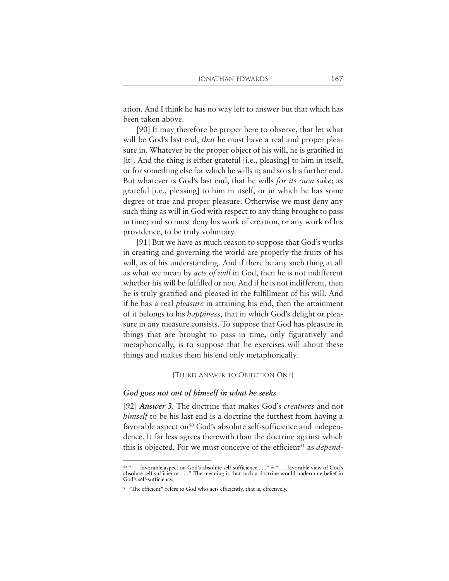ation. And I think he has no way left to answer but that which has been taken above.

[90] It may therefore be proper here to observe, that let what will be God's last end, *that* he must have a real and proper pleasure in. Whatever be the proper object of his will, he is gratified in [it]. And the thing is either grateful [i.e., pleasing] to him in itself, or for something else for which he wills it; and so is his further end. But whatever is God's last end, that he wills *for its own sake*; as grateful [i.e., pleasing] to him in itself, or in which he has some degree of true and proper pleasure. Otherwise we must deny any such thing as will in God with respect to any thing brought to pass in time; and so must deny his work of creation, or any work of his providence, to be truly voluntary.

[91] But we have as much reason to suppose that God's works in creating and governing the world are properly the fruits of his will, as of his understanding. And if there be any such thing at all as what we mean by *acts of will* in God, then he is not indifferent whether his will be fulfilled or not. And if he is not indifferent, then he is truly gratified and pleased in the fulfillment of his will. And if he has a real *pleasure* in attaining his end, then the attainment of it belongs to his *happiness*, that in which God's delight or pleasure in any measure consists. To suppose that God has pleasure in things that are brought to pass in time, only figuratively and metaphorically, is to suppose that he exercises will about these things and makes them his end only metaphorically.

## [THIRD ANSWER TO OBJECTION ONE]

#### *God goes not out of himself in what he seeks*

[92] *Answer 3.* The doctrine that makes God's *creatures* and not *himself* to be his last end is a doctrine the furthest from having a favorable aspect on<sup>50</sup> God's absolute self-sufficience and independence. It far less agrees therewith than the doctrine against which this is objected. For we must conceive of the efficient<sup>51</sup> as *depend*-

<sup>50</sup> ". . . favorable aspect on God's absolute self-sufficience . . ." = ". . . favorable view of God's absolute self-sufficience . . ." The meaning is that such a doctrine would undermine belief in God's self-sufficiency.

<sup>&</sup>lt;sup>51</sup> "The efficient" refers to God who acts efficiently, that is, effectively.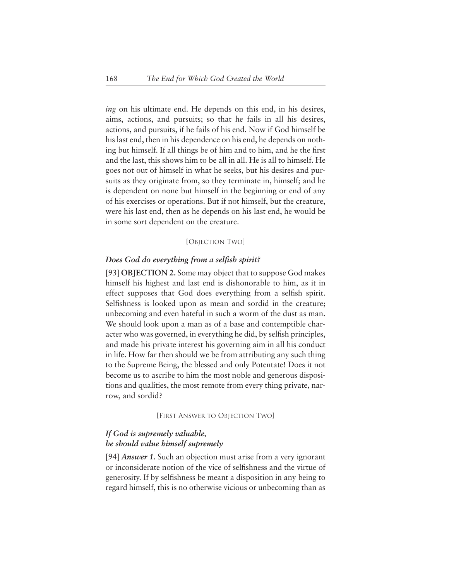*ing* on his ultimate end. He depends on this end, in his desires, aims, actions, and pursuits; so that he fails in all his desires, actions, and pursuits, if he fails of his end. Now if God himself be his last end, then in his dependence on his end, he depends on nothing but himself. If all things be of him and to him, and he the first and the last, this shows him to be all in all. He is all to himself. He goes not out of himself in what he seeks, but his desires and pursuits as they originate from, so they terminate in, himself; and he is dependent on none but himself in the beginning or end of any of his exercises or operations. But if not himself, but the creature, were his last end, then as he depends on his last end, he would be in some sort dependent on the creature.

## [OBJECTION TWO]

## *Does God do everything from a selfish spirit?*

[93] **OBJECTION 2.** Some may object that to suppose God makes himself his highest and last end is dishonorable to him, as it in effect supposes that God does everything from a selfish spirit. Selfishness is looked upon as mean and sordid in the creature; unbecoming and even hateful in such a worm of the dust as man. We should look upon a man as of a base and contemptible character who was governed, in everything he did, by selfish principles, and made his private interest his governing aim in all his conduct in life. How far then should we be from attributing any such thing to the Supreme Being, the blessed and only Potentate! Does it not become us to ascribe to him the most noble and generous dispositions and qualities, the most remote from every thing private, narrow, and sordid?

#### [FIRST ANSWER TO OBJECTION TWO]

# *If God is supremely valuable, he should value himself supremely*

[94] *Answer 1.* Such an objection must arise from a very ignorant or inconsiderate notion of the vice of selfishness and the virtue of generosity. If by selfishness be meant a disposition in any being to regard himself, this is no otherwise vicious or unbecoming than as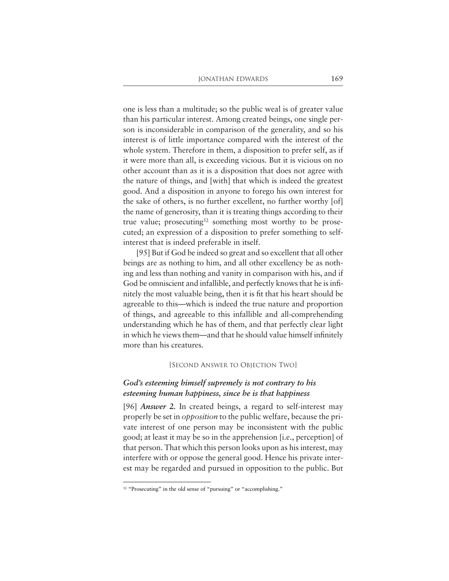one is less than a multitude; so the public weal is of greater value than his particular interest. Among created beings, one single person is inconsiderable in comparison of the generality, and so his interest is of little importance compared with the interest of the whole system. Therefore in them, a disposition to prefer self, as if it were more than all, is exceeding vicious. But it is vicious on no other account than as it is a disposition that does not agree with the nature of things, and [with] that which is indeed the greatest good. And a disposition in anyone to forego his own interest for the sake of others, is no further excellent, no further worthy [of] the name of generosity, than it is treating things according to their true value; prosecuting<sup>52</sup> something most worthy to be prosecuted; an expression of a disposition to prefer something to selfinterest that is indeed preferable in itself.

[95] But if God be indeed so great and so excellent that all other beings are as nothing to him, and all other excellency be as nothing and less than nothing and vanity in comparison with his, and if God be omniscient and infallible, and perfectly knows that he is infinitely the most valuable being, then it is fit that his heart should be agreeable to this—which is indeed the true nature and proportion of things, and agreeable to this infallible and all-comprehending understanding which he has of them, and that perfectly clear light in which he views them—and that he should value himself infinitely more than his creatures.

## [SECOND ANSWER TO OBJECTION TWO]

# *God's esteeming himself supremely is not contrary to his esteeming human happiness, since he is that happiness*

[96] *Answer 2.* In created beings, a regard to self-interest may properly be set in *opposition* to the public welfare, because the private interest of one person may be inconsistent with the public good; at least it may be so in the apprehension [i.e., perception] of that person. That which this person looks upon as his interest, may interfere with or oppose the general good. Hence his private interest may be regarded and pursued in opposition to the public. But

<sup>52</sup> "Prosecuting" in the old sense of "pursuing" or "accomplishing."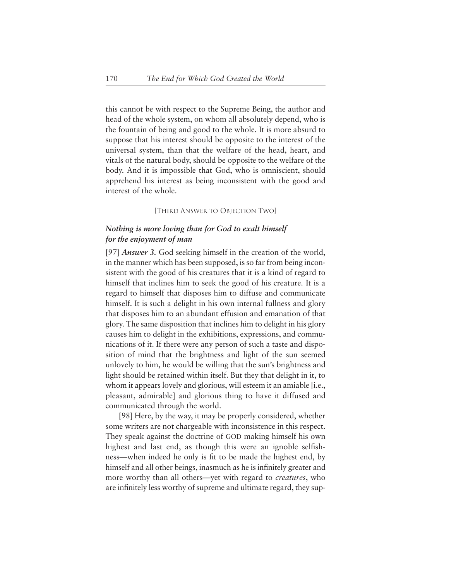this cannot be with respect to the Supreme Being, the author and head of the whole system, on whom all absolutely depend, who is the fountain of being and good to the whole. It is more absurd to suppose that his interest should be opposite to the interest of the universal system, than that the welfare of the head, heart, and vitals of the natural body, should be opposite to the welfare of the body. And it is impossible that God, who is omniscient, should apprehend his interest as being inconsistent with the good and interest of the whole.

#### [THIRD ANSWER TO OBJECTION TWO]

## *Nothing is more loving than for God to exalt himself for the enjoyment of man*

[97] *Answer 3.* God seeking himself in the creation of the world, in the manner which has been supposed, is so far from being inconsistent with the good of his creatures that it is a kind of regard to himself that inclines him to seek the good of his creature. It is a regard to himself that disposes him to diffuse and communicate himself. It is such a delight in his own internal fullness and glory that disposes him to an abundant effusion and emanation of that glory. The same disposition that inclines him to delight in his glory causes him to delight in the exhibitions, expressions, and communications of it. If there were any person of such a taste and disposition of mind that the brightness and light of the sun seemed unlovely to him, he would be willing that the sun's brightness and light should be retained within itself. But they that delight in it, to whom it appears lovely and glorious, will esteem it an amiable [i.e., pleasant, admirable] and glorious thing to have it diffused and communicated through the world.

[98] Here, by the way, it may be properly considered, whether some writers are not chargeable with inconsistence in this respect. They speak against the doctrine of GOD making himself his own highest and last end, as though this were an ignoble selfishness—when indeed he only is fit to be made the highest end, by himself and all other beings, inasmuch as he is infinitely greater and more worthy than all others—yet with regard to *creatures*, who are infinitely less worthy of supreme and ultimate regard, they sup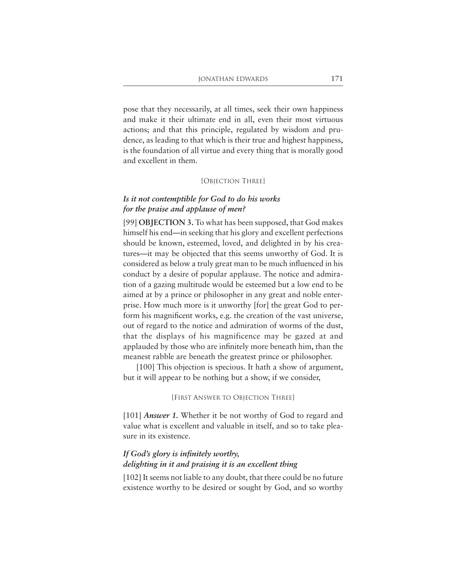pose that they necessarily, at all times, seek their own happiness and make it their ultimate end in all, even their most virtuous actions; and that this principle, regulated by wisdom and prudence, as leading to that which is their true and highest happiness, is the foundation of all virtue and every thing that is morally good and excellent in them.

## [OBJECTION THREE]

# *Is it not contemptible for God to do his works for the praise and applause of men?*

[99] **OBJECTION 3.** To what has been supposed, that God makes himself his end—in seeking that his glory and excellent perfections should be known, esteemed, loved, and delighted in by his creatures—it may be objected that this seems unworthy of God. It is considered as below a truly great man to be much influenced in his conduct by a desire of popular applause. The notice and admiration of a gazing multitude would be esteemed but a low end to be aimed at by a prince or philosopher in any great and noble enterprise. How much more is it unworthy [for] the great God to perform his magnificent works, e.g. the creation of the vast universe, out of regard to the notice and admiration of worms of the dust, that the displays of his magnificence may be gazed at and applauded by those who are infinitely more beneath him, than the meanest rabble are beneath the greatest prince or philosopher.

[100] This objection is specious. It hath a show of argument, but it will appear to be nothing but a show, if we consider,

[FIRST ANSWER TO OBJECTION THREE]

[101] *Answer 1*. Whether it be not worthy of God to regard and value what is excellent and valuable in itself, and so to take pleasure in its existence.

# *If God's glory is infinitely worthy, delighting in it and praising it is an excellent thing*

[102] It seems not liable to any doubt, that there could be no future existence worthy to be desired or sought by God, and so worthy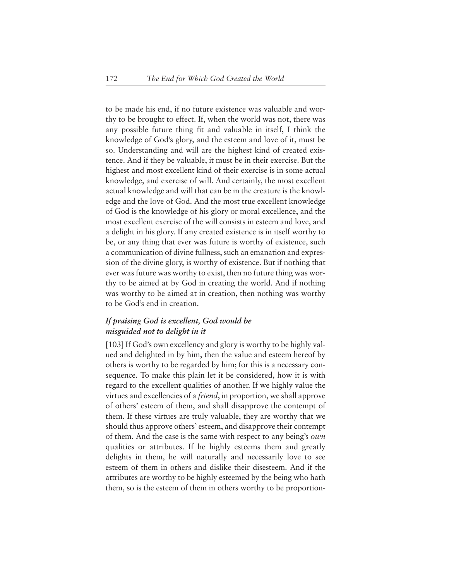to be made his end, if no future existence was valuable and worthy to be brought to effect. If, when the world was not, there was any possible future thing fit and valuable in itself, I think the knowledge of God's glory, and the esteem and love of it, must be so. Understanding and will are the highest kind of created existence. And if they be valuable, it must be in their exercise. But the highest and most excellent kind of their exercise is in some actual knowledge, and exercise of will. And certainly, the most excellent actual knowledge and will that can be in the creature is the knowledge and the love of God. And the most true excellent knowledge of God is the knowledge of his glory or moral excellence, and the most excellent exercise of the will consists in esteem and love, and a delight in his glory. If any created existence is in itself worthy to be, or any thing that ever was future is worthy of existence, such a communication of divine fullness, such an emanation and expression of the divine glory, is worthy of existence. But if nothing that ever was future was worthy to exist, then no future thing was worthy to be aimed at by God in creating the world. And if nothing was worthy to be aimed at in creation, then nothing was worthy to be God's end in creation.

# *If praising God is excellent, God would be misguided not to delight in it*

[103] If God's own excellency and glory is worthy to be highly valued and delighted in by him, then the value and esteem hereof by others is worthy to be regarded by him; for this is a necessary consequence. To make this plain let it be considered, how it is with regard to the excellent qualities of another. If we highly value the virtues and excellencies of a *friend*, in proportion, we shall approve of others' esteem of them, and shall disapprove the contempt of them. If these virtues are truly valuable, they are worthy that we should thus approve others' esteem, and disapprove their contempt of them. And the case is the same with respect to any being's *own* qualities or attributes. If he highly esteems them and greatly delights in them, he will naturally and necessarily love to see esteem of them in others and dislike their disesteem. And if the attributes are worthy to be highly esteemed by the being who hath them, so is the esteem of them in others worthy to be proportion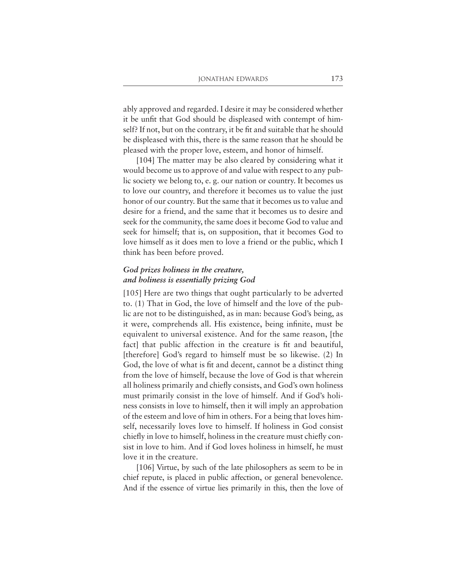ably approved and regarded. I desire it may be considered whether it be unfit that God should be displeased with contempt of himself? If not, but on the contrary, it be fit and suitable that he should be displeased with this, there is the same reason that he should be pleased with the proper love, esteem, and honor of himself.

[104] The matter may be also cleared by considering what it would become us to approve of and value with respect to any public society we belong to, e. g. our nation or country. It becomes us to love our country, and therefore it becomes us to value the just honor of our country. But the same that it becomes us to value and desire for a friend, and the same that it becomes us to desire and seek for the community, the same does it become God to value and seek for himself; that is, on supposition, that it becomes God to love himself as it does men to love a friend or the public, which I think has been before proved.

# *God prizes holiness in the creature, and holiness is essentially prizing God*

[105] Here are two things that ought particularly to be adverted to. (1) That in God, the love of himself and the love of the public are not to be distinguished, as in man: because God's being, as it were, comprehends all. His existence, being infinite, must be equivalent to universal existence. And for the same reason, [the fact] that public affection in the creature is fit and beautiful, [therefore] God's regard to himself must be so likewise. (2) In God, the love of what is fit and decent, cannot be a distinct thing from the love of himself, because the love of God is that wherein all holiness primarily and chiefly consists, and God's own holiness must primarily consist in the love of himself. And if God's holiness consists in love to himself, then it will imply an approbation of the esteem and love of him in others. For a being that loves himself, necessarily loves love to himself. If holiness in God consist chiefly in love to himself, holiness in the creature must chiefly consist in love to him. And if God loves holiness in himself, he must love it in the creature.

[106] Virtue, by such of the late philosophers as seem to be in chief repute, is placed in public affection, or general benevolence. And if the essence of virtue lies primarily in this, then the love of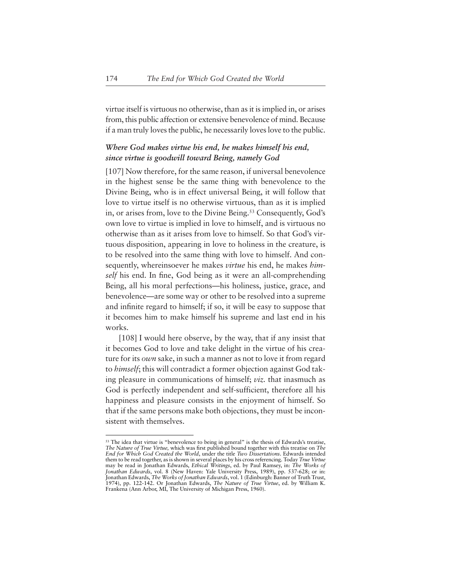virtue itself is virtuous no otherwise, than as it is implied in, or arises from, this public affection or extensive benevolence of mind. Because if a man truly loves the public, he necessarily loves love to the public.

# *Where God makes virtue his end, he makes himself his end, since virtue is goodwill toward Being, namely God*

[107] Now therefore, for the same reason, if universal benevolence in the highest sense be the same thing with benevolence to the Divine Being, who is in effect universal Being, it will follow that love to virtue itself is no otherwise virtuous, than as it is implied in, or arises from, love to the Divine Being.53 Consequently, God's own love to virtue is implied in love to himself, and is virtuous no otherwise than as it arises from love to himself. So that God's virtuous disposition, appearing in love to holiness in the creature, is to be resolved into the same thing with love to himself. And consequently, whereinsoever he makes *virtue* his end, he makes *himself* his end. In fine, God being as it were an all-comprehending Being, all his moral perfections—his holiness, justice, grace, and benevolence—are some way or other to be resolved into a supreme and infinite regard to himself; if so, it will be easy to suppose that it becomes him to make himself his supreme and last end in his works.

[108] I would here observe, by the way, that if any insist that it becomes God to love and take delight in the virtue of his creature for its *own* sake, in such a manner as not to love it from regard to *himself*; this will contradict a former objection against God taking pleasure in communications of himself; *viz.* that inasmuch as God is perfectly independent and self-sufficient, therefore all his happiness and pleasure consists in the enjoyment of himself. So that if the same persons make both objections, they must be inconsistent with themselves.

 $53$  The idea that virtue is "benevolence to being in general" is the thesis of Edwards's treatise, *The Nature of True Virtue,* which was first published bound together with this treatise on *The End for Which God Created the World*, under the title *Two Dissertations*. Edwards intended them to be read together, as is shown in several places by his cross referencing. Today *True Virtue* may be read in Jonathan Edwards, *Ethical Writings*, ed. by Paul Ramsey, in: *The Works of Jonathan Edwards*, vol. 8 (New Haven: Yale University Press, 1989), pp. 537-628; or in: Jonathan Edwards, *The Works of Jonathan Edwards*, vol. 1 (Edinburgh: Banner of Truth Trust, 1974), pp. 122-142. Or Jonathan Edwards, *The Nature of True Virtue*, ed. by William K. Frankena (Ann Arbor, MI, The University of Michigan Press, 1960).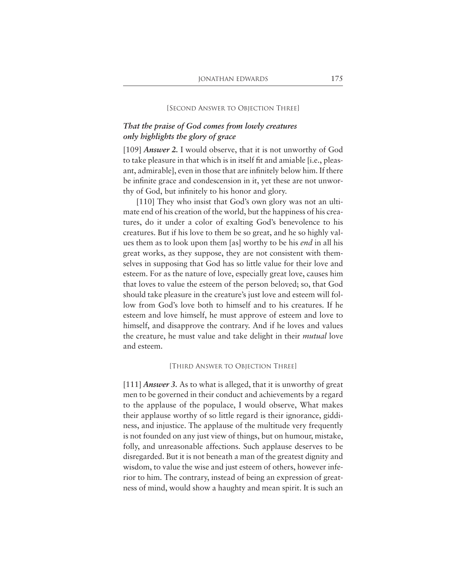#### [SECOND ANSWER TO OBJECTION THREE]

# *That the praise of God comes from lowly creatures only highlights the glory of grace*

[109] *Answer 2.* I would observe, that it is not unworthy of God to take pleasure in that which is in itself fit and amiable [i.e., pleasant, admirable], even in those that are infinitely below him. If there be infinite grace and condescension in it, yet these are not unworthy of God, but infinitely to his honor and glory.

[110] They who insist that God's own glory was not an ultimate end of his creation of the world, but the happiness of his creatures, do it under a color of exalting God's benevolence to his creatures. But if his love to them be so great, and he so highly values them as to look upon them [as] worthy to be his *end* in all his great works, as they suppose, they are not consistent with themselves in supposing that God has so little value for their love and esteem. For as the nature of love, especially great love, causes him that loves to value the esteem of the person beloved; so, that God should take pleasure in the creature's just love and esteem will follow from God's love both to himself and to his creatures. If he esteem and love himself, he must approve of esteem and love to himself, and disapprove the contrary. And if he loves and values the creature, he must value and take delight in their *mutual* love and esteem.

## [THIRD ANSWER TO OBJECTION THREE]

[111] *Answer 3.* As to what is alleged, that it is unworthy of great men to be governed in their conduct and achievements by a regard to the applause of the populace, I would observe, What makes their applause worthy of so little regard is their ignorance, giddiness, and injustice. The applause of the multitude very frequently is not founded on any just view of things, but on humour, mistake, folly, and unreasonable affections. Such applause deserves to be disregarded. But it is not beneath a man of the greatest dignity and wisdom, to value the wise and just esteem of others, however inferior to him. The contrary, instead of being an expression of greatness of mind, would show a haughty and mean spirit. It is such an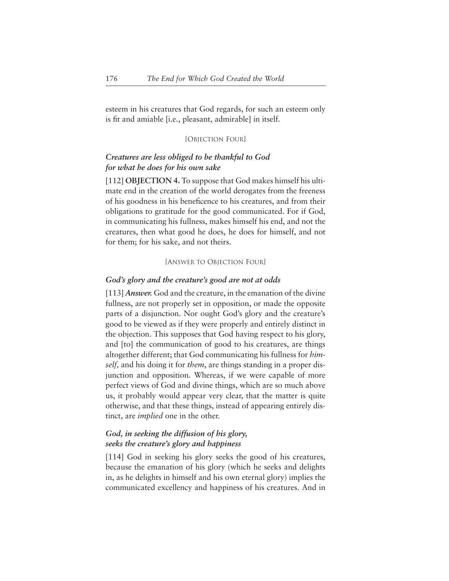esteem in his creatures that God regards, for such an esteem only is fit and amiable [i.e., pleasant, admirable] in itself.

## [OBJECTION FOUR]

# *Creatures are less obliged to be thankful to God for what he does for his own sake*

[112] **OBJECTION 4.** To suppose that God makes himself his ultimate end in the creation of the world derogates from the freeness of his goodness in his beneficence to his creatures, and from their obligations to gratitude for the good communicated. For if God, in communicating his fullness, makes himself his end, and not the creatures, then what good he does, he does for himself, and not for them; for his sake, and not theirs.

## [ANSWER TO OBJECTION FOUR]

#### *God's glory and the creature's good are not at odds*

[113] *Answer.* God and the creature, in the emanation of the divine fullness, are not properly set in opposition, or made the opposite parts of a disjunction. Nor ought God's glory and the creature's good to be viewed as if they were properly and entirely distinct in the objection. This supposes that God having respect to his glory, and [to] the communication of good to his creatures, are things altogether different; that God communicating his fullness for *himself,* and his doing it for *them*, are things standing in a proper disjunction and opposition. Whereas, if we were capable of more perfect views of God and divine things, which are so much above us, it probably would appear very clear, that the matter is quite otherwise, and that these things, instead of appearing entirely distinct, are *implied* one in the other.

# *God, in seeking the diffusion of his glory, seeks the creature's glory and happiness*

[114] God in seeking his glory seeks the good of his creatures, because the emanation of his glory (which he seeks and delights in, as he delights in himself and his own eternal glory) implies the communicated excellency and happiness of his creatures. And in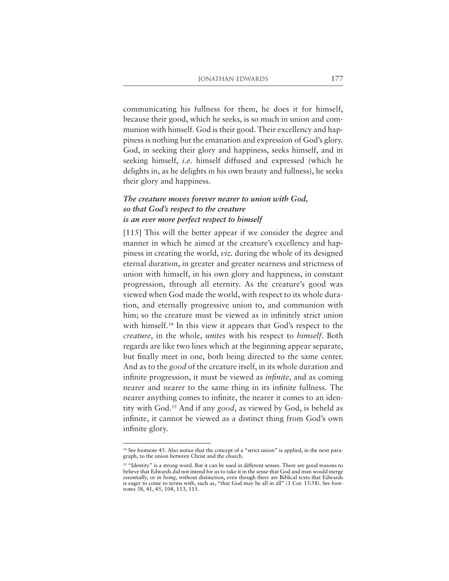communicating his fullness for them, he does it for himself, because their good, which he seeks, is so much in union and communion with himself. God is their good. Their excellency and happiness is nothing but the emanation and expression of God's glory. God, in seeking their glory and happiness, seeks himself, and in seeking himself, *i.e.* himself diffused and expressed (which he delights in, as he delights in his own beauty and fullness), he seeks their glory and happiness.

# *The creature moves forever nearer to union with God, so that God's respect to the creature is an ever more perfect respect to himself*

[115] This will the better appear if we consider the degree and manner in which he aimed at the creature's excellency and happiness in creating the world, *viz.* during the whole of its designed eternal duration, in greater and greater nearness and strictness of union with himself, in his own glory and happiness, in constant progression, through all eternity. As the creature's good was viewed when God made the world, with respect to its whole duration, and eternally progressive union to, and communion with him; so the creature must be viewed as in infinitely strict union with himself.54 In this view it appears that God's respect to the *creature*, in the whole, *unites* with his respect to *himself.* Both regards are like two lines which at the beginning appear separate, but finally meet in one, both being directed to the same center. And as to the *good* of the creature itself, in its whole duration and infinite progression, it must be viewed as *infinite*, and as coming nearer and nearer to the same thing in its infinite fullness. The nearer anything comes to infinite, the nearer it comes to an identity with God.55 And if any *good*, as viewed by God, is beheld as infinite, it cannot be viewed as a distinct thing from God's own infinite glory.

<sup>54</sup> See footnote 45. Also notice that the concept of a "strict union" is applied, in the next paragraph, to the union between Christ and the church.

<sup>&</sup>lt;sup>55</sup> "Identity" is a strong word. But it can be used in different senses. There are good reasons to believe that Edwards did not intend for us to take it in the sense that God and man would merge *essentially*, or *in being*, without distinction, even though there are Biblical texts that Edwards is eager to come to terms with, such as, "that God may be all in all" (1 Cor. 15:58). See footnotes 38, 41, 45, 104, 113, 115.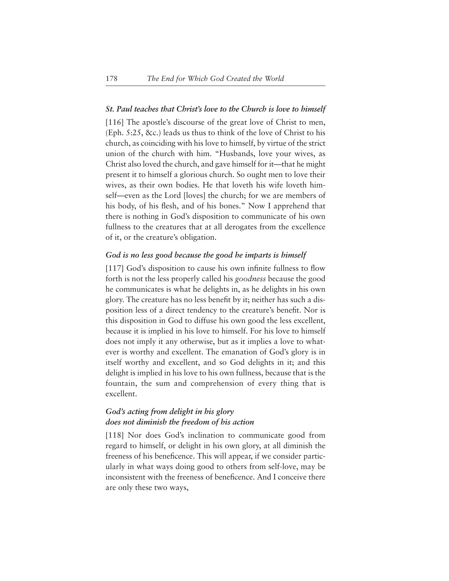## *St. Paul teaches that Christ's love to the Church is love to himself*

[116] The apostle's discourse of the great love of Christ to men, (Eph. 5:25, &c.) leads us thus to think of the love of Christ to his church, as coinciding with his love to himself, by virtue of the strict union of the church with him. "Husbands, love your wives, as Christ also loved the church, and gave himself for it—that he might present it to himself a glorious church. So ought men to love their wives, as their own bodies. He that loveth his wife loveth himself—even as the Lord [loves] the church; for we are members of his body, of his flesh, and of his bones." Now I apprehend that there is nothing in God's disposition to communicate of his own fullness to the creatures that at all derogates from the excellence of it, or the creature's obligation.

## *God is no less good because the good he imparts is himself*

[117] God's disposition to cause his own infinite fullness to flow forth is not the less properly called his *goodness* because the good he communicates is what he delights in, as he delights in his own glory. The creature has no less benefit by it; neither has such a disposition less of a direct tendency to the creature's benefit. Nor is this disposition in God to diffuse his own good the less excellent, because it is implied in his love to himself. For his love to himself does not imply it any otherwise, but as it implies a love to whatever is worthy and excellent. The emanation of God's glory is in itself worthy and excellent, and so God delights in it; and this delight is implied in his love to his own fullness, because that is the fountain, the sum and comprehension of every thing that is excellent.

# *God's acting from delight in his glory does not diminish the freedom of his action*

[118] Nor does God's inclination to communicate good from regard to himself, or delight in his own glory, at all diminish the freeness of his beneficence. This will appear, if we consider particularly in what ways doing good to others from self-love, may be inconsistent with the freeness of beneficence. And I conceive there are only these two ways,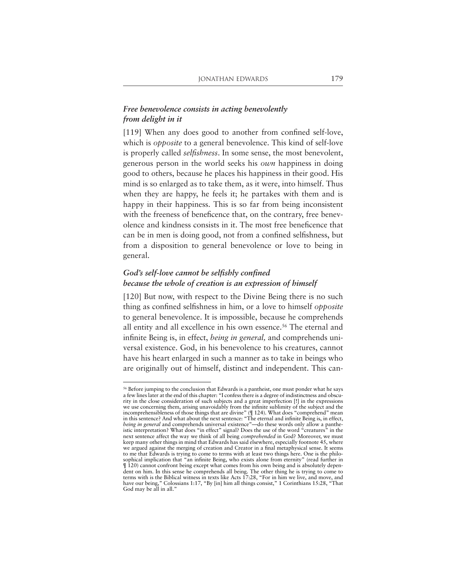# *Free benevolence consists in acting benevolently from delight in it*

[119] When any does good to another from confined self-love, which is *opposite* to a general benevolence. This kind of self-love is properly called *selfishness*. In some sense, the most benevolent, generous person in the world seeks his *own* happiness in doing good to others, because he places his happiness in their good. His mind is so enlarged as to take them, as it were, into himself. Thus when they are happy, he feels it; he partakes with them and is happy in their happiness. This is so far from being inconsistent with the freeness of beneficence that, on the contrary, free benevolence and kindness consists in it. The most free beneficence that can be in men is doing good, not from a confined selfishness, but from a disposition to general benevolence or love to being in general.

# *God's self-love cannot be selfishly confined because the whole of creation is an expression of himself*

[120] But now, with respect to the Divine Being there is no such thing as confined selfishness in him, or a love to himself *opposite* to general benevolence. It is impossible, because he comprehends all entity and all excellence in his own essence.<sup>56</sup> The eternal and infinite Being is, in effect, *being in general,* and comprehends universal existence. God, in his benevolence to his creatures, cannot have his heart enlarged in such a manner as to take in beings who are originally out of himself, distinct and independent. This can-

<sup>&</sup>lt;sup>56</sup> Before jumping to the conclusion that Edwards is a pantheist, one must ponder what he says a few lines later at the end of this chapter: "I confess there is a degree of indistinctness and obscurity in the close consideration of such subjects and a great imperfection [!] in the expressions we use concerning them, arising unavoidably from the infinite sublimity of the subject and the incomprehensibleness of those things that are divine" (¶ 124). What does "comprehend" mean in this sentence? And what about the next sentence: "The eternal and infinite Being is, in effect, *being in general* and comprehends universal existence"—do these words only allow a pantheistic interpretation? What does "in effect" signal? Does the use of the word "creatures" in the next sentence affect the way we think of all being *comprehended* in God? Moreover, we must keep many other things in mind that Edwards has said elsewhere, especially footnote 45, where we argued against the merging of creation and Creator in a final metaphysical sense. It seems to me that Edwards is trying to come to terms with at least two things here. One is the philosophical implication that "an infinite Being, who exists alone from eternity" (read further in ¶ 120) cannot confront being except what comes from his own being and is absolutely dependent on him. In this sense he comprehends all being. The other thing he is trying to come to terms with is the Biblical witness in texts like Acts 17:28, "For in him we live, and move, and have our being," Colossians 1:17, "By [in] him all things consist," 1 Corinthians 15:28, "That God may be all in all."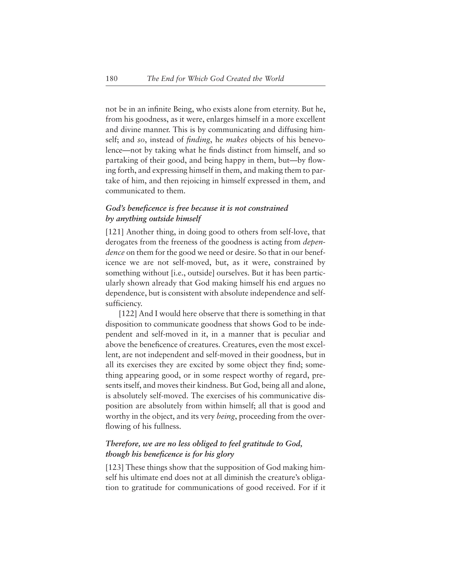not be in an infinite Being, who exists alone from eternity. But he, from his goodness, as it were, enlarges himself in a more excellent and divine manner. This is by communicating and diffusing himself; and *so*, instead of *finding*, he *makes* objects of his benevolence—not by taking what he finds distinct from himself, and so partaking of their good, and being happy in them, but—by flowing forth, and expressing himself in them, and making them to partake of him, and then rejoicing in himself expressed in them, and communicated to them.

## *God's beneficence is free because it is not constrained by anything outside himself*

[121] Another thing, in doing good to others from self-love, that derogates from the freeness of the goodness is acting from *dependence* on them for the good we need or desire. So that in our beneficence we are not self-moved, but, as it were, constrained by something without [i.e., outside] ourselves. But it has been particularly shown already that God making himself his end argues no dependence, but is consistent with absolute independence and selfsufficiency.

[122] And I would here observe that there is something in that disposition to communicate goodness that shows God to be independent and self-moved in it, in a manner that is peculiar and above the beneficence of creatures. Creatures, even the most excellent, are not independent and self-moved in their goodness, but in all its exercises they are excited by some object they find; something appearing good, or in some respect worthy of regard, presents itself, and moves their kindness. But God, being all and alone, is absolutely self-moved. The exercises of his communicative disposition are absolutely from within himself; all that is good and worthy in the object, and its very *being*, proceeding from the overflowing of his fullness.

# *Therefore, we are no less obliged to feel gratitude to God, though his beneficence is for his glory*

[123] These things show that the supposition of God making himself his ultimate end does not at all diminish the creature's obligation to gratitude for communications of good received. For if it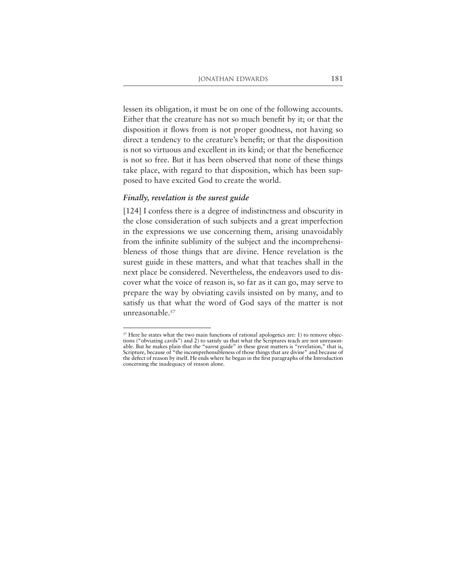lessen its obligation, it must be on one of the following accounts. Either that the creature has not so much benefit by it; or that the disposition it flows from is not proper goodness, not having so direct a tendency to the creature's benefit; or that the disposition is not so virtuous and excellent in its kind; or that the beneficence is not so free. But it has been observed that none of these things take place, with regard to that disposition, which has been supposed to have excited God to create the world.

## *Finally, revelation is the surest guide*

[124] I confess there is a degree of indistinctness and obscurity in the close consideration of such subjects and a great imperfection in the expressions we use concerning them, arising unavoidably from the infinite sublimity of the subject and the incomprehensibleness of those things that are divine. Hence revelation is the surest guide in these matters, and what that teaches shall in the next place be considered. Nevertheless, the endeavors used to discover what the voice of reason is, so far as it can go, may serve to prepare the way by obviating cavils insisted on by many, and to satisfy us that what the word of God says of the matter is not unreasonable.<sup>57</sup>

<sup>&</sup>lt;sup>57</sup> Here he states what the two main functions of rational apologetics are: 1) to remove objections ("obviating cavils") and 2) to satisfy us that what the Scriptures teach are not unreasonable. But he makes plain that the "surest guide" in these great matters is "revelation," that is, Scripture, because of "the incomprehensibleness of those things that are divine" and because of the defect of reason by itself. He ends where he began in the first paragraphs of the Introduction concerning the inadequacy of reason alone.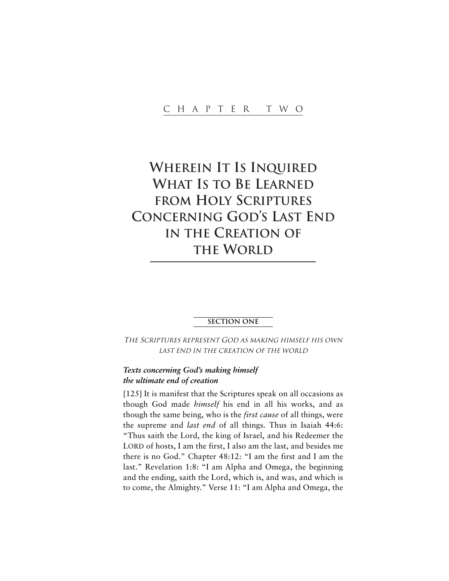# **WHEREIN IT IS INQUIRED WHAT IS TO BE LEARNED FROM HOLY SCRIPTURES CONCERNING GOD'S LAST END IN THE CREATION OF THE WORLD**

## **SECTION ONE**

THE SCRIPTURES REPRESENT GOD AS MAKING HIMSELF HIS OWN LAST END IN THE CREATION OF THE WORLD

# *Texts concerning God's making himself the ultimate end of creation*

[125] It is manifest that the Scriptures speak on all occasions as though God made *himself* his end in all his works, and as though the same being, who is the *first cause* of all things, were the supreme and *last end* of all things. Thus in Isaiah 44:6: "Thus saith the Lord, the king of Israel, and his Redeemer the LORD of hosts, I am the first, I also am the last, and besides me there is no God." Chapter 48:12: "I am the first and I am the last." Revelation 1:8: "I am Alpha and Omega, the beginning and the ending, saith the Lord, which is, and was, and which is to come, the Almighty." Verse 11: "I am Alpha and Omega, the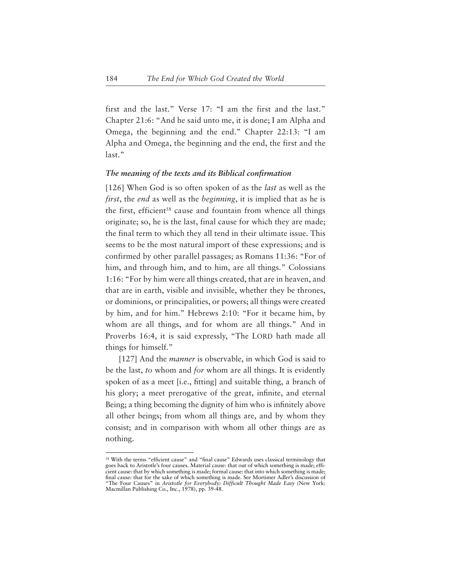first and the last." Verse 17: "I am the first and the last." Chapter 21:6: "And he said unto me, it is done; I am Alpha and Omega, the beginning and the end." Chapter 22:13: "I am Alpha and Omega, the beginning and the end, the first and the last."

## *The meaning of the texts and its Biblical confirmation*

[126] When God is so often spoken of as the *last* as well as the *first*, the *end* as well as the *beginning*, it is implied that as he is the first, efficient<sup>58</sup> cause and fountain from whence all things originate; so, he is the last, final cause for which they are made; the final term to which they all tend in their ultimate issue. This seems to be the most natural import of these expressions; and is confirmed by other parallel passages; as Romans 11:36: "For of him, and through him, and to him, are all things." Colossians 1:16: "For by him were all things created, that are in heaven, and that are in earth, visible and invisible, whether they be thrones, or dominions, or principalities, or powers; all things were created by him, and for him." Hebrews 2:10: "For it became him, by whom are all things, and for whom are all things." And in Proverbs 16:4, it is said expressly, "The LORD hath made all things for himself."

[127] And the *manner* is observable, in which God is said to be the last, *to* whom and *for* whom are all things. It is evidently spoken of as a meet [i.e., fitting] and suitable thing, a branch of his glory; a meet prerogative of the great, infinite, and eternal Being; a thing becoming the dignity of him who is infinitely above all other beings; from whom all things are, and by whom they consist; and in comparison with whom all other things are as nothing.

<sup>58</sup> With the terms "efficient cause" and "final cause" Edwards uses classical terminology that goes back to Aristotle's four causes. Material cause: that out of which something is made; efficient cause: that by which something is made; formal cause: that into which something is made; final cause: that for the sake of which something is made. See Mortimer Adler's discussion of "The Four Causes" in *Aristotle for Everybody: Difficult Thought Made Easy* (New York: Macmillan Publishing Co., Inc., 1978), pp. 39-48.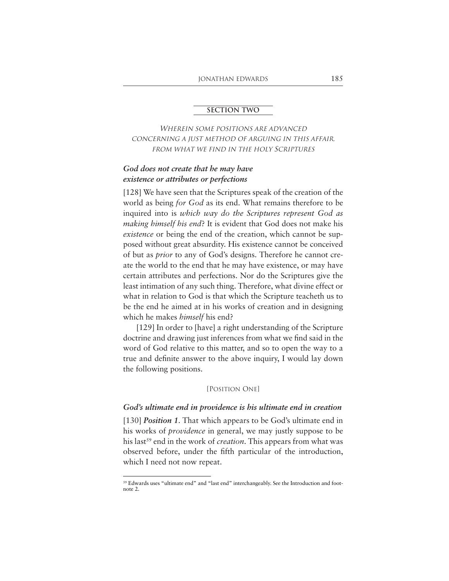## **SECTION TWO**

WHEREIN SOME POSITIONS ARE ADVANCED CONCERNING A JUST METHOD OF ARGUING IN THIS AFFAIR, FROM WHAT WE FIND IN THE HOLY SCRIPTURES

# *God does not create that he may have existence or attributes or perfections*

[128] We have seen that the Scriptures speak of the creation of the world as being *for God* as its end. What remains therefore to be inquired into is *which way do the Scriptures represent God as making himself his end*? It is evident that God does not make his *existence* or being the end of the creation, which cannot be supposed without great absurdity. His existence cannot be conceived of but as *prior* to any of God's designs. Therefore he cannot create the world to the end that he may have existence, or may have certain attributes and perfections. Nor do the Scriptures give the least intimation of any such thing. Therefore, what divine effect or what in relation to God is that which the Scripture teacheth us to be the end he aimed at in his works of creation and in designing which he makes *himself* his end?

[129] In order to [have] a right understanding of the Scripture doctrine and drawing just inferences from what we find said in the word of God relative to this matter, and so to open the way to a true and definite answer to the above inquiry, I would lay down the following positions.

#### [POSITION ONE]

## *God's ultimate end in providence is his ultimate end in creation*

[130] *Position 1*. That which appears to be God's ultimate end in his works of *providence* in general, we may justly suppose to be his last<sup>59</sup> end in the work of *creation*. This appears from what was observed before, under the fifth particular of the introduction, which I need not now repeat.

<sup>59</sup> Edwards uses "ultimate end" and "last end" interchangeably. See the Introduction and footnote 2.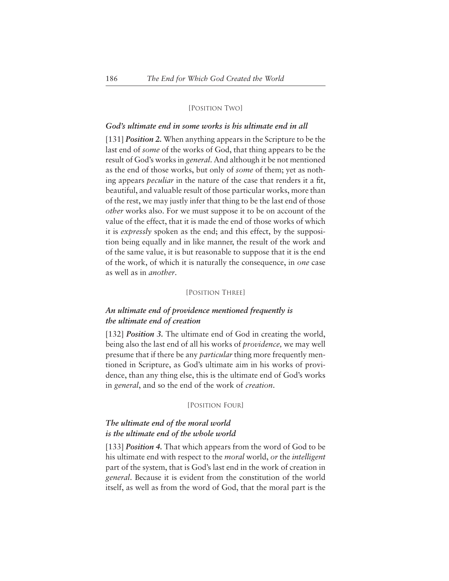#### [POSITION TWO]

## *God's ultimate end in some works is his ultimate end in all*

[131] *Position 2.* When anything appears in the Scripture to be the last end of *some* of the works of God, that thing appears to be the result of God's works in *general*. And although it be not mentioned as the end of those works, but only of *some* of them; yet as nothing appears *peculiar* in the nature of the case that renders it a fit, beautiful, and valuable result of those particular works, more than of the rest, we may justly infer that thing to be the last end of those *other* works also. For we must suppose it to be on account of the value of the effect, that it is made the end of those works of which it is *expressly* spoken as the end; and this effect, by the supposition being equally and in like manner, the result of the work and of the same value, it is but reasonable to suppose that it is the end of the work, of which it is naturally the consequence, in *one* case as well as in *another*.

## [POSITION THREE]

# *An ultimate end of providence mentioned frequently is the ultimate end of creation*

[132] *Position 3*. The ultimate end of God in creating the world, being also the last end of all his works of *providence,* we may well presume that if there be any *particular* thing more frequently mentioned in Scripture, as God's ultimate aim in his works of providence, than any thing else, this is the ultimate end of God's works in *general*, and so the end of the work of *creation*.

#### [POSITION FOUR]

# *The ultimate end of the moral world is the ultimate end of the whole world*

[133] *Position 4*. That which appears from the word of God to be his ultimate end with respect to the *moral* world, *or* the *intelligent* part of the system, that is God's last end in the work of creation in *general*. Because it is evident from the constitution of the world itself, as well as from the word of God, that the moral part is the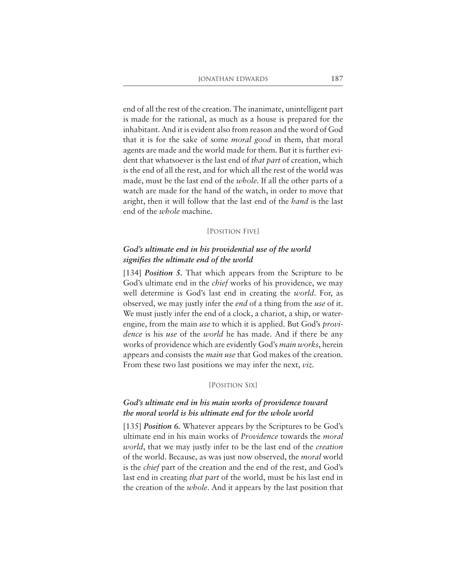end of all the rest of the creation. The inanimate, unintelligent part is made for the rational, as much as a house is prepared for the inhabitant. And it is evident also from reason and the word of God that it is for the sake of some *moral good* in them, that moral agents are made and the world made for them. But it is further evident that whatsoever is the last end of *that part* of creation, which is the end of all the rest, and for which all the rest of the world was made, must be the last end of the *whole*. If all the other parts of a watch are made for the hand of the watch, in order to move that aright, then it will follow that the last end of the *hand* is the last end of the *whole* machine.

#### [POSITION FIVE]

# *God's ultimate end in his providential use of the world signifies the ultimate end of the world*

[134] *Position 5.* That which appears from the Scripture to be God's ultimate end in the *chief* works of his providence, we may well determine is God's last end in creating the *world*. For, as observed, we may justly infer the *end* of a thing from the *use* of it. We must justly infer the end of a clock, a chariot, a ship, or waterengine, from the main *use* to which it is applied. But God's *providence* is his *use* of the *world* he has made. And if there be any works of providence which are evidently God's *main works*, herein appears and consists the *main use* that God makes of the creation. From these two last positions we may infer the next, *viz.*

#### [POSITION SIX]

# *God's ultimate end in his main works of providence toward the moral world is his ultimate end for the whole world*

[135] *Position 6*. Whatever appears by the Scriptures to be God's ultimate end in his main works of *Providence* towards the *moral world*, that we may justly infer to be the last end of the *creation* of the world. Because, as was just now observed, the *moral* world is the *chief* part of the creation and the end of the rest, and God's last end in creating *that part* of the world, must be his last end in the creation of the *whole*. And it appears by the last position that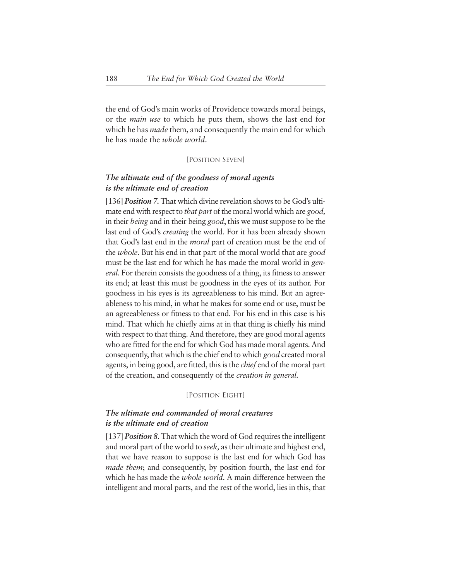the end of God's main works of Providence towards moral beings, or the *main use* to which he puts them, shows the last end for which he has *made* them, and consequently the main end for which he has made the *whole world*.

#### [POSITION SEVEN]

## *The ultimate end of the goodness of moral agents is the ultimate end of creation*

[136] *Position 7*. That which divine revelation shows to be God's ultimate end with respect to *that part* of the moral world which are *good,* in their *being* and in their being *good*, this we must suppose to be the last end of God's *creating* the world. For it has been already shown that God's last end in the *moral* part of creation must be the end of the *whole*. But his end in that part of the moral world that are *good* must be the last end for which he has made the moral world in *general*. For therein consists the goodness of a thing, its fitness to answer its end; at least this must be goodness in the eyes of its author. For goodness in his eyes is its agreeableness to his mind. But an agreeableness to his mind, in what he makes for some end or use, must be an agreeableness or fitness to that end. For his end in this case is his mind. That which he chiefly aims at in that thing is chiefly his mind with respect to that thing. And therefore, they are good moral agents who are fitted for the end for which God has made moral agents. And consequently, that which is the chief end to which *good* created moral agents, in being good, are fitted, this is the *chief* end of the moral part of the creation, and consequently of the *creation in general.*

## [POSITION EIGHT]

## *The ultimate end commanded of moral creatures is the ultimate end of creation*

[137] *Position 8*. That which the word of God requires the intelligent and moral part of the world to *seek,* as their ultimate and highest end, that we have reason to suppose is the last end for which God has *made them*; and consequently, by position fourth, the last end for which he has made the *whole world*. A main difference between the intelligent and moral parts, and the rest of the world, lies in this, that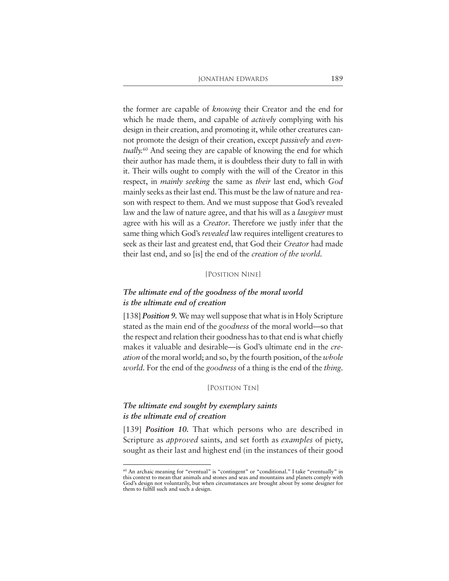the former are capable of *knowing* their Creator and the end for which he made them, and capable of *actively* complying with his design in their creation, and promoting it, while other creatures cannot promote the design of their creation, except *passively* and *eventually.*<sup>60</sup> And seeing they are capable of knowing the end for which their author has made them, it is doubtless their duty to fall in with it. Their wills ought to comply with the will of the Creator in this respect, in *mainly seeking* the same as *their* last end, which *God* mainly seeks as their last end. This must be the law of nature and reason with respect to them. And we must suppose that God's revealed law and the law of nature agree, and that his will as a *lawgiver* must agree with his will as a *Creator*. Therefore we justly infer that the same thing which God's *revealed* law requires intelligent creatures to seek as their last and greatest end, that God their *Creator* had made their last end, and so [is] the end of the *creation of the world.*

## [POSITION NINE]

# *The ultimate end of the goodness of the moral world is the ultimate end of creation*

[138] *Position 9.* We may well suppose that what is in Holy Scripture stated as the main end of the *goodness* of the moral world—so that the respect and relation their goodness has to that end is what chiefly makes it valuable and desirable—is God's ultimate end in the *creation* of the moral world; and so, by the fourth position, of the *whole world.* For the end of the *goodness* of a thing is the end of the *thing*.

## [POSITION TEN]

## *The ultimate end sought by exemplary saints is the ultimate end of creation*

[139] *Position 10*. That which persons who are described in Scripture as *approved* saints, and set forth as *examples* of piety, sought as their last and highest end (in the instances of their good

<sup>60</sup> An archaic meaning for "eventual" is "contingent" or "conditional." I take "eventually" in this context to mean that animals and stones and seas and mountains and planets comply with God's design not voluntarily, but when circumstances are brought about by some designer for them to fulfill such and such a design.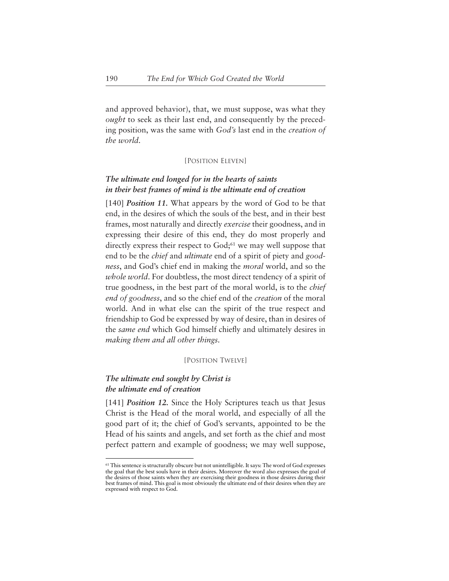and approved behavior), that, we must suppose, was what they *ought* to seek as their last end, and consequently by the preceding position, was the same with *God's* last end in the *creation of the world.*

### [POSITION ELEVEN]

# *The ultimate end longed for in the hearts of saints in their best frames of mind is the ultimate end of creation*

[140] *Position 11*. What appears by the word of God to be that end, in the desires of which the souls of the best, and in their best frames, most naturally and directly *exercise* their goodness, and in expressing their desire of this end, they do most properly and directly express their respect to God;<sup>61</sup> we may well suppose that end to be the *chief* and *ultimate* end of a spirit of piety and *goodness*, and God's chief end in making the *moral* world, and so the *whole world*. For doubtless, the most direct tendency of a spirit of true goodness, in the best part of the moral world, is to the *chief end of goodness*, and so the chief end of the *creation* of the moral world. And in what else can the spirit of the true respect and friendship to God be expressed by way of desire, than in desires of the *same end* which God himself chiefly and ultimately desires in *making them and all other things.*

#### [POSITION TWELVE]

## *The ultimate end sought by Christ is the ultimate end of creation*

[141] *Position 12*. Since the Holy Scriptures teach us that Jesus Christ is the Head of the moral world, and especially of all the good part of it; the chief of God's servants, appointed to be the Head of his saints and angels, and set forth as the chief and most perfect pattern and example of goodness; we may well suppose,

<sup>&</sup>lt;sup>61</sup> This sentence is structurally obscure but not unintelligible. It says: The word of God expresses the goal that the best souls have in their desires. Moreover the word also expresses the goal of the desires of those saints when they are exercising their goodness in those desires during their best frames of mind. This goal is most obviously the ultimate end of their desires when they are expressed with respect to God.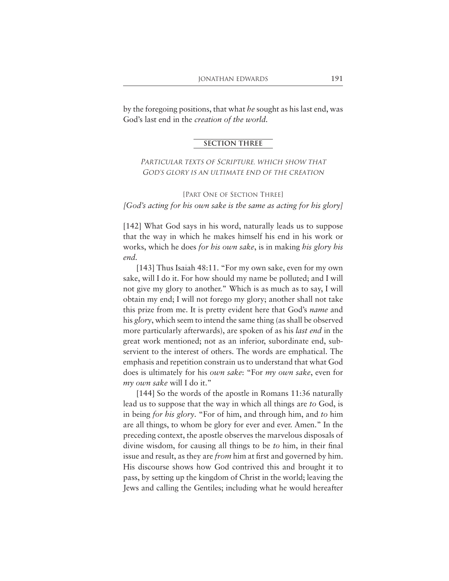by the foregoing positions, that what *he* sought as his last end, was God's last end in the *creation of the world.*

### **SECTION THREE**

PARTICULAR TEXTS OF SCRIPTURE, WHICH SHOW THAT GOD'S GLORY IS AN ULTIMATE END OF THE CREATION

[PART ONE OF SECTION THREE] *[God's acting for his own sake is the same as acting for his glory]*

[142] What God says in his word, naturally leads us to suppose that the way in which he makes himself his end in his work or works, which he does *for his own sake*, is in making *his glory his end.*

[143] Thus Isaiah 48:11. "For my own sake, even for my own sake, will I do it. For how should my name be polluted; and I will not give my glory to another." Which is as much as to say, I will obtain my end; I will not forego my glory; another shall not take this prize from me. It is pretty evident here that God's *name* and his *glory*, which seem to intend the same thing (as shall be observed more particularly afterwards), are spoken of as his *last end* in the great work mentioned; not as an inferior, subordinate end, subservient to the interest of others. The words are emphatical. The emphasis and repetition constrain us to understand that what God does is ultimately for his *own sake*: "For *my own sake*, even for *my own sake* will I do it."

[144] So the words of the apostle in Romans 11:36 naturally lead us to suppose that the way in which all things are *to* God, is in being *for his glory*. "For of him, and through him, and *to* him are all things, to whom be glory for ever and ever. Amen." In the preceding context, the apostle observes the marvelous disposals of divine wisdom, for causing all things to be *to* him, in their final issue and result, as they are *from* him at first and governed by him. His discourse shows how God contrived this and brought it to pass, by setting up the kingdom of Christ in the world; leaving the Jews and calling the Gentiles; including what he would hereafter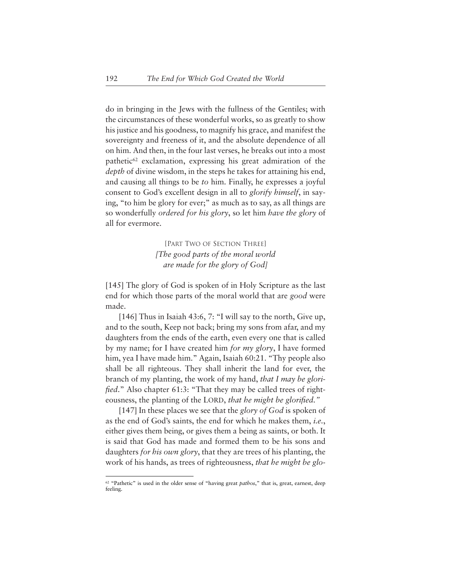do in bringing in the Jews with the fullness of the Gentiles; with the circumstances of these wonderful works, so as greatly to show his justice and his goodness, to magnify his grace, and manifest the sovereignty and freeness of it, and the absolute dependence of all on him. And then, in the four last verses, he breaks out into a most pathetic62 exclamation, expressing his great admiration of the *depth* of divine wisdom, in the steps he takes for attaining his end, and causing all things to be *to* him. Finally, he expresses a joyful consent to God's excellent design in all to *glorify himself*, in saying, "to him be glory for ever;" as much as to say, as all things are so wonderfully *ordered for his glory*, so let him *have the glory* of all for evermore.

> [PART TWO OF SECTION THREE] *[The good parts of the moral world are made for the glory of God]*

[145] The glory of God is spoken of in Holy Scripture as the last end for which those parts of the moral world that are *good* were made.

[146] Thus in Isaiah 43:6, 7: "I will say to the north, Give up, and to the south, Keep not back; bring my sons from afar, and my daughters from the ends of the earth, even every one that is called by my name; for I have created him *for my glory*, I have formed him, yea I have made him." Again, Isaiah 60:21. "Thy people also shall be all righteous. They shall inherit the land for ever, the branch of my planting, the work of my hand, *that I may be glorified*." Also chapter 61:3: "That they may be called trees of righteousness, the planting of the LORD, *that he might be glorified."*

[147] In these places we see that the *glory of God* is spoken of as the end of God's saints, the end for which he makes them, *i.e.*, either gives them being, or gives them a being as saints, or both. It is said that God has made and formed them to be his sons and daughters *for his own glory*, that they are trees of his planting, the work of his hands, as trees of righteousness, *that he might be glo-*

<sup>62</sup> "Pathetic" is used in the older sense of "having great *pathos*," that is, great, earnest, deep feeling.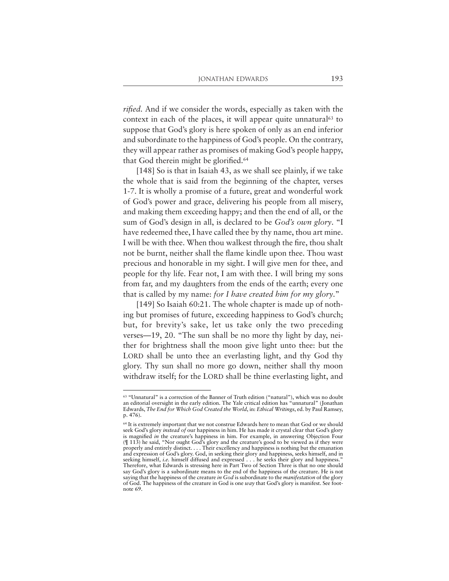*rified.* And if we consider the words, especially as taken with the context in each of the places, it will appear quite unnatural<sup>63</sup> to suppose that God's glory is here spoken of only as an end inferior and subordinate to the happiness of God's people. On the contrary, they will appear rather as promises of making God's people happy, that God therein might be glorified.<sup>64</sup>

[148] So is that in Isaiah 43, as we shall see plainly, if we take the whole that is said from the beginning of the chapter, verses 1-7. It is wholly a promise of a future, great and wonderful work of God's power and grace, delivering his people from all misery, and making them exceeding happy; and then the end of all, or the sum of God's design in all, is declared to be *God's own glory*. "I have redeemed thee, I have called thee by thy name, thou art mine. I will be with thee. When thou walkest through the fire, thou shalt not be burnt, neither shall the flame kindle upon thee. Thou wast precious and honorable in my sight. I will give men for thee, and people for thy life. Fear not, I am with thee. I will bring my sons from far, and my daughters from the ends of the earth; every one that is called by my name: *for I have created him for my glory*."

[149] So Isaiah 60:21. The whole chapter is made up of nothing but promises of future, exceeding happiness to God's church; but, for brevity's sake, let us take only the two preceding verses—19, 20. "The sun shall be no more thy light by day, neither for brightness shall the moon give light unto thee: but the LORD shall be unto thee an everlasting light, and thy God thy glory. Thy sun shall no more go down, neither shall thy moon withdraw itself; for the LORD shall be thine everlasting light, and

<sup>63</sup> "Unnatural" is a correction of the Banner of Truth edition ("natural"), which was no doubt an editorial oversight in the early edition. The Yale critical edition has "unnatural" (Jonathan Edwards, *The End for Which God Created the World*, in: *Ethical Writings*, ed. by Paul Ramsey, p. 476).

<sup>&</sup>lt;sup>64</sup> It is extremely important that we not construe Edwards here to mean that God or we should seek God's glory *instead of* our happiness in him. He has made it crystal clear that God's glory is magnified *in* the creature's happiness in him. For example, in answering Objection Four  $(\sqrt{\sqrt{113}})$  he said, "Nor ought God's glory and the creature's good to be viewed as if they were properly and entirely distinct. . . . Their excellency and happiness is nothing but the emanation and expression of God's glory. God, in seeking their glory and happiness, seeks himself, and in seeking himself, *i.e.* himself diffused and expressed . . . he seeks their glory and happiness. Therefore, what Edwards is stressing here in Part Two of Section Three is that no one should say God's glory is a subordinate means to the end of the happiness of the creature. He is not saying that the happiness of the creature *in God* is subordinate to the *manifestation* of the glory of God. The happiness of the creature in God is one *way* that God's glory is manifest. See footnote 69.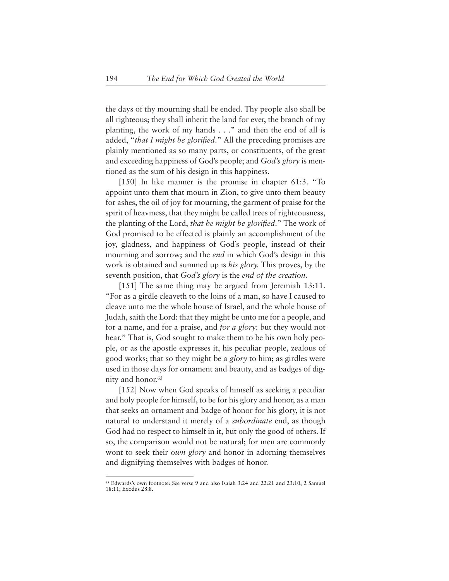the days of thy mourning shall be ended. Thy people also shall be all righteous; they shall inherit the land for ever, the branch of my planting, the work of my hands . . ." and then the end of all is added, "*that I might be glorified*." All the preceding promises are plainly mentioned as so many parts, or constituents, of the great and exceeding happiness of God's people; and *God's glory* is mentioned as the sum of his design in this happiness.

[150] In like manner is the promise in chapter 61:3. "To appoint unto them that mourn in Zion, to give unto them beauty for ashes, the oil of joy for mourning, the garment of praise for the spirit of heaviness, that they might be called trees of righteousness, the planting of the Lord, *that he might be glorified*." The work of God promised to be effected is plainly an accomplishment of the joy, gladness, and happiness of God's people, instead of their mourning and sorrow; and the *end* in which God's design in this work is obtained and summed up is *his glory.* This proves, by the seventh position, that *God's glory* is the *end of the creation.*

[151] The same thing may be argued from Jeremiah 13:11. "For as a girdle cleaveth to the loins of a man, so have I caused to cleave unto me the whole house of Israel, and the whole house of Judah, saith the Lord: that they might be unto me for a people, and for a name, and for a praise, and *for a glory*: but they would not hear." That is, God sought to make them to be his own holy people, or as the apostle expresses it, his peculiar people, zealous of good works; that so they might be a *glory* to him; as girdles were used in those days for ornament and beauty, and as badges of dignity and honor.<sup>65</sup>

[152] Now when God speaks of himself as seeking a peculiar and holy people for himself, to be for his glory and honor, as a man that seeks an ornament and badge of honor for his glory, it is not natural to understand it merely of a *subordinate* end, as though God had no respect to himself in it, but only the good of others. If so, the comparison would not be natural; for men are commonly wont to seek their *own glory* and honor in adorning themselves and dignifying themselves with badges of honor.

<sup>65</sup> Edwards's own footnote: See verse 9 and also Isaiah 3:24 and 22:21 and 23:10; 2 Samuel 18:11; Exodus 28:8.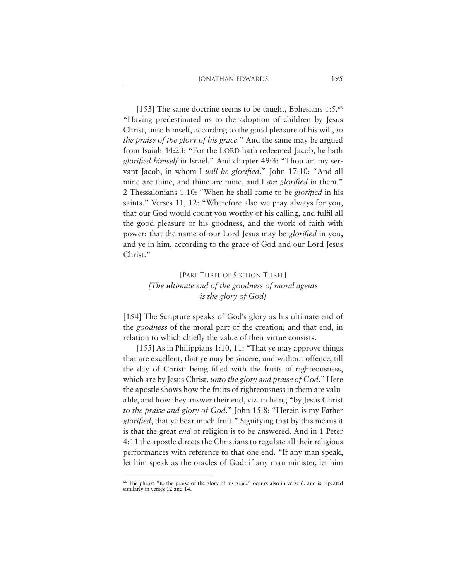[153] The same doctrine seems to be taught, Ephesians 1:5.<sup>66</sup> "Having predestinated us to the adoption of children by Jesus Christ, unto himself, according to the good pleasure of his will, *to the praise of the glory of his grace.*" And the same may be argued from Isaiah 44:23: "For the LORD hath redeemed Jacob, he hath *glorified himself* in Israel." And chapter 49:3: "Thou art my servant Jacob, in whom I *will be glorified*." John 17:10: "And all mine are thine, and thine are mine, and I *am glorified* in them." 2 Thessalonians 1:10: "When he shall come to be *glorified* in his saints." Verses 11, 12: "Wherefore also we pray always for you, that our God would count you worthy of his calling, and fulfil all the good pleasure of his goodness, and the work of faith with power: that the name of our Lord Jesus may be *glorified* in you, and ye in him, according to the grace of God and our Lord Jesus Christ."

## [PART THREE OF SECTION THREE] *[The ultimate end of the goodness of moral agents is the glory of God]*

[154] The Scripture speaks of God's glory as his ultimate end of the *goodness* of the moral part of the creation; and that end, in relation to which chiefly the value of their virtue consists.

[155] As in Philippians 1:10, 11: "That ye may approve things that are excellent, that ye may be sincere, and without offence, till the day of Christ: being filled with the fruits of righteousness, which are by Jesus Christ, *unto the glory and praise of God*." Here the apostle shows how the fruits of righteousness in them are valuable, and how they answer their end, viz. in being "by Jesus Christ *to the praise and glory of God*." John 15:8: "Herein is my Father *glorified*, that ye bear much fruit." Signifying that by this means it is that the great *end* of religion is to be answered. And in 1 Peter 4:11 the apostle directs the Christians to regulate all their religious performances with reference to that one end. "If any man speak, let him speak as the oracles of God: if any man minister, let him

<sup>66</sup> The phrase "to the praise of the glory of his grace" occurs also in verse 6, and is repeated similarly in verses 12 and 14.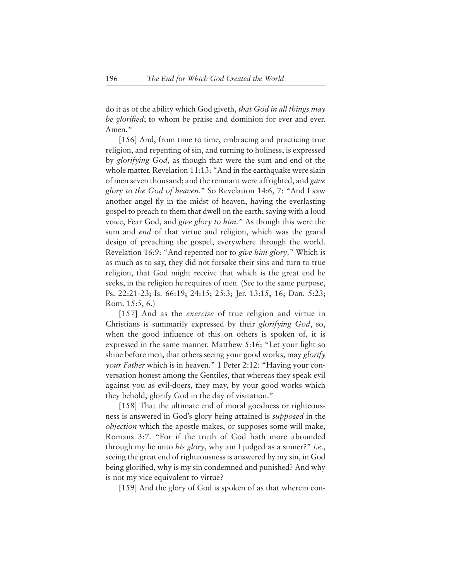do it as of the ability which God giveth, *that God in all things may be glorified*; to whom be praise and dominion for ever and ever. Amen."

[156] And, from time to time, embracing and practicing true religion, and repenting of sin, and turning to holiness, is expressed by *glorifying God*, as though that were the sum and end of the whole matter. Revelation 11:13: "And in the earthquake were slain of men seven thousand; and the remnant were affrighted, and *gave glory to the God of heaven*." So Revelation 14:6, 7: "And I saw another angel fly in the midst of heaven, having the everlasting gospel to preach to them that dwell on the earth; saying with a loud voice, Fear God, and *give glory to him."* As though this were the sum and *end* of that virtue and religion, which was the grand design of preaching the gospel, everywhere through the world. Revelation 16:9: "And repented not to *give him glory*." Which is as much as to say, they did not forsake their sins and turn to true religion, that God might receive that which is the great end he seeks, in the religion he requires of men. (See to the same purpose, Ps. 22:21-23; Is. 66:19; 24:15; 25:3; Jer. 13:15, 16; Dan. 5:23; Rom. 15:5, 6.)

[157] And as the *exercise* of true religion and virtue in Christians is summarily expressed by their *glorifying God*, so, when the good influence of this on others is spoken of, it is expressed in the same manner. Matthew 5:16: "Let your light so shine before men, that others seeing your good works, may *glorify your Father* which is in heaven." 1 Peter 2:12: "Having your conversation honest among the Gentiles, that whereas they speak evil against you as evil-doers, they may, by your good works which they behold, glorify God in the day of visitation."

[158] That the ultimate end of moral goodness or righteousness is answered in God's glory being attained is *supposed* in the *objection* which the apostle makes, or supposes some will make, Romans 3:7. "For if the truth of God hath more abounded through my lie unto *his glory*, why am I judged as a sinner?" *i*.*e*., seeing the great end of righteousness is answered by my sin, in God being glorified, why is my sin condemned and punished? And why is not my vice equivalent to virtue?

[159] And the glory of God is spoken of as that wherein con-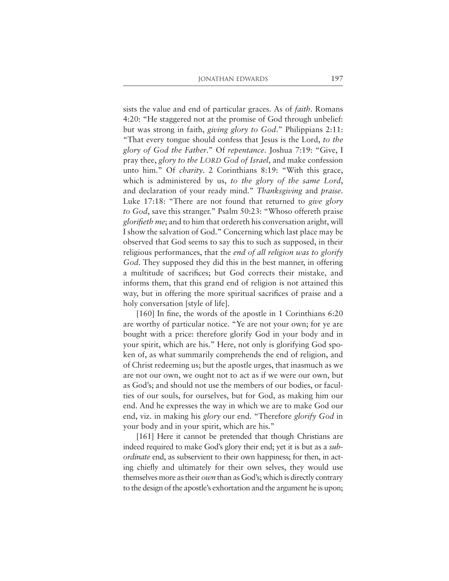sists the value and end of particular graces. As of *faith.* Romans 4:20: "He staggered not at the promise of God through unbelief: but was strong in faith, *giving glory to God*." Philippians 2:11: "That every tongue should confess that Jesus is the Lord, *to the glory of God the Father*." Of *repentance*. Joshua 7:19: "Give, I pray thee, *glory to the LORD God of Israel*, and make confession unto him." Of *charity*. 2 Corinthians 8:19: "With this grace, which is administered by us, *to the glory of the same Lord*, and declaration of your ready mind." *Thanksgiving* and *praise*. Luke 17:18: "There are not found that returned to *give glory to God*, save this stranger." Psalm 50:23: "Whoso offereth praise *glorifieth me*; and to him that ordereth his conversation aright, will I show the salvation of God." Concerning which last place may be observed that God seems to say this to such as supposed, in their religious performances, that the *end of all religion was to glorify God*. They supposed they did this in the best manner, in offering a multitude of sacrifices; but God corrects their mistake, and informs them, that this grand end of religion is not attained this way, but in offering the more spiritual sacrifices of praise and a holy conversation [style of life].

[160] In fine, the words of the apostle in 1 Corinthians 6:20 are worthy of particular notice. "Ye are not your own; for ye are bought with a price: therefore glorify God in your body and in your spirit, which are his." Here, not only is glorifying God spoken of, as what summarily comprehends the end of religion, and of Christ redeeming us; but the apostle urges, that inasmuch as we are not our own, we ought not to act as if we were our own, but as God's; and should not use the members of our bodies, or faculties of our souls, for ourselves, but for God, as making him our end. And he expresses the way in which we are to make God our end, viz. in making his *glory* our end. "Therefore *glorify God* in your body and in your spirit, which are his."

[161] Here it cannot be pretended that though Christians are indeed required to make God's glory their end; yet it is but as a *subordinate* end, as subservient to their own happiness; for then, in acting chiefly and ultimately for their own selves, they would use themselves more as their *own* than as God's; which is directly contrary to the design of the apostle's exhortation and the argument he is upon;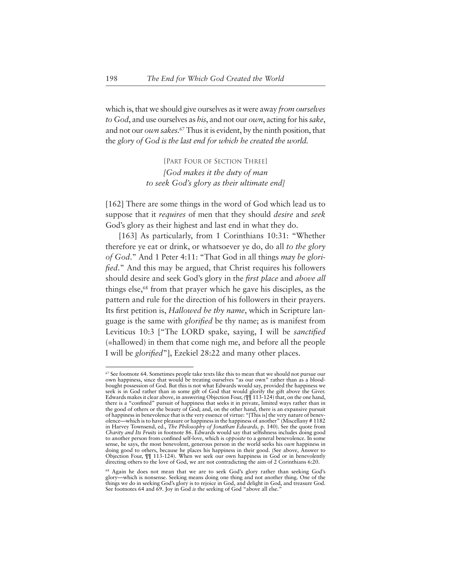which is, that we should give ourselves as it were away *from ourselves to God*, and use ourselves as *his*, and not our *own*, acting for his *sake*, and not our *own sakes*. <sup>67</sup> Thus it is evident, by the ninth position, that the *glory of God is the last end for which he created the world.*

> [PART FOUR OF SECTION THREE] *[God makes it the duty of man to seek God's glory as their ultimate end]*

[162] There are some things in the word of God which lead us to suppose that it *requires* of men that they should *desire* and *seek* God's glory as their highest and last end in what they do.

[163] As particularly, from 1 Corinthians 10:31: "Whether therefore ye eat or drink, or whatsoever ye do, do all *to the glory of God*." And 1 Peter 4:11: "That God in all things *may be glorified*." And this may be argued, that Christ requires his followers should desire and seek God's glory in the *first place* and *above all* things else,68 from that prayer which he gave his disciples, as the pattern and rule for the direction of his followers in their prayers. Its first petition is, *Hallowed be thy name*, which in Scripture language is the same with *glorified* be thy name; as is manifest from Leviticus 10:3 ["The LORD spake, saying, I will be *sanctified* (=hallowed) in them that come nigh me, and before all the people I will be *glorified*"], Ezekiel 28:22 and many other places.

<sup>67</sup> See footnote 64. Sometimes people take texts like this to mean that we should not pursue our own happiness, since that would be treating ourselves "as our own" rather than as a bloodbought possession of God. But this is not what Edwards would say, provided the happiness we seek is in God rather than in some gift of God that would glorify the gift above the Giver. Edwards makes it clear above, in answering Objection Four, ( $\int \int \int$  113-124) that, on the one hand, there is a "confined" pursuit of happiness that seeks it in private, limited ways rather than in the good of others or the beauty of God; and, on the other hand, there is an expansive pursuit of happiness in benevolence that is the very essence of virtue: "[This is] the very nature of benevolence—which is to have pleasure or happiness in the happiness of another" (Miscellany # 1182 in Harvey Townsend, ed., *The Philosophy of Jonathan Edwards,* p. 140). See the quote from *Charity and Its Fruits* in footnote 86. Edwards would say that selfishness includes doing good to another person from confined self-love, which is *opposite* to a general benevolence. In some sense, he says, the most benevolent, generous person in the world seeks his *own* happiness in doing good to others, because he places his happiness in their good. (See above, Answer to Objection Four, ¶¶ 113-124). When we seek our own happiness in God or in benevolently directing others to the love of God, we are not contradicting the aim of 2 Corinthians 6:20.

<sup>68</sup> Again he does not mean that we are to seek God's glory rather than seeking God's glory—which is nonsense. Seeking means doing one thing and not another thing. One of the things we do in seeking God's glory is to rejoice in God, and delight in God, and treasure God. See footnotes 64 and 69. Joy in God *is* the seeking of God "above all else."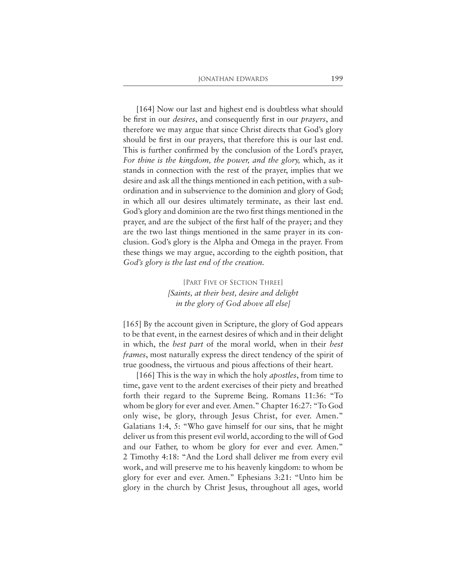[164] Now our last and highest end is doubtless what should be first in our *desires*, and consequently first in our *prayers*, and therefore we may argue that since Christ directs that God's glory should be first in our prayers, that therefore this is our last end. This is further confirmed by the conclusion of the Lord's prayer, *For thine is the kingdom, the power, and the glory,* which, as it stands in connection with the rest of the prayer, implies that we desire and ask all the things mentioned in each petition, with a subordination and in subservience to the dominion and glory of God; in which all our desires ultimately terminate, as their last end. God's glory and dominion are the two first things mentioned in the prayer, and are the subject of the first half of the prayer; and they are the two last things mentioned in the same prayer in its conclusion. God's glory is the Alpha and Omega in the prayer. From these things we may argue, according to the eighth position, that *God's glory is the last end of the creation.*

> [PART FIVE OF SECTION THREE] *[Saints, at their best, desire and delight in the glory of God above all else]*

[165] By the account given in Scripture, the glory of God appears to be that event, in the earnest desires of which and in their delight in which, the *best part* of the moral world, when in their *best frames*, most naturally express the direct tendency of the spirit of true goodness, the virtuous and pious affections of their heart.

[166] This is the way in which the holy *apostles*, from time to time, gave vent to the ardent exercises of their piety and breathed forth their regard to the Supreme Being. Romans 11:36: "To whom be glory for ever and ever. Amen." Chapter 16:27: "To God only wise, be glory, through Jesus Christ, for ever. Amen." Galatians 1:4, 5: "Who gave himself for our sins, that he might deliver us from this present evil world, according to the will of God and our Father, to whom be glory for ever and ever. Amen." 2 Timothy 4:18: "And the Lord shall deliver me from every evil work, and will preserve me to his heavenly kingdom: to whom be glory for ever and ever. Amen." Ephesians 3:21: "Unto him be glory in the church by Christ Jesus, throughout all ages, world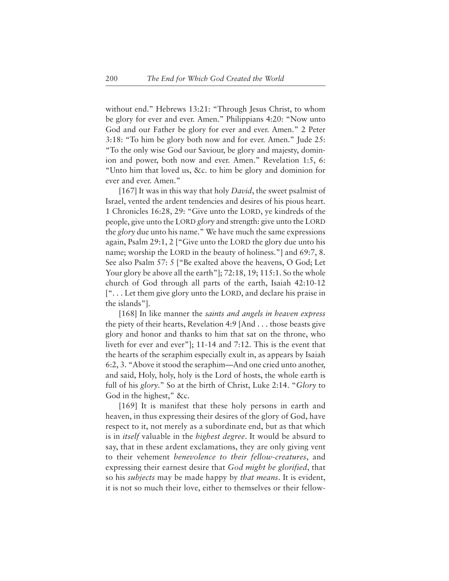without end." Hebrews 13:21: "Through Jesus Christ, to whom be glory for ever and ever. Amen." Philippians 4:20: "Now unto God and our Father be glory for ever and ever. Amen." 2 Peter 3:18: "To him be glory both now and for ever. Amen." Jude 25: "To the only wise God our Saviour, be glory and majesty, dominion and power, both now and ever. Amen." Revelation 1:5, 6: "Unto him that loved us, &c. to him be glory and dominion for ever and ever. Amen."

[167] It was in this way that holy *David*, the sweet psalmist of Israel, vented the ardent tendencies and desires of his pious heart. 1 Chronicles 16:28, 29: "Give unto the LORD, ye kindreds of the people, give unto the LORD *glory* and strength: give unto the LORD the *glory* due unto his name." We have much the same expressions again, Psalm 29:1, 2 ["Give unto the LORD the glory due unto his name; worship the LORD in the beauty of holiness."] and 69:7, 8. See also Psalm 57: 5 ["Be exalted above the heavens, O God; Let Your glory be above all the earth"]; 72:18, 19; 115:1. So the whole church of God through all parts of the earth, Isaiah 42:10-12 [". . . Let them give glory unto the LORD, and declare his praise in the islands"].

[168] In like manner the *saints and angels in heaven express* the piety of their hearts, Revelation 4:9 [And . . . those beasts give glory and honor and thanks to him that sat on the throne, who liveth for ever and ever"]; 11-14 and 7:12. This is the event that the hearts of the seraphim especially exult in, as appears by Isaiah 6:2, 3. "Above it stood the seraphim—And one cried unto another, and said, Holy, holy, holy is the Lord of hosts, the whole earth is full of his *glory*." So at the birth of Christ, Luke 2:14. "*Glory* to God in the highest," &c.

[169] It is manifest that these holy persons in earth and heaven, in thus expressing their desires of the glory of God, have respect to it, not merely as a subordinate end, but as that which is in *itself* valuable in the *highest degree*. It would be absurd to say, that in these ardent exclamations, they are only giving vent to their vehement *benevolence to their fellow-creatures*, and expressing their earnest desire that *God might be glorified*, that so his *subjects* may be made happy by *that means*. It is evident, it is not so much their love, either to themselves or their fellow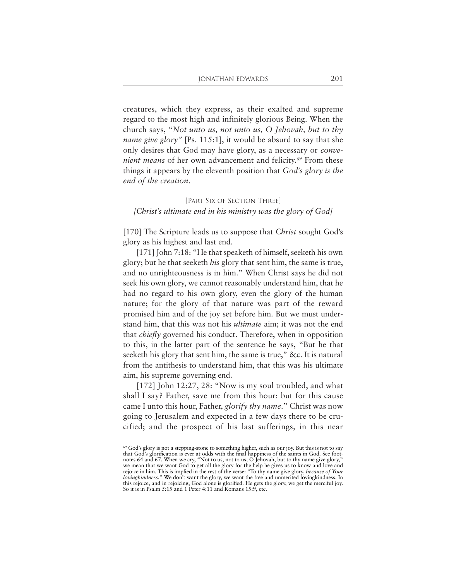creatures, which they express, as their exalted and supreme regard to the most high and infinitely glorious Being. When the church says, "*Not unto us, not unto us, O Jehovah, but to thy name give glory"* [Ps. 115:1], it would be absurd to say that she only desires that God may have glory, as a necessary or *convenient means* of her own advancement and felicity.<sup>69</sup> From these things it appears by the eleventh position that *God's glory is the end of the creation*.

# [PART SIX OF SECTION THREE] *[Christ's ultimate end in his ministry was the glory of God]*

[170] The Scripture leads us to suppose that *Christ* sought God's glory as his highest and last end.

[171] John 7:18: "He that speaketh of himself, seeketh his own glory; but he that seeketh *his* glory that sent him, the same is true, and no unrighteousness is in him." When Christ says he did not seek his own glory, we cannot reasonably understand him, that he had no regard to his own glory, even the glory of the human nature; for the glory of that nature was part of the reward promised him and of the joy set before him. But we must understand him, that this was not his *ultimate* aim; it was not the end that *chiefly* governed his conduct. Therefore, when in opposition to this, in the latter part of the sentence he says, "But he that seeketh his glory that sent him, the same is true," &c. It is natural from the antithesis to understand him, that this was his ultimate aim, his supreme governing end.

[172] John 12:27, 28: "Now is my soul troubled, and what shall I say? Father, save me from this hour: but for this cause came I unto this hour, Father, *glorify thy name*." Christ was now going to Jerusalem and expected in a few days there to be crucified; and the prospect of his last sufferings, in this near

 $69$  God's glory is not a stepping-stone to something higher, such as our joy. But this is not to say that God's glorification is ever at odds with the final happiness of the saints in God. See footnotes 64 and 67. When we cry, "Not to us, not to us, O Jehovah, but to thy name give glory," we mean that we want God to get all the glory for the help he gives us to know and love and rejoice in him. This is implied in the rest of the verse: "To thy name give glory, *because of Your lovingkindness*." We don't want the glory, we want the free and unmerited lovingkindness. In this rejoice, and in rejoicing, God alone is glorified. He gets the glory, we get the merciful joy. So it is in Psalm 5:15 and 1 Peter 4:11 and Romans 15:9, etc.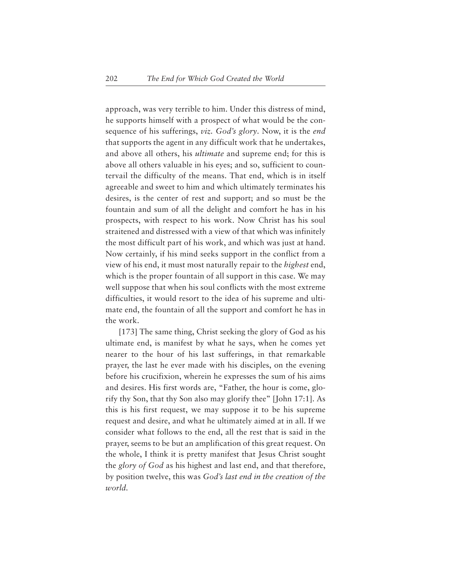approach, was very terrible to him. Under this distress of mind, he supports himself with a prospect of what would be the consequence of his sufferings, *viz. God's glory*. Now, it is the *end* that supports the agent in any difficult work that he undertakes, and above all others, his *ultimate* and supreme end; for this is above all others valuable in his eyes; and so, sufficient to countervail the difficulty of the means. That end, which is in itself agreeable and sweet to him and which ultimately terminates his desires, is the center of rest and support; and so must be the fountain and sum of all the delight and comfort he has in his prospects, with respect to his work. Now Christ has his soul straitened and distressed with a view of that which was infinitely the most difficult part of his work, and which was just at hand. Now certainly, if his mind seeks support in the conflict from a view of his end, it must most naturally repair to the *highest* end, which is the proper fountain of all support in this case. We may well suppose that when his soul conflicts with the most extreme difficulties, it would resort to the idea of his supreme and ultimate end, the fountain of all the support and comfort he has in the work.

[173] The same thing, Christ seeking the glory of God as his ultimate end, is manifest by what he says, when he comes yet nearer to the hour of his last sufferings, in that remarkable prayer, the last he ever made with his disciples, on the evening before his crucifixion, wherein he expresses the sum of his aims and desires. His first words are, "Father, the hour is come, glorify thy Son, that thy Son also may glorify thee" [John 17:1]. As this is his first request, we may suppose it to be his supreme request and desire, and what he ultimately aimed at in all. If we consider what follows to the end, all the rest that is said in the prayer, seems to be but an amplification of this great request. On the whole, I think it is pretty manifest that Jesus Christ sought the *glory of God* as his highest and last end, and that therefore, by position twelve, this was *God's last end in the creation of the world.*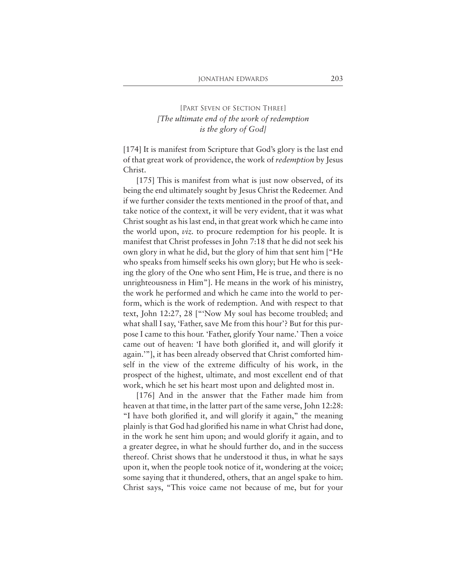# [PART SEVEN OF SECTION THREE] *[The ultimate end of the work of redemption is the glory of God]*

[174] It is manifest from Scripture that God's glory is the last end of that great work of providence, the work of *redemption* by Jesus Christ.

[175] This is manifest from what is just now observed, of its being the end ultimately sought by Jesus Christ the Redeemer. And if we further consider the texts mentioned in the proof of that, and take notice of the context, it will be very evident, that it was what Christ sought as his last end, in that great work which he came into the world upon, *viz.* to procure redemption for his people. It is manifest that Christ professes in John 7:18 that he did not seek his own glory in what he did, but the glory of him that sent him ["He who speaks from himself seeks his own glory; but He who is seeking the glory of the One who sent Him, He is true, and there is no unrighteousness in Him"]. He means in the work of his ministry, the work he performed and which he came into the world to perform, which is the work of redemption. And with respect to that text, John 12:27, 28 ["'Now My soul has become troubled; and what shall I say, 'Father, save Me from this hour'? But for this purpose I came to this hour. 'Father, glorify Your name.' Then a voice came out of heaven: 'I have both glorified it, and will glorify it again.'"], it has been already observed that Christ comforted himself in the view of the extreme difficulty of his work, in the prospect of the highest, ultimate, and most excellent end of that work, which he set his heart most upon and delighted most in.

[176] And in the answer that the Father made him from heaven at that time, in the latter part of the same verse, John 12:28: "I have both glorified it, and will glorify it again," the meaning plainly is that God had glorified his name in what Christ had done, in the work he sent him upon; and would glorify it again, and to a greater degree, in what he should further do, and in the success thereof. Christ shows that he understood it thus, in what he says upon it, when the people took notice of it, wondering at the voice; some saying that it thundered, others, that an angel spake to him. Christ says, "This voice came not because of me, but for your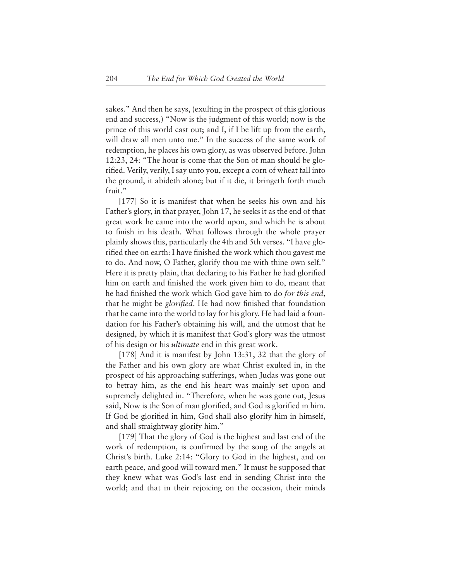sakes." And then he says, (exulting in the prospect of this glorious end and success,) "Now is the judgment of this world; now is the prince of this world cast out; and I, if I be lift up from the earth, will draw all men unto me." In the success of the same work of redemption, he places his own glory, as was observed before. John 12:23, 24: "The hour is come that the Son of man should be glorified. Verily, verily, I say unto you, except a corn of wheat fall into the ground, it abideth alone; but if it die, it bringeth forth much fruit."

[177] So it is manifest that when he seeks his own and his Father's glory, in that prayer, John 17, he seeks it as the end of that great work he came into the world upon, and which he is about to finish in his death. What follows through the whole prayer plainly shows this, particularly the 4th and 5th verses. "I have glorified thee on earth: I have finished the work which thou gavest me to do. And now, O Father, glorify thou me with thine own self." Here it is pretty plain, that declaring to his Father he had glorified him on earth and finished the work given him to do, meant that he had finished the work which God gave him to do *for this end*, that he might be *glorified*. He had now finished that foundation that he came into the world to lay for his glory. He had laid a foundation for his Father's obtaining his will, and the utmost that he designed, by which it is manifest that God's glory was the utmost of his design or his *ultimate* end in this great work.

[178] And it is manifest by John 13:31, 32 that the glory of the Father and his own glory are what Christ exulted in, in the prospect of his approaching sufferings, when Judas was gone out to betray him, as the end his heart was mainly set upon and supremely delighted in. "Therefore, when he was gone out, Jesus said, Now is the Son of man glorified, and God is glorified in him. If God be glorified in him, God shall also glorify him in himself, and shall straightway glorify him."

[179] That the glory of God is the highest and last end of the work of redemption, is confirmed by the song of the angels at Christ's birth. Luke 2:14: "Glory to God in the highest, and on earth peace, and good will toward men." It must be supposed that they knew what was God's last end in sending Christ into the world; and that in their rejoicing on the occasion, their minds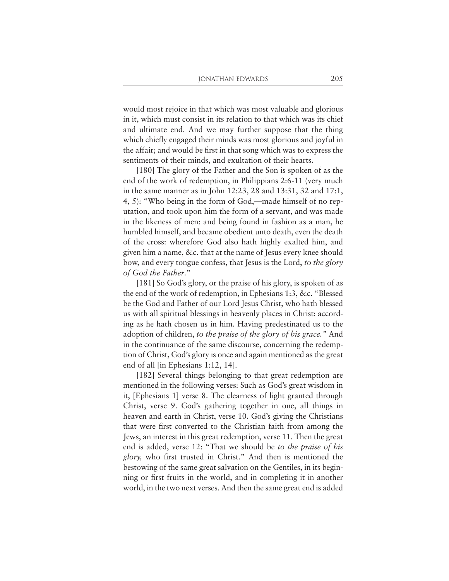would most rejoice in that which was most valuable and glorious in it, which must consist in its relation to that which was its chief and ultimate end. And we may further suppose that the thing which chiefly engaged their minds was most glorious and joyful in the affair; and would be first in that song which was to express the sentiments of their minds, and exultation of their hearts.

[180] The glory of the Father and the Son is spoken of as the end of the work of redemption, in Philippians 2:6-11 (very much in the same manner as in John 12:23, 28 and 13:31, 32 and 17:1, 4, 5): "Who being in the form of God,—made himself of no reputation, and took upon him the form of a servant, and was made in the likeness of men: and being found in fashion as a man, he humbled himself, and became obedient unto death, even the death of the cross: wherefore God also hath highly exalted him, and given him a name, &c. that at the name of Jesus every knee should bow, and every tongue confess, that Jesus is the Lord, *to the glory of God the Father*."

[181] So God's glory, or the praise of his glory, is spoken of as the end of the work of redemption, in Ephesians 1:3, &c. "Blessed be the God and Father of our Lord Jesus Christ, who hath blessed us with all spiritual blessings in heavenly places in Christ: according as he hath chosen us in him. Having predestinated us to the adoption of children, *to the praise of the glory of his grace."* And in the continuance of the same discourse, concerning the redemption of Christ, God's glory is once and again mentioned as the great end of all [in Ephesians 1:12, 14].

[182] Several things belonging to that great redemption are mentioned in the following verses: Such as God's great wisdom in it, [Ephesians 1] verse 8. The clearness of light granted through Christ, verse 9. God's gathering together in one, all things in heaven and earth in Christ, verse 10. God's giving the Christians that were first converted to the Christian faith from among the Jews, an interest in this great redemption, verse 11. Then the great end is added, verse 12: "That we should be *to the praise of his glory,* who first trusted in Christ." And then is mentioned the bestowing of the same great salvation on the Gentiles, in its beginning or first fruits in the world, and in completing it in another world, in the two next verses. And then the same great end is added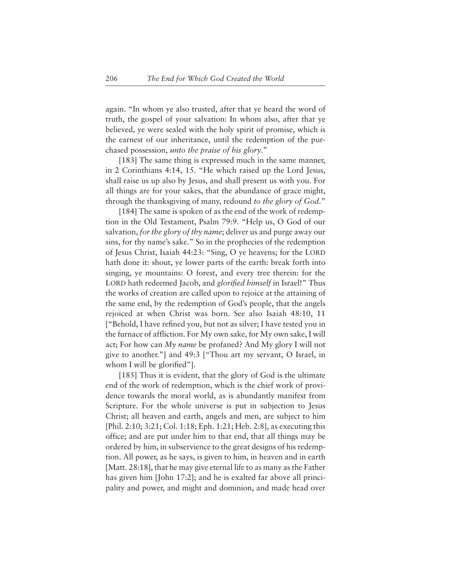again. "In whom ye also trusted, after that ye heard the word of truth, the gospel of your salvation: In whom also, after that ye believed, ye were sealed with the holy spirit of promise, which is the earnest of our inheritance, until the redemption of the purchased possession, *unto the praise of his glory*."

[183] The same thing is expressed much in the same manner, in 2 Corinthians 4:14, 15. "He which raised up the Lord Jesus, shall raise us up also by Jesus, and shall present us with you. For all things are for your sakes, that the abundance of grace might, through the thanksgiving of many, redound *to the glory of God*."

[184] The same is spoken of as the end of the work of redemption in the Old Testament, Psalm 79:9. "Help us, O God of our salvation, *for the glory of thy name*; deliver us and purge away our sins, for thy name's sake." So in the prophecies of the redemption of Jesus Christ, Isaiah 44:23: "Sing, O ye heavens; for the LORD hath done it: shout, ye lower parts of the earth: break forth into singing, ye mountains: O forest, and every tree therein: for the LORD hath redeemed Jacob, and *glorified himself* in Israel!" Thus the works of creation are called upon to rejoice at the attaining of the same end, by the redemption of God's people, that the angels rejoiced at when Christ was born. See also Isaiah 48:10, 11 ["Behold, I have refined you, but not as silver; I have tested you in the furnace of affliction. For My own sake, for My own sake, I will act; For how can *My name* be profaned? And My glory I will not give to another."] and 49:3 ["Thou art my servant, O Israel, in whom I will be glorified".

[185] Thus it is evident, that the glory of God is the ultimate end of the work of redemption, which is the chief work of providence towards the moral world, as is abundantly manifest from Scripture. For the whole universe is put in subjection to Jesus Christ; all heaven and earth, angels and men, are subject to him [Phil. 2:10; 3:21; Col. 1:18; Eph. 1:21; Heb. 2:8], as executing this office; and are put under him to that end, that all things may be ordered by him, in subservience to the great designs of his redemption. All power, as he says, is given to him, in heaven and in earth [Matt. 28:18], that he may give eternal life to as many as the Father has given him [John 17:2]; and he is exalted far above all principality and power, and might and dominion, and made head over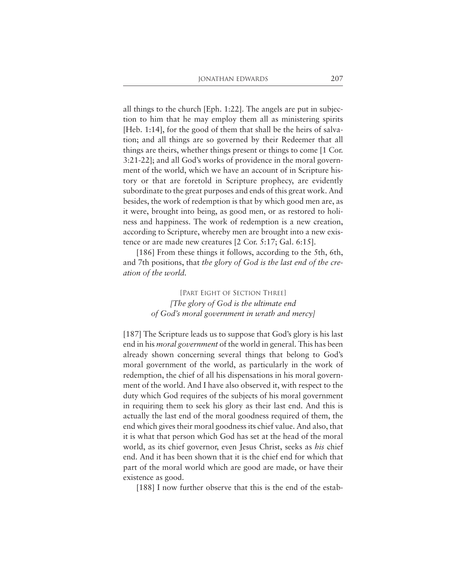all things to the church [Eph. 1:22]. The angels are put in subjection to him that he may employ them all as ministering spirits [Heb. 1:14], for the good of them that shall be the heirs of salvation; and all things are so governed by their Redeemer that all things are theirs, whether things present or things to come [1 Cor. 3:21-22]; and all God's works of providence in the moral government of the world, which we have an account of in Scripture history or that are foretold in Scripture prophecy, are evidently subordinate to the great purposes and ends of this great work. And besides, the work of redemption is that by which good men are, as it were, brought into being, as good men, or as restored to holiness and happiness. The work of redemption is a new creation, according to Scripture, whereby men are brought into a new existence or are made new creatures [2 Cor. 5:17; Gal. 6:15].

[186] From these things it follows, according to the 5th, 6th, and 7th positions, that *the glory of God is the last end of the creation of the world.*

> [PART EIGHT OF SECTION THREE] *[The glory of God is the ultimate end of God's moral government in wrath and mercy]*

[187] The Scripture leads us to suppose that God's glory is his last end in his *moral government* of the world in general. This has been already shown concerning several things that belong to God's moral government of the world, as particularly in the work of redemption, the chief of all his dispensations in his moral government of the world. And I have also observed it, with respect to the duty which God requires of the subjects of his moral government in requiring them to seek his glory as their last end. And this is actually the last end of the moral goodness required of them, the end which gives their moral goodness its chief value. And also, that it is what that person which God has set at the head of the moral world, as its chief governor, even Jesus Christ, seeks as *his* chief end. And it has been shown that it is the chief end for which that part of the moral world which are good are made, or have their existence as good.

[188] I now further observe that this is the end of the estab-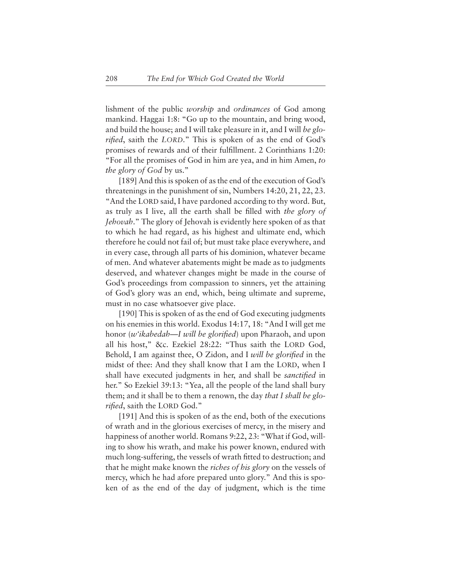lishment of the public *worship* and *ordinances* of God among mankind. Haggai 1:8: "Go up to the mountain, and bring wood, and build the house; and I will take pleasure in it, and I will *be glorified*, saith the *LORD*." This is spoken of as the end of God's promises of rewards and of their fulfillment. 2 Corinthians 1:20: "For all the promises of God in him are yea, and in him Amen, *to the glory of God* by us."

[189] And this is spoken of as the end of the execution of God's threatenings in the punishment of sin, Numbers 14:20, 21, 22, 23. "And the LORD said, I have pardoned according to thy word. But, as truly as I live, all the earth shall be filled with *the glory of Jehovah*." The glory of Jehovah is evidently here spoken of as that to which he had regard, as his highest and ultimate end, which therefore he could not fail of; but must take place everywhere, and in every case, through all parts of his dominion, whatever became of men. And whatever abatements might be made as to judgments deserved, and whatever changes might be made in the course of God's proceedings from compassion to sinners, yet the attaining of God's glory was an end, which, being ultimate and supreme, must in no case whatsoever give place.

[190] This is spoken of as the end of God executing judgments on his enemies in this world. Exodus 14:17, 18: "And I will get me honor (*w'ikabedah*—*I will be glorified*) upon Pharaoh, and upon all his host," &c. Ezekiel 28:22: "Thus saith the LORD God, Behold, I am against thee, O Zidon, and I *will be glorified* in the midst of thee: And they shall know that I am the LORD, when I shall have executed judgments in her, and shall be *sanctified* in her." So Ezekiel 39:13: "Yea, all the people of the land shall bury them; and it shall be to them a renown, the day *that I shall be glorified*, saith the LORD God."

[191] And this is spoken of as the end, both of the executions of wrath and in the glorious exercises of mercy, in the misery and happiness of another world. Romans 9:22, 23: "What if God, willing to show his wrath, and make his power known, endured with much long-suffering, the vessels of wrath fitted to destruction; and that he might make known the *riches of his glory* on the vessels of mercy, which he had afore prepared unto glory." And this is spoken of as the end of the day of judgment, which is the time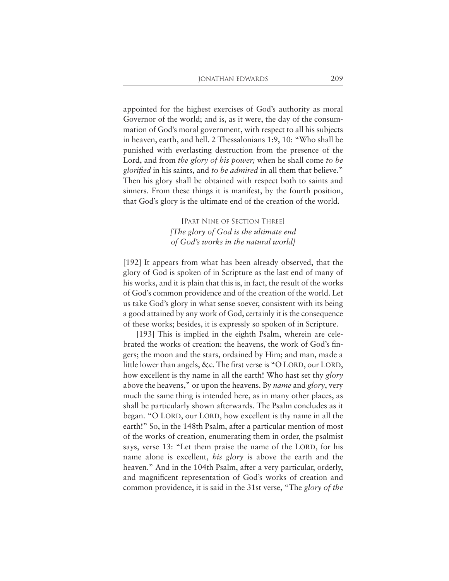appointed for the highest exercises of God's authority as moral Governor of the world; and is, as it were, the day of the consummation of God's moral government, with respect to all his subjects in heaven, earth, and hell. 2 Thessalonians 1:9, 10: "Who shall be punished with everlasting destruction from the presence of the Lord, and from *the glory of his power;* when he shall come *to be glorified* in his saints, and *to be admired* in all them that believe." Then his glory shall be obtained with respect both to saints and sinners. From these things it is manifest, by the fourth position, that God's glory is the ultimate end of the creation of the world.

> [PART NINE OF SECTION THREE] *[The glory of God is the ultimate end of God's works in the natural world]*

[192] It appears from what has been already observed, that the glory of God is spoken of in Scripture as the last end of many of his works, and it is plain that this is, in fact, the result of the works of God's common providence and of the creation of the world. Let us take God's glory in what sense soever, consistent with its being a good attained by any work of God, certainly it is the consequence of these works; besides, it is expressly so spoken of in Scripture.

[193] This is implied in the eighth Psalm, wherein are celebrated the works of creation: the heavens, the work of God's fingers; the moon and the stars, ordained by Him; and man, made a little lower than angels, &c. The first verse is "O LORD, our LORD, how excellent is thy name in all the earth! Who hast set thy *glory* above the heavens," or upon the heavens. By *name* and *glory*, very much the same thing is intended here, as in many other places, as shall be particularly shown afterwards. The Psalm concludes as it began. "O LORD, our LORD, how excellent is thy name in all the earth!" So, in the 148th Psalm, after a particular mention of most of the works of creation, enumerating them in order, the psalmist says, verse 13: "Let them praise the name of the LORD, for his name alone is excellent, *his glory* is above the earth and the heaven." And in the 104th Psalm, after a very particular, orderly, and magnificent representation of God's works of creation and common providence, it is said in the 31st verse, "The *glory of the*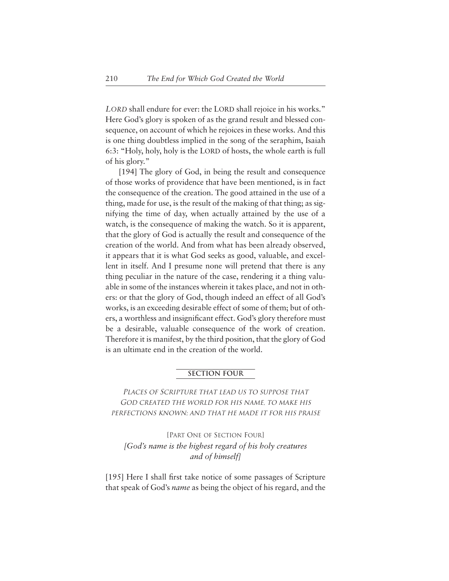LORD shall endure for ever: the LORD shall rejoice in his works." Here God's glory is spoken of as the grand result and blessed consequence, on account of which he rejoices in these works. And this is one thing doubtless implied in the song of the seraphim, Isaiah 6:3: "Holy, holy, holy is the LORD of hosts, the whole earth is full of his glory."

[194] The glory of God, in being the result and consequence of those works of providence that have been mentioned, is in fact the consequence of the creation. The good attained in the use of a thing, made for use, is the result of the making of that thing; as signifying the time of day, when actually attained by the use of a watch, is the consequence of making the watch. So it is apparent, that the glory of God is actually the result and consequence of the creation of the world. And from what has been already observed, it appears that it is what God seeks as good, valuable, and excellent in itself. And I presume none will pretend that there is any thing peculiar in the nature of the case, rendering it a thing valuable in some of the instances wherein it takes place, and not in others: or that the glory of God, though indeed an effect of all God's works, is an exceeding desirable effect of some of them; but of others, a worthless and insignificant effect. God's glory therefore must be a desirable, valuable consequence of the work of creation. Therefore it is manifest, by the third position, that the glory of God is an ultimate end in the creation of the world.

### **SECTION FOUR**

PLACES OF SCRIPTURE THAT LEAD US TO SUPPOSE THAT GOD CREATED THE WORLD FOR HIS NAME, TO MAKE HIS PERFECTIONS KNOWN; AND THAT HE MADE IT FOR HIS PRAISE

[PART ONE OF SECTION FOUR] *[God's name is the highest regard of his holy creatures and of himself]*

[195] Here I shall first take notice of some passages of Scripture that speak of God's *name* as being the object of his regard, and the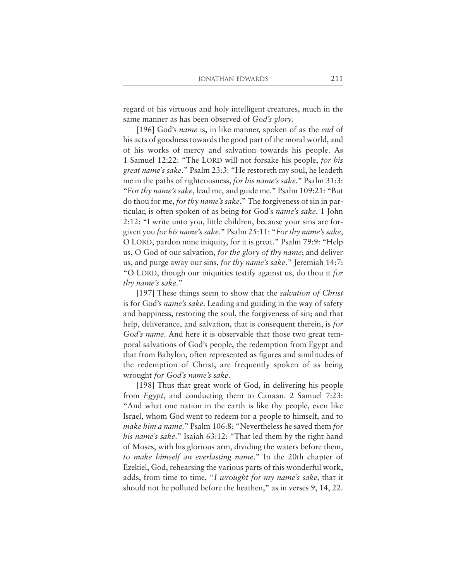regard of his virtuous and holy intelligent creatures, much in the same manner as has been observed of *God's glory*.

[196] God's *name* is, in like manner, spoken of as the *end* of his acts of goodness towards the good part of the moral world, and of his works of mercy and salvation towards his people. As 1 Samuel 12:22: "The LORD will not forsake his people, *for his great name's sake*." Psalm 23:3: "He restoreth my soul, he leadeth me in the paths of righteousness, *for his name's sake*." Psalm 31:3: "For *thy name's sake*, lead me, and guide me." Psalm 109:21: "But do thou for me, *for thy name's sake*." The forgiveness of sin in particular, is often spoken of as being for God's *name's sake*. 1 John 2:12: "I write unto you, little children, because your sins are forgiven you *for his name's sake*." Psalm 25:11: "*For thy name's sake*, O LORD, pardon mine iniquity, for it is great." Psalm 79:9: "Help us, O God of our salvation, *for the glory of thy name*; and deliver us, and purge away our sins, *for thy name's sake*." Jeremiah 14:7: "O LORD, though our iniquities testify against us, do thou it *for thy name's sake*."

[197] These things seem to show that the *salvation of Christ* is for God's *name's sake*. Leading and guiding in the way of safety and happiness, restoring the soul, the forgiveness of sin; and that help, deliverance, and salvation, that is consequent therein, is *for God's name*. And here it is observable that those two great temporal salvations of God's people, the redemption from Egypt and that from Babylon, often represented as figures and similitudes of the redemption of Christ, are frequently spoken of as being wrought *for God's name's sake*.

[198] Thus that great work of God, in delivering his people from *Egypt*, and conducting them to Canaan. 2 Samuel 7:23: "And what one nation in the earth is like thy people, even like Israel, whom God went to redeem for a people to himself, and to *make him a name*." Psalm 106:8: "Nevertheless he saved them *for his name's sake*." Isaiah 63:12: "That led them by the right hand of Moses, with his glorious arm, dividing the waters before them, *to make himself an everlasting name*." In the 20th chapter of Ezekiel, God, rehearsing the various parts of this wonderful work, adds, from time to time, "*I wrought for my name's sake,* that it should not be polluted before the heathen," as in verses 9, 14, 22.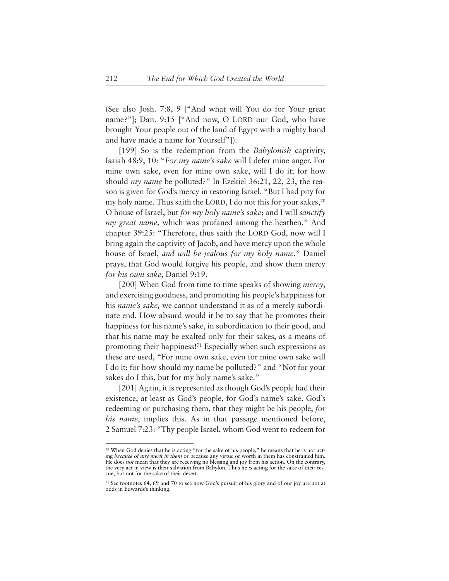(See also Josh. 7:8, 9 ["And what will You do for Your great name?"]; Dan. 9:15 ["And now, O LORD our God, who have brought Your people out of the land of Egypt with a mighty hand and have made a name for Yourself"]).

[199] So is the redemption from the *Babylonish* captivity, Isaiah 48:9, 10: "*For my name's sake* will I defer mine anger. For mine own sake, even for mine own sake, will I do it; for how should *my name* be polluted?" In Ezekiel 36:21, 22, 23, the reason is given for God's mercy in restoring Israel. "But I had pity for my holy name. Thus saith the LORD, I do not this for your sakes,<sup>70</sup> O house of Israel, but *for my holy name's sake*; and I will *sanctify my great name*, which was profaned among the heathen." And chapter 39:25: "Therefore, thus saith the LORD God, now will I bring again the captivity of Jacob, and have mercy upon the whole house of Israel, *and will be jealous for my holy name*." Daniel prays, that God would forgive his people, and show them mercy *for his own sake*, Daniel 9:19.

[200] When God from time to time speaks of showing *mercy*, and exercising goodness, and promoting his people's happiness for his *name's sake,* we cannot understand it as of a merely subordinate end. How absurd would it be to say that he promotes their happiness for his name's sake, in subordination to their good, and that his name may be exalted only for their sakes, as a means of promoting their happiness!71 Especially when such expressions as these are used, "For mine own sake, even for mine own sake will I do it; for how should my name be polluted?" and "Not for your sakes do I this, but for my holy name's sake."

[201] Again, it is represented as though God's people had their existence, at least as God's people, for God's name's sake. God's redeeming or purchasing them, that they might be his people, *for his name*, implies this. As in that passage mentioned before, 2 Samuel 7:23: "Thy people Israel, whom God went to redeem for

<sup>70</sup> When God denies that he is acting "for the sake of his people," he means that he is not acting *because of any merit in them* or because any virtue or worth in them has constrained him. He does *not* mean that they are receiving no blessing and joy from his action. On the contrary, the very act in view is their salvation from Babylon. Thus he *is* acting for the sake of their rescue, but not for the sake of their desert.

<sup>71</sup> See footnotes 64, 69 and 70 to see how God's pursuit of his glory and of our joy are not at odds in Edwards's thinking.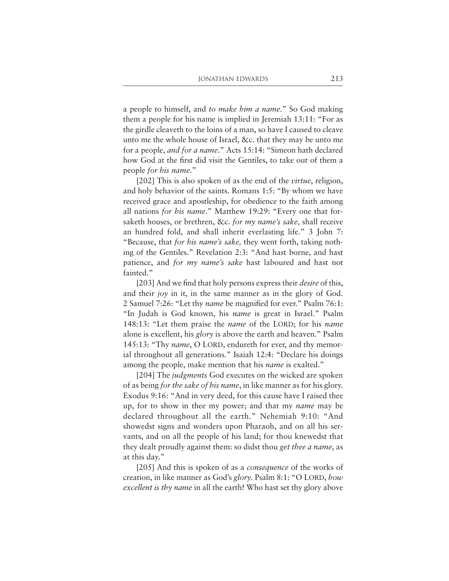a people to himself, and *to make him a name*." So God making them a people for his name is implied in Jeremiah 13:11: "For as the girdle cleaveth to the loins of a man, so have I caused to cleave unto me the whole house of Israel, &c. that they may be unto me for a people, *and for a name*." Acts 15:14: "Simeon hath declared how God at the first did visit the Gentiles, to take out of them a people *for his name*."

[202] This is also spoken of as the end of the *virtue*, religion, and holy behavior of the saints. Romans 1:5: "By whom we have received grace and apostleship, for obedience to the faith among all nations *for his name*." Matthew 19:29: "Every one that forsaketh houses, or brethren, &c. *for my name's sake*, shall receive an hundred fold, and shall inherit everlasting life." 3 John 7: "Because, that *for his name's sake,* they went forth, taking nothing of the Gentiles." Revelation 2:3: "And hast borne, and hast patience, and *for my name's sake* hast laboured and hast not fainted."

[203] And we find that holy persons express their *desire* of this, and their *joy* in it, in the same manner as in the glory of God. 2 Samuel 7:26: "Let thy *name* be magnified for ever." Psalm 76:1: "In Judah is God known, his *name* is great in Israel." Psalm 148:13: "Let them praise the *name* of the LORD; for his *name* alone is excellent, his *glory* is above the earth and heaven." Psalm 145:13: "Thy *name*, O LORD, endureth for ever, and thy memorial throughout all generations." Isaiah 12:4: "Declare his doings among the people, make mention that his *name* is exalted."

[204] The *judgments* God executes on the wicked are spoken of as being *for the sake of his name*, in like manner as for his glory. Exodus 9:16: "And in very deed, for this cause have I raised thee up, for to show in thee my power; and that my *name* may be declared throughout all the earth." Nehemiah 9:10: "And showedst signs and wonders upon Pharaoh, and on all his servants, and on all the people of his land; for thou knewedst that they dealt proudly against them: so didst thou *get thee a name*, as at this day."

[205] And this is spoken of as a *consequence* of the works of creation, in like manner as God's *glory*. Psalm 8:1: "O LORD, *how excellent is thy name* in all the earth! Who hast set thy glory above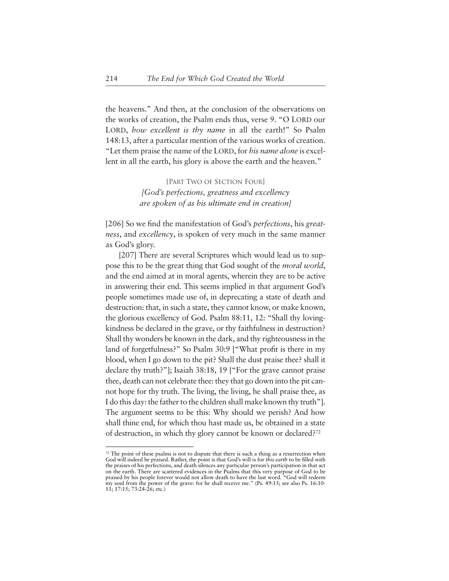the heavens." And then, at the conclusion of the observations on the works of creation, the Psalm ends thus, verse 9. "O LORD our LORD, how excellent is thy name in all the earth!" So Psalm 148:13, after a particular mention of the various works of creation. "Let them praise the name of the LORD, for *his name alone* is excellent in all the earth, his glory is above the earth and the heaven."

> [PART TWO OF SECTION FOUR] *[God's perfections, greatness and excellency are spoken of as his ultimate end in creation]*

[206] So we find the manifestation of God's *perfections*, his *greatness*, and *excellency*, is spoken of very much in the same manner as God's glory.

[207] There are several Scriptures which would lead us to suppose this to be the great thing that God sought of the *moral world*, and the end aimed at in moral agents, wherein they are to be active in answering their end. This seems implied in that argument God's people sometimes made use of, in deprecating a state of death and destruction: that, in such a state, they cannot know, or make known, the glorious excellency of God. Psalm 88:11, 12: "Shall thy lovingkindness be declared in the grave, or thy faithfulness in destruction? Shall thy wonders be known in the dark, and thy righteousness in the land of forgetfulness?" So Psalm 30:9 ["What profit is there in my blood, when I go down to the pit? Shall the dust praise thee? shall it declare thy truth?"]; Isaiah 38:18, 19 ["For the grave cannot praise thee, death can not celebrate thee: they that go down into the pit cannot hope for thy truth. The living, the living, he shall praise thee, as I do this day: the father to the children shall make known thy truth"]. The argument seems to be this: Why should we perish? And how shall thine end, for which thou hast made us, be obtained in a state of destruction, in which thy glory cannot be known or declared?72

 $72$  The point of these psalms is not to dispute that there is such a thing as a resurrection when God will indeed be praised. Rather, the point is that God's will is for *this earth* to be filled with the praises of his perfections, and death silences any particular person's participation in that act on the earth. There are scattered evidences in the Psalms that this very purpose of God to be praised by his people forever would not allow death to have the last word. "God will redeem my soul from the power of the grave: for he shall receive me." (Ps. 49:15; see also Ps. 16:10- 11; 17:15; 73:24-26; etc.)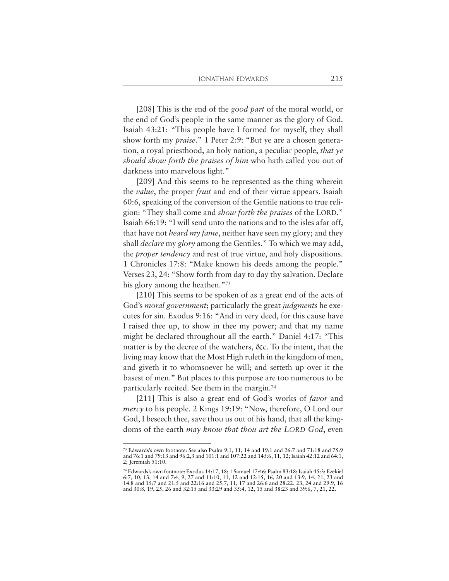[208] This is the end of the *good part* of the moral world, or the end of God's people in the same manner as the glory of God. Isaiah 43:21: "This people have I formed for myself, they shall show forth my *praise*." 1 Peter 2:9: "But ye are a chosen generation, a royal priesthood, an holy nation, a peculiar people, *that ye should show forth the praises of him* who hath called you out of darkness into marvelous light."

[209] And this seems to be represented as the thing wherein the *value*, the proper *fruit* and end of their virtue appears. Isaiah 60:6, speaking of the conversion of the Gentile nations to true religion: "They shall come and *show forth the praises* of the LORD." Isaiah 66:19: "I will send unto the nations and to the isles afar off, that have not *heard my fame*, neither have seen my glory; and they shall *declare* my *glory* among the Gentiles." To which we may add, the *proper tendency* and rest of true virtue, and holy dispositions. 1 Chronicles 17:8: "Make known his deeds among the people." Verses 23, 24: "Show forth from day to day thy salvation. Declare his glory among the heathen."73

[210] This seems to be spoken of as a great end of the acts of God's *moral government*; particularly the great *judgments* he executes for sin. Exodus 9:16: "And in very deed, for this cause have I raised thee up, to show in thee my power; and that my name might be declared throughout all the earth." Daniel 4:17: "This matter is by the decree of the watchers, &c. To the intent, that the living may know that the Most High ruleth in the kingdom of men, and giveth it to whomsoever he will; and setteth up over it the basest of men." But places to this purpose are too numerous to be particularly recited. See them in the margin.74

[211] This is also a great end of God's works of *favor* and *mercy* to his people. 2 Kings 19:19: "Now, therefore, O Lord our God, I beseech thee, save thou us out of his hand, that all the kingdoms of the earth *may know that thou art the LORD God*, even

<sup>73</sup> Edwards's own footnote: See also Psalm 9:1, 11, 14 and 19:1 and 26:7 and 71:18 and 75:9 and 76:1 and 79:13 and 96:2,3 and 101:1 and 107:22 and 145:6, 11, 12; Isaiah 42:12 and 64:1, 2; Jeremiah 51:10.

<sup>74</sup> Edwards's own footnote: Exodus 14:17, 18; 1 Samuel 17:46; Psalm 83:18; Isaiah 45:3; Ezekiel 6:7, 10, 13, 14 and 7:4, 9, 27 and 11:10, 11, 12 and 12:15, 16, 20 and 13:9, 14, 21, 23 and 14:8 and 15:7 and 21:5 and 22:16 and 25:7, 11, 17 and 26:6 and 28:22, 23, 24 and 29:9, 16 and 30:8, 19, 25, 26 and 32:15 and 33:29 and 35:4, 12, 15 and 38:23 and 39:6, 7, 21, 22.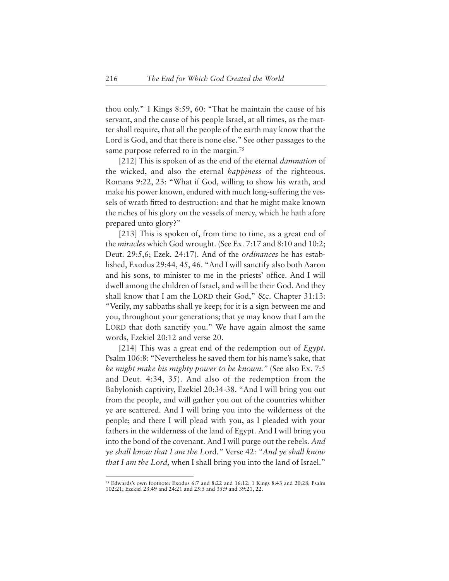thou only." 1 Kings 8:59, 60: "That he maintain the cause of his servant, and the cause of his people Israel, at all times, as the matter shall require, that all the people of the earth may know that the Lord is God, and that there is none else." See other passages to the same purpose referred to in the margin.<sup>75</sup>

[212] This is spoken of as the end of the eternal *damnation* of the wicked, and also the eternal *happiness* of the righteous. Romans 9:22, 23: "What if God, willing to show his wrath, and make his power known, endured with much long-suffering the vessels of wrath fitted to destruction: and that he might make known the riches of his glory on the vessels of mercy, which he hath afore prepared unto glory?"

[213] This is spoken of, from time to time, as a great end of the *miracles* which God wrought. (See Ex. 7:17 and 8:10 and 10:2; Deut. 29:5,6; Ezek. 24:17). And of the *ordinances* he has established, Exodus 29:44, 45, 46. "And I will sanctify also both Aaron and his sons, to minister to me in the priests' office. And I will dwell among the children of Israel, and will be their God. And they shall know that I am the LORD their God," &c. Chapter 31:13: "Verily, my sabbaths shall ye keep; for it is a sign between me and you, throughout your generations; that ye may know that I am the LORD that doth sanctify you." We have again almost the same words, Ezekiel 20:12 and verse 20.

[214] This was a great end of the redemption out of *Egypt*. Psalm 106:8: "Nevertheless he saved them for his name's sake, that *he might make his mighty power to be known."* (See also Ex. 7:5 and Deut. 4:34, 35). And also of the redemption from the Babylonish captivity, Ezekiel 20:34-38. "And I will bring you out from the people, and will gather you out of the countries whither ye are scattered. And I will bring you into the wilderness of the people; and there I will plead with you, as I pleaded with your fathers in the wilderness of the land of Egypt. And I will bring you into the bond of the covenant. And I will purge out the rebels. *And ye shall know that I am the L*ord*."* Verse 42: *"And ye shall know that I am the Lord,* when I shall bring you into the land of Israel."

<sup>75</sup> Edwards's own footnote: Exodus 6:7 and 8:22 and 16:12; 1 Kings 8:43 and 20:28; Psalm 102:21; Ezekiel 23:49 and 24:21 and 25:5 and 35:9 and 39:21, 22.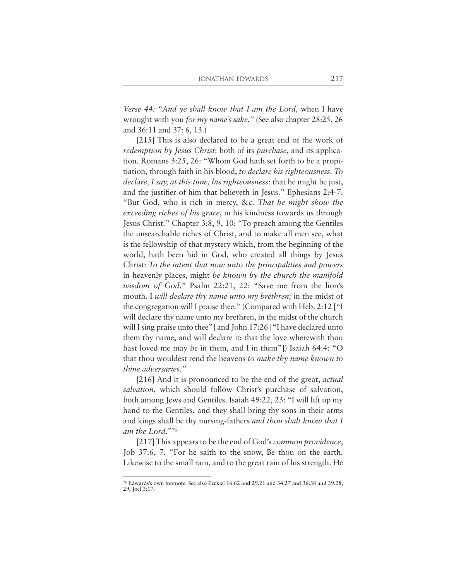*Verse 44: "And ye shall know that I am the Lord,* when I have wrought with you *for my name's sake."* (See also chapter 28:25, 26 and 36:11 and 37: 6, 13.)

[215] This is also declared to be a great end of the work of *redemption by Jesus Christ*: both of its *purchase*, and its application. Romans 3:25, 26: "Whom God hath set forth to be a propitiation, through faith in his blood, *to declare his righteousness. To declare, I say, at this time, his righteousness*: that he might be just, and the justifier of him that believeth in Jesus." Ephesians 2:4-7: "But God, who is rich in mercy, &c. *That he might show the exceeding riches of his grace*, in his kindness towards us through Jesus Christ." Chapter 3:8, 9, 10: "To preach among the Gentiles the unsearchable riches of Christ, and to make all men see, what is the fellowship of that mystery which, from the beginning of the world, hath been hid in God, who created all things by Jesus Christ: *To the intent that now unto the principalities and powers* in heavenly places, might *be known by the church the manifold wisdom of God*." Psalm 22:21, 22: "Save me from the lion's mouth. I *will declare thy name unto my brethren;* in the midst of the congregation will I praise thee." (Compared with Heb. 2:12 ["I will declare thy name unto my brethren, in the midst of the church will I sing praise unto thee"] and John 17:26 ["I have declared unto them thy name, and will declare it: that the love wherewith thou hast loved me may be in them, and I in them"]) Isaiah 64:4: "O that thou wouldest rend the heavens *to make thy name known to thine adversaries."*

[216] And it is pronounced to be the end of the great, *actual salvation*, which should follow Christ's purchase of salvation, both among Jews and Gentiles. Isaiah 49:22, 23: "I will lift up my hand to the Gentiles, and they shall bring thy sons in their arms and kings shall be thy nursing-fathers *and thou shalt know that I am the Lord*."76

[217] This appears to be the end of God's *common providence*, Job 37:6, 7. "For he saith to the snow, Be thou on the earth. Likewise to the small rain, and to the great rain of his strength. He

<sup>76</sup> Edwards's own footnote: See also Ezekiel 16:62 and 29:21 and 34:27 and 36:38 and 39:28, 29; Joel 3:17.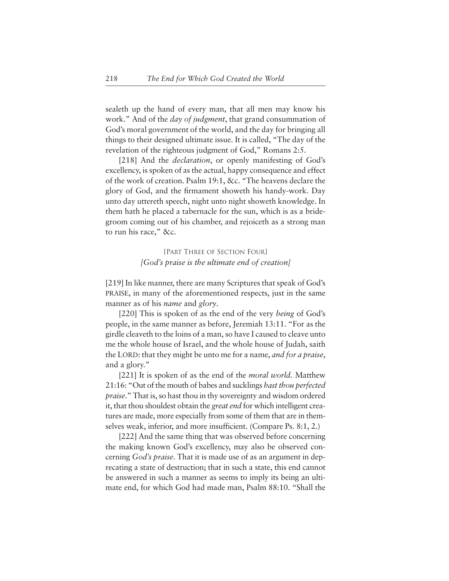sealeth up the hand of every man, that all men may know his work." And of the *day of judgment*, that grand consummation of God's moral government of the world, and the day for bringing all things to their designed ultimate issue. It is called, "The day of the revelation of the righteous judgment of God," Romans 2:5.

[218] And the *declaration*, or openly manifesting of God's excellency, is spoken of as the actual, happy consequence and effect of the work of creation. Psalm 19:1, &c. "The heavens declare the glory of God, and the firmament showeth his handy-work. Day unto day uttereth speech, night unto night showeth knowledge. In them hath he placed a tabernacle for the sun, which is as a bridegroom coming out of his chamber, and rejoiceth as a strong man to run his race," &c.

## [PART THREE OF SECTION FOUR] *[God's praise is the ultimate end of creation]*

[219] In like manner, there are many Scriptures that speak of God's PRAISE, in many of the aforementioned respects, just in the same manner as of his *name* and *glory*.

[220] This is spoken of as the end of the very *being* of God's people, in the same manner as before, Jeremiah 13:11. "For as the girdle cleaveth to the loins of a man, so have I caused to cleave unto me the whole house of Israel, and the whole house of Judah, saith the LORD: that they might be unto me for a name, *and for a praise*, and a glory."

[221] It is spoken of as the end of the *moral world.* Matthew 21:16: "Out of the mouth of babes and sucklings *hast thou perfected praise*." That is, so hast thou in thy sovereignty and wisdom ordered it, that thou shouldest obtain the *great end* for which intelligent creatures are made, more especially from some of them that are in themselves weak, inferior, and more insufficient. (Compare Ps. 8:1, 2.)

[222] And the same thing that was observed before concerning the making known God's excellency, may also be observed concerning *God's praise*. That it is made use of as an argument in deprecating a state of destruction; that in such a state, this end cannot be answered in such a manner as seems to imply its being an ultimate end, for which God had made man, Psalm 88:10. "Shall the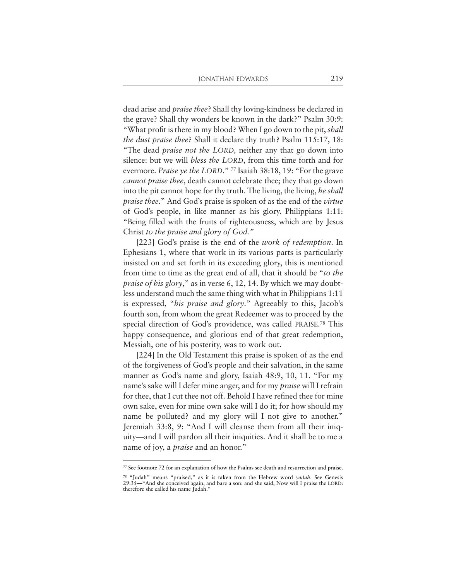dead arise and *praise thee*? Shall thy loving-kindness be declared in the grave? Shall thy wonders be known in the dark?" Psalm 30:9: "What profit is there in my blood? When I go down to the pit, *shall the dust praise thee*? Shall it declare thy truth? Psalm 115:17, 18: "The dead *praise not the LORD,* neither any that go down into silence: but we will *bless the LORD*, from this time forth and for evermore. *Praise ye the LORD*." 77 Isaiah 38:18, 19: "For the grave *cannot praise thee*, death cannot celebrate thee; they that go down into the pit cannot hope for thy truth. The living, the living, *he shall praise thee*." And God's praise is spoken of as the end of the *virtue* of God's people, in like manner as his glory. Philippians 1:11: "Being filled with the fruits of righteousness, which are by Jesus Christ *to the praise and glory of God."* 

[223] God's praise is the end of the *work of redemption*. In Ephesians 1, where that work in its various parts is particularly insisted on and set forth in its exceeding glory, this is mentioned from time to time as the great end of all, that it should be "*to the praise of his glory*," as in verse 6, 12, 14. By which we may doubtless understand much the same thing with what in Philippians 1:11 is expressed, "*his praise and glory*." Agreeably to this, Jacob's fourth son, from whom the great Redeemer was to proceed by the special direction of God's providence, was called PRAISE. <sup>78</sup> This happy consequence, and glorious end of that great redemption, Messiah, one of his posterity, was to work out.

[224] In the Old Testament this praise is spoken of as the end of the forgiveness of God's people and their salvation, in the same manner as God's name and glory, Isaiah 48:9, 10, 11. "For my name's sake will I defer mine anger, and for my *praise* will I refrain for thee, that I cut thee not off. Behold I have refined thee for mine own sake, even for mine own sake will I do it; for how should my name be polluted? and my glory will I not give to another." Jeremiah 33:8, 9: "And I will cleanse them from all their iniquity—and I will pardon all their iniquities. And it shall be to me a name of joy, a *praise* and an honor."

 $77$  See footnote 72 for an explanation of how the Psalms see death and resurrection and praise.

<sup>78</sup> "Judah" means "praised," as it is taken from the Hebrew word *yadah.* See Genesis 29:35—"And she conceived again, and bare a son: and she said, Now will I praise the LORD: therefore she called his name Judah."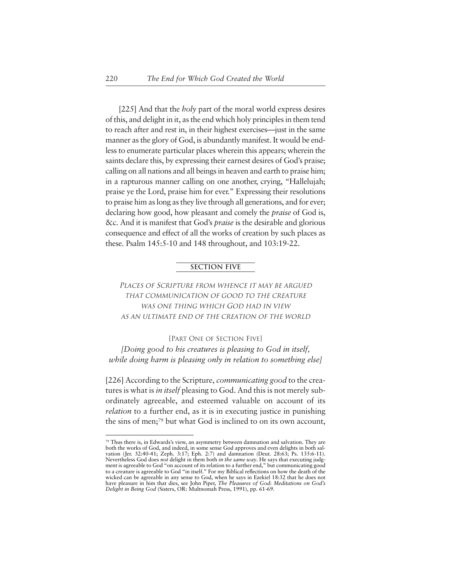[225] And that the *holy* part of the moral world express desires of this, and delight in it, as the end which holy principles in them tend to reach after and rest in, in their highest exercises—just in the same manner as the glory of God, is abundantly manifest. It would be endless to enumerate particular places wherein this appears; wherein the saints declare this, by expressing their earnest desires of God's praise; calling on all nations and all beings in heaven and earth to praise him; in a rapturous manner calling on one another, crying, "Hallelujah; praise ye the Lord, praise him for ever." Expressing their resolutions to praise him as long as they live through all generations, and for ever; declaring how good, how pleasant and comely the *praise* of God is, &c. And it is manifest that God's *praise* is the desirable and glorious consequence and effect of all the works of creation by such places as these. Psalm 145:5-10 and 148 throughout, and 103:19-22.

### **SECTION FIVE**

PLACES OF SCRIPTURE FROM WHENCE IT MAY BE ARGUED THAT COMMUNICATION OF GOOD TO THE CREATURE WAS ONE THING WHICH GOD HAD IN VIEW AS AN ULTIMATE END OF THE CREATION OF THE WORLD

## [PART ONE OF SECTION FIVE]

*[Doing good to his creatures is pleasing to God in itself, while doing harm is pleasing only in relation to something else]*

[226] According to the Scripture, *communicating good* to the creatures is what is *in itself* pleasing to God. And this is not merely subordinately agreeable, and esteemed valuable on account of its *relation* to a further end, as it is in executing justice in punishing the sins of men;79 but what God is inclined to on its own account,

<sup>79</sup> Thus there is, in Edwards's view, an asymmetry between damnation and salvation. They are both the works of God, and indeed, in some sense God approves and even delights in both salvation (Jer. 32:40-41; Zeph. 3:17; Eph. 2:7) and damnation (Deut. 28:63; Ps. 135:6-11). Nevertheless God does *not* delight in them both *in the same way*. He says that executing judgment is agreeable to God "on account of its relation to a further end," but communicating good to a creature is agreeable to God "in itself." For my Biblical reflections on how the death of the wicked can be agreeable in any sense to God, when he says in Ezekiel 18:32 that he does not have pleasure in him that dies, see John Piper, *The Pleasures of God: Meditations on God's Delight in Being God* (Sisters, OR: Multnomah Press, 1991), pp. 61-69.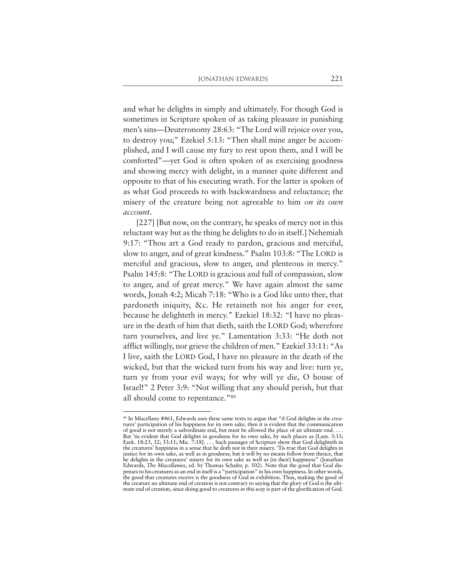and what he delights in simply and ultimately. For though God is sometimes in Scripture spoken of as taking pleasure in punishing men's sins—Deuteronomy 28:63: "The Lord will rejoice over you, to destroy you;" Ezekiel 5:13: "Then shall mine anger be accomplished, and I will cause my fury to rest upon them, and I will be comforted"—yet God is often spoken of as exercising goodness and showing mercy with delight, in a manner quite different and opposite to that of his executing wrath. For the latter is spoken of as what God proceeds to with backwardness and reluctance; the misery of the creature being not agreeable to him *on its own account*.

[227] [But now, on the contrary, he speaks of mercy not in this reluctant way but as the thing he delights to do in itself.] Nehemiah 9:17: "Thou art a God ready to pardon, gracious and merciful, slow to anger, and of great kindness." Psalm 103:8: "The LORD is merciful and gracious, slow to anger, and plenteous in mercy." Psalm 145:8: "The LORD is gracious and full of compassion, slow to anger, and of great mercy." We have again almost the same words, Jonah 4:2; Micah 7:18: "Who is a God like unto thee, that pardoneth iniquity, &c. He retaineth not his anger for ever, because he delighteth in mercy." Ezekiel 18:32: "I have no pleasure in the death of him that dieth, saith the LORD God; wherefore turn yourselves, and live ye." Lamentation 3:33: "He doth not afflict willingly, nor grieve the children of men." Ezekiel 33:11: "As I live, saith the LORD God, I have no pleasure in the death of the wicked, but that the wicked turn from his way and live: turn ye, turn ye from your evil ways; for why will ye die, O house of Israel!" 2 Peter 3:9: "Not willing that any should perish, but that all should come to repentance."80

<sup>80</sup> In Miscellany #461, Edwards uses these same texts to argue that "if God delights in the creatures' participation of his happiness for its own sake, then it is evident that the communication of good is not merely a subordinate end, but must be allowed the place of an ultimate end. But 'tis evident that God delights in goodness for its own sake, by such places as [Lam. 3:33; Ezek. 18:23, 32; 33:11; Mic. 7:18]. . . . Such passages of Scripture show that God delighteth in the creatures' happiness in a sense that he doth not in their misery. 'Tis true that God delights in justice for its own sake, as well as in goodness; but it will by no means follow from thence, that he delights in the creatures' misery for its own sake as well as [in their] happiness" (Jonathan Edwards, *The Miscellanies*, ed. by Thomas Schafer, p. 502). Note that the good that God dispenses to his creatures as an end in itself is a "participation" in his own happiness. In other words, the good that creatures receive is the goodness of God in exhibition. Thus, making the good of the creature an ultimate end of creation is not contrary to saying that the glory of God is the ultimate end of creation, since doing good to creatures *in this way* is part of the glorification of God.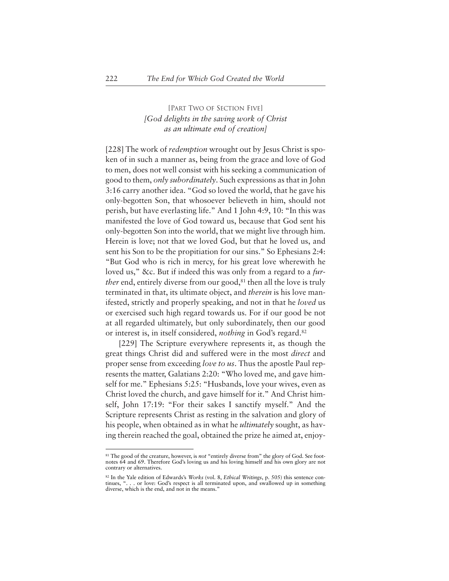# [PART TWO OF SECTION FIVE] *[God delights in the saving work of Christ as an ultimate end of creation]*

[228] The work of *redemption* wrought out by Jesus Christ is spoken of in such a manner as, being from the grace and love of God to men, does not well consist with his seeking a communication of good to them, *only subordinately*. Such expressions as that in John 3:16 carry another idea. "God so loved the world, that he gave his only-begotten Son, that whosoever believeth in him, should not perish, but have everlasting life." And 1 John 4:9, 10: "In this was manifested the love of God toward us, because that God sent his only-begotten Son into the world, that we might live through him. Herein is love; not that we loved God, but that he loved us, and sent his Son to be the propitiation for our sins." So Ephesians 2:4: "But God who is rich in mercy, for his great love wherewith he loved us," &c. But if indeed this was only from a regard to a *further* end, entirely diverse from our good,<sup>81</sup> then all the love is truly terminated in that, its ultimate object, and *therein* is his love manifested, strictly and properly speaking, and not in that he *loved* us or exercised such high regard towards us. For if our good be not at all regarded ultimately, but only subordinately, then our good or interest is, in itself considered, *nothing* in God's regard.82

[229] The Scripture everywhere represents it, as though the great things Christ did and suffered were in the most *direct* and proper sense from exceeding *love to us*. Thus the apostle Paul represents the matter, Galatians 2:20: "Who loved me, and gave himself for me." Ephesians 5:25: "Husbands, love your wives, even as Christ loved the church, and gave himself for it." And Christ himself, John 17:19: "For their sakes I sanctify myself." And the Scripture represents Christ as resting in the salvation and glory of his people, when obtained as in what he *ultimately* sought, as having therein reached the goal, obtained the prize he aimed at, enjoy-

<sup>81</sup> The good of the creature, however, is *not* "entirely diverse from" the glory of God. See footnotes 64 and 69. Therefore God's loving us and his loving himself and his own glory are not contrary or alternatives.

<sup>82</sup> In the Yale edition of Edwards's *Works* (vol. 8, *Ethical Writings*, p. 505) this sentence con-'... or love: God's respect is all terminated upon, and swallowed up in something diverse, which is the end, and not in the means."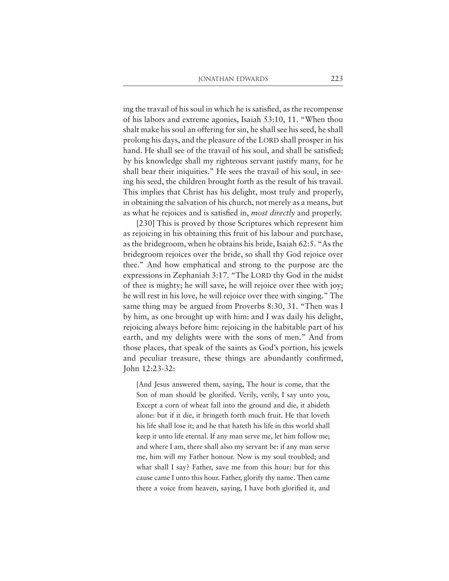ing the travail of his soul in which he is satisfied, as the recompense of his labors and extreme agonies, Isaiah 53:10, 11. "When thou shalt make his soul an offering for sin, he shall see his seed, he shall prolong his days, and the pleasure of the LORD shall prosper in his hand. He shall see of the travail of his soul, and shall be satisfied; by his knowledge shall my righteous servant justify many, for he shall bear their iniquities." He sees the travail of his soul, in seeing his seed, the children brought forth as the result of his travail. This implies that Christ has his delight, most truly and properly, in obtaining the salvation of his church, not merely as a means, but as what he rejoices and is satisfied in, *most directly* and properly.

[230] This is proved by those Scriptures which represent him as rejoicing in his obtaining this fruit of his labour and purchase, as the bridegroom, when he obtains his bride, Isaiah 62:5. "As the bridegroom rejoices over the bride, so shall thy God rejoice over thee." And how emphatical and strong to the purpose are the expressions in Zephaniah 3:17. "The LORD thy God in the midst of thee is mighty; he will save, he will rejoice over thee with joy; he will rest in his love, he will rejoice over thee with singing." The same thing may be argued from Proverbs 8:30, 31. "Then was I by him, as one brought up with him: and I was daily his delight, rejoicing always before him: rejoicing in the habitable part of his earth, and my delights were with the sons of men." And from those places, that speak of the saints as God's portion, his jewels and peculiar treasure, these things are abundantly confirmed, John 12:23-32:

[And Jesus answered them, saying, The hour is come, that the Son of man should be glorified. Verily, verily, I say unto you, Except a corn of wheat fall into the ground and die, it abideth alone: but if it die, it bringeth forth much fruit. He that loveth his life shall lose it; and he that hateth his life in this world shall keep it unto life eternal. If any man serve me, let him follow me; and where I am, there shall also my servant be: if any man serve me, him will my Father honour. Now is my soul troubled; and what shall I say? Father, save me from this hour: but for this cause came I unto this hour. Father, glorify thy name. Then came there a voice from heaven, saying, I have both glorified it, and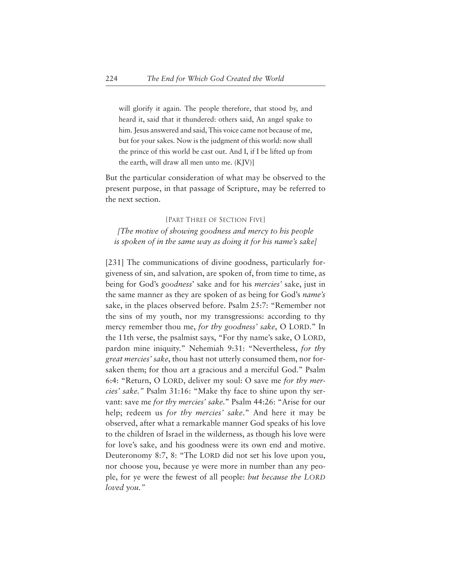will glorify it again. The people therefore, that stood by, and heard it, said that it thundered: others said, An angel spake to him. Jesus answered and said, This voice came not because of me, but for your sakes. Now is the judgment of this world: now shall the prince of this world be cast out. And I, if I be lifted up from the earth, will draw all men unto me. (KJV)]

But the particular consideration of what may be observed to the present purpose, in that passage of Scripture, may be referred to the next section.

[PART THREE OF SECTION FIVE]

*[The motive of showing goodness and mercy to his people is spoken of in the same way as doing it for his name's sake]*

[231] The communications of divine goodness, particularly forgiveness of sin, and salvation, are spoken of, from time to time, as being for God's *goodness*' sake and for his *mercies'* sake, just in the same manner as they are spoken of as being for God's *name's* sake, in the places observed before. Psalm 25:7: "Remember not the sins of my youth, nor my transgressions: according to thy mercy remember thou me, *for thy goodness' sake*, O LORD." In the 11th verse, the psalmist says, "For thy name's sake, O LORD, pardon mine iniquity." Nehemiah 9:31: "Nevertheless, *for thy great mercies' sake*, thou hast not utterly consumed them, nor forsaken them; for thou art a gracious and a merciful God." Psalm 6:4: "Return, O LORD, deliver my soul: O save me *for thy mercies' sake."* Psalm 31:16: "Make thy face to shine upon thy servant: save me *for thy mercies' sake*." Psalm 44:26: "Arise for our help; redeem us *for thy mercies' sake*." And here it may be observed, after what a remarkable manner God speaks of his love to the children of Israel in the wilderness, as though his love were for love's sake, and his goodness were its own end and motive. Deuteronomy 8:7, 8: "The LORD did not set his love upon you, nor choose you, because ye were more in number than any people, for ye were the fewest of all people: *but because the LORD loved you."*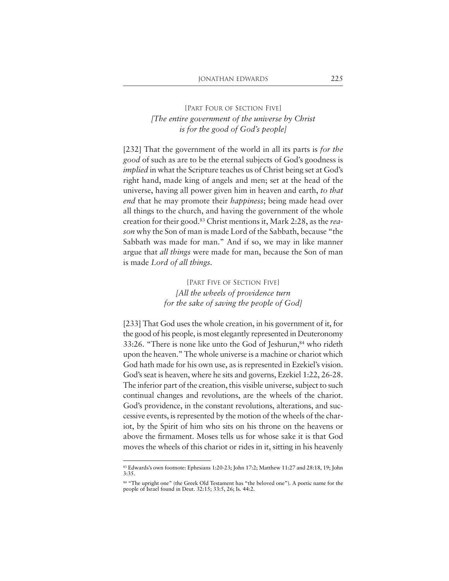# [PART FOUR OF SECTION FIVE] *[The entire government of the universe by Christ is for the good of God's people]*

[232] That the government of the world in all its parts is *for the good* of such as are to be the eternal subjects of God's goodness is *implied* in what the Scripture teaches us of Christ being set at God's right hand, made king of angels and men; set at the head of the universe, having all power given him in heaven and earth, *to that end* that he may promote their *happiness*; being made head over all things to the church, and having the government of the whole creation for their good.83 Christ mentions it, Mark 2:28, as the *reason* why the Son of man is made Lord of the Sabbath, because "the Sabbath was made for man." And if so, we may in like manner argue that *all things* were made for man, because the Son of man is made *Lord of all things.*

> [PART FIVE OF SECTION FIVE] *[All the wheels of providence turn for the sake of saving the people of God]*

[233] That God uses the whole creation, in his government of it, for the good of his people, is most elegantly represented in Deuteronomy 33:26. "There is none like unto the God of Jeshurun,<sup>84</sup> who rideth upon the heaven." The whole universe is a machine or chariot which God hath made for his own use, as is represented in Ezekiel's vision. God's seat is heaven, where he sits and governs, Ezekiel 1:22, 26-28. The inferior part of the creation, this visible universe, subject to such continual changes and revolutions, are the wheels of the chariot. God's providence, in the constant revolutions, alterations, and successive events, is represented by the motion of the wheels of the chariot, by the Spirit of him who sits on his throne on the heavens or above the firmament. Moses tells us for whose sake it is that God moves the wheels of this chariot or rides in it, sitting in his heavenly

<sup>83</sup> Edwards's own footnote: Ephesians 1:20-23; John 17:2; Matthew 11:27 and 28:18, 19; John 3:35.

<sup>84 &</sup>quot;The upright one" (the Greek Old Testament has "the beloved one"). A poetic name for the people of Israel found in Deut. 32:15; 33:5, 26; Is. 44:2.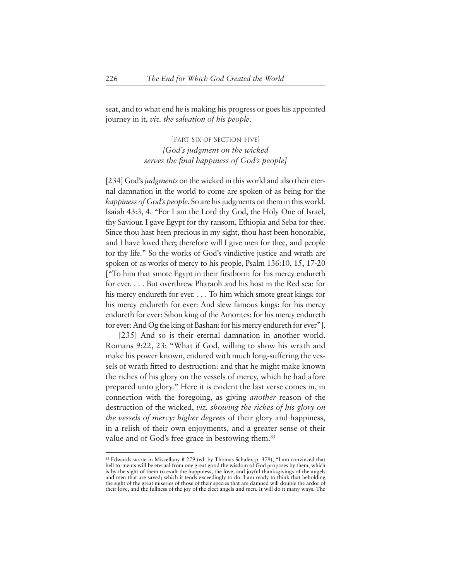seat, and to what end he is making his progress or goes his appointed journey in it, *viz. the salvation of his people*.

> [PART SIX OF SECTION FIVE] *[God's judgment on the wicked serves the final happiness of God's people]*

[234] God's *judgments* on the wicked in this world and also their eternal damnation in the world to come are spoken of as being for the *happiness of God's people.* So are his judgments on them in this world. Isaiah 43:3, 4. "For I am the Lord thy God, the Holy One of Israel, thy Saviour. I gave Egypt for thy ransom, Ethiopia and Seba for thee. Since thou hast been precious in my sight, thou hast been honorable, and I have loved thee; therefore will I give men for thee, and people for thy life." So the works of God's vindictive justice and wrath are spoken of as works of mercy to his people, Psalm 136:10, 15, 17-20 ["To him that smote Egypt in their firstborn: for his mercy endureth for ever. . . . But overthrew Pharaoh and his host in the Red sea: for his mercy endureth for ever. . . . To him which smote great kings: for his mercy endureth for ever: And slew famous kings: for his mercy endureth for ever: Sihon king of the Amorites: for his mercy endureth for ever: And Og the king of Bashan: for his mercy endureth for ever"].

[235] And so is their eternal damnation in another world. Romans 9:22, 23: "What if God, willing to show his wrath and make his power known, endured with much long-suffering the vessels of wrath fitted to destruction: and that he might make known the riches of his glory on the vessels of mercy, which he had afore prepared unto glory." Here it is evident the last verse comes in, in connection with the foregoing, as giving *another* reason of the destruction of the wicked, *viz. showing the riches of his glory on the vessels of mercy: higher degrees* of their glory and happiness, in a relish of their own enjoyments, and a greater sense of their value and of God's free grace in bestowing them.<sup>85</sup>

<sup>85</sup> Edwards wrote in Miscellany # 279 (ed. by Thomas Schafer, p. 379), "I am convinced that hell torments will be eternal from one great good the wisdom of God proposes by them, which is by the sight of them to exalt the happiness, the love, and joyful thanksgivings of the angels and men that are saved; which it tends exceedingly to do. I am ready to think that beholding the sight of the great miseries of those of their species that are damned will double the ardor of their love, and the fullness of the joy of the elect angels and men. It will do it many ways. The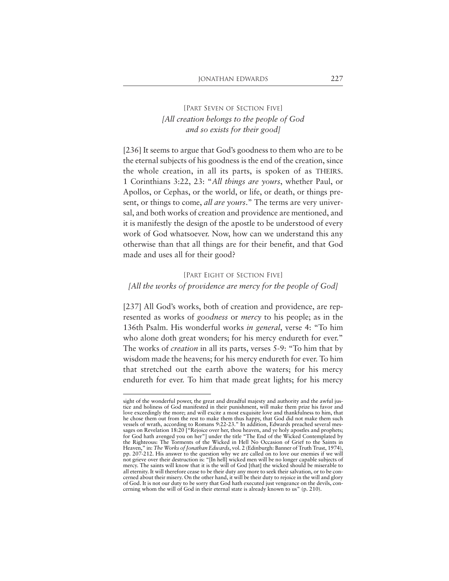## [PART SEVEN OF SECTION FIVE] *[All creation belongs to the people of God and so exists for their good]*

[236] It seems to argue that God's goodness to them who are to be the eternal subjects of his goodness is the end of the creation, since the whole creation, in all its parts, is spoken of as THEIRS. 1 Corinthians 3:22, 23: "*All things are yours*, whether Paul, or Apollos, or Cephas, or the world, or life, or death, or things present, or things to come, *all are yours*." The terms are very universal, and both works of creation and providence are mentioned, and it is manifestly the design of the apostle to be understood of every work of God whatsoever. Now, how can we understand this any otherwise than that all things are for their benefit, and that God made and uses all for their good?

## [PART EIGHT OF SECTION FIVE] *[All the works of providence are mercy for the people of God]*

[237] All God's works, both of creation and providence, are represented as works of *goodness* or *mercy* to his people; as in the 136th Psalm. His wonderful works *in general*, verse 4: "To him who alone doth great wonders; for his mercy endureth for ever." The works of *creation* in all its parts, verses 5-9: "To him that by wisdom made the heavens; for his mercy endureth for ever. To him that stretched out the earth above the waters; for his mercy endureth for ever. To him that made great lights; for his mercy

sight of the wonderful power, the great and dreadful majesty and authority and the awful justice and holiness of God manifested in their punishment, will make them prize his favor and love exceedingly the more; and will excite a most exquisite love and thankfulness to him, that he chose them out from the rest to make them thus happy, that God did not make them such vessels of wrath, according to Romans 9:22-23." In addition, Edwards preached several messages on Revelation 18:20 ["Rejoice over her, thou heaven, and ye holy apostles and prophets; for God hath avenged you on her"] under the title "The End of the Wicked Contemplated by the Righteous: The Torments of the Wicked in Hell No Occasion of Grief to the Saints in Heaven," in: *The Works of Jonathan Edwards*, vol. 2 (Edinburgh: Banner of Truth Trust, 1974), pp. 207-212. His answer to the question why we are called on to love our enemies if we will not grieve over their destruction is: "[In hell] wicked men will be no longer capable subjects of mercy. The saints will know that it is the will of God [that] the wicked should be miserable to all eternity. It will therefore cease to be their duty any more to seek their salvation, or to be concerned about their misery. On the other hand, it will be their duty to rejoice in the will and glory of God. It is not our duty to be sorry that God hath executed just vengeance on the devils, concerning whom the will of God in their eternal state is already known to us" (p. 210).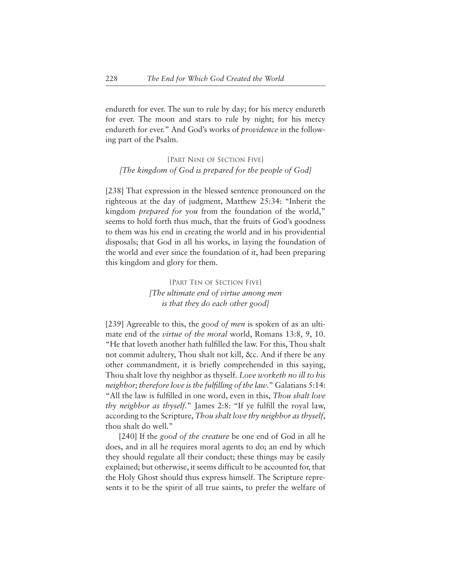endureth for ever. The sun to rule by day; for his mercy endureth for ever. The moon and stars to rule by night; for his mercy endureth for ever." And God's works of *providence* in the following part of the Psalm.

[PART NINE OF SECTION FIVE] *[The kingdom of God is prepared for the people of God]*

[238] That expression in the blessed sentence pronounced on the righteous at the day of judgment, Matthew 25:34: "Inherit the kingdom *prepared for you* from the foundation of the world," seems to hold forth thus much, that the fruits of God's goodness to them was his end in creating the world and in his providential disposals; that God in all his works, in laying the foundation of the world and ever since the foundation of it, had been preparing this kingdom and glory for them.

> [PART TEN OF SECTION FIVE] *[The ultimate end of virtue among men is that they do each other good]*

[239] Agreeable to this, the *good of men* is spoken of as an ultimate end of the *virtue of the moral* world, Romans 13:8, 9, 10. "He that loveth another hath fulfilled the law. For this, Thou shalt not commit adultery, Thou shalt not kill, &c. And if there be any other commandment, it is briefly comprehended in this saying, Thou shalt love thy neighbor as thyself. *Love worketh no ill to his neighbor; therefore love is the fulfilling of the law*." Galatians 5:14: "All the law is fulfilled in one word, even in this, *Thou shalt love thy neighbor as thyself*." James 2:8: "If ye fulfill the royal law, according to the Scripture, *Thou shalt love thy neighbor as thyself*, thou shalt do well."

[240] If the *good of the creature* be one end of God in all he does, and in all he requires moral agents to do; an end by which they should regulate all their conduct; these things may be easily explained; but otherwise, it seems difficult to be accounted for, that the Holy Ghost should thus express himself. The Scripture represents it to be the spirit of all true saints, to prefer the welfare of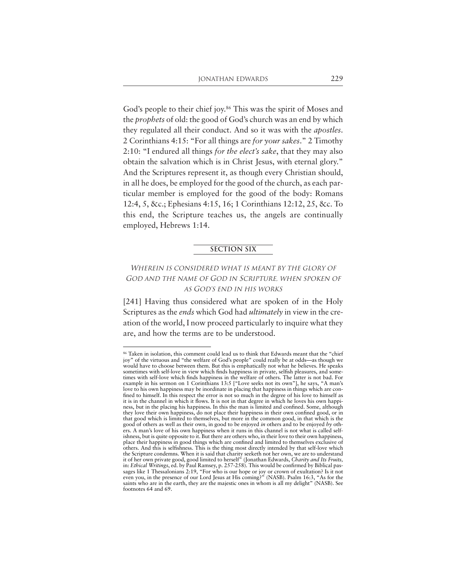God's people to their chief joy.<sup>86</sup> This was the spirit of Moses and the *prophets* of old: the good of God's church was an end by which they regulated all their conduct. And so it was with the *apostles*. 2 Corinthians 4:15: "For all things are *for your sakes*." 2 Timothy 2:10: "I endured all things *for the elect's sake*, that they may also obtain the salvation which is in Christ Jesus, with eternal glory." And the Scriptures represent it, as though every Christian should, in all he does, be employed for the good of the church, as each particular member is employed for the good of the body: Romans 12:4, 5, &c.; Ephesians 4:15, 16; 1 Corinthians 12:12, 25, &c. To this end, the Scripture teaches us, the angels are continually employed, Hebrews 1:14.

#### **SECTION SIX**

### WHEREIN IS CONSIDERED WHAT IS MEANT BY THE GLORY OF GOD AND THE NAME OF GOD IN SCRIPTURE, WHEN SPOKEN OF AS GOD'S END IN HIS WORKS

[241] Having thus considered what are spoken of in the Holy Scriptures as the *ends* which God had *ultimately* in view in the creation of the world, I now proceed particularly to inquire what they are, and how the terms are to be understood.

<sup>86</sup> Taken in isolation, this comment could lead us to think that Edwards meant that the "chief joy" of the virtuous and "the welfare of God's people" could really be at odds—as though we would have to choose between them. But this is emphatically not what he believes. He speaks sometimes with self-love in view which finds happiness in private, selfish pleasures, and sometimes with self-love which finds happiness in the welfare of others. The latter is not bad. For example in his sermon on 1 Corinthians 13:5 ["Love seeks not its own"], he says, "A man's love to his own happiness may be inordinate in placing that happiness in things which are confined to himself. In this respect the error is not so much in the degree of his love to himself as it is in the channel in which it flows. It is not in that degree in which he loves his own happiness, but in the placing his happiness. In this the man is limited and confined. Some, although they love their own happiness, do not place their happiness in their own confined good, or in that good which is limited to themselves, but more in the common good, in that which is the good of others as well as their own, in good to be enjoyed *in* others and to be enjoyed *by* others. A man's love of his own happiness when it runs in this channel is not what is called selfishness, but is quite opposite to it. But there are others who, in their love to their own happiness, place their happiness in good things which are confined and limited to themselves exclusive of others. And this is selfishness. This is the thing most directly intended by that self-love which the Scripture condemns. When it is said that charity seeketh not her own, we are to understand it of her own private good, good limited to herself" (Jonathan Edwards, *Charity and Its Fruits,* in: *Ethical Writings*, ed. by Paul Ramsey, p. 257-258). This would be confirmed by Biblical passages like 1 Thessalonians 2:19, "For who is our hope or joy or crown of exultation? Is it not even you, in the presence of our Lord Jesus at His coming?" (NASB). Psalm 16:3, "As for the saints who are in the earth, they are the majestic ones in whom is all my delight" (NASB). See footnotes 64 and 69.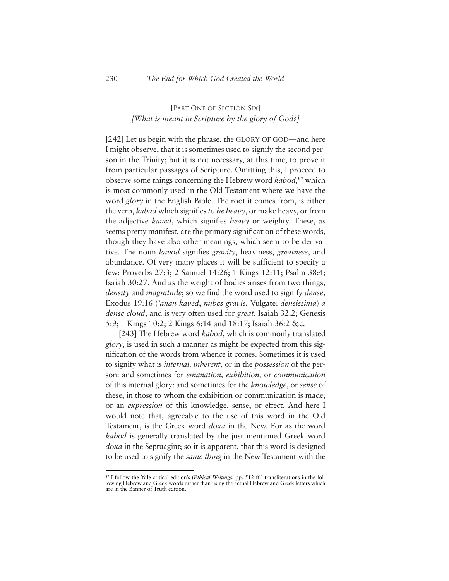#### [PART ONE OF SECTION SIX] *[What is meant in Scripture by the glory of God?]*

[242] Let us begin with the phrase, the GLORY OF GOD—and here I might observe, that it is sometimes used to signify the second person in the Trinity; but it is not necessary, at this time, to prove it from particular passages of Scripture. Omitting this, I proceed to observe some things concerning the Hebrew word *kabod,*<sup>87</sup> which is most commonly used in the Old Testament where we have the word *glory* in the English Bible. The root it comes from, is either the verb, *kabad* which signifies *to be heavy*, or make heavy, or from the adjective *kaved*, which signifies *heavy* or weighty. These, as seems pretty manifest, are the primary signification of these words, though they have also other meanings, which seem to be derivative. The noun *kavod* signifies *gravity*, heaviness, *greatness*, and abundance. Of very many places it will be sufficient to specify a few: Proverbs 27:3; 2 Samuel 14:26; 1 Kings 12:11; Psalm 38:4; Isaiah 30:27. And as the weight of bodies arises from two things, *density* and *magnitude*; so we find the word used to signify *dense*, Exodus 19:16 (*'anan kaved*, *nubes gravis*, Vulgate: *densissima*) *a dense cloud*; and is very often used for *great:* Isaiah 32:2; Genesis 5:9; 1 Kings 10:2; 2 Kings 6:14 and 18:17; Isaiah 36:2 &c.

[243] The Hebrew word *kabod*, which is commonly translated *glory*, is used in such a manner as might be expected from this signification of the words from whence it comes. Sometimes it is used to signify what is *internal, inherent*, or in the *possession* of the person: and sometimes for *emanation, exhibition,* or *communication* of this internal glory: and sometimes for the *knowledge*, or *sense* of these, in those to whom the exhibition or communication is made; or an *expression* of this knowledge, sense, or effect. And here I would note that, agreeable to the use of this word in the Old Testament, is the Greek word *doxa* in the New. For as the word *kabod* is generally translated by the just mentioned Greek word *doxa* in the Septuagint; so it is apparent, that this word is designed to be used to signify the *same thing* in the New Testament with the

<sup>87</sup> I follow the Yale critical edition's (*Ethical Writings*, pp. 512 ff.) transliterations in the following Hebrew and Greek words rather than using the actual Hebrew and Greek letters which are in the Banner of Truth edition.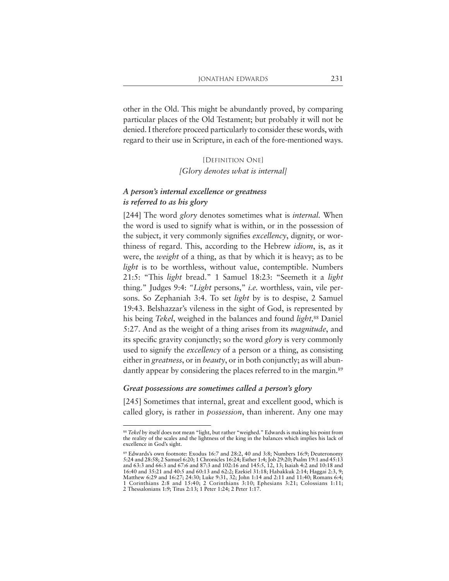other in the Old. This might be abundantly proved, by comparing particular places of the Old Testament; but probably it will not be denied. I therefore proceed particularly to consider these words, with regard to their use in Scripture, in each of the fore-mentioned ways.

> [DEFINITION ONE] *[Glory denotes what is internal]*

#### *A person's internal excellence or greatness is referred to as his glory*

[244] The word *glory* denotes sometimes what is *internal.* When the word is used to signify what is within, or in the possession of the subject, it very commonly signifies *excellency*, dignity, or worthiness of regard. This, according to the Hebrew *idiom*, is, as it were, the *weight* of a thing, as that by which it is heavy; as to be *light* is to be worthless, without value, contemptible. Numbers 21:5: "This *light* bread." 1 Samuel 18:23: "Seemeth it a *light* thing." Judges 9:4: *"Light* persons," *i.e.* worthless, vain, vile persons. So Zephaniah 3:4. To set *light* by is to despise, 2 Samuel 19:43. Belshazzar's vileness in the sight of God, is represented by his being *Tekel*, weighed in the balances and found *light,*<sup>88</sup> Daniel 5:27. And as the weight of a thing arises from its *magnitude*, and its specific gravity conjunctly; so the word *glory* is very commonly used to signify the *excellency* of a person or a thing, as consisting either in *greatness*, or in *beauty*, or in both conjunctly; as will abundantly appear by considering the places referred to in the margin.<sup>89</sup>

#### *Great possessions are sometimes called a person's glory*

[245] Sometimes that internal, great and excellent good, which is called glory, is rather in *possession*, than inherent. Any one may

<sup>88</sup> *Tekel* by itself does not mean "light, but rather "weighed." Edwards is making his point from the reality of the scales and the lightness of the king in the balances which implies his lack of excellence in God's sight.

<sup>89</sup> Edwards's own footnote: Exodus 16:7 and 28:2, 40 and 3:8; Numbers 16:9; Deuteronomy 5:24 and 28:58; 2 Samuel 6:20; 1 Chronicles 16:24; Esther 1:4; Job 29:20; Psalm 19:1 and 45:13 and 63:3 and 66:3 and 67:6 and 87:3 and 102:16 and 145:5, 12, 13; Isaiah 4:2 and 10:18 and 16:40 and 35:21 and 40:5 and 60:13 and 62:2; Ezekiel 31:18; Habakkuk 2:14; Haggai 2:3, 9; Matthew 6:29 and 16:27; 24:30; Luke 9:31, 32; John 1:14 and 2:11 and 11:40; Romans 6:4; 1 Corinthians 2:8 and 15:40; 2 Corinthians 3:10; Ephesians 3:21; Colossians 1:11; 2 Thessalonians 1:9; Titus 2:13; 1 Peter 1:24; 2 Peter 1:17.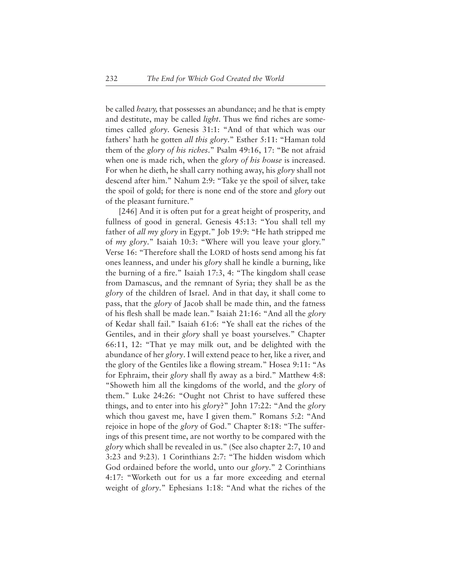be called *heavy,* that possesses an abundance; and he that is empty and destitute, may be called *light*. Thus we find riches are sometimes called *glory*. Genesis 31:1: "And of that which was our fathers' hath he gotten *all this glory*." Esther 5:11: "Haman told them of the *glory of his riches*." Psalm 49:16, 17: "Be not afraid when one is made rich, when the *glory of his house* is increased. For when he dieth, he shall carry nothing away, his *glory* shall not descend after him." Nahum 2:9: "Take ye the spoil of silver, take the spoil of gold; for there is none end of the store and *glory* out of the pleasant furniture."

[246] And it is often put for a great height of prosperity, and fullness of good in general. Genesis 45:13: "You shall tell my father of *all my glory* in Egypt." Job 19:9: "He hath stripped me of *my glory*." Isaiah 10:3: "Where will you leave your glory." Verse 16: "Therefore shall the LORD of hosts send among his fat ones leanness, and under his *glory* shall he kindle a burning, like the burning of a fire." Isaiah 17:3, 4: "The kingdom shall cease from Damascus, and the remnant of Syria; they shall be as the *glory* of the children of Israel. And in that day, it shall come to pass, that the *glory* of Jacob shall be made thin, and the fatness of his flesh shall be made lean." Isaiah 21:16: "And all the *glory* of Kedar shall fail." Isaiah 61:6: "Ye shall eat the riches of the Gentiles, and in their *glory* shall ye boast yourselves." Chapter 66:11, 12: "That ye may milk out, and be delighted with the abundance of her *glory*. I will extend peace to her, like a river, and the glory of the Gentiles like a flowing stream." Hosea 9:11: "As for Ephraim, their *glory* shall fly away as a bird." Matthew 4:8: "Showeth him all the kingdoms of the world, and the *glory* of them." Luke 24:26: "Ought not Christ to have suffered these things, and to enter into his *glory*?" John 17:22: "And the *glory* which thou gavest me, have I given them." Romans 5:2: "And rejoice in hope of the *glory* of God." Chapter 8:18: "The sufferings of this present time, are not worthy to be compared with the *glory* which shall be revealed in us." (See also chapter 2:7, 10 and 3:23 and 9:23). 1 Corinthians 2:7: "The hidden wisdom which God ordained before the world, unto our *glory*." 2 Corinthians 4:17: "Worketh out for us a far more exceeding and eternal weight of *glory*." Ephesians 1:18: "And what the riches of the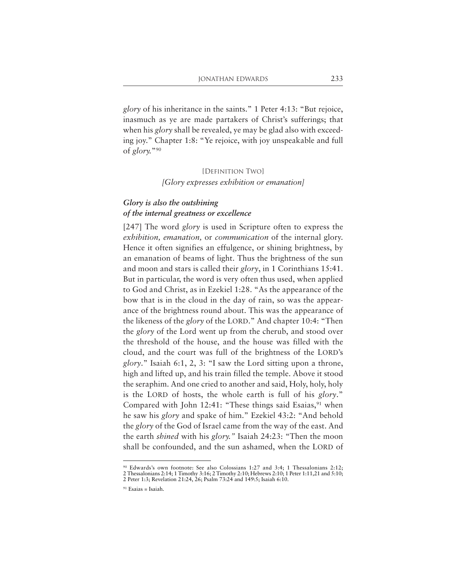*glory* of his inheritance in the saints." 1 Peter 4:13: "But rejoice, inasmuch as ye are made partakers of Christ's sufferings; that when his *glory* shall be revealed, ye may be glad also with exceeding joy." Chapter 1:8: "Ye rejoice, with joy unspeakable and full of *glory.*"90

#### [DEFINITION TWO] *[Glory expresses exhibition or emanation]*

#### *Glory is also the outshining of the internal greatness or excellence*

[247] The word *glory* is used in Scripture often to express the *exhibition, emanation,* or *communication* of the internal glory. Hence it often signifies an effulgence, or shining brightness, by an emanation of beams of light. Thus the brightness of the sun and moon and stars is called their *glory*, in 1 Corinthians 15:41. But in particular, the word is very often thus used, when applied to God and Christ, as in Ezekiel 1:28. "As the appearance of the bow that is in the cloud in the day of rain, so was the appearance of the brightness round about. This was the appearance of the likeness of the *glory* of the LORD." And chapter 10:4: "Then the *glory* of the Lord went up from the cherub, and stood over the threshold of the house, and the house was filled with the cloud, and the court was full of the brightness of the LORD's *glory*." Isaiah 6:1, 2, 3: "I saw the Lord sitting upon a throne, high and lifted up, and his train filled the temple. Above it stood the seraphim. And one cried to another and said, Holy, holy, holy is the LORD of hosts, the whole earth is full of his *glory*." Compared with John 12:41: "These things said Esaias, $91$  when he saw his *glory* and spake of him." Ezekiel 43:2: "And behold the *glory* of the God of Israel came from the way of the east. And the earth *shined* with his *glory."* Isaiah 24:23: "Then the moon shall be confounded, and the sun ashamed, when the LORD of

<sup>90</sup> Edwards's own footnote: See also Colossians 1:27 and 3:4; 1 Thessalonians 2:12; 2 Thessalonians 2:14; 1 Timothy 3:16; 2 Timothy 2:10; Hebrews 2:10; 1 Peter 1:11,21 and 5:10; 2 Peter 1:3; Revelation 21:24, 26; Psalm 73:24 and 149:5; Isaiah 6:10.

<sup>91</sup> Esaias = Isaiah.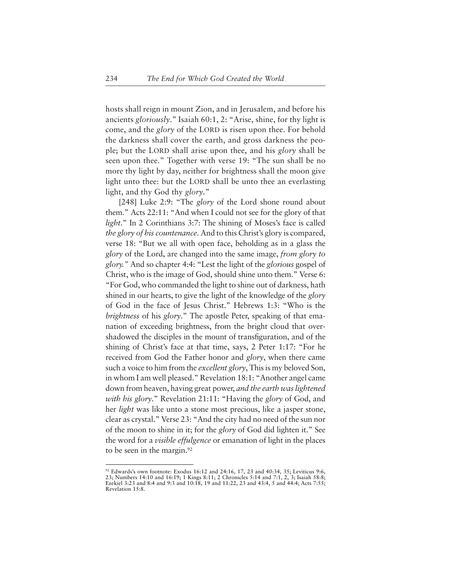hosts shall reign in mount Zion, and in Jerusalem, and before his ancients *gloriously*." Isaiah 60:1, 2: "Arise, shine, for thy light is come, and the *glory* of the LORD is risen upon thee. For behold the darkness shall cover the earth, and gross darkness the people; but the LORD shall arise upon thee, and his *glory* shall be seen upon thee." Together with verse 19: "The sun shall be no more thy light by day, neither for brightness shall the moon give light unto thee: but the LORD shall be unto thee an everlasting light, and thy God thy *glory*."

[248] Luke 2:9: "The *glory* of the Lord shone round about them." Acts 22:11: "And when I could not see for the glory of that *light*." In 2 Corinthians 3:7: The shining of Moses's face is called *the glory of his countenance.* And to this Christ's glory is compared, verse 18: "But we all with open face, beholding as in a glass the *glory* of the Lord, are changed into the same image, *from glory to glory."* And so chapter 4:4: "Lest the light of the *glorious* gospel of Christ, who is the image of God, should shine unto them." Verse 6: "For God, who commanded the light to shine out of darkness, hath shined in our hearts, to give the light of the knowledge of the *glory* of God in the face of Jesus Christ." Hebrews 1:3: "Who is the *brightness* of his *glory*." The apostle Peter, speaking of that emanation of exceeding brightness, from the bright cloud that overshadowed the disciples in the mount of transfiguration, and of the shining of Christ's face at that time, says, 2 Peter 1:17: "For he received from God the Father honor and *glory*, when there came such a voice to him from the *excellent glory*, This is my beloved Son, in whom I am well pleased." Revelation 18:1: "Another angel came down from heaven, having great power, *and the earth was lightened with his glory*." Revelation 21:11: "Having the *glory* of God, and her *light* was like unto a stone most precious, like a jasper stone, clear as crystal." Verse 23: "And the city had no need of the sun nor of the moon to shine in it; for the *glory* of God did lighten it." See the word for a *visible effulgence* or emanation of light in the places to be seen in the margin.92

 $92$  Edwards's own footnote: Exodus 16:12 and 24:16, 17, 23 and 40:34, 35; Leviticus 9:6, 23; Numbers 14:10 and 16:19; 1 Kings 8:11; 2 Chronicles 5:14 and 7:1, 2, 3; Isaiah 58:8; Ezekiel 3:23 and 8:4 and 9:3 and 10:18, 19 and 11:22, 23 and 43:4, 5 and 44:4; Acts 7:55; Revelation 15:8.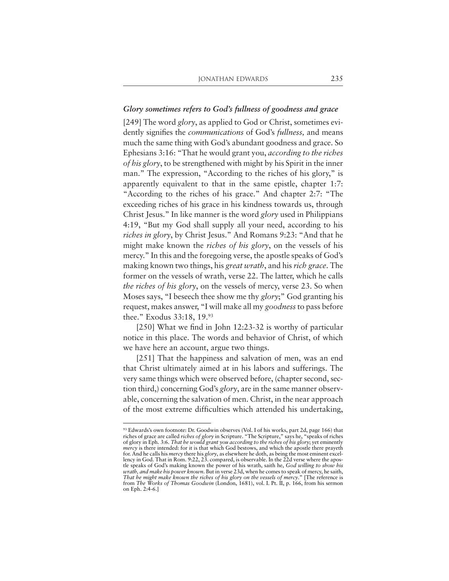#### *Glory sometimes refers to God's fullness of goodness and grace*

[249] The word *glory*, as applied to God or Christ, sometimes evidently signifies the *communications* of God's *fullness,* and means much the same thing with God's abundant goodness and grace. So Ephesians 3:16: "That he would grant you, *according to the riches of his glory*, to be strengthened with might by his Spirit in the inner man." The expression, "According to the riches of his glory," is apparently equivalent to that in the same epistle, chapter 1:7: "According to the riches of his grace." And chapter 2:7: "The exceeding riches of his grace in his kindness towards us, through Christ Jesus." In like manner is the word *glory* used in Philippians 4:19, "But my God shall supply all your need, according to his *riches in glory*, by Christ Jesus." And Romans 9:23: "And that he might make known the *riches of his glory*, on the vessels of his mercy." In this and the foregoing verse, the apostle speaks of God's making known two things, his *great wrath*, and his *rich grace*. The former on the vessels of wrath, verse 22. The latter, which he calls *the riches of his glory*, on the vessels of mercy, verse 23. So when Moses says, "I beseech thee show me thy *glory*;" God granting his request, makes answer, "I will make all my *goodness* to pass before thee." Exodus 33:18, 19.93

[250] What we find in John 12:23-32 is worthy of particular notice in this place. The words and behavior of Christ, of which we have here an account, argue two things.

[251] That the happiness and salvation of men, was an end that Christ ultimately aimed at in his labors and sufferings. The very same things which were observed before, (chapter second, section third,) concerning God's *glory*, are in the same manner observable, concerning the salvation of men. Christ, in the near approach of the most extreme difficulties which attended his undertaking,

<sup>93</sup> Edwards's own footnote: Dr. Goodwin observes (Vol. I of his works, part 2d, page 166) that riches of grace are called *riches of glory* in Scripture. "The Scripture," says he, "speaks of riches of glory in Eph. 3:6*. That he would grant you according to the riches of his glory*; yet eminently *mercy* is there intended: for it is that which God bestows, and which the apostle there prayeth for. And he calls his *mercy* there his *glory*, as elsewhere he doth, as being the most eminent excellency in God. That in Rom. 9:22, 23. compared, is observable. In the 22d verse where the apostle speaks of God's making known the power of his wrath, saith he, *God willing to show his wrath, and make his power known*. But in verse 23d, when he comes to speak of mercy, he saith, *That he might make known the riches of his glory on the vessels of mercy*." [The reference is from *The Works of Thomas Goodwin* (London, 1681), vol. I. Pt. II, p. 166, from his sermon on Eph. 2:4-6.]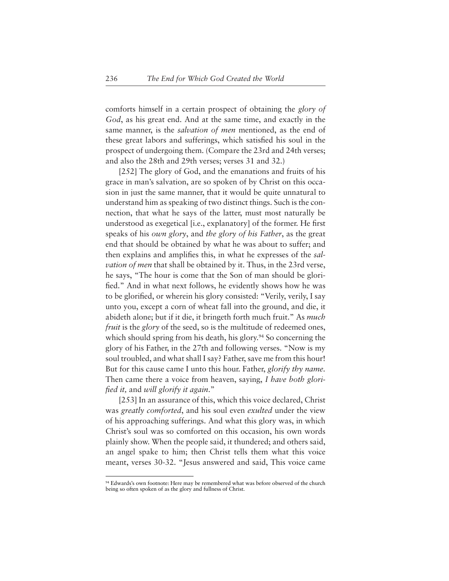comforts himself in a certain prospect of obtaining the *glory of God*, as his great end. And at the same time, and exactly in the same manner, is the *salvation of men* mentioned, as the end of these great labors and sufferings, which satisfied his soul in the prospect of undergoing them. (Compare the 23rd and 24th verses; and also the 28th and 29th verses; verses 31 and 32.)

[252] The glory of God, and the emanations and fruits of his grace in man's salvation, are so spoken of by Christ on this occasion in just the same manner, that it would be quite unnatural to understand him as speaking of two distinct things. Such is the connection, that what he says of the latter, must most naturally be understood as exegetical [i.e., explanatory] of the former. He first speaks of his *own glory*, and *the glory of his Father*, as the great end that should be obtained by what he was about to suffer; and then explains and amplifies this, in what he expresses of the *salvation of men* that shall be obtained by it. Thus, in the 23rd verse, he says, "The hour is come that the Son of man should be glorified." And in what next follows, he evidently shows how he was to be glorified, or wherein his glory consisted: "Verily, verily, I say unto you, except a corn of wheat fall into the ground, and die, it abideth alone; but if it die, it bringeth forth much fruit." As *much fruit* is the *glory* of the seed, so is the multitude of redeemed ones, which should spring from his death, his glory.<sup>94</sup> So concerning the glory of his Father, in the 27th and following verses. "Now is my soul troubled, and what shall I say? Father, save me from this hour! But for this cause came I unto this hour. Father, *glorify thy name.* Then came there a voice from heaven, saying, *I have both glorified it,* and *will glorify it again*."

[253] In an assurance of this, which this voice declared, Christ was *greatly comforted*, and his soul even *exulted* under the view of his approaching sufferings. And what this glory was, in which Christ's soul was so comforted on this occasion, his own words plainly show. When the people said, it thundered; and others said, an angel spake to him; then Christ tells them what this voice meant, verses 30-32. "Jesus answered and said, This voice came

<sup>94</sup> Edwards's own footnote: Here may be remembered what was before observed of the church being so often spoken of as the glory and fullness of Christ.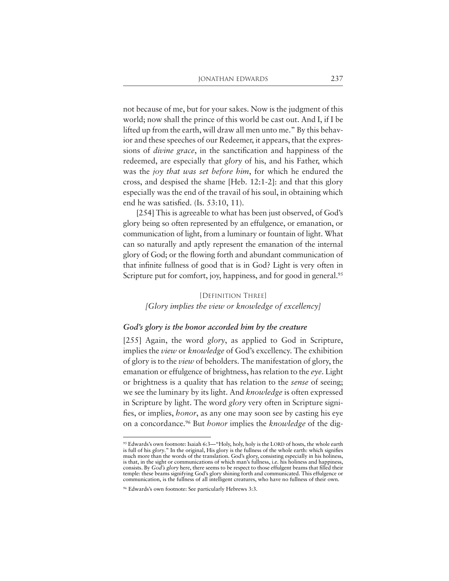not because of me, but for your sakes. Now is the judgment of this world; now shall the prince of this world be cast out. And I, if I be lifted up from the earth, will draw all men unto me." By this behavior and these speeches of our Redeemer, it appears, that the expressions of *divine grace*, in the sanctification and happiness of the redeemed, are especially that *glory* of his, and his Father, which was the *joy that was set before him*, for which he endured the cross, and despised the shame [Heb. 12:1-2]: and that this glory especially was the end of the travail of his soul, in obtaining which end he was satisfied. (Is. 53:10, 11).

[254] This is agreeable to what has been just observed, of God's glory being so often represented by an effulgence, or emanation, or communication of light, from a luminary or fountain of light. What can so naturally and aptly represent the emanation of the internal glory of God; or the flowing forth and abundant communication of that infinite fullness of good that is in God? Light is very often in Scripture put for comfort, joy, happiness, and for good in general.<sup>95</sup>

#### [DEFINITION THREE]

#### *[Glory implies the view or knowledge of excellency]*

#### *God's glory is the honor accorded him by the creature*

[255] Again, the word *glory*, as applied to God in Scripture, implies the *view* or *knowledge* of God's excellency. The exhibition of glory is to the *view* of beholders. The manifestation of glory, the emanation or effulgence of brightness, has relation to the *eye*. Light or brightness is a quality that has relation to the *sense* of seeing; we see the luminary by its light. And *knowledge* is often expressed in Scripture by light. The word *glory* very often in Scripture signifies, or implies, *honor*, as any one may soon see by casting his eye on a concordance.96 But *honor* implies the *knowledge* of the dig-

<sup>95</sup> Edwards's own footnote: Isaiah 6:3-"Holy, holy, holy is the LORD of hosts, the whole earth is full of his *glory*." In the original, His glory is the fullness of the whole earth: which signifies much more than the words of the translation. God's glory, consisting especially in his holiness, is that, in the sight or communications of which man's fullness, i.e. his holiness and happiness, consists. By *God's glory* here, there seems to be respect to those effulgent beams that filled their temple: these beams signifying God's glory shining forth and communicated. This effulgence or communication, is the fullness of all intelligent creatures, who have no fullness of their own.

<sup>96</sup> Edwards's own footnote: See particularly Hebrews 3:3.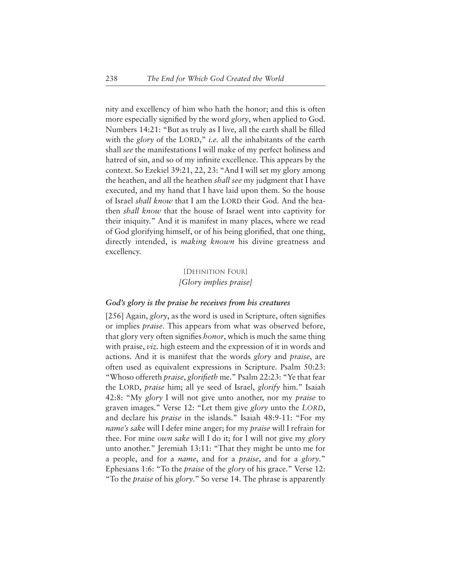nity and excellency of him who hath the honor; and this is often more especially signified by the word *glory*, when applied to God. Numbers 14:21: "But as truly as I live, all the earth shall be filled with the *glory* of the LORD," *i.e.* all the inhabitants of the earth shall *see* the manifestations I will make of my perfect holiness and hatred of sin, and so of my infinite excellence. This appears by the context. So Ezekiel 39:21, 22, 23: "And I will set my glory among the heathen, and all the heathen *shall see* my judgment that I have executed, and my hand that I have laid upon them. So the house of Israel *shall know* that I am the LORD their God. And the heathen *shall know* that the house of Israel went into captivity for their iniquity." And it is manifest in many places, where we read of God glorifying himself, or of his being glorified, that one thing, directly intended, is *making known* his divine greatness and excellency.

## [DEFINITION FOUR] *[Glory implies praise]*

#### *God's glory is the praise he receives from his creatures*

[256] Again, *glory*, as the word is used in Scripture, often signifies or implies *praise*. This appears from what was observed before, that glory very often signifies *honor*, which is much the same thing with praise, *viz.* high esteem and the expression of it in words and actions. And it is manifest that the words *glory* and *praise*, are often used as equivalent expressions in Scripture. Psalm 50:23: "Whoso offereth *praise*, *glorifieth* me." Psalm 22:23: "Ye that fear the LORD, *praise* him; all ye seed of Israel, *glorify* him." Isaiah 42:8: "My *glory* I will not give unto another, nor my *praise* to graven images." Verse 12: "Let them give *glory* unto the *LORD*, and declare his *praise* in the islands." Isaiah 48:9-11: "For my *name's sak*e will I defer mine anger; for my *praise* will I refrain for thee. For mine *own sake* will I do it; for I will not give my *glory* unto another." Jeremiah 13:11: "That they might be unto me for a people, and for a *name*, and for a *praise*, and for a *glory*." Ephesians 1:6: "To the *praise* of the *glory* of his grace." Verse 12: "To the *praise* of his *glory*." So verse 14. The phrase is apparently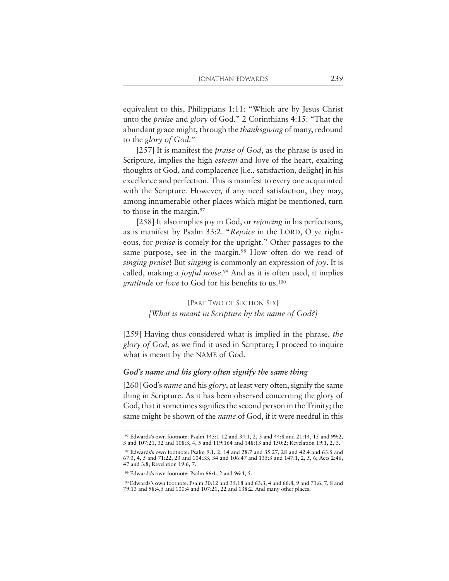equivalent to this, Philippians 1:11: "Which are by Jesus Christ unto the *praise* and *glory* of God." 2 Corinthians 4:15: "That the abundant grace might, through the *thanksgiving* of many, redound to the *glory of God.*"

[257] It is manifest the *praise of God*, as the phrase is used in Scripture, implies the high *esteem* and love of the heart, exalting thoughts of God, and complacence [i.e., satisfaction, delight] in his excellence and perfection. This is manifest to every one acquainted with the Scripture. However, if any need satisfaction, they may, among innumerable other places which might be mentioned, turn to those in the margin.97

[258] It also implies joy in God, or *rejoicing* in his perfections, as is manifest by Psalm 33:2. "*Rejoice* in the LORD, O ye righteous, for *praise* is comely for the upright." Other passages to the same purpose, see in the margin.<sup>98</sup> How often do we read of *singing praise*! But *singing* is commonly an expression of *joy*. It is called, making a *joyful noise*. <sup>99</sup> And as it is often used, it implies *gratitude* or *love* to God for his benefits to us.100

> [PART TWO OF SECTION SIX] *[What is meant in Scripture by the name of God?]*

[259] Having thus considered what is implied in the phrase, *the glory of God,* as we find it used in Scripture; I proceed to inquire what is meant by the NAME of God.

#### *God's name and his glory often signify the same thing*

[260] God's *name* and his *glory*, at least very often, signify the same thing in Scripture. As it has been observed concerning the glory of God, that it sometimes signifies the second person in the Trinity; the same might be shown of the *name* of God, if it were needful in this

<sup>97</sup> Edwards's own footnote: Psalm 145:1-12 and 34:1, 2, 3 and 44:8 and 21:14, 15 and 99:2, 3 and 107:21, 32 and 108:3, 4, 5 and 119:164 and 148:13 and 150:2; Revelation 19:1, 2, 3.

<sup>98</sup> Edwards's own footnote: Psalm 9:1, 2, 14 and 28:7 and 35:27, 28 and 42:4 and 63:5 and 67:3, 4, 5 and 71:22, 23 and 104:33, 34 and 106:47 and 135:3 and 147:1, 2, 5, 6; Acts 2:46, 47 and 3:8; Revelation 19:6, 7.

<sup>99</sup> Edwards's own footnote: Psalm 66:1, 2 and 96:4, 5.

<sup>100</sup> Edwards's own footnote: Psalm 30:12 and 35:18 and 63:3, 4 and 66:8, 9 and 71:6, 7, 8 and 79:13 and 98:4,5 and 100:4 and 107:21, 22 and 138:2. And many other places.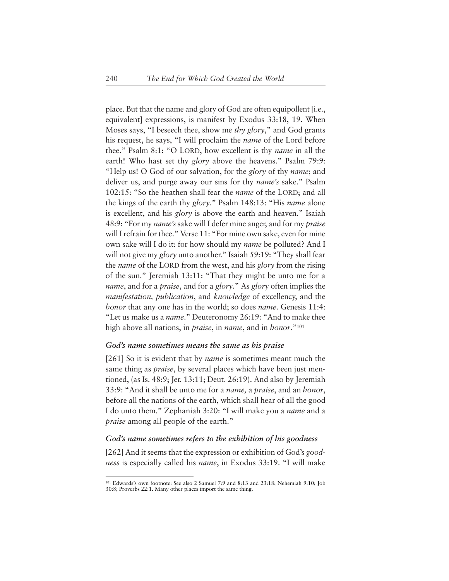place. But that the name and glory of God are often equipollent [i.e., equivalent] expressions, is manifest by Exodus 33:18, 19. When Moses says, "I beseech thee, show me *thy glory*," and God grants his request, he says, "I will proclaim the *name* of the Lord before thee." Psalm 8:1: "O LORD, how excellent is thy *name* in all the earth! Who hast set thy *glory* above the heavens." Psalm 79:9: "Help us! O God of our salvation, for the *glory* of thy *name*; and deliver us, and purge away our sins for thy *name's* sake." Psalm 102:15: "So the heathen shall fear the *name* of the LORD; and all the kings of the earth thy *glory*." Psalm 148:13: "His *name* alone is excellent, and his *glory* is above the earth and heaven." Isaiah 48:9: "For my *name's*sake will I defer mine anger, and for my *praise* will I refrain for thee." Verse 11: "For mine own sake, even for mine own sake will I do it: for how should my *name* be polluted? And I will not give my *glory* unto another." Isaiah 59:19: "They shall fear the *name* of the LORD from the west, and his *glory* from the rising of the sun." Jeremiah 13:11: "That they might be unto me for a *name*, and for a *praise*, and for a *glory*." As *glory* often implies the *manifestation, publication*, and *knowledge* of excellency, and the *honor* that any one has in the world; so does *name*. Genesis 11:4: "Let us make us a *name*." Deuteronomy 26:19: "And to make thee high above all nations, in *praise*, in *name*, and in *honor*."101

#### *God's name sometimes means the same as his praise*

[261] So it is evident that by *name* is sometimes meant much the same thing as *praise*, by several places which have been just mentioned, (as Is. 48:9; Jer. 13:11; Deut. 26:19). And also by Jeremiah 33:9: "And it shall be unto me for a *name,* a *praise*, and an *honor*, before all the nations of the earth, which shall hear of all the good I do unto them." Zephaniah 3:20: "I will make you a *name* and a *praise* among all people of the earth."

#### *God's name sometimes refers to the exhibition of his goodness*

[262] And it seems that the expression or exhibition of God's *goodness* is especially called his *name*, in Exodus 33:19. "I will make

<sup>101</sup> Edwards's own footnote: See also 2 Samuel 7:9 and 8:13 and 23:18; Nehemiah 9:10; Job 30:8; Proverbs 22:1. Many other places import the same thing.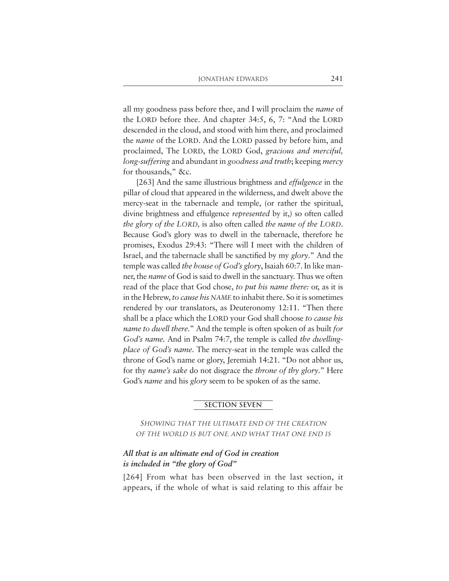all my goodness pass before thee, and I will proclaim the *name* of the LORD before thee. And chapter 34:5, 6, 7: "And the LORD descended in the cloud, and stood with him there, and proclaimed the *name* of the LORD. And the LORD passed by before him, and proclaimed, The LORD, the LORD God, *gracious and merciful, long-suffering* and abundant in *goodness and truth*; keeping *mercy* for thousands," &c.

[263] And the same illustrious brightness and *effulgence* in the pillar of cloud that appeared in the wilderness, and dwelt above the mercy-seat in the tabernacle and temple, (or rather the spiritual, divine brightness and effulgence *represented* by it,) so often called *the glory of the LORD,* is also often called *the name of the LORD*. Because God's glory was to dwell in the tabernacle, therefore he promises, Exodus 29:43: "There will I meet with the children of Israel, and the tabernacle shall be sanctified by my *glory*." And the temple was called *the house of God's glory*, Isaiah 60:7. In like manner, the *name* of God is said to dwell in the sanctuary. Thus we often read of the place that God chose, *to put his name there:* or, as it is in the Hebrew, *to cause his NAME* to inhabit there. So it is sometimes rendered by our translators, as Deuteronomy 12:11. "Then there shall be a place which the LORD your God shall choose *to cause his name to dwell there*." And the temple is often spoken of as built *for God's name.* And in Psalm 74:7, the temple is called *the dwellingplace of God's name*. The mercy-seat in the temple was called the throne of God's name or glory, Jeremiah 14:21. "Do not abhor us, for thy *name's sake* do not disgrace the *throne of thy glory*." Here God's *name* and his *glory* seem to be spoken of as the same.

#### **SECTION SEVEN**

SHOWING THAT THE ULTIMATE END OF THE CREATION OF THE WORLD IS BUT ONE, AND WHAT THAT ONE END IS

#### *All that is an ultimate end of God in creation is included in "the glory of God"*

[264] From what has been observed in the last section, it appears, if the whole of what is said relating to this affair be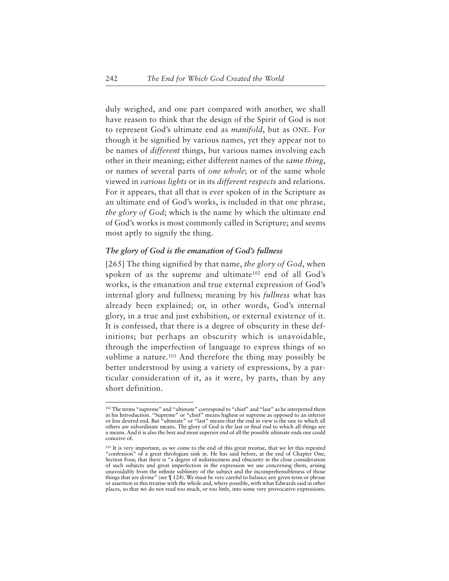duly weighed, and one part compared with another, we shall have reason to think that the design of the Spirit of God is not to represent God's ultimate end as *manifold*, but as ONE. For though it be signified by various names, yet they appear not to be names of *different* things, but various names involving each other in their meaning; either different names of the *same thing*, or names of several parts of *one whole*; or of the same whole viewed in *various lights* or in its *different respects* and relations. For it appears, that all that is ever spoken of in the Scripture as an ultimate end of God's works, is included in that one phrase, *the glory of God*; which is the name by which the ultimate end of God's works is most commonly called in Scripture; and seems most aptly to signify the thing.

#### *The glory of God is the emanation of God's fullness*

[265] The thing signified by that name, *the glory of God*, when spoken of as the supreme and ultimate<sup>102</sup> end of all God's works, is the emanation and true external expression of God's internal glory and fullness; meaning by his *fullness* what has already been explained; or, in other words, God's internal glory, in a true and just exhibition, or external existence of it. It is confessed, that there is a degree of obscurity in these definitions; but perhaps an obscurity which is unavoidable, through the imperfection of language to express things of so sublime a nature.<sup>103</sup> And therefore the thing may possibly be better understood by using a variety of expressions, by a particular consideration of it, as it were, by parts, than by any short definition.

<sup>102</sup> The terms "supreme" and "ultimate" correspond to "chief" and "last" as he interpreted them in his Introduction. "Supreme" or "chief" means highest or supreme as opposed to an inferior or less desired end. But "ultimate" or "last" means that the end in view is the one to which all others are subordinate means. The glory of God is the last or final end to which all things are a means. And it is also the best and most superior end of all the possible ultimate ends one could conceive of.

<sup>103</sup> It is very important, as we come to the end of this great treatise, that we let this repeated "confession" of a great theologian sink in. He has said before, at the end of Chapter One, Section Four, that there is "a degree of indistinctness and obscurity in the close consideration of such subjects and great imperfection in the expression we use concerning them, arising unavoidably from the infinite sublimity of the subject and the incomprehensibleness of those things that are divine" (see ¶ 124). We must be very careful to balance any given term or phrase or assertion in this treatise with the whole and, where possible, with what Edwards said in other places, so that we do not read too much, or too little, into some very provocative expressions.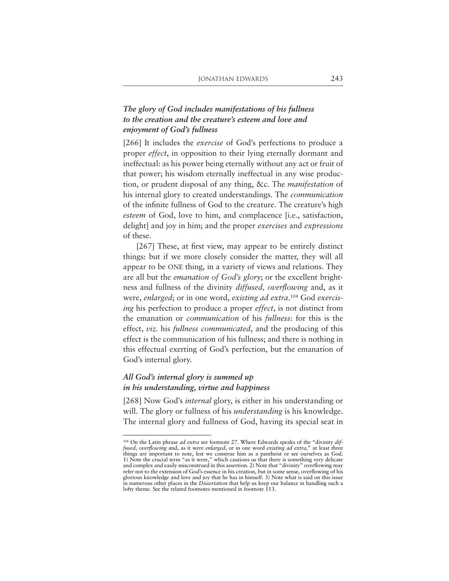## *The glory of God includes manifestations of his fullness to the creation and the creature's esteem and love and enjoyment of God's fullness*

[266] It includes the *exercise* of God's perfections to produce a proper *effect*, in opposition to their lying eternally dormant and ineffectual: as his power being eternally without any act or fruit of that power; his wisdom eternally ineffectual in any wise production, or prudent disposal of any thing, &c. The *manifestation* of his internal glory to created understandings. The *communication* of the infinite fullness of God to the creature. The creature's high *esteem* of God, love to him, and complacence [i.e., satisfaction, delight] and joy in him; and the proper *exercises* and *expressions* of these.

[267] These, at first view, may appear to be entirely distinct things: but if we more closely consider the matter, they will all appear to be ONE thing, in a variety of views and relations. They are all but the *emanation of God's glory*; or the excellent brightness and fullness of the divinity *diffused, overflowing* and, as it were, *enlarged*; or in one word, *existing ad extra*. <sup>104</sup> God *exercising* his perfection to produce a proper *effect*, is not distinct from the emanation or *communication* of his *fullness*: for this is the effect, *viz.* his *fullness communicated*, and the producing of this effect is the communication of his fullness; and there is nothing in this effectual exerting of God's perfection, but the emanation of God's internal glory.

#### *All God's internal glory is summed up in his understanding, virtue and happiness*

[268] Now God's *internal* glory, is either in his understanding or will. The glory or fullness of his *understanding* is his knowledge. The internal glory and fullness of God, having its special seat in

<sup>104</sup> On the Latin phrase *ad extra* see footnote 27. Where Edwards speaks of the "divinity *diffused*, *overflowing* and, as it were *enlarged*, or in one word *existing ad extra*," at least three things are important to note, lest we construe him as a pantheist or see ourselves as God. 1) Note the crucial term "as it were," which cautions us that there is something very delicate and complex and easily misconstrued in this assertion. 2) Note that "divinity" overflowing may refer not to the extension of God's essence in his creation, but in some sense, overflowing of his glorious knowledge and love and joy that he has in himself. 3) Note what is said on this issue in numerous other places in the *Dissertation* that help us keep our balance in handling such a lofty theme. See the related footnotes mentioned in footnote 113.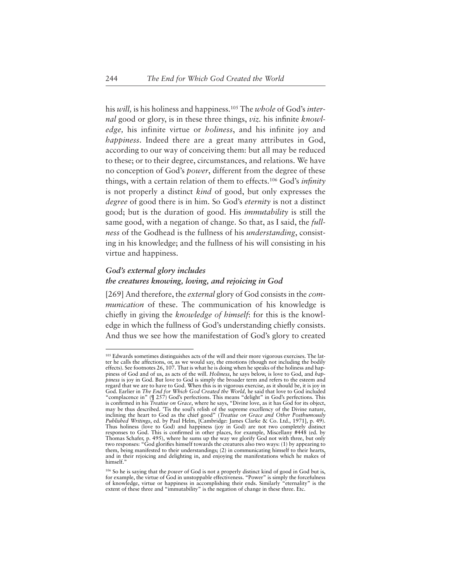his *will,* is his holiness and happiness.105 The *whole* of God's *internal* good or glory, is in these three things, *viz.* his infinite *knowledge,* his infinite virtue or *holiness*, and his infinite joy and *happiness*. Indeed there are a great many attributes in God, according to our way of conceiving them: but all may be reduced to these; or to their degree, circumstances, and relations. We have no conception of God's *power*, different from the degree of these things, with a certain relation of them to effects.106 God's *infinity* is not properly a distinct *kind* of good, but only expresses the *degree* of good there is in him. So God's *eternity* is not a distinct good; but is the duration of good. His *immutability* is still the same good, with a negation of change. So that, as I said, the *fullness* of the Godhead is the fullness of his *understanding*, consisting in his knowledge; and the fullness of his will consisting in his virtue and happiness.

#### *God's external glory includes the creatures knowing, loving, and rejoicing in God*

[269] And therefore, the *external* glory of God consists in the *communication* of these. The communication of his knowledge is chiefly in giving the *knowledge of himself*: for this is the knowledge in which the fullness of God's understanding chiefly consists. And thus we see how the manifestation of God's glory to created

<sup>&</sup>lt;sup>105</sup> Edwards sometimes distinguishes acts of the will and their more vigorous exercises. The latter he calls the affections, or, as we would say, the emotions (though not including the bodily effects). See footnotes 26, 107. That is what he is doing when he speaks of the holiness and happiness of God and of us, as acts of the will. *Holiness*, he says below, is love to God, and *happiness* is joy in God. But love to God is simply the broader term and refers to the esteem and regard that we are to have to God. When this is in vigorous exercise, as it should be, it is joy in God. Earlier in *The End for Which God Created the World,* he said that love to God included "complacence in" (¶ 257) God's perfections. This means "delight" in God's perfections. This is confirmed in his *Treatise on Grace*, where he says, "Divine love, as it has God for its object, may be thus described. 'Tis the soul's relish of the supreme excellency of the Divine nature, inclining the heart to God as the chief good" (*Treatise on Grace and Other Posthumously Published Writings*, ed. by Paul Helm, [Cambridge: James Clarke & Co. Ltd., 1971], p. 49). Thus holiness (love to God) and happiness (joy in God) are not two completely distinct responses to God. This is confirmed in other places, for example, Miscellany #448 (ed. by Thomas Schafer, p. 495), where he sums up the way we glorify God not with three, but only two responses: "God glorifies himself towards the creatures also two ways: (1) by appearing to them, being manifested to their understandings; (2) in communicating himself to their hearts, and in their rejoicing and delighting in, and enjoying the manifestations which he makes of himself."

<sup>106</sup> So he is saying that the *power* of God is not a properly distinct kind of good in God but is, for example, the virtue of God in unstoppable effectiveness. "Power" is simply the forcefulness of knowledge, virtue or happiness in accomplishing their ends. Similarly "eternality" is the extent of these three and "immutability" is the negation of change in these three. Etc.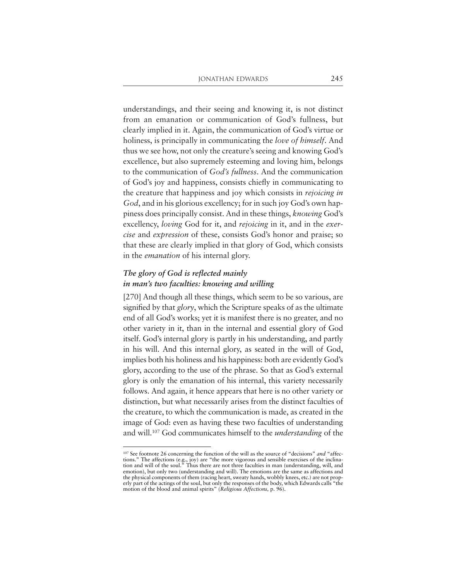understandings, and their seeing and knowing it, is not distinct from an emanation or communication of God's fullness, but clearly implied in it. Again, the communication of God's virtue or holiness, is principally in communicating the *love of himself*. And thus we see how, not only the creature's seeing and knowing God's excellence, but also supremely esteeming and loving him, belongs to the communication of *God's fullness*. And the communication of God's joy and happiness, consists chiefly in communicating to the creature that happiness and joy which consists in *rejoicing in God*, and in his glorious excellency; for in such joy God's own happiness does principally consist. And in these things, *knowing* God's excellency, *loving* God for it, and *rejoicing* in it, and in the *exercise* and *expression* of these, consists God's honor and praise; so that these are clearly implied in that glory of God, which consists in the *emanation* of his internal glory.

## *The glory of God is reflected mainly in man's two faculties: knowing and willing*

[270] And though all these things, which seem to be so various, are signified by that *glory*, which the Scripture speaks of as the ultimate end of all God's works; yet it is manifest there is no greater, and no other variety in it, than in the internal and essential glory of God itself. God's internal glory is partly in his understanding, and partly in his will. And this internal glory, as seated in the will of God, implies both his holiness and his happiness: both are evidently God's glory, according to the use of the phrase. So that as God's external glory is only the emanation of his internal, this variety necessarily follows. And again, it hence appears that here is no other variety or distinction, but what necessarily arises from the distinct faculties of the creature, to which the communication is made, as created in the image of God: even as having these two faculties of understanding and will.107 God communicates himself to the *understanding* of the

<sup>107</sup> See footnote 26 concerning the function of the will as the source of "decisions" *and* "affections." The affections (e.g., joy) are "the more vigorous and sensible exercises of the inclination and will of the soul." Thus there are not three faculties in man (understanding, will, and emotion), but only two (understanding and will). The emotions are the same as affections and the physical components of them (racing heart, sweaty hands, wobbly knees, etc.) are not properly part of the actings of the soul, but only the responses of the body, which Edwards calls "the motion of the blood and animal spirits" (*Religious Affections,* p. 96).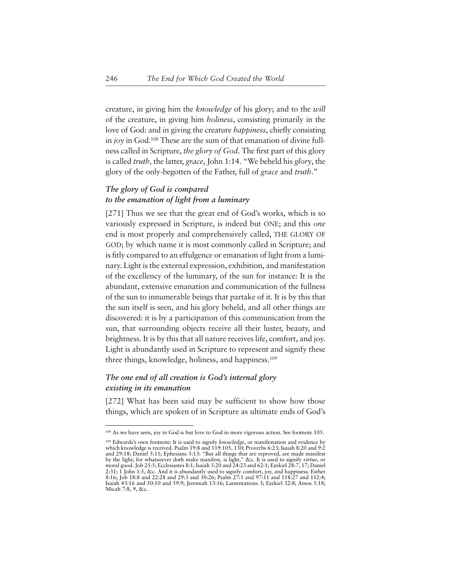creature, in giving him the *knowledge* of his glory; and to the *will* of the creature, in giving him *holiness*, consisting primarily in the love of God: and in giving the creature *happiness*, chiefly consisting in *joy* in God.108 These are the sum of that emanation of divine fullness called in Scripture, *the glory of God*. The first part of this glory is called *truth,* the latter, *grace*, John 1:14. "We beheld his *glory*, the glory of the only-begotten of the Father, full of *grace* and *truth*."

## *The glory of God is compared to the emanation of light from a luminary*

[271] Thus we see that the great end of God's works, which is so variously expressed in Scripture, is indeed but ONE; and this *one* end is most properly and comprehensively called, THE GLORY OF GOD; by which name it is most commonly called in Scripture; and is fitly compared to an effulgence or emanation of light from a luminary. Light is the external expression, exhibition, and manifestation of the excellency of the luminary, of the sun for instance: It is the abundant, extensive emanation and communication of the fullness of the sun to innumerable beings that partake of it. It is by this that the sun itself is seen, and his glory beheld, and all other things are discovered: it is by a participation of this communication from the sun, that surrounding objects receive all their luster, beauty, and brightness. It is by this that all nature receives life, comfort, and joy. Light is abundantly used in Scripture to represent and signify these three things, knowledge, holiness, and happiness.109

### *The one end of all creation is God's internal glory existing in its emanation*

[272] What has been said may be sufficient to show how those things, which are spoken of in Scripture as ultimate ends of God's

<sup>108</sup> As we have seen, joy in God is but love to God in more vigorous action. See footnote 105.

<sup>109</sup> Edwards's own footnote: It is used to signify *knowledge*, or manifestation and evidence by which knowledge is received. Psalm 19:8 and 119:105, 130; Proverbs 6:23; Isaiah 8:20 and 9:2 and 29:18; Daniel 5:11; Ephesians 5:13: "But all things that are reproved, are made manifest by the light; for whatsoever doth make manifest, is light," &c. It is used to signify *virtue*, or moral good. Job 25:5; Ecclesiastes 8:1; Isaiah 5:20 and 24:23 and 62:1; Ezekiel 28:7, 17; Daniel 2:31; 1 John 1:5, &c. And it is abundantly used to signify comfort, joy, and happiness. Esther 8:16; Job 18:8 and 22:28 and 29:3 and 30:26; Psalm 27:1 and 97:11 and 118:27 and 112:4; Isaiah 43:16 and 50:10 and 59:9; Jeremiah 13:16; Lamentations 3; Ezekiel 32:8; Amos 5:18; Micah 7:8, 9, &c.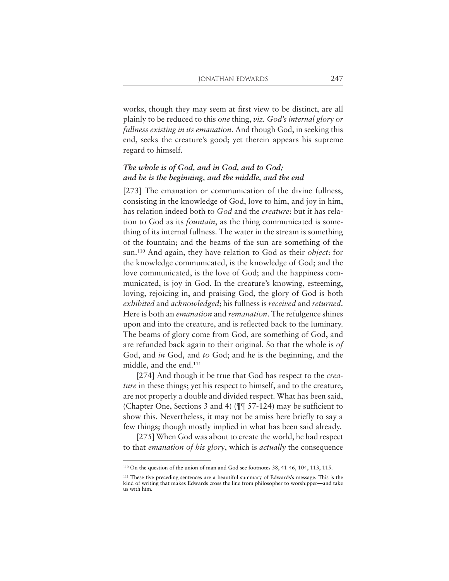works, though they may seem at first view to be distinct, are all plainly to be reduced to this *one* thing, *viz. God's internal glory or fullness existing in its emanation.* And though God, in seeking this end, seeks the creature's good; yet therein appears his supreme regard to himself.

#### *The whole is of God, and in God, and to God; and he is the beginning, and the middle, and the end*

[273] The emanation or communication of the divine fullness, consisting in the knowledge of God, love to him, and joy in him, has relation indeed both to *God* and the *creature*: but it has relation to God as its *fountain*, as the thing communicated is something of its internal fullness. The water in the stream is something of the fountain; and the beams of the sun are something of the sun.110 And again, they have relation to God as their *object*: for the knowledge communicated, is the knowledge of God; and the love communicated, is the love of God; and the happiness communicated, is joy in God. In the creature's knowing, esteeming, loving, rejoicing in, and praising God, the glory of God is both *exhibited* and *acknowledged*; his fullness is *received* and *returned*. Here is both an *emanation* and *remanation*. The refulgence shines upon and into the creature, and is reflected back to the luminary. The beams of glory come from God, are something of God, and are refunded back again to their original. So that the whole is *of* God, and *in* God, and *to* God; and he is the beginning, and the middle, and the end.111

[274] And though it be true that God has respect to the *creature* in these things; yet his respect to himself, and to the creature, are not properly a double and divided respect. What has been said, (Chapter One, Sections 3 and 4) (¶¶ 57-124) may be sufficient to show this. Nevertheless, it may not be amiss here briefly to say a few things; though mostly implied in what has been said already.

[275] When God was about to create the world, he had respect to that *emanation of his glory*, which is *actually* the consequence

<sup>110</sup> On the question of the union of man and God see footnotes 38, 41-46, 104, 113, 115.

<sup>&</sup>lt;sup>111</sup> These five preceding sentences are a beautiful summary of Edwards's message. This is the kind of writing that makes Edwards cross the line from philosopher to worshipper—and take us with him.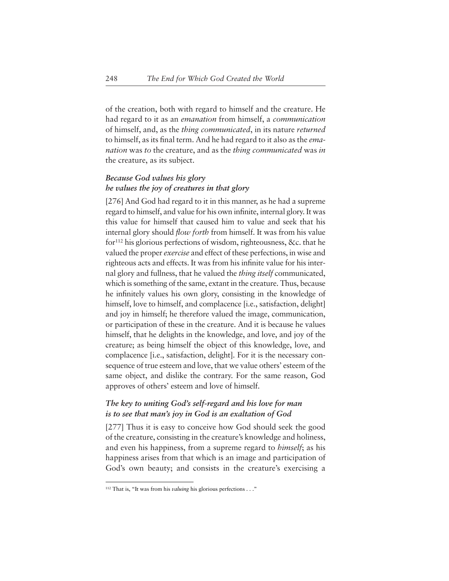of the creation, both with regard to himself and the creature. He had regard to it as an *emanation* from himself, a *communication* of himself, and, as the *thing communicated*, in its nature *returned* to himself, as its final term. And he had regard to it also as the *emanation* was *to* the creature, and as the *thing communicated* was *in* the creature, as its subject.

## *Because God values his glory he values the joy of creatures in that glory*

[276] And God had regard to it in this manner, as he had a supreme regard to himself, and value for his own infinite, internal glory. It was this value for himself that caused him to value and seek that his internal glory should *flow forth* from himself. It was from his value for112 his glorious perfections of wisdom, righteousness, &c. that he valued the proper *exercise* and effect of these perfections, in wise and righteous acts and effects. It was from his infinite value for his internal glory and fullness, that he valued the *thing itself* communicated, which is something of the same, extant in the creature. Thus, because he infinitely values his own glory, consisting in the knowledge of himself, love to himself, and complacence *[i.e., satisfaction, delight]* and joy in himself; he therefore valued the image, communication, or participation of these in the creature. And it is because he values himself, that he delights in the knowledge, and love, and joy of the creature; as being himself the object of this knowledge, love, and complacence [i.e., satisfaction, delight]. For it is the necessary consequence of true esteem and love, that we value others' esteem of the same object, and dislike the contrary. For the same reason, God approves of others' esteem and love of himself.

## *The key to uniting God's self-regard and his love for man is to see that man's joy in God is an exaltation of God*

[277] Thus it is easy to conceive how God should seek the good of the creature, consisting in the creature's knowledge and holiness, and even his happiness, from a supreme regard to *himself*; as his happiness arises from that which is an image and participation of God's own beauty; and consists in the creature's exercising a

<sup>&</sup>lt;sup>112</sup> That is, "It was from his *valuing* his glorious perfections . . ."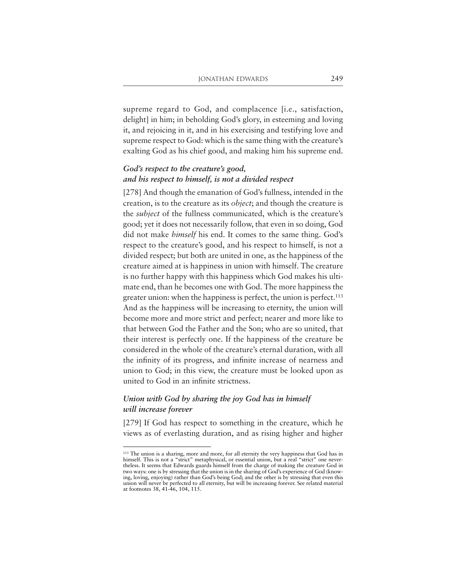supreme regard to God, and complacence [i.e., satisfaction, delight] in him; in beholding God's glory, in esteeming and loving it, and rejoicing in it, and in his exercising and testifying love and supreme respect to God: which is the same thing with the creature's exalting God as his chief good, and making him his supreme end.

### *God's respect to the creature's good, and his respect to himself, is not a divided respect*

[278] And though the emanation of God's fullness, intended in the creation, is to the creature as its *object*; and though the creature is the *subject* of the fullness communicated, which is the creature's good; yet it does not necessarily follow, that even in so doing, God did not make *himself* his end. It comes to the same thing. God's respect to the creature's good, and his respect to himself, is not a divided respect; but both are united in one, as the happiness of the creature aimed at is happiness in union with himself. The creature is no further happy with this happiness which God makes his ultimate end, than he becomes one with God. The more happiness the greater union: when the happiness is perfect, the union is perfect.<sup>113</sup> And as the happiness will be increasing to eternity, the union will become more and more strict and perfect; nearer and more like to that between God the Father and the Son; who are so united, that their interest is perfectly one. If the happiness of the creature be considered in the whole of the creature's eternal duration, with all the infinity of its progress, and infinite increase of nearness and union to God; in this view, the creature must be looked upon as united to God in an infinite strictness.

## *Union with God by sharing the joy God has in himself will increase forever*

[279] If God has respect to something in the creature, which he views as of everlasting duration, and as rising higher and higher

<sup>113</sup> The union is a sharing, more and more, for all eternity the very happiness that God has in himself. This is not a "strict" metaphysical, or essential union, but a real "strict" one nevertheless. It seems that Edwards guards himself from the charge of making the creature God in two ways: one is by stressing that the union is in the sharing of God's experience of God (knowing, loving, enjoying) rather than God's being God; and the other is by stressing that even this union will never be perfected to all eternity, but will be increasing forever. See related material at footnotes 38, 41-46, 104, 115.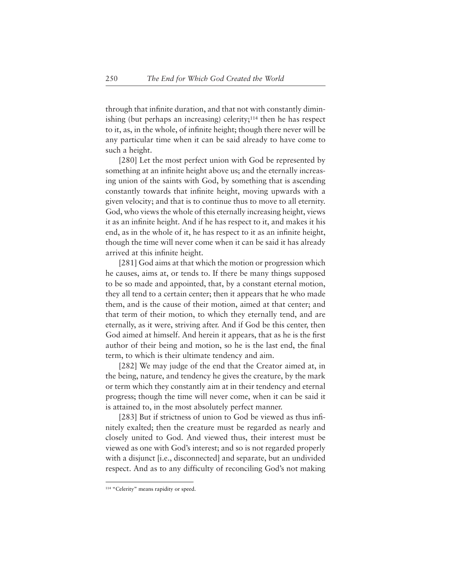through that infinite duration, and that not with constantly diminishing (but perhaps an increasing) celerity;<sup>114</sup> then he has respect to it, as, in the whole, of infinite height; though there never will be any particular time when it can be said already to have come to such a height.

[280] Let the most perfect union with God be represented by something at an infinite height above us; and the eternally increasing union of the saints with God, by something that is ascending constantly towards that infinite height, moving upwards with a given velocity; and that is to continue thus to move to all eternity. God, who views the whole of this eternally increasing height, views it as an infinite height. And if he has respect to it, and makes it his end, as in the whole of it, he has respect to it as an infinite height, though the time will never come when it can be said it has already arrived at this infinite height.

[281] God aims at that which the motion or progression which he causes, aims at, or tends to. If there be many things supposed to be so made and appointed, that, by a constant eternal motion, they all tend to a certain center; then it appears that he who made them, and is the cause of their motion, aimed at that center; and that term of their motion, to which they eternally tend, and are eternally, as it were, striving after. And if God be this center, then God aimed at himself. And herein it appears, that as he is the first author of their being and motion, so he is the last end, the final term, to which is their ultimate tendency and aim.

[282] We may judge of the end that the Creator aimed at, in the being, nature, and tendency he gives the creature, by the mark or term which they constantly aim at in their tendency and eternal progress; though the time will never come, when it can be said it is attained to, in the most absolutely perfect manner.

[283] But if strictness of union to God be viewed as thus infinitely exalted; then the creature must be regarded as nearly and closely united to God. And viewed thus, their interest must be viewed as one with God's interest; and so is not regarded properly with a disjunct [i.e., disconnected] and separate, but an undivided respect. And as to any difficulty of reconciling God's not making

<sup>&</sup>lt;sup>114</sup> "Celerity" means rapidity or speed.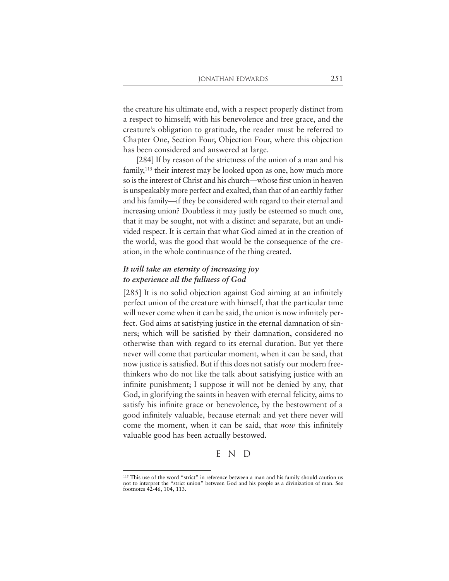the creature his ultimate end, with a respect properly distinct from a respect to himself; with his benevolence and free grace, and the creature's obligation to gratitude, the reader must be referred to Chapter One, Section Four, Objection Four, where this objection has been considered and answered at large.

[284] If by reason of the strictness of the union of a man and his family,<sup>115</sup> their interest may be looked upon as one, how much more so is the interest of Christ and his church—whose first union in heaven is unspeakably more perfect and exalted, than that of an earthly father and his family—if they be considered with regard to their eternal and increasing union? Doubtless it may justly be esteemed so much one, that it may be sought, not with a distinct and separate, but an undivided respect. It is certain that what God aimed at in the creation of the world, was the good that would be the consequence of the creation, in the whole continuance of the thing created.

### *It will take an eternity of increasing joy to experience all the fullness of God*

[285] It is no solid objection against God aiming at an infinitely perfect union of the creature with himself, that the particular time will never come when it can be said, the union is now infinitely perfect. God aims at satisfying justice in the eternal damnation of sinners; which will be satisfied by their damnation, considered no otherwise than with regard to its eternal duration. But yet there never will come that particular moment, when it can be said, that now justice is satisfied. But if this does not satisfy our modern freethinkers who do not like the talk about satisfying justice with an infinite punishment; I suppose it will not be denied by any, that God, in glorifying the saints in heaven with eternal felicity, aims to satisfy his infinite grace or benevolence, by the bestowment of a good infinitely valuable, because eternal: and yet there never will come the moment, when it can be said, that *now* this infinitely valuable good has been actually bestowed.

#### END

<sup>115</sup> This use of the word "strict" in reference between a man and his family should caution us not to interpret the "strict union" between God and his people as a divinization of man. See footnotes 42-46, 104, 113.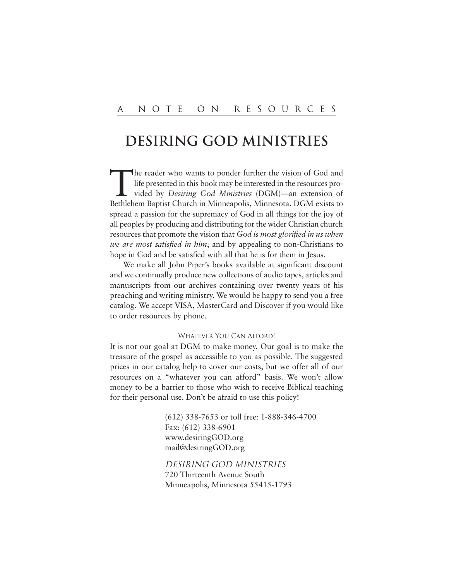# **Desiring God Ministries**

The reader who wants to ponder further the vision of God and<br>life presented in this book may be interested in the resources pro-<br>vided by *Desiring God Ministries* (DGM)—an extension of<br>Bethlehem Bantist Church in Minneapo life presented in this book may be interested in the resources provided by *Desiring God Ministries* (DGM)—an extension of Bethlehem Baptist Church in Minneapolis, Minnesota. DGM exists to spread a passion for the supremacy of God in all things for the joy of all peoples by producing and distributing for the wider Christian church resources that promote the vision that *God is most glorified in us when we are most satisfied in him*; and by appealing to non-Christians to hope in God and be satisfied with all that he is for them in Jesus.

We make all John Piper's books available at significant discount and we continually produce new collections of audio tapes, articles and manuscripts from our archives containing over twenty years of his preaching and writing ministry. We would be happy to send you a free catalog. We accept VISA, MasterCard and Discover if you would like to order resources by phone.

#### WHATEVER YOU CAN AFFORD!

It is not our goal at DGM to make money. Our goal is to make the treasure of the gospel as accessible to you as possible. The suggested prices in our catalog help to cover our costs, but we offer all of our resources on a "whatever you can afford" basis. We won't allow money to be a barrier to those who wish to receive Biblical teaching for their personal use. Don't be afraid to use this policy!

> (612) 338-7653 or toll free: 1-888-346-4700 Fax: (612) 338-6901 www.desiringGOD.org mail@desiringGOD.org

Desiring God Ministries 720 Thirteenth Avenue South Minneapolis, Minnesota 55415-1793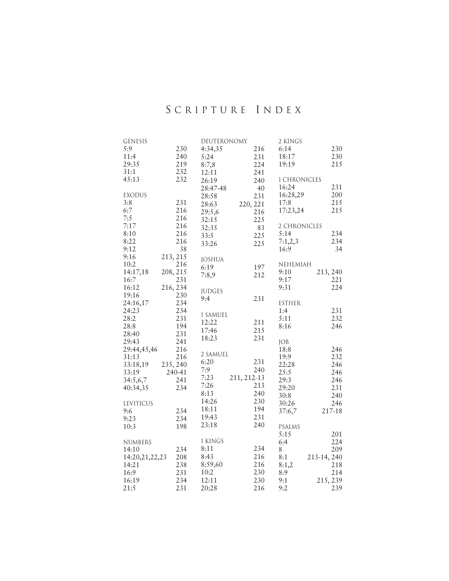# S CRIPTURE I NDEX

| <b>GENESIS</b> |          | DEUTERONOMY   |             | 2 KINGS      |             |
|----------------|----------|---------------|-------------|--------------|-------------|
| 5:9            | 230      | 4:34,35       | 216         | 6:14         | 230         |
| 11:4           | 240      | 5:24          | 231         | 18:17        | 230         |
| 29:35          | 219      | 8:7,8         | 224         | 19:19        | 215         |
| 31:1           | 232      | 12:11         | 241         |              |             |
| 45:13          | 232      | 26:19         | 240         | 1 CHRONICLES |             |
|                |          | 28:47-48      | 40          | 16:24        | 231         |
| <b>EXODUS</b>  |          |               |             | 16:28,29     | 200         |
| 3:8            | 231      | 28:58         | 231         | 17:8         | 215         |
| 6:7            | 216      | 28:63         | 220, 221    | 17:23,24     | 215         |
| 7:5            | 216      | 29:5,6        | 216         |              |             |
|                |          | 32:15         | 225         |              |             |
| 7:17           | 216      | 32:35         | 83          | 2 CHRONICLES |             |
| 8:10           | 216      | 33:5          | 225         | 5:14         | 234         |
| 8:22           | 216      | 33:26         | 225         | 7:1,2,3      | 234         |
| 9:12           | 38       |               |             | 16:9         | 34          |
| 9:16           | 213, 215 | <b>JOSHUA</b> |             |              |             |
| 10:2           | 216      | 6:19          | 197         | NEHEMIAH     |             |
| 14:17,18       | 208, 215 | 7:8,9         | 212         | 9:10         | 213, 240    |
| 16:7           | 231      |               |             | 9:17         | 221         |
| 16:12          | 216, 234 | <b>JUDGES</b> |             | 9:31         | 224         |
| 19:16          | 230      | 9:4           | 231         |              |             |
| 24:16,17       | 234      |               |             | ESTHER       |             |
| 24:23          | 234      |               |             | 1:4          | 231         |
| 28:2           | 231      | 1 SAMUEL      |             | 5:11         | 232         |
| 28:8           | 194      | 12:22         | 211         | 8:16         | 246         |
| 28:40          | 231      | 17:46         | 215         |              |             |
| 29:43          | 241      | 18:23         | 231         | JOB          |             |
| 29:44,45,46    | 216      |               |             | 18:8         | 246         |
| 31:13          | 216      | 2 SAMUEL      |             | 19:9         | 232         |
| 33:18,19       | 235, 240 | 6:20          | 231         | 22:28        | 246         |
| 33:19          | 240-41   | 7:9           | 240         | 25:5         | 246         |
| 34:5,6,7       | 241      | 7:23          | 211, 212-13 | 29:3         | 246         |
| 40:34,35       | 234      | 7:26          | 213         | 29:20        | 231         |
|                |          | 8:13          | 240         | 30:8         | 240         |
|                |          | 14:26         | 230         |              |             |
| LEVITICUS      |          | 18:11         | 194         | 30:26        | 246         |
| 9:6            | 234      | 19:43         | 231         | 37:6,7       | 217-18      |
| 9:23           | 234      |               | 240         |              |             |
| 10:3           | 198      | 23:18         |             | PSALMS       |             |
|                |          |               |             | 5:15         | 201         |
| NUMBERS        |          | 1 KINGS       |             | 6:4          | 224         |
| 14:10          | 234      | 8:11          | 234         | 8            | 209         |
| 14:20,21,22,23 | 208      | 8:43          | 216         | 8:1          | 213-14, 240 |
| 14:21          | 238      | 8:59,60       | 216         | 8:1,2        | 218         |
| 16:9           | 231      | 10:2          | 230         | 8:9          | 214         |
| 16:19          | 234      | 12:11         | 230         | 9:1          | 215, 239    |
| 21:5           | 231      | 20:28         | 216         | 9:2          | 239         |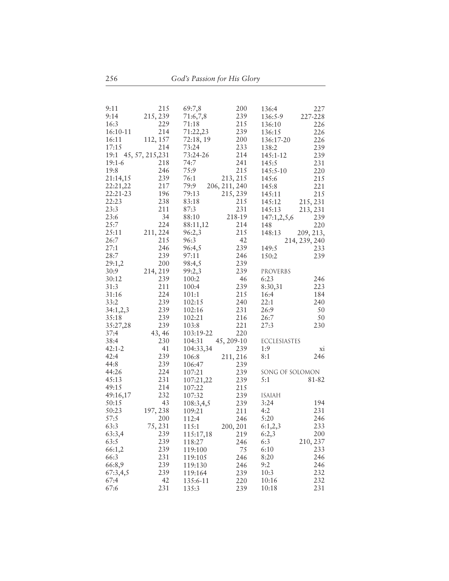| 9:11       | 215                   | 69:7,8          | 200           | 136:4            | 227             |
|------------|-----------------------|-----------------|---------------|------------------|-----------------|
| 9:14       | 215, 239              | 71:6,7,8        | 239           | 136:5-9          | 227-228         |
| 16:3       | 229                   | 71:18           | 215           | 136:10           | 226             |
| 16:10-11   | 214                   | 71:22,23        | 239           | 136:15           | 226             |
| 16:11      | 112, 157              | 72:18, 19       | 200           | 136:17-20        | 226             |
| 17:15      | 214                   | 73:24           | 233           | 138:2            | 239             |
|            | 19:1 45, 57, 215, 231 | 73:24-26        | 214           | 145:1-12         | 239             |
| $19:1-6$   | 218                   | 74:7            | 241           | 145:5            | 231             |
| 19:8       | 246                   | 75:9            | 215           | 145:5-10         | 220             |
| 21:14,15   | 239                   | 76:1            | 213, 215      | 145:6            | 215             |
| 22:21,22   | 217                   | 79:9            | 206, 211, 240 | 145:8            | 221             |
| 22:21-23   | 196                   | 79:13           | 215, 239      | 145:11           | 215             |
| 22:23      | 238                   | 83:18           | 215           | 145:12           | 215, 231        |
| 23:3       | 211                   | 87:3            | 231           | 145:13           | 213, 231        |
| 23:6       | 34                    | 88:10           | 218-19        | 147:1,2,5,6      | 239             |
| 25:7       | 224                   | 88:11,12        | 214           | 148              | 220             |
| 25:11      | 211, 224              | 96:2,3          | 215           | 148:13           | 209, 213,       |
| 26:7       | 215                   | 96:3            | 42            |                  | 214, 239, 240   |
| 27:1       | 246                   | 96:4,5          | 239           | 149:5            | 233             |
| 28:7       | 239                   | 97:11           | 246           | 150:2            | 239             |
| 29:1,2     | 200                   | 98:4,5          | 239           |                  |                 |
| 30:9       | 214, 219              |                 | 239           |                  |                 |
|            | 239                   | 99:2,3<br>100:2 |               | PROVERBS<br>6:23 | 246             |
| 30:12      |                       |                 | 46            |                  |                 |
| 31:3       | 211                   | 100:4           | 239           | 8:30,31          | 223             |
| 31:16      | 224                   | 101:1           | 215           | 16:4             | 184             |
| 33:2       | 239                   | 102:15          | 240           | 22:1             | 240             |
| 34:1,2,3   | 239                   | 102:16          | 231           | 26:9             | 50              |
| 35:18      | 239                   | 102:21          | 216           | 26:7             | 50              |
| 35:27,28   | 239                   | 103:8           | 221           | 27:3             | 230             |
| 37:4       | 43, 46                | 103:19-22       | 220           |                  |                 |
| 38:4       | 230                   | 104:31          | 45, 209-10    | ECCLESIASTES     |                 |
| $42:1 - 2$ | 41                    | 104:33,34       | 239           | 1:9              | XI.             |
| 42:4       | 239                   | 106:8           | 211, 216      | 8:1              | 246             |
| 44:8       | 239                   | 106:47          | 239           |                  |                 |
| 44:26      | 224                   | 107:21          | 239           |                  | SONG OF SOLOMON |
| 45:13      | 231                   | 107:21,22       | 239           | 5:1              | 81-82           |
| 49:15      | 214                   | 107:22          | 215           |                  |                 |
| 49:16,17   | 232                   | 107:32          | 239           | <b>ISAIAH</b>    |                 |
| 50:15      | 43                    | 108:3,4,5       | 239           | 3:24             | 194             |
| 50:23      | 197, 238              | 109:21          | 211           | 4:2              | 231             |
| 57:5       | 200                   | 112:4           | 246           | 5:20             | 246             |
| 63:3       | 75, 231               | 115:1           | 200, 201      | 6:1,2,3          | 233             |
| 63:3,4     | 239                   | 115:17,18       | 219           | 6:2,3            | 200             |
| 63:5       | 239                   | 118:27          | 246           | 6:3              | 210, 237        |
| 66:1,2     | 239                   | 119:100         | 75            | 6:10             | 233             |
| 66:3       | 231                   | 119:105         | 246           | 8:20             | 246             |
| 66:8,9     | 239                   | 119:130         | 246           | 9:2              | 246             |
| 67:3,4,5   | 239                   | 119:164         | 239           | 10:3             | 232             |
| 67:4       | 42                    | 135:6-11        | 220           | 10:16            | 232             |
| 67:6       | 231                   | 135:3           | 239           | 10:18            | 231             |
|            |                       |                 |               |                  |                 |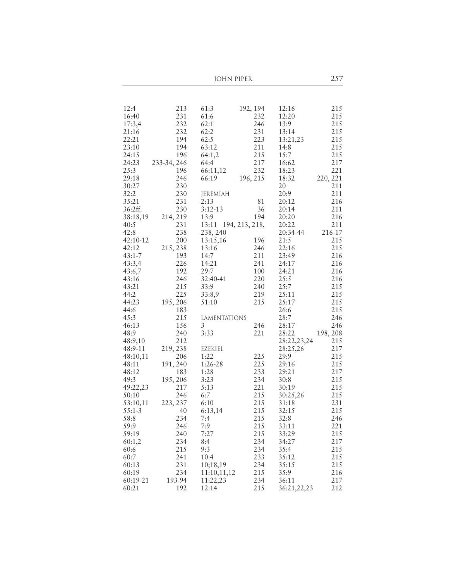JOHN PIPER 257

| 12:4       | 213         | 61:3                | 192, 194       | 12:16       | 215      |
|------------|-------------|---------------------|----------------|-------------|----------|
| 16:40      | 231         | 61:6                | 232            | 12:20       | 215      |
| 17:3,4     | 232         | 62:1                | 246            | 13:9        | 215      |
| 21:16      | 232         | 62:2                | 231            | 13:14       | 215      |
| 22:21      | 194         | 62:5                | 223            | 13:21,23    | 215      |
| 23:10      | 194         | 63:12               | 211            | 14:8        | 215      |
| 24:15      | 196         | 64:1,2              | 215            | 15:7        | 215      |
| 24:23      | 233-34, 246 | 64:4                | 217            | 16:62       | 217      |
| 25:3       | 196         | 66:11,12            | 232            | 18:23       | 221      |
| 29:18      | 246         |                     | 196, 215       |             | 220, 221 |
| 30:27      | 230         | 66:19               |                | 18:32<br>20 | 211      |
| 32:2       |             |                     |                |             |          |
|            | 230         | JEREMIAH            |                | 20:9        | 211      |
| 35:21      | 231         | 2:13                | 81             | 20:12       | 216      |
| 36:2ff.    | 230         | $3:12-13$           | 36             | 20:14       | 211      |
| 38:18,19   | 214, 219    | 13:9                | 194            | 20:20       | 216      |
| 40:5       | 231         | 13:11               | 194, 213, 218, | 20:22       | 211      |
| 42:8       | 238         | 238, 240            |                | 20:34-44    | 216-17   |
| 42:10-12   | 200         | 13:15,16            | 196            | 21:5        | 215      |
| 42:12      | 215, 238    | 13:16               | 246            | 22:16       | 215      |
| $43:1 - 7$ | 193         | 14:7                | 211            | 23:49       | 216      |
| 43:3,4     | 226         | 14:21               | 241            | 24:17       | 216      |
| 43:6,7     | 192         | 29:7                | 100            | 24:21       | 216      |
| 43:16      | 246         | 32:40-41            | 220            | 25:5        | 216      |
| 43:21      | 215         | 33:9                | 240            | 25:7        | 215      |
| 44:2       | 225         | 33:8,9              | 219            | 25:11       | 215      |
| 44:23      | 195, 206    | 51:10               | 215            | 25:17       | 215      |
| 44:6       | 183         |                     |                | 26:6        | 215      |
| 45:3       | 215         | <b>LAMENTATIONS</b> |                | 28:7        | 246      |
| 46:13      | 156         | 3                   | 246            | 28:17       | 246      |
| 48:9       | 240         | 3:33                | 221            | 28:22       | 198, 208 |
| 48:9,10    | 212         |                     |                | 28:22,23,24 | 215      |
| 48:9-11    | 219, 238    | EZEKIEL             |                | 28:25,26    | 217      |
|            |             |                     |                | 29:9        |          |
| 48:10,11   | 206         | 1:22                | 225            |             | 215      |
| 48:11      | 191, 240    | 1:26-28             | 225            | 29:16       | 215      |
| 48:12      | 183         | 1:28                | 233            | 29:21       | 217      |
| 49:3       | 195, 206    | 3:23                | 234            | 30:8        | 215      |
| 49:22,23   | 217         | 5:13                | 221            | 30:19       | 215      |
| 50:10      | 246         | 6:7                 | 215            | 30:25,26    | 215      |
| 53:10,11   | 223, 237    | 6:10                | 215            | 31:18       | 231      |
| $55:1-3$   | 40          | 6:13,14             | 215            | 32:15       | 215      |
| 58:8       | 234         | 7:4                 | $215\,$        | 32:8        | 246      |
| 59:9       | 246         | 7:9                 | 215            | 33:11       | 221      |
| 59:19      | 240         | 7:27                | 215            | 33:29       | 215      |
| 60:1,2     | 234         | 8:4                 | 234            | 34:27       | 217      |
| 60:6       | 215         | 9:3                 | 234            | 35:4        | 215      |
| 60:7       | 241         | 10:4                | 233            | 35:12       | 215      |
| 60:13      | 231         | 10;18,19            | 234            | 35:15       | 215      |
| 60:19      | 234         | 11:10,11,12         | 215            | 35:9        | 216      |
| 60:19-21   | 193-94      | 11:22,23            | 234            | 36:11       | 217      |
| 60:21      | 192         | 12:14               | 215            | 36:21,22,23 | 212      |
|            |             |                     |                |             |          |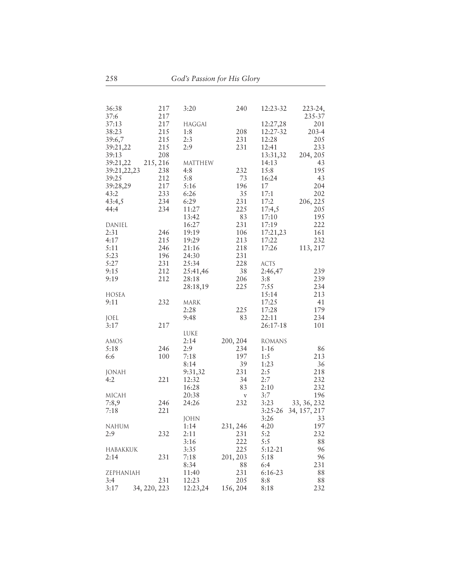| 258          | God's Passion for His Glory |               |             |               |              |
|--------------|-----------------------------|---------------|-------------|---------------|--------------|
|              |                             |               |             |               |              |
| 36:38        | 217                         | 3:20          | 240         | 12:23-32      | $223 - 24,$  |
| 37:6         | 217                         |               |             |               | 235-37       |
| 37:13        | 217                         | <b>HAGGAI</b> |             | 12:27,28      | 201          |
| 38:23        | 215                         | 1:8           | 208         | 12:27-32      | $203 - 4$    |
| 39:6,7       | 215                         | 2:3           | 231         | 12:28         | 205          |
| 39:21,22     | 215                         | 2:9           | 231         | 12:41         | 233          |
| 39:13        | 208                         |               |             | 13:31,32      | 204, 205     |
| 39:21,22     | 215, 216                    | MATTHEW       |             | 14:13         | 43           |
| 39:21,22,23  | 238                         | 4:8           | 232         | 15:8          | 195          |
| 39:25        | 212                         | 5:8           | 73          | 16:24         | 43           |
| 39:28,29     | 217                         | 5:16          | 196         | 17            | 204          |
| 43:2         | 233                         | 6:26          | 35          | 17:1          | 202          |
| 43:4,5       | 234                         | 6:29          | 231         | 17:2          | 206, 225     |
| 44:4         | 234                         | 11:27         | 225         | 17:4,5        | 205          |
|              |                             | 13:42         | 83          | 17:10         | 195          |
| DANIEL       |                             | 16:27         | 231         | 17:19         | 222          |
| 2:31         | 246                         | 19:19         | 106         | 17:21,23      | 161          |
| 4:17         | 215                         | 19:29         | 213         | 17:22         | 232          |
| 5:11         | 246                         | 21:16         | 218         | 17:26         | 113, 217     |
| 5:23         | 196                         | 24:30         | 231         |               |              |
| 5:27         | 231                         | 25:34         | 228         | <b>ACTS</b>   |              |
| 9:15         | 212                         | 25:41,46      | 38          | 2:46,47       | 239          |
| 9:19         | 212                         | 28:18         | 206         | 3:8           | 239          |
|              |                             | 28:18,19      | 225         | 7:55          | 234          |
| <b>HOSEA</b> |                             |               |             | 15:14         | 213          |
| 9:11         | 232                         | <b>MARK</b>   |             | 17:25         | 41           |
|              |                             | 2:28          | 225         | 17:28         | 179          |
| JOEL         |                             | 9:48          | 83          | 22:11         | 234          |
| 3:17         | 217                         |               |             | 26:17-18      | 101          |
|              |                             | LUKE          |             |               |              |
| AMOS         |                             | 2:14          | 200, 204    | <b>ROMANS</b> |              |
| 5:18         | 246                         | 2:9           | 234         | $1 - 16$      | 86           |
|              |                             |               | 197         |               |              |
| 6:6          | 100                         | 7:18          |             | 1:5<br>1:23   | 213          |
|              |                             | 8:14          | 39          |               | 36           |
| JONAH        |                             | 9:31,32       | 231         | 2:5           | 218          |
| 4:2          | 221                         | 12:32         | 34          | 2:7           | 232          |
|              |                             | 16:28         | 83          | 2:10          | 232          |
| <b>MICAH</b> |                             | 20:38         | $\mathbf V$ | 3:7           | 196          |
| 7:8,9        | 246                         | 24:26         | 232         | 3:23          | 33, 36, 232  |
| 7:18         | 221                         |               |             | $3:25-26$     | 34, 157, 217 |
|              |                             | JOHN          |             | 3:26          | 33           |
| <b>NAHUM</b> |                             | 1:14          | 231, 246    | 4:20          | 197          |
| 2:9          | 232                         | 2:11          | 231         | 5:2           | 232          |
|              |                             | 3:16          | 222         | 5:5           | 88           |
| HABAKKUK     |                             | 3:35          | 225         | $5:12-21$     | 96           |
| 2:14         | 231                         | 7:18          | 201, 203    | 5:18          | 96           |
|              |                             | 8:34          | 88          | 6:4           | 231          |
| ZEPHANIAH    |                             | 11:40         | 231         | $6:16-23$     | 88           |
| 3:4          | 231                         | 12:23         | 205         | 8:8           | 88           |
| 3:17         | 34, 220, 223                | 12:23,24      | 156, 204    | 8:18          | 232          |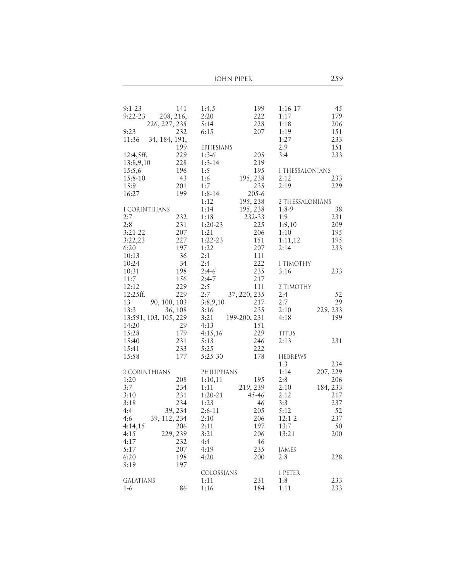JOHN PIPER 259

| $9:1-23$              | 141           | 1:4,5       | 199          | $1:16-17$       | 45       |
|-----------------------|---------------|-------------|--------------|-----------------|----------|
| $9:22-23$             | 208, 216,     | 2:20        | 222          | 1:17            | 179      |
|                       | 226, 227, 235 | 5:14        | 228          | 1:18            | 206      |
| 9:23                  | 232           | 6:15        | 207          | 1:19            | 151      |
| 11:36                 | 34, 184, 191, |             |              | 1:27            | 233      |
|                       | 199           |             |              | 2:9             |          |
|                       |               | EPHESIANS   |              |                 | 151      |
| 12:4,5ff.             | 229           | $1:3-6$     | 205          | 3:4             | 233      |
| 13:8,9,10             | 228           | $1:3-14$    | 219          |                 |          |
| 15:5,6                | 196           | 1:5         | 195          | 1 THESSALONIANS |          |
| $15:8 - 10$           | 43            | 1:6         | 195, 238     | 2:12            | 233      |
| 15:9                  | 201           | 1:7         | 235          | 2:19            | 229      |
| 16:27                 | 199           | $1:8-14$    | $205 - 6$    |                 |          |
|                       |               | 1:12        | 195, 238     | 2 THESSALONIANS |          |
| 1 CORINTHIANS         |               | 1:14        | 195, 238     | $1:8-9$         | 38       |
| 2:7                   | 232           | 1:18        | 232-33       | 1:9             | 231      |
| 2:8                   | 231           | $1:20-23$   | 225          | 1:9,10          | 209      |
| $3:21-22$             | 207           | 1:21        | 206          | 1:10            | 195      |
| 3:22,23               | 227           | $1:22-23$   | 151          | 1:11,12         | 195      |
| 6:20                  | 197           | 1:22        | 207          | 2:14            | 233      |
| 10:13                 | 36            | 2:1         | 111          |                 |          |
| 10:24                 | 34            | 2:4         | 222          |                 |          |
|                       | 198           |             | 235          | 1 TIMOTHY       |          |
| 10:31                 |               | $2:4-6$     |              | 3:16            | 233      |
| 11:7                  | 156           | $2:4-7$     | 217          |                 |          |
| 12:12                 | 229           | 2:5         | 111          | 2 TIMOTHY       |          |
| 12:25ff.              | 229           | 2:7         | 37, 220, 235 | 2:4             | 52       |
| 13                    | 90, 100, 103  | 3:8,9,10    | 217          | 2:7             | 29       |
| 13:3                  | 36, 108       | 3:16        | 235          | 2:10            | 229, 233 |
| 13:591, 103, 105, 229 |               | 3:21        | 199-200, 231 | 4:18            | 199      |
| 14:20                 | 29            | 4:13        | 151          |                 |          |
| 15:28                 | 179           | 4:15,16     | 229          | <b>TITUS</b>    |          |
| 15:40                 | 231           | 5:13        | 246          | 2:13            | 231      |
| 15:41                 | 233           | 5:25        | 222          |                 |          |
| 15:58                 | 177           | $5:25-30$   | 178          | HEBREWS         |          |
|                       |               |             |              | 1:3             | 234      |
| 2 CORINTHIANS         |               | PHILIPPIANS |              | 1:14            | 207, 229 |
| 1:20                  | 208           | 1:10,11     | 195          | 2:8             | 206      |
| 3:7                   | 234           | 1:11        | 219, 239     | 2:10            | 184, 233 |
| 3:10                  | 231           | $1:20-21$   | 45-46        | 2:12            | 217      |
|                       | 234           |             |              |                 |          |
| 3:18                  |               | 1:23        | 46           | 3:3             | 237      |
| 4:4                   | 39, 234       | $2:6-11$    | 205          | 5:12            | 52       |
| 4:6                   | 39, 112, 234  | 2:10        | 206          | $12:1-2$        | 237      |
| 4:14,15               | 206           | 2:11        | 197          | 13:7            | 50       |
| 4:15                  | 229, 239      | 3:21        | 206          | 13:21           | 200      |
| 4:17                  | 232           | 4:4         | 46           |                 |          |
| 5:17                  | 207           | 4:19        | 235          | JAMES           |          |
| 6:20                  | 198           | 4:20        | 200          | 2:8             | 228      |
| 8:19                  | 197           |             |              |                 |          |
|                       |               | COLOSSIANS  |              | 1 PETER         |          |
| <b>GALATIANS</b>      |               | 1:11        | 231          | 1:8             | 233      |
| $1-6$                 | 86            | 1:16        | 184          | 1:11            | 233      |
|                       |               |             |              |                 |          |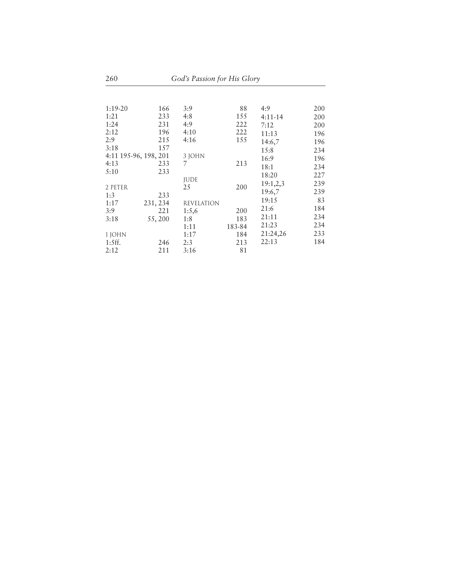| 260                   |          | God's Passion for His Glory |        |           |     |  |
|-----------------------|----------|-----------------------------|--------|-----------|-----|--|
|                       |          |                             |        |           |     |  |
| $1:19-20$             | 166      | 3:9                         | 88     | 4:9       | 200 |  |
| 1:21                  | 233      | 4:8                         | 155    | $4:11-14$ | 200 |  |
| 1:24                  | 231      | 4:9                         | 222    | 7:12      | 200 |  |
| 2:12                  | 196      | 4:10                        | 222    | 11:13     | 196 |  |
| 2:9                   | 215      | 4:16                        | 155    | 14:6,7    | 196 |  |
| 3:18                  | 157      |                             |        | 15:8      | 234 |  |
| 4:11 195-96, 198, 201 |          | 3 JOHN                      |        | 16:9      | 196 |  |
| 4:13                  | 233      | 7                           | 213    | 18:1      | 234 |  |
| 5:10                  | 233      |                             |        | 18:20     | 227 |  |
|                       |          | <b>JUDE</b>                 |        | 19:1,2,3  | 239 |  |
| 2 PETER               |          | 25                          | 200    | 19:6,7    | 239 |  |
| 1:3                   | 233      |                             |        |           |     |  |
| 1:17                  | 231, 234 | <b>REVELATION</b>           |        | 19:15     | 83  |  |
| 3:9                   | 221      | 1:5,6                       | 200    | 21:6      | 184 |  |
| 3:18                  | 55, 200  | 1:8                         | 183    | 21:11     | 234 |  |
|                       |          | 1:11                        | 183-84 | 21:23     | 234 |  |
| 1 JOHN                |          | 1:17                        | 184    | 21:24,26  | 233 |  |
| 1:5ff.                | 246      | 2:3                         | 213    | 22:13     | 184 |  |
| 2:12                  | 211      | 3:16                        | 81     |           |     |  |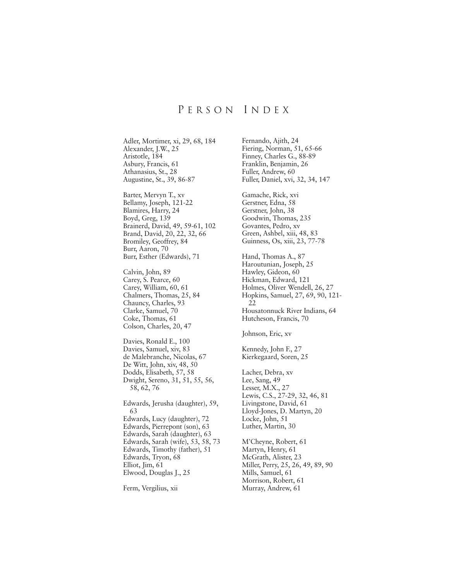## P ERSON I NDEX

Adler, Mortimer, xi, 29, 68, 184 Alexander, J.W., 25 Aristotle, 184 Asbury, Francis, 61 Athanasius, St., 28 Augustine, St., 39, 86-87

Barter, Mervyn T., xv Bellamy, Joseph, 121-22 Blamires, Harry, 24 Boyd, Greg, 139 Brainerd, David, 49, 59-61, 102 Brand, David, 20, 22, 32, 66 Bromiley, Geoffrey, 84 Burr, Aaron, 70 Burr, Esther (Edwards), 71

Calvin, John, 89 Carey, S. Pearce, 60 Carey, William, 60, 61 Chalmers, Thomas, 25, 84 Chauncy, Charles, 93 Clarke, Samuel, 70 Coke, Thomas, 61 Colson, Charles, 20, 47

Davies, Ronald E., 100 Davies, Samuel, xiv, 83 de Malebranche, Nicolas, 67 De Witt, John, xiv, 48, 50 Dodds, Elisabeth, 57, 58 Dwight, Sereno, 31, 51, 55, 56, 58, 62, 76

Edwards, Jerusha (daughter), 59, 63 Edwards, Lucy (daughter), 72 Edwards, Pierrepont (son), 63 Edwards, Sarah (daughter), 63 Edwards, Sarah (wife), 53, 58, 73 Edwards, Timothy (father), 51 Edwards, Tryon, 68 Elliot, Jim, 61 Elwood, Douglas J., 25

Ferm, Vergilius, xii

Fernando, Ajith, 24 Fiering, Norman, 51, 65-66 Finney, Charles G., 88-89 Franklin, Benjamin, 26 Fuller, Andrew, 60 Fuller, Daniel, xvi, 32, 34, 147 Gamache, Rick, xvi Gerstner, Edna, 58 Gerstner, John, 38 Goodwin, Thomas, 235 Govantes, Pedro, xv Green, Ashbel, xiii, 48, 83 Guinness, Os, xiii, 23, 77-78 Hand, Thomas A., 87 Haroutunian, Joseph, 25 Hawley, Gideon, 60 Hickman, Edward, 121 Holmes, Oliver Wendell, 26, 27 Hopkins, Samuel, 27, 69, 90, 121- 22 Housatonnuck River Indians, 64 Hutcheson, Francis, 70 Johnson, Eric, xv Kennedy, John F., 27 Kierkegaard, Soren, 25 Lacher, Debra, xv Lee, Sang, 49 Lesser, M.X., 27 Lewis, C.S., 27-29, 32, 46, 81 Livingstone, David, 61 Lloyd-Jones, D. Martyn, 20 Locke, John, 51 Luther, Martin, 30 M'Cheyne, Robert, 61 Martyn, Henry, 61 McGrath, Alister, 23 Miller, Perry, 25, 26, 49, 89, 90 Mills, Samuel, 61

Morrison, Robert, 61 Murray, Andrew, 61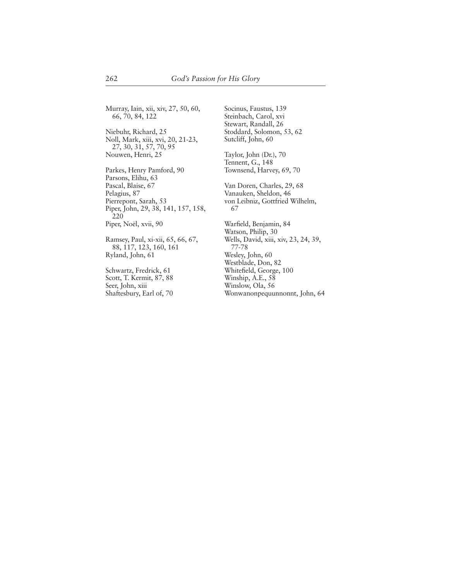Murray, Iain, xii, xiv, 27, 50, 60, 66, 70, 84, 122

Niebuhr, Richard, 25 Noll, Mark, xiii, xvi, 20, 21-23, 27, 30, 31, 57, 70, 95 Nouwen, Henri, 25

Parkes, Henry Pamford, 90 Parsons, Elihu, 63 Pascal, Blaise, 67 Pelagius, 87 Pierrepont, Sarah, 53 Piper, John, 29, 38, 141, 157, 158, 220 Piper, Noël, xvii, 90

Ramsey, Paul, xi-xii, 65, 66, 67, 88, 117, 123, 160, 161 Ryland, John, 61

Schwartz, Fredrick, 61 Scott, T. Kermit, 87, 88 Seer, John, xiii Shaftesbury, Earl of, 70 Socinus, Faustus, 139 Steinbach, Carol, xvi Stewart, Randall, 26 Stoddard, Solomon, 53, 62 Sutcliff, John, 60

Taylor, John (Dr.), 70 Tennent, G., 148 Townsend, Harvey, 69, 70

Van Doren, Charles, 29, 68 Vanauken, Sheldon, 46 von Leibniz, Gottfried Wilhelm, 67

Warfield, Benjamin, 84 Watson, Philip, 30 Wells, David, xiii, xiv, 23, 24, 39, 77-78 Wesley, John, 60 Westblade, Don, 82 Whitefield, George, 100 Winship, A.E., 58 Winslow, Ola, 56 Wonwanonpequunnonnt, John, 64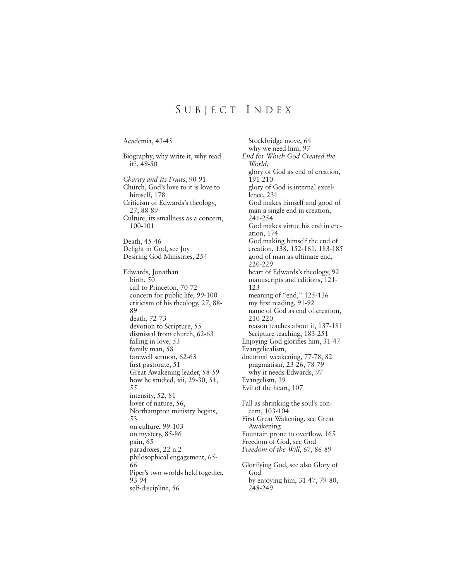## S UBJECT I NDEX

Academia, 43-45

Biography, why write it, why read it?, 49-50 *Charity and Its Fruits*, 90-91 Church, God's love to it is love to himself, 178 Criticism of Edwards's theology, 27, 88-89 Culture, its smallness as a concern, 100-101 Death, 45-46 Delight in God, see Joy Desiring God Ministries, 254 Edwards, Jonathan birth, 50 call to Princeton, 70-72 concern for public life, 99-100 criticism of his theology, 27, 88- 89 death, 72-73 devotion to Scripture, 55 dismissal from church, 62-63 falling in love, 53 family man, 58 farewell sermon, 62-63 first pastorate, 51 Great Awakening leader, 58-59 how he studied, xii, 29-30, 51, 55 intensity, 52, 81 lover of nature, 56, Northampton ministry begins, 53 on culture, 99-103 on mystery, 85-86 pain, 65 paradoxes, 22 n.2 philosophical engagement, 65- 66 Piper's two worlds held together, 93-94 self-discipline, 56

Stockbridge move, 64 why we need him, 97 *End for Which God Created the World*, glory of God as end of creation, 191-210 glory of God is internal excellence, 231 God makes himself and good of man a single end in creation, 241-254 God makes virtue his end in creation, 174 God making himself the end of creation, 138, 152-161, 183-185 good of man as ultimate end, 220-229 heart of Edwards's theology, 92 manuscripts and editions, 121- 123 meaning of "end," 125-136 my first reading, 91-92 name of God as end of creation, 210-220 reason teaches about it, 137-181 Scripture teaching, 183-251 Enjoying God glorifies him, 31-47 Evangelicalism, doctrinal weakening, 77-78, 82 pragmatism, 23-26, 78-79 why it needs Edwards, 97 Evangelism, 39 Evil of the heart, 107 Fall as shrinking the soul's concern, 103-104 First Great Wakening, see Great Awakening Fountain prone to overflow, 165 Freedom of God, see God *Freedom of the Will*, 67, 86-89 Glorifying God, see also Glory of God by enjoying him, 31-47, 79-80, 248-249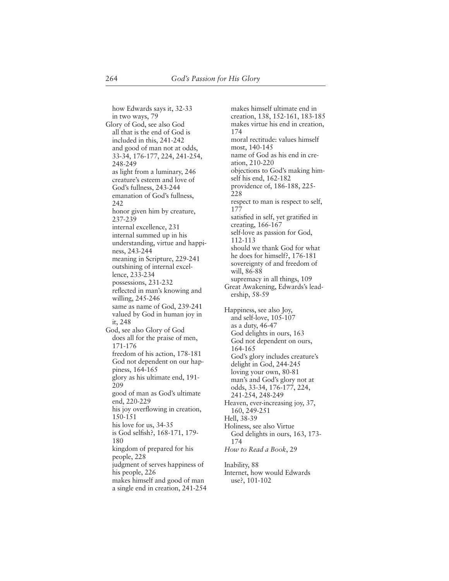how Edwards says it, 32-33 in two ways, 79 Glory of God, see also God all that is the end of God is included in this, 241-242 and good of man not at odds, 33-34, 176-177, 224, 241-254, 248-249 as light from a luminary, 246 creature's esteem and love of God's fullness, 243-244 emanation of God's fullness, 242 honor given him by creature, 237-239 internal excellence, 231 internal summed up in his understanding, virtue and happiness, 243-244 meaning in Scripture, 229-241 outshining of internal excellence, 233-234 possessions, 231-232 reflected in man's knowing and willing, 245-246 same as name of God, 239-241 valued by God in human joy in it, 248 God, see also Glory of God does all for the praise of men, 171-176 freedom of his action, 178-181 God not dependent on our happiness, 164-165 glory as his ultimate end, 191- 209 good of man as God's ultimate end, 220-229 his joy overflowing in creation, 150-151 his love for us, 34-35 is God selfish?, 168-171, 179- 180 kingdom of prepared for his people, 228 judgment of serves happiness of his people, 226 makes himself and good of man a single end in creation, 241-254

makes himself ultimate end in creation, 138, 152-161, 183-185 makes virtue his end in creation, 174 moral rectitude: values himself most, 140-145 name of God as his end in creation, 210-220 objections to God's making himself his end, 162-182 providence of, 186-188, 225- 228 respect to man is respect to self, 177 satisfied in self, yet gratified in creating, 166-167 self-love as passion for God, 112-113 should we thank God for what he does for himself?, 176-181 sovereignty of and freedom of will, 86-88 supremacy in all things, 109 Great Awakening, Edwards's leadership, 58-59 Happiness, see also Joy, and self-love, 105-107 as a duty, 46-47 God delights in ours, 163 God not dependent on ours, 164-165 God's glory includes creature's delight in God, 244-245 loving your own, 80-81 man's and God's glory not at odds, 33-34, 176-177, 224, 241-254, 248-249 Heaven, ever-increasing joy, 37, 160, 249-251 Hell, 38-39 Holiness, see also Virtue God delights in ours, 163, 173- 174 *How to Read a Book*, 29 Inability, 88 Internet, how would Edwards

use?, 101-102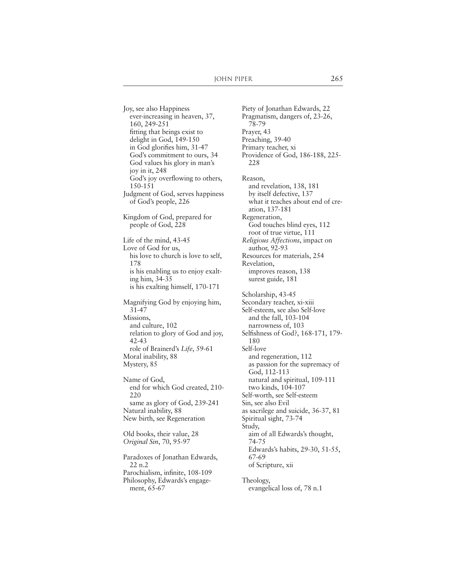Joy, see also Happiness ever-increasing in heaven, 37, 160, 249-251 fitting that beings exist to delight in God, 149-150 in God glorifies him, 31-47 God's commitment to ours, 34 God values his glory in man's joy in it, 248 God's joy overflowing to others, 150-151 Judgment of God, serves happiness of God's people, 226 Kingdom of God, prepared for people of God, 228 Life of the mind, 43-45 Love of God for us, his love to church is love to self, 178 is his enabling us to enjoy exalting him, 34-35 is his exalting himself, 170-171 Magnifying God by enjoying him,  $31 - 47$ Missions, and culture, 102 relation to glory of God and joy, 42-43 role of Brainerd's *Life*, 59-61 Moral inability, 88 Mystery, 85 Name of God, end for which God created, 210- 220 same as glory of God, 239-241 Natural inability, 88 New birth, see Regeneration Old books, their value, 28 *Original Sin*, 70, 95-97 Paradoxes of Jonathan Edwards, 22 n.2 Parochialism, infinite, 108-109

Philosophy, Edwards's engagement, 65-67

Piety of Jonathan Edwards, 22 Pragmatism, dangers of, 23-26, 78-79 Prayer, 43 Preaching, 39-40 Primary teacher, xi Providence of God, 186-188, 225- 228 Reason, and revelation, 138, 181 by itself defective, 137 what it teaches about end of creation, 137-181 Regeneration, God touches blind eyes, 112 root of true virtue, 111 *Religious Affections*, impact on author, 92-93 Resources for materials, 254 Revelation, improves reason, 138 surest guide, 181 Scholarship, 43-45 Secondary teacher, xi-xiii Self-esteem, see also Self-love and the fall, 103-104 narrowness of, 103 Selfishness of God?, 168-171, 179- 180 Self-love and regeneration, 112 as passion for the supremacy of God, 112-113 natural and spiritual, 109-111 two kinds, 104-107 Self-worth, see Self-esteem Sin, see also Evil as sacrilege and suicide, 36-37, 81 Spiritual sight, 73-74 Study, aim of all Edwards's thought, 74-75 Edwards's habits, 29-30, 51-55, 67-69 of Scripture, xii

Theology, evangelical loss of, 78 n.1